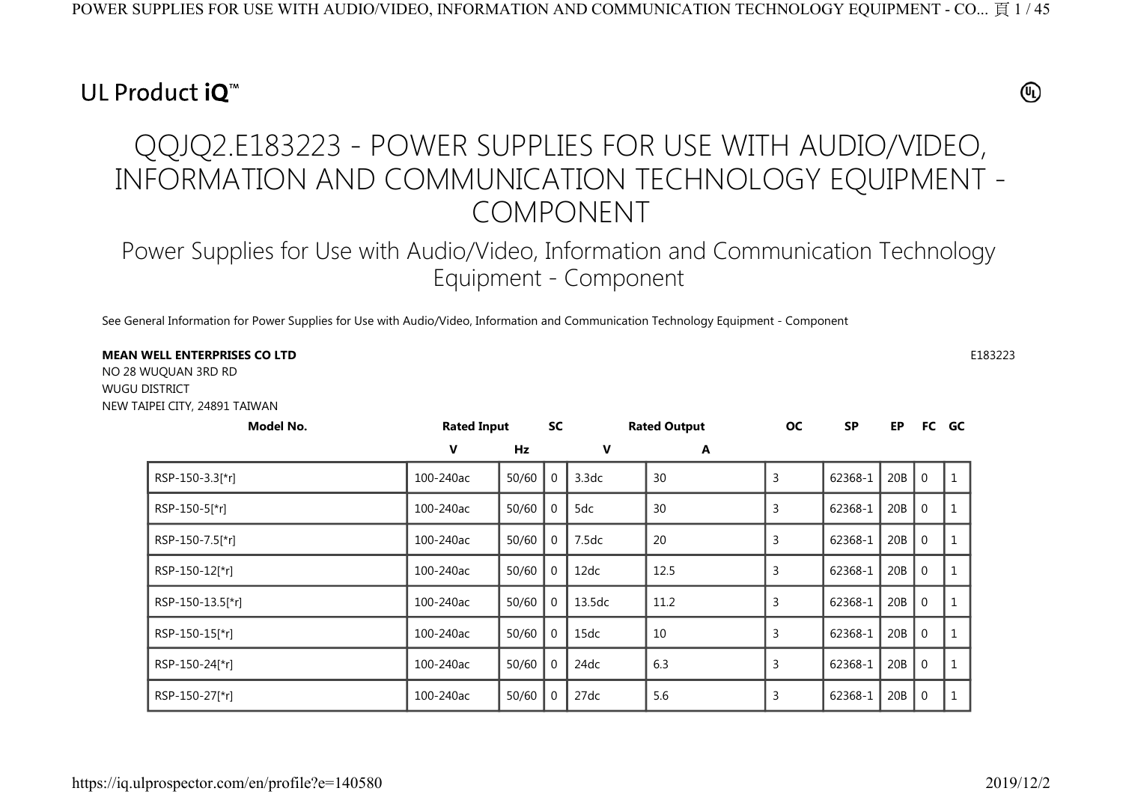## UL Product iQ<sup>™</sup>

## $^{\circledR}$

## QQJQ2.E183223 - POWER SUPPLIES FOR USE WITH AUDIO/VIDEO, INFORMATION AND COMMUNICATION TECHNOLOGY EQUIPMENT - COMPONENT

Power Supplies for Use with Audio/Video, Information and Communication Technology Equipment - Component

See General Information for Power Supplies for Use with Audio/Video, Information and Communication Technology Equipment - Component

## **MEAN WELL ENTERPRISES CO LTD** $\mathsf{D}$  E183223

NO 28 WUQUAN 3RD RD WUGU DISTRICT NEW TAIPEI CITY, 24891 TAIWAN

| Model No.        | <b>Rated Input</b> |           | <b>SC</b> |             | <b>Rated Output</b> | <b>OC</b> | <b>SP</b> | EP  |                | FC GC |
|------------------|--------------------|-----------|-----------|-------------|---------------------|-----------|-----------|-----|----------------|-------|
|                  | V                  | <b>Hz</b> |           | $\mathbf v$ | A                   |           |           |     |                |       |
| RSP-150-3.3[*r]  | 100-240ac          | 50/60     |           | 3.3dc       | 30                  | 3         | 62368-1   | 20B | $\overline{0}$ |       |
| RSP-150-5[*r]    | 100-240ac          | 50/60     |           | 5dc         | 30                  | 3         | 62368-1   | 20B | $\Omega$       |       |
| RSP-150-7.5[*r]  | 100-240ac          | 50/60     |           | 7.5dc       | 20                  | 3         | 62368-1   | 20B | $\mathbf 0$    |       |
| RSP-150-12[*r]   | 100-240ac          | 50/60     |           | 12dc        | 12.5                | 3         | 62368-1   | 20B | $\mathbf 0$    |       |
| RSP-150-13.5[*r] | 100-240ac          | 50/60     |           | 13.5dc      | 11.2                | 3         | 62368-1   | 20B | $\mathbf 0$    |       |
| RSP-150-15[*r]   | 100-240ac          | 50/60     |           | 15dc        | 10                  | 3         | 62368-1   | 20B | $\mathbf 0$    |       |
| RSP-150-24[*r]   | 100-240ac          | 50/60     |           | 24dc        | 6.3                 | 3         | 62368-1   | 20B | $\mathbf 0$    |       |
| RSP-150-27[*r]   | 100-240ac          | 50/60     |           | 27dc        | 5.6                 |           | 62368-1   | 20B | $\mathbf 0$    |       |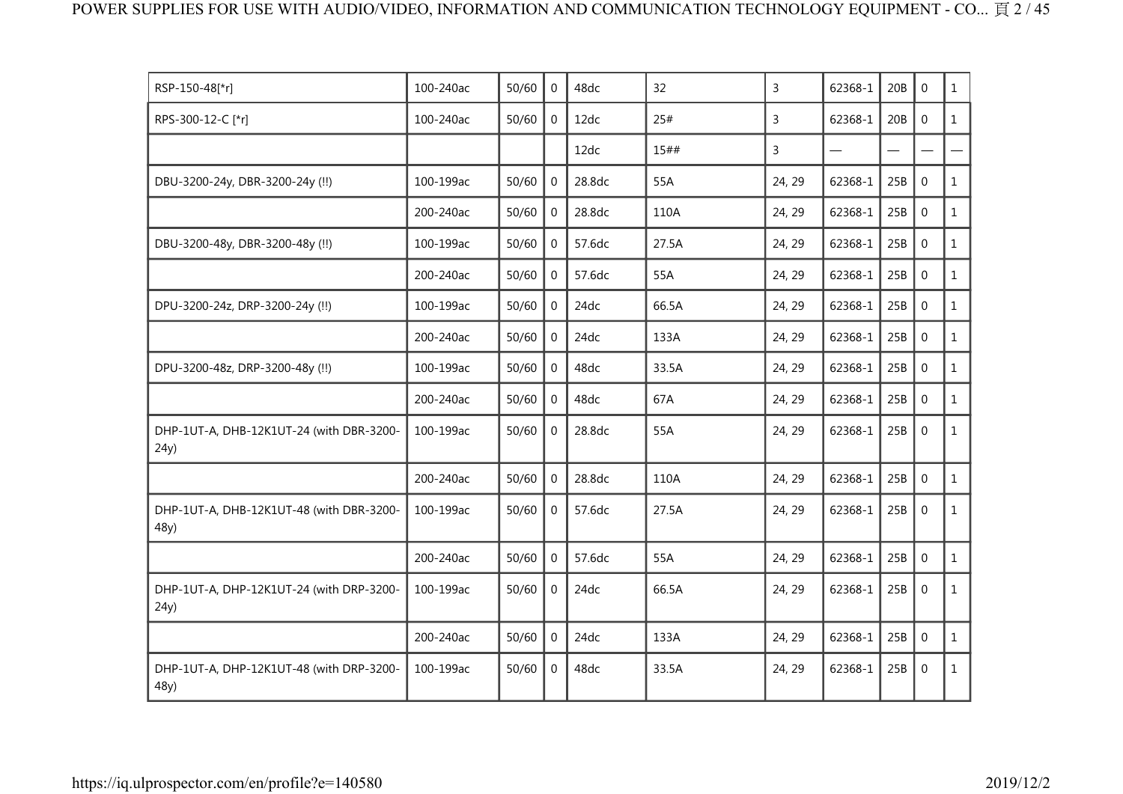| RSP-150-48[*r]                                   | 100-240ac | 50/60 | $\mathbf{0}$   | 48dc   | 32    | 3              | 62368-1 | 20B | $\Omega$     | $\mathbf{1}$ |
|--------------------------------------------------|-----------|-------|----------------|--------|-------|----------------|---------|-----|--------------|--------------|
| RPS-300-12-C [*r]                                | 100-240ac | 50/60 | $\overline{0}$ | 12dc   | 25#   | $\overline{3}$ | 62368-1 | 20B | $\mathbf{0}$ | $\mathbf{1}$ |
|                                                  |           |       |                | 12dc   | 15##  | 3              |         |     |              |              |
| DBU-3200-24y, DBR-3200-24y (!!)                  | 100-199ac | 50/60 | $\Omega$       | 28.8dc | 55A   | 24, 29         | 62368-1 | 25B | $\Omega$     | $\mathbf{1}$ |
|                                                  | 200-240ac | 50/60 | $\mathbf 0$    | 28.8dc | 110A  | 24, 29         | 62368-1 | 25B | $\mathbf 0$  | $\mathbf{1}$ |
| DBU-3200-48y, DBR-3200-48y (!!)                  | 100-199ac | 50/60 | $\overline{0}$ | 57.6dc | 27.5A | 24, 29         | 62368-1 | 25B | $\mathbf 0$  | $\mathbf{1}$ |
|                                                  | 200-240ac | 50/60 | $\mathbf 0$    | 57.6dc | 55A   | 24, 29         | 62368-1 | 25B | $\mathbf 0$  | $\mathbf{1}$ |
| DPU-3200-24z, DRP-3200-24y (!!)                  | 100-199ac | 50/60 | $\Omega$       | 24dc   | 66.5A | 24, 29         | 62368-1 | 25B | $\mathbf 0$  | $\mathbf{1}$ |
|                                                  | 200-240ac | 50/60 | $\mathbf{0}$   | 24dc   | 133A  | 24, 29         | 62368-1 | 25B | $\Omega$     | $\mathbf{1}$ |
| DPU-3200-48z, DRP-3200-48y (!!)                  | 100-199ac | 50/60 | $\mathbf 0$    | 48dc   | 33.5A | 24, 29         | 62368-1 | 25B | $\mathbf{0}$ | $\mathbf{1}$ |
|                                                  | 200-240ac | 50/60 | $\Omega$       | 48dc   | 67A   | 24, 29         | 62368-1 | 25B | $\mathbf 0$  | $\mathbf{1}$ |
| DHP-1UT-A, DHB-12K1UT-24 (with DBR-3200-<br>24y) | 100-199ac | 50/60 | $\mathbf{0}$   | 28.8dc | 55A   | 24, 29         | 62368-1 | 25B | $\Omega$     | $\mathbf{1}$ |
|                                                  | 200-240ac | 50/60 | $\Omega$       | 28.8dc | 110A  | 24, 29         | 62368-1 | 25B | $\mathbf 0$  | $\mathbf{1}$ |
| DHP-1UT-A, DHB-12K1UT-48 (with DBR-3200-<br>48y) | 100-199ac | 50/60 | $\overline{0}$ | 57.6dc | 27.5A | 24, 29         | 62368-1 | 25B | $\mathbf 0$  | $\mathbf{1}$ |
|                                                  | 200-240ac | 50/60 | $\mathbf{0}$   | 57.6dc | 55A   | 24, 29         | 62368-1 | 25B | $\mathbf{0}$ | $\mathbf{1}$ |
| DHP-1UT-A, DHP-12K1UT-24 (with DRP-3200-<br>24y) | 100-199ac | 50/60 | $\Omega$       | 24dc   | 66.5A | 24, 29         | 62368-1 | 25B | $\mathbf{0}$ | $\mathbf{1}$ |
|                                                  | 200-240ac | 50/60 | $\Omega$       | 24dc   | 133A  | 24, 29         | 62368-1 | 25B | $\mathbf 0$  | $\mathbf{1}$ |
| DHP-1UT-A, DHP-12K1UT-48 (with DRP-3200-<br>48y) | 100-199ac | 50/60 | $\mathbf{0}$   | 48dc   | 33.5A | 24, 29         | 62368-1 | 25B | $\mathbf 0$  | $\mathbf{1}$ |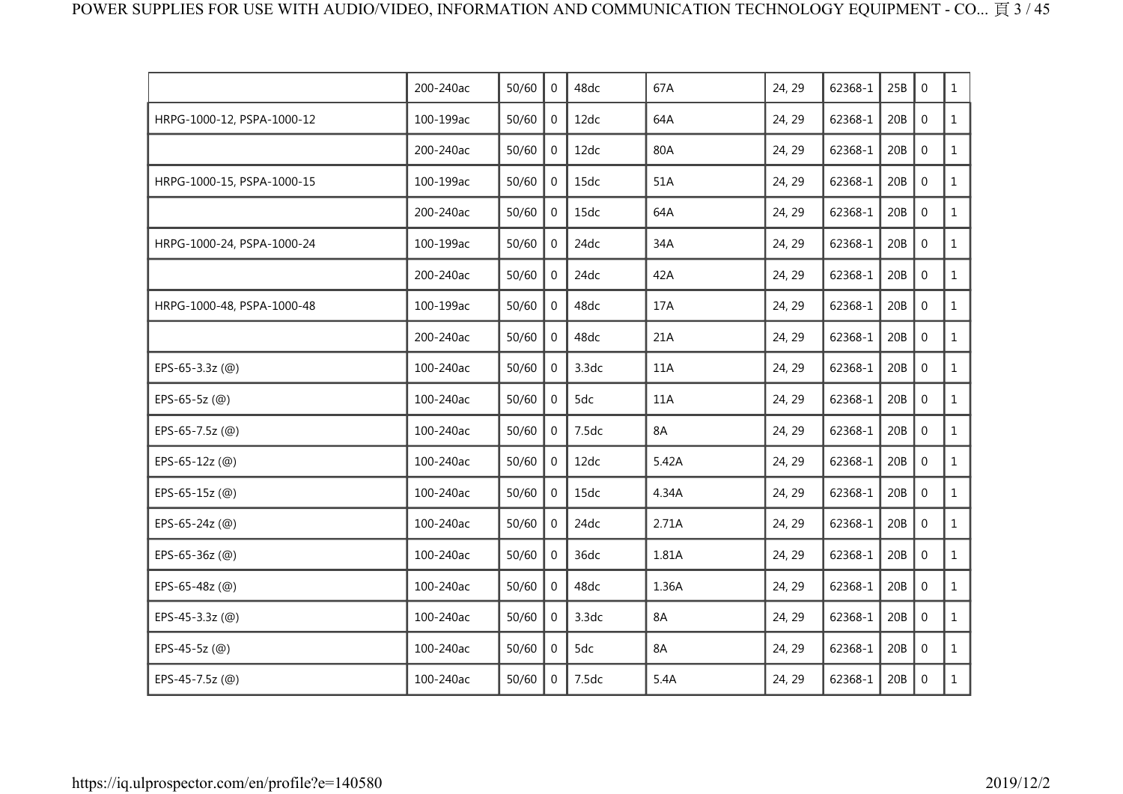|                            | 200-240ac | 50/60 | $\mathbf{0}$   | 48dc  | 67A   | 24, 29 | 62368-1 | 25B | $\mathbf 0$      | $\mathbf{1}$ |
|----------------------------|-----------|-------|----------------|-------|-------|--------|---------|-----|------------------|--------------|
| HRPG-1000-12, PSPA-1000-12 | 100-199ac | 50/60 | $\mathbf 0$    | 12dc  | 64A   | 24, 29 | 62368-1 | 20B | $\mathbf 0$      | $\mathbf{1}$ |
|                            | 200-240ac | 50/60 | $\overline{0}$ | 12dc  | 80A   | 24, 29 | 62368-1 | 20B | $\mathbf 0$      | $\mathbf{1}$ |
| HRPG-1000-15, PSPA-1000-15 | 100-199ac | 50/60 | $\overline{0}$ | 15dc  | 51A   | 24, 29 | 62368-1 | 20B | $\mathbf 0$      | $\mathbf{1}$ |
|                            | 200-240ac | 50/60 | $\overline{0}$ | 15dc  | 64A   | 24, 29 | 62368-1 | 20B | $\mathbf 0$      | $\mathbf{1}$ |
| HRPG-1000-24, PSPA-1000-24 | 100-199ac | 50/60 | $\mathbf 0$    | 24dc  | 34A   | 24, 29 | 62368-1 | 20B | $\mathbf 0$      | $\mathbf{1}$ |
|                            | 200-240ac | 50/60 | $\Omega$       | 24dc  | 42A   | 24, 29 | 62368-1 | 20B | $\mathbf 0$      | $\mathbf{1}$ |
| HRPG-1000-48, PSPA-1000-48 | 100-199ac | 50/60 | 0              | 48dc  | 17A   | 24, 29 | 62368-1 | 20B | $\mathbf 0$      | $\mathbf{1}$ |
|                            | 200-240ac | 50/60 | 0              | 48dc  | 21A   | 24, 29 | 62368-1 | 20B | $\mathbf 0$      | $\mathbf{1}$ |
| EPS-65-3.3z (@)            | 100-240ac | 50/60 | $\mathbf 0$    | 3.3dc | 11A   | 24, 29 | 62368-1 | 20B | $\boldsymbol{0}$ | $\mathbf{1}$ |
| EPS-65-5z $(Q)$            | 100-240ac | 50/60 | $\mathbf{0}$   | 5dc   | 11A   | 24, 29 | 62368-1 | 20B | $\mathbf{0}$     | $\mathbf{1}$ |
| EPS-65-7.5z (@)            | 100-240ac | 50/60 | $\Omega$       | 7.5dc | 8A    | 24, 29 | 62368-1 | 20B | $\mathbf 0$      | $\mathbf{1}$ |
| EPS-65-12z (@)             | 100-240ac | 50/60 | $\mathbf{0}$   | 12dc  | 5.42A | 24, 29 | 62368-1 | 20B | $\mathbf 0$      | $\mathbf{1}$ |
| EPS-65-15z (@)             | 100-240ac | 50/60 | $\overline{0}$ | 15dc  | 4.34A | 24, 29 | 62368-1 | 20B | $\mathbf 0$      | $\mathbf{1}$ |
| EPS-65-24z (@)             | 100-240ac | 50/60 | $\Omega$       | 24dc  | 2.71A | 24, 29 | 62368-1 | 20B | $\mathbf 0$      | $\mathbf{1}$ |
| EPS-65-36z (@)             | 100-240ac | 50/60 | $\overline{0}$ | 36dc  | 1.81A | 24, 29 | 62368-1 | 20B | $\mathbf 0$      | $\mathbf{1}$ |
| EPS-65-48z (@)             | 100-240ac | 50/60 | $\overline{0}$ | 48dc  | 1.36A | 24, 29 | 62368-1 | 20B | $\mathbf 0$      | $\mathbf{1}$ |
| EPS-45-3.3z (@)            | 100-240ac | 50/60 | $\overline{0}$ | 3.3dc | 8A    | 24, 29 | 62368-1 | 20B | $\mathbf{0}$     | $\mathbf{1}$ |
| EPS-45-5z (@)              | 100-240ac | 50/60 | 0              | 5dc   | 8A    | 24, 29 | 62368-1 | 20B | $\mathbf 0$      | $\mathbf{1}$ |
| EPS-45-7.5z (@)            | 100-240ac | 50/60 | $\overline{0}$ | 7.5dc | 5.4A  | 24, 29 | 62368-1 | 20B | $\mathbf 0$      | $\mathbf{1}$ |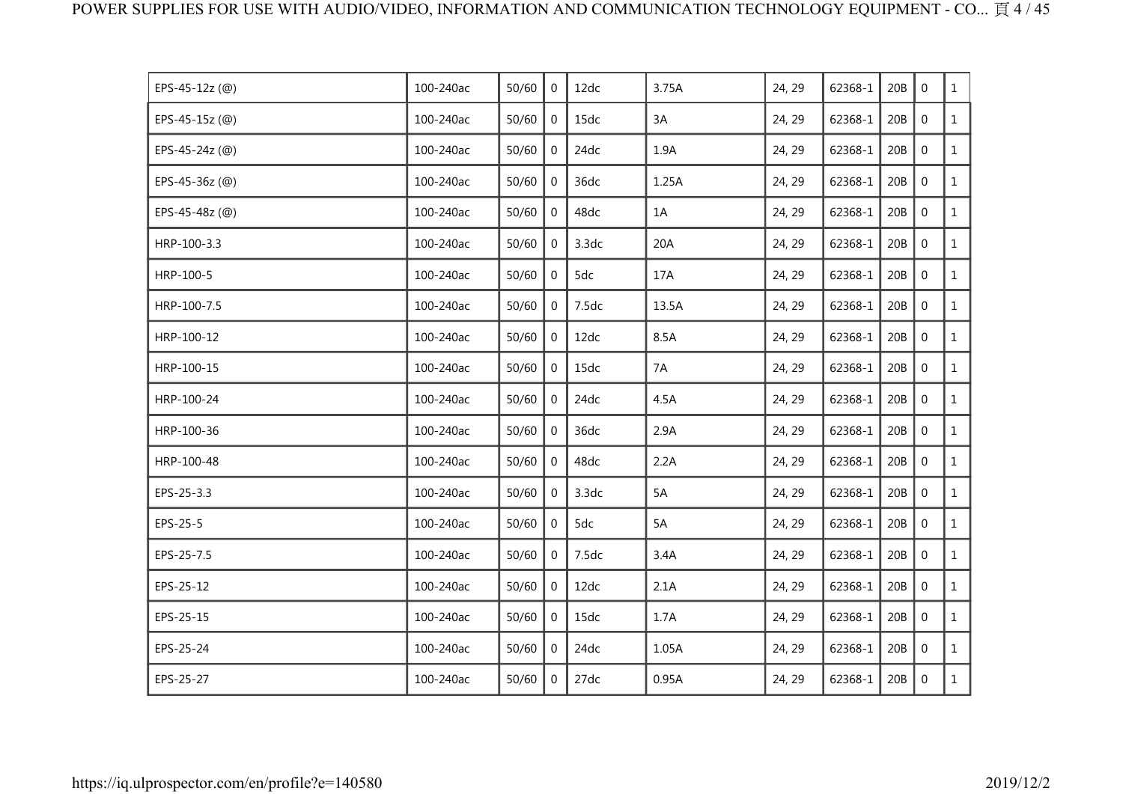| EPS-45-12z (@) | 100-240ac | 50/60 | $\mathbf{0}$   | 12dc  | 3.75A | 24, 29 | 62368-1 | 20B | $\mathbf 0$      | $\mathbf{1}$ |
|----------------|-----------|-------|----------------|-------|-------|--------|---------|-----|------------------|--------------|
| EPS-45-15z (@) | 100-240ac | 50/60 | $\mathbf{0}$   | 15dc  | 3A    | 24, 29 | 62368-1 | 20B | $\mathbf 0$      | $\mathbf{1}$ |
| EPS-45-24z (@) | 100-240ac | 50/60 | 0              | 24dc  | 1.9A  | 24, 29 | 62368-1 | 20B | $\mathbf 0$      | $\mathbf{1}$ |
| EPS-45-36z (@) | 100-240ac | 50/60 | $\mathbf{0}$   | 36dc  | 1.25A | 24, 29 | 62368-1 | 20B | $\mathbf 0$      | $\mathbf{1}$ |
| EPS-45-48z (@) | 100-240ac | 50/60 | $\mathbf 0$    | 48dc  | 1A    | 24, 29 | 62368-1 | 20B | $\boldsymbol{0}$ | $\mathbf{1}$ |
| HRP-100-3.3    | 100-240ac | 50/60 | 0              | 3.3dc | 20A   | 24, 29 | 62368-1 | 20B | $\mathbf 0$      | $\mathbf{1}$ |
| HRP-100-5      | 100-240ac | 50/60 | $\overline{0}$ | 5dc   | 17A   | 24, 29 | 62368-1 | 20B | $\mathbf 0$      | $\mathbf{1}$ |
| HRP-100-7.5    | 100-240ac | 50/60 | $\mathbf{0}$   | 7.5dc | 13.5A | 24, 29 | 62368-1 | 20B | $\mathbf 0$      | $\mathbf{1}$ |
| HRP-100-12     | 100-240ac | 50/60 | $\mathbf{0}$   | 12dc  | 8.5A  | 24, 29 | 62368-1 | 20B | $\mathbf 0$      | $\mathbf{1}$ |
| HRP-100-15     | 100-240ac | 50/60 | $\mathbf 0$    | 15dc  | 7A    | 24, 29 | 62368-1 | 20B | $\mathbf 0$      | $\mathbf{1}$ |
| HRP-100-24     | 100-240ac | 50/60 | 0              | 24dc  | 4.5A  | 24, 29 | 62368-1 | 20B | $\mathbf 0$      | $\mathbf{1}$ |
| HRP-100-36     | 100-240ac | 50/60 | $\mathbf{0}$   | 36dc  | 2.9A  | 24, 29 | 62368-1 | 20B | $\mathbf 0$      | $\mathbf{1}$ |
| HRP-100-48     | 100-240ac | 50/60 | 0              | 48dc  | 2.2A  | 24, 29 | 62368-1 | 20B | $\mathbf 0$      | $\mathbf{1}$ |
| EPS-25-3.3     | 100-240ac | 50/60 | $\mathbf{0}$   | 3.3dc | 5A    | 24, 29 | 62368-1 | 20B | $\mathbf 0$      | $\mathbf{1}$ |
| EPS-25-5       | 100-240ac | 50/60 | 0              | 5dc   | 5A    | 24, 29 | 62368-1 | 20B | $\boldsymbol{0}$ | $\mathbf{1}$ |
| EPS-25-7.5     | 100-240ac | 50/60 | $\mathbf{0}$   | 7.5dc | 3.4A  | 24, 29 | 62368-1 | 20B | $\mathbf 0$      | $\mathbf{1}$ |
| EPS-25-12      | 100-240ac | 50/60 | $\overline{0}$ | 12dc  | 2.1A  | 24, 29 | 62368-1 | 20B | $\mathbf 0$      | $\mathbf{1}$ |
| EPS-25-15      | 100-240ac | 50/60 | $\mathbf{0}$   | 15dc  | 1.7A  | 24, 29 | 62368-1 | 20B | $\boldsymbol{0}$ | $\mathbf{1}$ |
| EPS-25-24      | 100-240ac | 50/60 | 0              | 24dc  | 1.05A | 24, 29 | 62368-1 | 20B | $\mathbf 0$      | $\mathbf{1}$ |
| EPS-25-27      | 100-240ac | 50/60 | 0              | 27dc  | 0.95A | 24, 29 | 62368-1 | 20B | $\mathbf 0$      | $\mathbf{1}$ |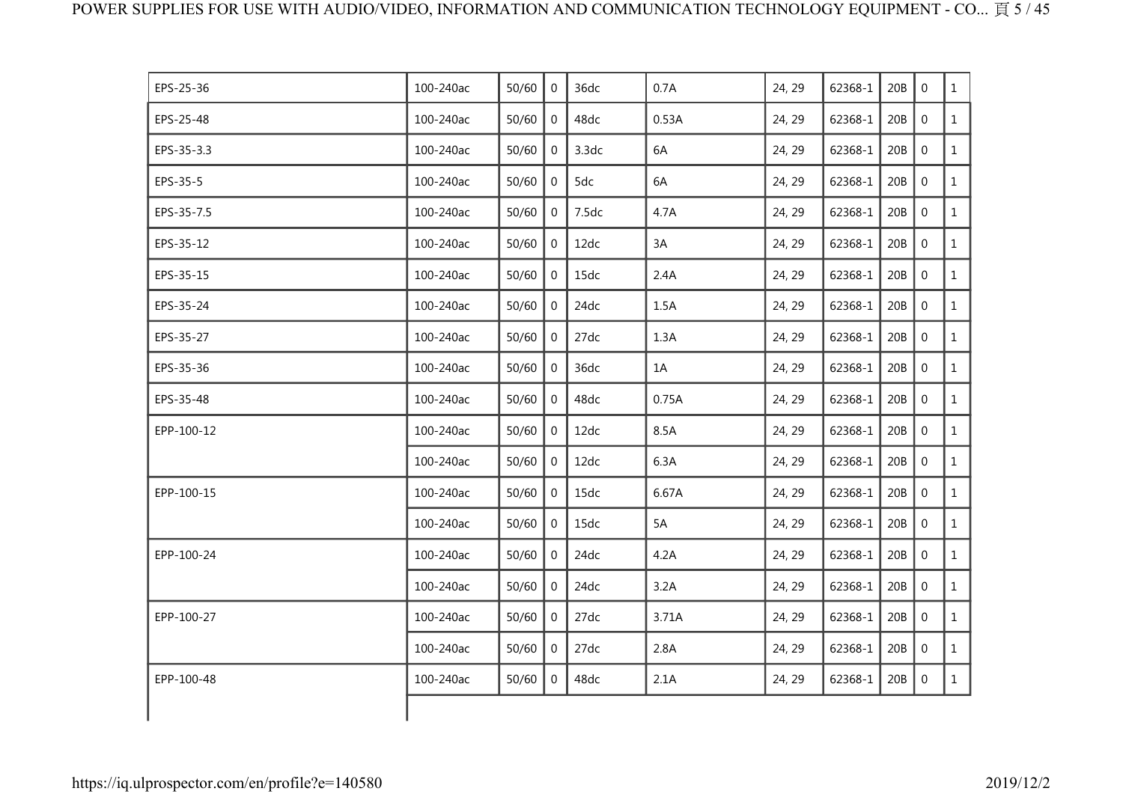| EPS-25-36  | 100-240ac | 50/60 | $\Omega$       | 36dc  | 0.7A  | 24, 29 | 62368-1 | 20B | $\Omega$         | $\mathbf{1}$ |
|------------|-----------|-------|----------------|-------|-------|--------|---------|-----|------------------|--------------|
| EPS-25-48  | 100-240ac | 50/60 | $\overline{0}$ | 48dc  | 0.53A | 24, 29 | 62368-1 | 20B | $\mathbf 0$      | $\mathbf{1}$ |
| EPS-35-3.3 | 100-240ac | 50/60 | $\mathbf{0}$   | 3.3dc | 6A    | 24, 29 | 62368-1 | 20B | $\boldsymbol{0}$ | $\mathbf{1}$ |
| EPS-35-5   | 100-240ac | 50/60 | $\overline{0}$ | 5dc   | 6A    | 24, 29 | 62368-1 | 20B | $\mathbf 0$      | $\mathbf{1}$ |
| EPS-35-7.5 | 100-240ac | 50/60 | $\overline{0}$ | 7.5dc | 4.7A  | 24, 29 | 62368-1 | 20B | $\mathbf{0}$     | $\mathbf{1}$ |
| EPS-35-12  | 100-240ac | 50/60 | $\Omega$       | 12dc  | 3A    | 24, 29 | 62368-1 | 20B | $\Omega$         | $\mathbf{1}$ |
| EPS-35-15  | 100-240ac | 50/60 | $\mathbf 0$    | 15dc  | 2.4A  | 24, 29 | 62368-1 | 20B | $\boldsymbol{0}$ | $\mathbf{1}$ |
| EPS-35-24  | 100-240ac | 50/60 | $\mathbf{0}$   | 24dc  | 1.5A  | 24, 29 | 62368-1 | 20B | $\mathbf 0$      | $\mathbf{1}$ |
| EPS-35-27  | 100-240ac | 50/60 | $\overline{0}$ | 27dc  | 1.3A  | 24, 29 | 62368-1 | 20B | $\mathbf 0$      | $\mathbf{1}$ |
| EPS-35-36  | 100-240ac | 50/60 | $\overline{0}$ | 36dc  | 1A    | 24, 29 | 62368-1 | 20B | $\mathbf 0$      | $\mathbf{1}$ |
| EPS-35-48  | 100-240ac | 50/60 | $\Omega$       | 48dc  | 0.75A | 24, 29 | 62368-1 | 20B | $\mathbf 0$      | $\mathbf{1}$ |
| EPP-100-12 | 100-240ac | 50/60 | $\overline{0}$ | 12dc  | 8.5A  | 24, 29 | 62368-1 | 20B | $\mathbf 0$      | $\mathbf{1}$ |
|            | 100-240ac | 50/60 | $\mathbf 0$    | 12dc  | 6.3A  | 24, 29 | 62368-1 | 20B | $\mathbf 0$      | $\mathbf{1}$ |
| EPP-100-15 | 100-240ac | 50/60 | $\overline{0}$ | 15dc  | 6.67A | 24, 29 | 62368-1 | 20B | $\mathbf 0$      | $\mathbf{1}$ |
|            | 100-240ac | 50/60 | $\overline{0}$ | 15dc  | 5A    | 24, 29 | 62368-1 | 20B | $\overline{0}$   | $\mathbf{1}$ |
| EPP-100-24 | 100-240ac | 50/60 | $\Omega$       | 24dc  | 4.2A  | 24, 29 | 62368-1 | 20B | $\mathbf 0$      | $\mathbf{1}$ |
|            | 100-240ac | 50/60 | $\overline{0}$ | 24dc  | 3.2A  | 24, 29 | 62368-1 | 20B | $\mathbf 0$      | $\mathbf{1}$ |
| EPP-100-27 | 100-240ac | 50/60 | $\overline{0}$ | 27dc  | 3.71A | 24, 29 | 62368-1 | 20B | $\mathbf 0$      | $\mathbf{1}$ |
|            | 100-240ac | 50/60 | $\overline{0}$ | 27dc  | 2.8A  | 24, 29 | 62368-1 | 20B | $\mathbf 0$      | $\mathbf{1}$ |
| EPP-100-48 | 100-240ac | 50/60 | $\overline{0}$ | 48dc  | 2.1A  | 24, 29 | 62368-1 | 20B | $\mathbf 0$      | $\mathbf{1}$ |
|            |           |       |                |       |       |        |         |     |                  |              |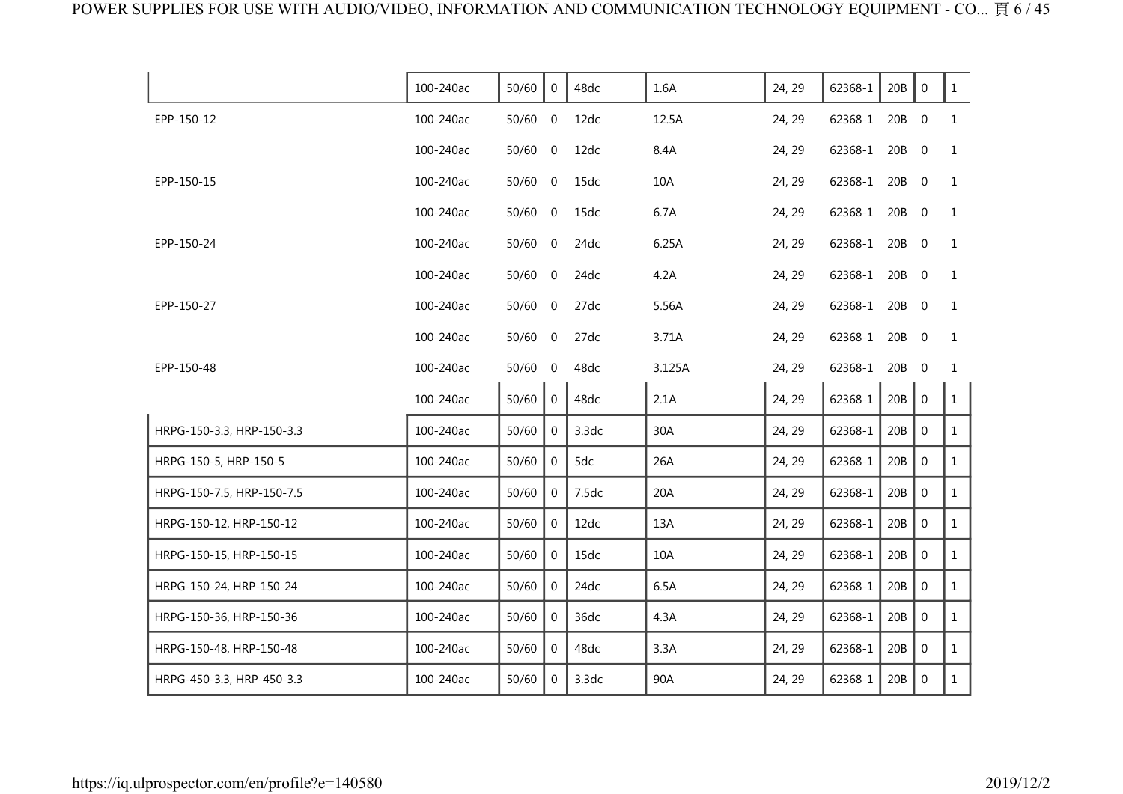|                           | 100-240ac | 50/60     | $\mathbf 0$    | 48dc  | 1.6A   | 24, 29 | 62368-1       | 20B   | $\mathbf 0$      | $\mathbf{1}$ |
|---------------------------|-----------|-----------|----------------|-------|--------|--------|---------------|-------|------------------|--------------|
| EPP-150-12                | 100-240ac | $50/60$ 0 |                | 12dc  | 12.5A  | 24, 29 | 62368-1       | 20B   | $\overline{0}$   | $\mathbf{1}$ |
|                           | 100-240ac | $50/60$ 0 |                | 12dc  | 8.4A   | 24, 29 | 62368-1       | 20B   | $\overline{0}$   | $\mathbf{1}$ |
| EPP-150-15                | 100-240ac | $50/60$ 0 |                | 15dc  | 10A    | 24, 29 | 62368-1 20B 0 |       |                  | $\mathbf{1}$ |
|                           | 100-240ac | 50/60 0   |                | 15dc  | 6.7A   | 24, 29 | 62368-1       | 20B 0 |                  | $\mathbf{1}$ |
| EPP-150-24                | 100-240ac | $50/60$ 0 |                | 24dc  | 6.25A  | 24, 29 | 62368-1       | 20B 0 |                  | $\mathbf{1}$ |
|                           | 100-240ac | $50/60$ 0 |                | 24dc  | 4.2A   | 24, 29 | 62368-1       | 20B 0 |                  | $\mathbf{1}$ |
| EPP-150-27                | 100-240ac | $50/60$ 0 |                | 27dc  | 5.56A  | 24, 29 | 62368-1 20B 0 |       |                  | $\mathbf{1}$ |
|                           | 100-240ac | 50/60 0   |                | 27dc  | 3.71A  | 24, 29 | 62368-1 20B 0 |       |                  | $\mathbf{1}$ |
| EPP-150-48                | 100-240ac | $50/60$ 0 |                | 48dc  | 3.125A | 24, 29 | 62368-1       | 20B   | $\overline{0}$   | 1            |
|                           | 100-240ac | 50/60     | $\overline{0}$ | 48dc  | 2.1A   | 24, 29 | 62368-1       | 20B   | $\mathbf 0$      | $\mathbf{1}$ |
| HRPG-150-3.3, HRP-150-3.3 | 100-240ac | 50/60     | $\Omega$       | 3.3dc | 30A    | 24, 29 | 62368-1       | 20B   | $\mathbf 0$      | $\mathbf{1}$ |
| HRPG-150-5, HRP-150-5     | 100-240ac | 50/60     | $\overline{0}$ | 5dc   | 26A    | 24, 29 | 62368-1       | 20B   | $\mathbf 0$      | $\mathbf{1}$ |
| HRPG-150-7.5, HRP-150-7.5 | 100-240ac | 50/60     | $\Omega$       | 7.5dc | 20A    | 24, 29 | 62368-1       | 20B   | $\mathbf{0}$     | $\mathbf{1}$ |
| HRPG-150-12, HRP-150-12   | 100-240ac | 50/60     | $\Omega$       | 12dc  | 13A    | 24, 29 | 62368-1       | 20B   | $\boldsymbol{0}$ | $\mathbf{1}$ |
| HRPG-150-15, HRP-150-15   | 100-240ac | 50/60     | $\Omega$       | 15dc  | 10A    | 24, 29 | 62368-1       | 20B   | $\Omega$         | $\mathbf{1}$ |
| HRPG-150-24, HRP-150-24   | 100-240ac | 50/60     | $\overline{0}$ | 24dc  | 6.5A   | 24, 29 | 62368-1       | 20B   | $\mathbf 0$      | $\mathbf{1}$ |
| HRPG-150-36, HRP-150-36   | 100-240ac | 50/60     | $\mathbf{0}$   | 36dc  | 4.3A   | 24, 29 | 62368-1       | 20B   | $\mathbf{0}$     | $\mathbf{1}$ |
| HRPG-150-48, HRP-150-48   | 100-240ac | 50/60     | $\overline{0}$ | 48dc  | 3.3A   | 24, 29 | 62368-1       | 20B   | $\boldsymbol{0}$ | $\mathbf{1}$ |
| HRPG-450-3.3, HRP-450-3.3 | 100-240ac | 50/60     | $\Omega$       | 3.3dc | 90A    | 24, 29 | 62368-1       | 20B   | $\mathbf{0}$     | $\mathbf{1}$ |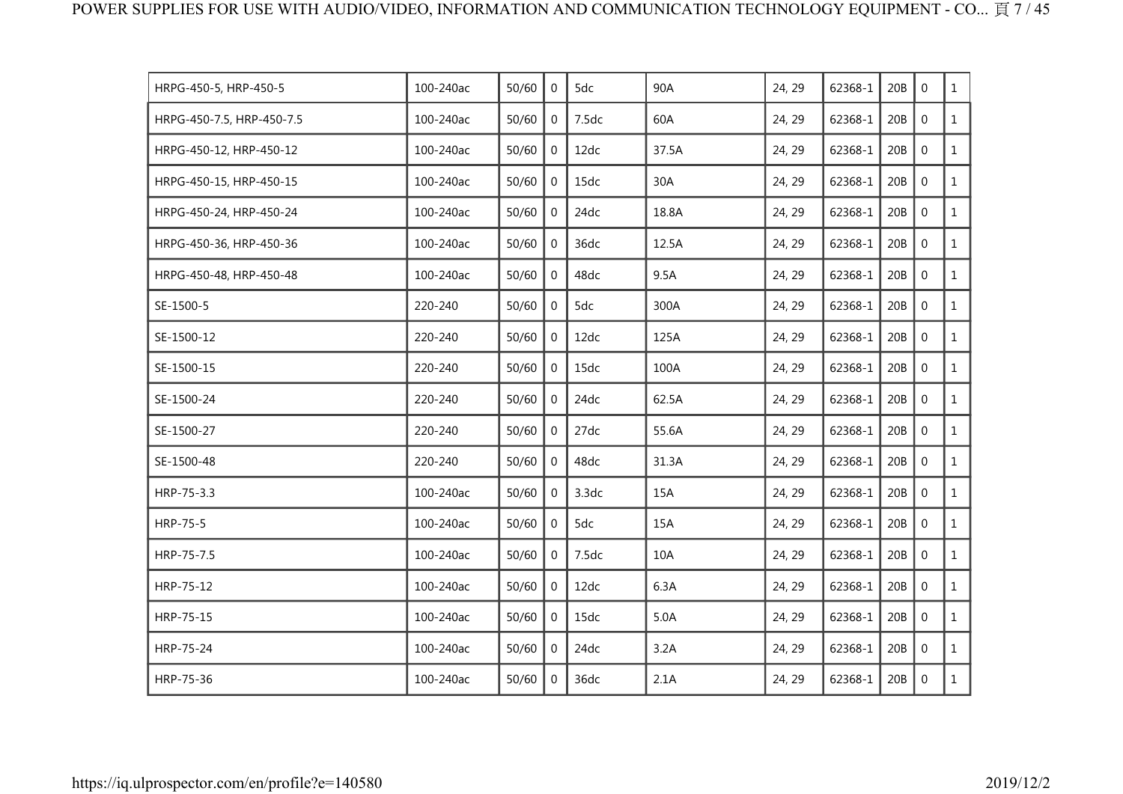| HRPG-450-5, HRP-450-5     | 100-240ac | 50/60 | 0              | 5dc   | 90A   | 24, 29 | 62368-1 | 20B | $\mathbf 0$    | $\mathbf{1}$ |
|---------------------------|-----------|-------|----------------|-------|-------|--------|---------|-----|----------------|--------------|
| HRPG-450-7.5, HRP-450-7.5 | 100-240ac | 50/60 | $\mathbf 0$    | 7.5dc | 60A   | 24, 29 | 62368-1 | 20B | $\mathbf 0$    | $\mathbf{1}$ |
| HRPG-450-12, HRP-450-12   | 100-240ac | 50/60 | $\overline{0}$ | 12dc  | 37.5A | 24, 29 | 62368-1 | 20B | $\mathbf 0$    | $\mathbf{1}$ |
| HRPG-450-15, HRP-450-15   | 100-240ac | 50/60 | 0              | 15dc  | 30A   | 24, 29 | 62368-1 | 20B | $\mathbf 0$    | $\mathbf{1}$ |
| HRPG-450-24, HRP-450-24   | 100-240ac | 50/60 | $\mathbf 0$    | 24dc  | 18.8A | 24, 29 | 62368-1 | 20B | $\mathbf 0$    | $\mathbf{1}$ |
| HRPG-450-36, HRP-450-36   | 100-240ac | 50/60 | $\mathbf 0$    | 36dc  | 12.5A | 24, 29 | 62368-1 | 20B | $\mathbf 0$    | $\mathbf{1}$ |
| HRPG-450-48, HRP-450-48   | 100-240ac | 50/60 | $\Omega$       | 48dc  | 9.5A  | 24, 29 | 62368-1 | 20B | $\overline{0}$ | $\mathbf{1}$ |
| SE-1500-5                 | 220-240   | 50/60 | $\Omega$       | 5dc   | 300A  | 24, 29 | 62368-1 | 20B | $\mathbf 0$    | $\mathbf{1}$ |
| SE-1500-12                | 220-240   | 50/60 | $\mathbf{0}$   | 12dc  | 125A  | 24, 29 | 62368-1 | 20B | $\mathbf 0$    | $\mathbf{1}$ |
| SE-1500-15                | 220-240   | 50/60 | $\overline{0}$ | 15dc  | 100A  | 24, 29 | 62368-1 | 20B | $\mathbf 0$    | $\mathbf{1}$ |
| SE-1500-24                | 220-240   | 50/60 | $\Omega$       | 24dc  | 62.5A | 24, 29 | 62368-1 | 20B | $\mathbf 0$    | $\mathbf{1}$ |
| SE-1500-27                | 220-240   | 50/60 | $\Omega$       | 27dc  | 55.6A | 24, 29 | 62368-1 | 20B | $\mathbf 0$    | $\mathbf{1}$ |
| SE-1500-48                | 220-240   | 50/60 | $\mathbf 0$    | 48dc  | 31.3A | 24, 29 | 62368-1 | 20B | $\mathbf 0$    | $\mathbf{1}$ |
| HRP-75-3.3                | 100-240ac | 50/60 | $\overline{0}$ | 3.3dc | 15A   | 24, 29 | 62368-1 | 20B | $\overline{0}$ | $\mathbf{1}$ |
| HRP-75-5                  | 100-240ac | 50/60 | $\Omega$       | 5dc   | 15A   | 24, 29 | 62368-1 | 20B | $\mathbf 0$    | $\mathbf{1}$ |
| HRP-75-7.5                | 100-240ac | 50/60 | $\Omega$       | 7.5dc | 10A   | 24, 29 | 62368-1 | 20B | $\Omega$       | $\mathbf{1}$ |
| HRP-75-12                 | 100-240ac | 50/60 | $\mathbf 0$    | 12dc  | 6.3A  | 24, 29 | 62368-1 | 20B | $\mathbf 0$    | $\mathbf{1}$ |
| HRP-75-15                 | 100-240ac | 50/60 | $\mathbf{0}$   | 15dc  | 5.0A  | 24, 29 | 62368-1 | 20B | $\mathbf 0$    | $\mathbf{1}$ |
| HRP-75-24                 | 100-240ac | 50/60 | 0              | 24dc  | 3.2A  | 24, 29 | 62368-1 | 20B | $\mathbf 0$    | $\mathbf{1}$ |
| HRP-75-36                 | 100-240ac | 50/60 | $\Omega$       | 36dc  | 2.1A  | 24, 29 | 62368-1 | 20B | $\mathbf 0$    | $\mathbf{1}$ |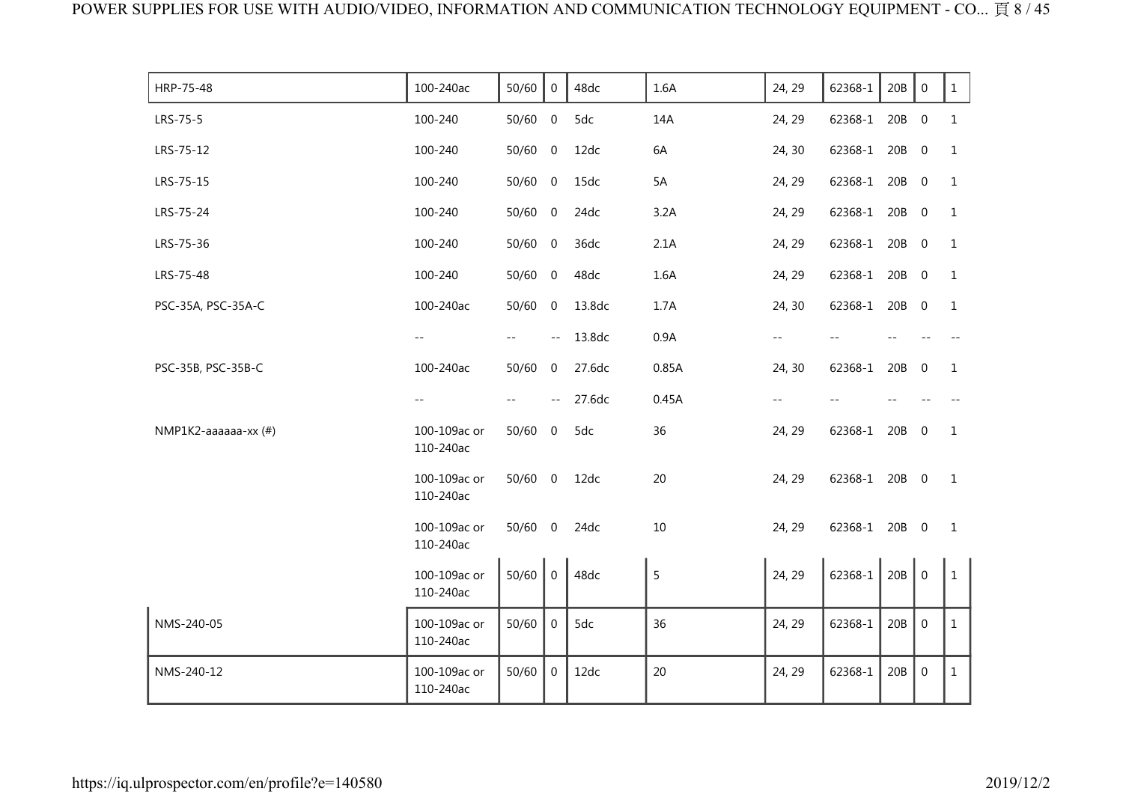| HRP-75-48            | 100-240ac                 | 50/60     | $\overline{0}$                                | 48dc   | 1.6A  | 24, 29 | 62368-1       | 20B | $\mathbf 0$      | $\mathbf{1}$ |
|----------------------|---------------------------|-----------|-----------------------------------------------|--------|-------|--------|---------------|-----|------------------|--------------|
| LRS-75-5             | 100-240                   | 50/60 0   |                                               | 5dc    | 14A   | 24, 29 | 62368-1       | 20B | $\overline{0}$   | $\mathbf{1}$ |
| LRS-75-12            | 100-240                   | 50/60     | $\overline{0}$                                | 12dc   | 6A    | 24, 30 | 62368-1       | 20B | $\mathbf 0$      | 1            |
| LRS-75-15            | 100-240                   | $50/60$ 0 |                                               | 15dc   | 5A    | 24, 29 | 62368-1       | 20B | $\overline{0}$   | 1            |
| LRS-75-24            | 100-240                   | $50/60$ 0 |                                               | 24dc   | 3.2A  | 24, 29 | 62368-1       | 20B | $\overline{0}$   | $\mathbf{1}$ |
| LRS-75-36            | 100-240                   | 50/60     | $\overline{0}$                                | 36dc   | 2.1A  | 24, 29 | 62368-1       | 20B | $\overline{0}$   | 1            |
| LRS-75-48            | 100-240                   | $50/60$ 0 |                                               | 48dc   | 1.6A  | 24, 29 | 62368-1       | 20B | $\overline{0}$   | 1            |
| PSC-35A, PSC-35A-C   | 100-240ac                 | 50/60 0   |                                               | 13.8dc | 1.7A  | 24, 30 | 62368-1       | 20B | $\overline{0}$   | $\mathbf{1}$ |
|                      | $- -$                     | $- -$     | $\sim$ $\sim$                                 | 13.8dc | 0.9A  | $- -$  |               |     |                  |              |
| PSC-35B, PSC-35B-C   | 100-240ac                 | 50/60     | $\mathbf 0$                                   | 27.6dc | 0.85A | 24, 30 | 62368-1       | 20B | $\mathbf{0}$     | 1            |
|                      | $-$                       |           | $\mathord{\hspace{1pt}\text{--}\hspace{1pt}}$ | 27.6dc | 0.45A | --     |               |     |                  |              |
| NMP1K2-aaaaaa-xx (#) | 100-109ac or<br>110-240ac | 50/60     | $\overline{0}$                                | 5dc    | 36    | 24, 29 | 62368-1       | 20B | $\overline{0}$   | $\mathbf{1}$ |
|                      | 100-109ac or<br>110-240ac | $50/60$ 0 |                                               | 12dc   | 20    | 24, 29 | 62368-1 20B 0 |     |                  | 1            |
|                      | 100-109ac or<br>110-240ac | $50/60$ 0 |                                               | 24dc   | 10    | 24, 29 | 62368-1 20B 0 |     |                  | $\mathbf{1}$ |
|                      | 100-109ac or<br>110-240ac | 50/60     | $\boldsymbol{0}$                              | 48dc   | 5     | 24, 29 | 62368-1       | 20B | $\mathbf 0$      | $\mathbf{1}$ |
| NMS-240-05           | 100-109ac or<br>110-240ac | 50/60     | $\mathbf 0$                                   | 5dc    | 36    | 24, 29 | 62368-1       | 20B | $\boldsymbol{0}$ | $\mathbf{1}$ |
| NMS-240-12           | 100-109ac or<br>110-240ac | 50/60     | $\mathbf 0$                                   | 12dc   | 20    | 24, 29 | 62368-1       | 20B | $\boldsymbol{0}$ | $\mathbf{1}$ |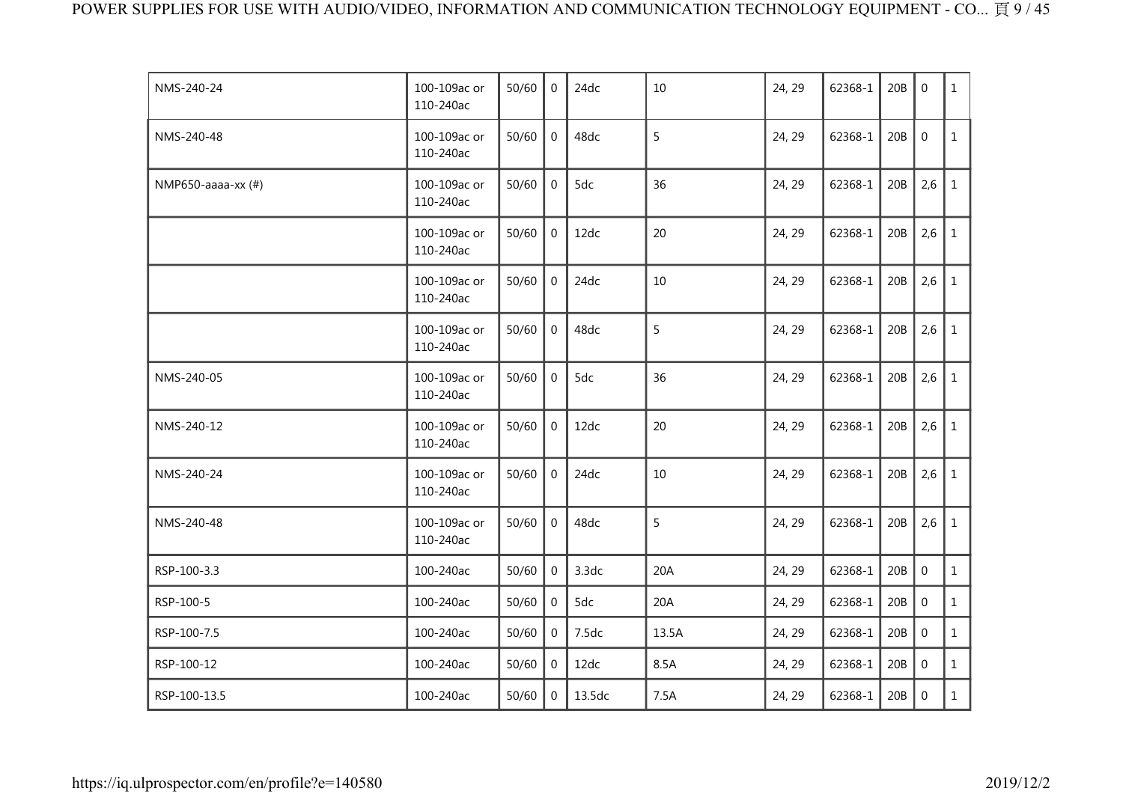| NMS-240-24         | 100-109ac or<br>110-240ac | 50/60 | $\Omega$       | 24dc   | 10    | 24, 29 | 62368-1 | 20B | $\mathbf{0}$     | $\mathbf{1}$ |
|--------------------|---------------------------|-------|----------------|--------|-------|--------|---------|-----|------------------|--------------|
| NMS-240-48         | 100-109ac or<br>110-240ac | 50/60 | $\overline{0}$ | 48dc   | 5     | 24, 29 | 62368-1 | 20B | $\mathbf 0$      | $\mathbf{1}$ |
| NMP650-aaaa-xx (#) | 100-109ac or<br>110-240ac | 50/60 | $\overline{0}$ | 5dc    | 36    | 24, 29 | 62368-1 | 20B | 2,6              | $\mathbf{1}$ |
|                    | 100-109ac or<br>110-240ac | 50/60 | $\mathbf 0$    | 12dc   | 20    | 24, 29 | 62368-1 | 20B | 2,6              | $\mathbf{1}$ |
|                    | 100-109ac or<br>110-240ac | 50/60 | $\mathbf 0$    | 24dc   | 10    | 24, 29 | 62368-1 | 20B | 2,6              | $\mathbf{1}$ |
|                    | 100-109ac or<br>110-240ac | 50/60 | $\Omega$       | 48dc   | 5     | 24, 29 | 62368-1 | 20B | 2,6              | $\mathbf{1}$ |
| NMS-240-05         | 100-109ac or<br>110-240ac | 50/60 | $\mathbf 0$    | 5dc    | 36    | 24, 29 | 62368-1 | 20B | 2,6              | 1            |
| NMS-240-12         | 100-109ac or<br>110-240ac | 50/60 | $\overline{0}$ | 12dc   | 20    | 24, 29 | 62368-1 | 20B | 2,6              | $\mathbf{1}$ |
| NMS-240-24         | 100-109ac or<br>110-240ac | 50/60 | 0              | 24dc   | 10    | 24, 29 | 62368-1 | 20B | 2,6              | 1            |
| NMS-240-48         | 100-109ac or<br>110-240ac | 50/60 | $\mathbf 0$    | 48dc   | 5     | 24, 29 | 62368-1 | 20B | 2,6              | $\mathbf{1}$ |
| RSP-100-3.3        | 100-240ac                 | 50/60 | $\mathbf 0$    | 3.3dc  | 20A   | 24, 29 | 62368-1 | 20B | $\boldsymbol{0}$ | $\mathbf{1}$ |
| RSP-100-5          | 100-240ac                 | 50/60 | 0              | 5dc    | 20A   | 24, 29 | 62368-1 | 20B | $\mathbf 0$      | $\mathbf{1}$ |
| RSP-100-7.5        | 100-240ac                 | 50/60 | $\mathbf 0$    | 7.5dc  | 13.5A | 24, 29 | 62368-1 | 20B | $\mathbf 0$      | $\mathbf{1}$ |
| RSP-100-12         | 100-240ac                 | 50/60 | $\Omega$       | 12dc   | 8.5A  | 24, 29 | 62368-1 | 20B | $\boldsymbol{0}$ | $\mathbf{1}$ |
| RSP-100-13.5       | 100-240ac                 | 50/60 | 0              | 13.5dc | 7.5A  | 24, 29 | 62368-1 | 20B | $\mathbf 0$      | $\mathbf{1}$ |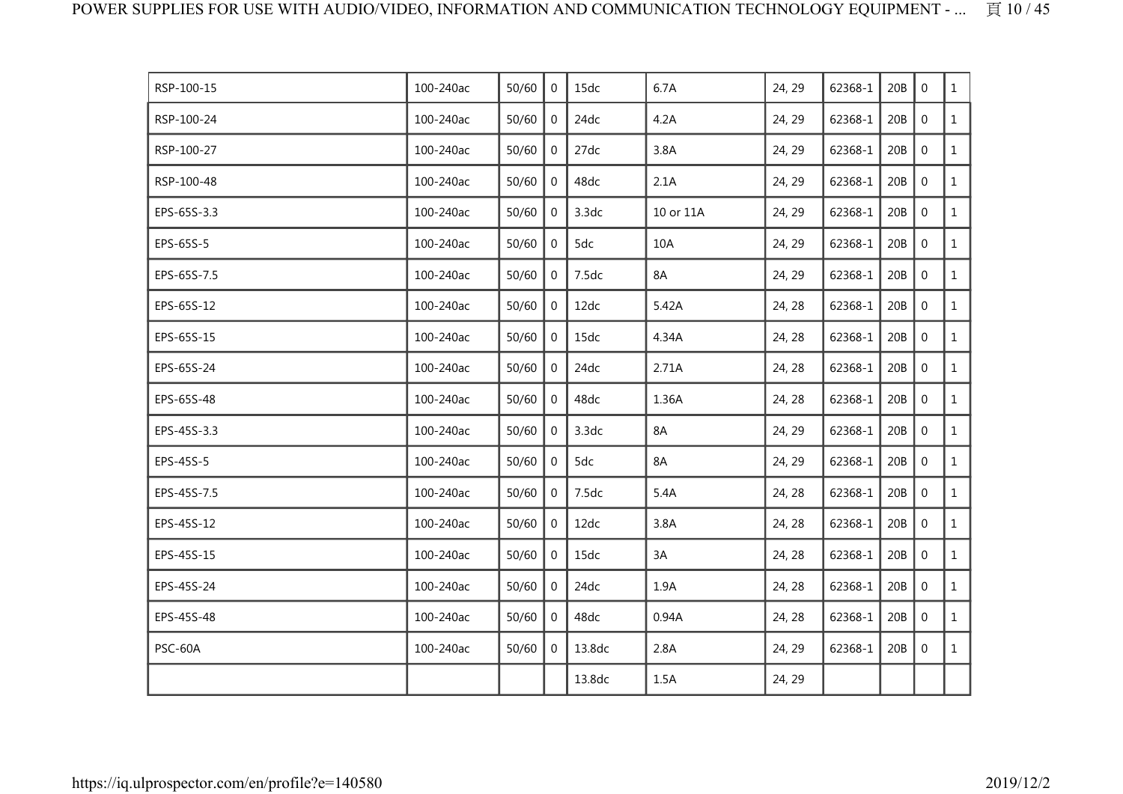| RSP-100-15  | 100-240ac | 50/60 | $\mathbf{0}$   | 15dc   | 6.7A      | 24, 29 | 62368-1 | 20B | $\mathbf 0$      | $\mathbf{1}$ |
|-------------|-----------|-------|----------------|--------|-----------|--------|---------|-----|------------------|--------------|
| RSP-100-24  | 100-240ac | 50/60 | $\mathbf 0$    | 24dc   | 4.2A      | 24, 29 | 62368-1 | 20B | $\mathbf 0$      | $\mathbf{1}$ |
| RSP-100-27  | 100-240ac | 50/60 | 0              | 27dc   | 3.8A      | 24, 29 | 62368-1 | 20B | $\mathbf 0$      | $\mathbf{1}$ |
| RSP-100-48  | 100-240ac | 50/60 | 0              | 48dc   | 2.1A      | 24, 29 | 62368-1 | 20B | $\boldsymbol{0}$ | $\mathbf{1}$ |
| EPS-65S-3.3 | 100-240ac | 50/60 | $\mathbf{0}$   | 3.3dc  | 10 or 11A | 24, 29 | 62368-1 | 20B | $\mathbf 0$      | $\mathbf{1}$ |
| EPS-65S-5   | 100-240ac | 50/60 | $\mathbf 0$    | 5dc    | 10A       | 24, 29 | 62368-1 | 20B | $\mathbf 0$      | $\mathbf{1}$ |
| EPS-65S-7.5 | 100-240ac | 50/60 | $\overline{0}$ | 7.5dc  | 8A        | 24, 29 | 62368-1 | 20B | $\mathbf 0$      | $\mathbf{1}$ |
| EPS-65S-12  | 100-240ac | 50/60 | $\mathbf{0}$   | 12dc   | 5.42A     | 24, 28 | 62368-1 | 20B | $\mathbf 0$      | $\mathbf{1}$ |
| EPS-65S-15  | 100-240ac | 50/60 | 0              | 15dc   | 4.34A     | 24, 28 | 62368-1 | 20B | $\mathbf 0$      | $\mathbf{1}$ |
| EPS-65S-24  | 100-240ac | 50/60 | $\mathbf 0$    | 24dc   | 2.71A     | 24, 28 | 62368-1 | 20B | $\mathbf 0$      | $\mathbf{1}$ |
| EPS-65S-48  | 100-240ac | 50/60 | $\mathbf{0}$   | 48dc   | 1.36A     | 24, 28 | 62368-1 | 20B | $\mathbf 0$      | $\mathbf{1}$ |
| EPS-45S-3.3 | 100-240ac | 50/60 | 0              | 3.3dc  | 8A        | 24, 29 | 62368-1 | 20B | $\mathbf 0$      | $\mathbf{1}$ |
| EPS-45S-5   | 100-240ac | 50/60 | 0              | 5dc    | 8A        | 24, 29 | 62368-1 | 20B | $\mathbf 0$      | $\mathbf{1}$ |
| EPS-45S-7.5 | 100-240ac | 50/60 | $\mathbf 0$    | 7.5dc  | 5.4A      | 24, 28 | 62368-1 | 20B | $\mathbf 0$      | $\mathbf{1}$ |
| EPS-45S-12  | 100-240ac | 50/60 | 0              | 12dc   | 3.8A      | 24, 28 | 62368-1 | 20B | $\overline{0}$   | $\mathbf{1}$ |
| EPS-45S-15  | 100-240ac | 50/60 | 0              | 15dc   | 3A        | 24, 28 | 62368-1 | 20B | $\mathbf 0$      | $\mathbf{1}$ |
| EPS-45S-24  | 100-240ac | 50/60 | $\mathbf{0}$   | 24dc   | 1.9A      | 24, 28 | 62368-1 | 20B | $\mathbf 0$      | $\mathbf{1}$ |
| EPS-45S-48  | 100-240ac | 50/60 | 0              | 48dc   | 0.94A     | 24, 28 | 62368-1 | 20B | $\mathbf 0$      | $\mathbf{1}$ |
| PSC-60A     | 100-240ac | 50/60 | 0              | 13.8dc | 2.8A      | 24, 29 | 62368-1 | 20B | $\mathbf 0$      | $\mathbf{1}$ |
|             |           |       |                | 13.8dc | 1.5A      | 24, 29 |         |     |                  |              |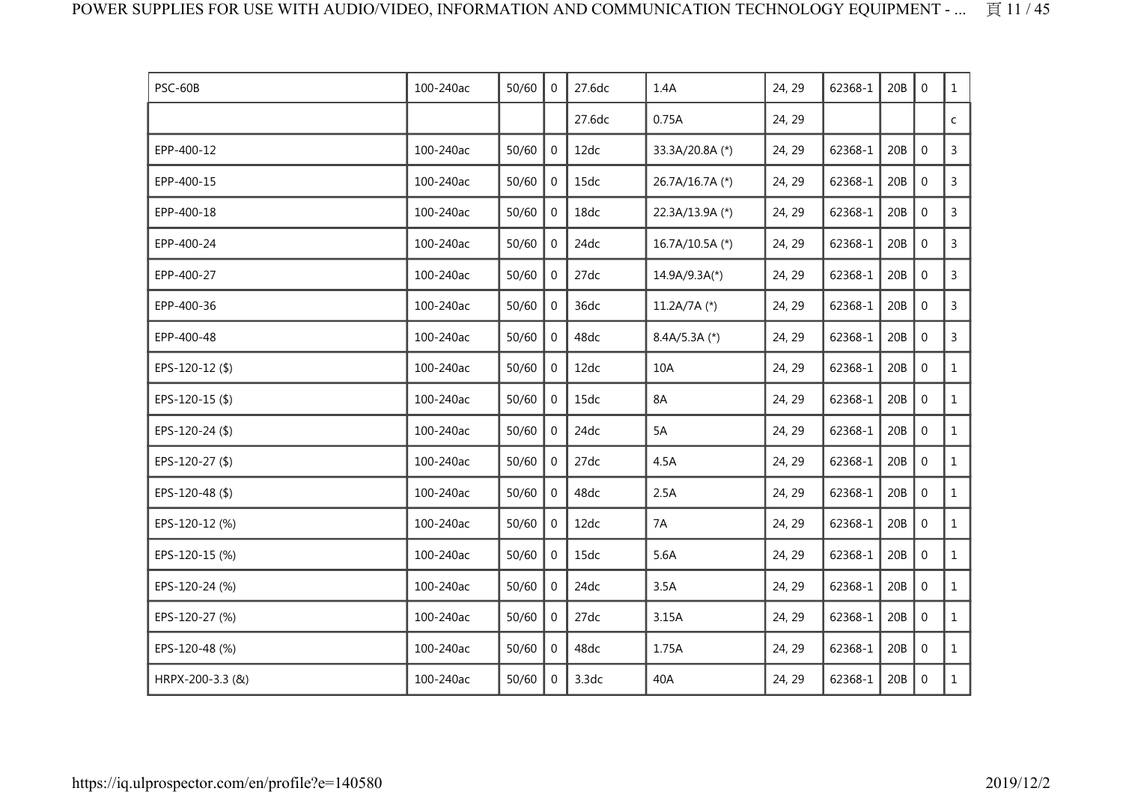| PSC-60B          | 100-240ac | 50/60 | $\mathbf{0}$     | 27.6dc | 1.4A            | 24, 29 | 62368-1 | 20B | $\mathbf 0$      | $\mathbf{1}$   |
|------------------|-----------|-------|------------------|--------|-----------------|--------|---------|-----|------------------|----------------|
|                  |           |       |                  | 27.6dc | 0.75A           | 24, 29 |         |     |                  | $\mathsf{C}^-$ |
| EPP-400-12       | 100-240ac | 50/60 | $\boldsymbol{0}$ | 12dc   | 33.3A/20.8A (*) | 24, 29 | 62368-1 | 20B | $\mathbf 0$      | $\overline{3}$ |
| EPP-400-15       | 100-240ac | 50/60 | $\mathbf{0}$     | 15dc   | 26.7A/16.7A (*) | 24, 29 | 62368-1 | 20B | $\boldsymbol{0}$ | $\overline{3}$ |
| EPP-400-18       | 100-240ac | 50/60 | 0                | 18dc   | 22.3A/13.9A (*) | 24, 29 | 62368-1 | 20B | $\mathbf 0$      | $\overline{3}$ |
| EPP-400-24       | 100-240ac | 50/60 | $\overline{0}$   | 24dc   | 16.7A/10.5A (*) | 24, 29 | 62368-1 | 20B | $\mathbf 0$      | $\mathsf{3}$   |
| EPP-400-27       | 100-240ac | 50/60 | $\mathbf 0$      | 27dc   | $14.9A/9.3A(*)$ | 24, 29 | 62368-1 | 20B | $\mathbf 0$      | $\overline{3}$ |
| EPP-400-36       | 100-240ac | 50/60 | 0                | 36dc   | 11.2A/7A $(*)$  | 24, 29 | 62368-1 | 20B | $\mathbf 0$      | $\overline{3}$ |
| EPP-400-48       | 100-240ac | 50/60 | 0                | 48dc   | $8.4A/5.3A$ (*) | 24, 29 | 62368-1 | 20B | $\mathbf 0$      | $\mathsf{3}$   |
| EPS-120-12(\$)   | 100-240ac | 50/60 | 0                | 12dc   | 10A             | 24, 29 | 62368-1 | 20B | $\mathbf 0$      | $\mathbf{1}$   |
| EPS-120-15 (\$)  | 100-240ac | 50/60 | $\mathbf{0}$     | 15dc   | 8A              | 24, 29 | 62368-1 | 20B | $\mathbf{0}$     | $\mathbf{1}$   |
| EPS-120-24 (\$)  | 100-240ac | 50/60 | $\overline{0}$   | 24dc   | 5A              | 24, 29 | 62368-1 | 20B | $\mathbf 0$      | $\mathbf{1}$   |
| EPS-120-27 (\$)  | 100-240ac | 50/60 | $\mathbf 0$      | 27dc   | 4.5A            | 24, 29 | 62368-1 | 20B | $\mathbf 0$      | $\mathbf{1}$   |
| EPS-120-48 (\$)  | 100-240ac | 50/60 | 0                | 48dc   | 2.5A            | 24, 29 | 62368-1 | 20B | $\mathbf 0$      | $\mathbf{1}$   |
| EPS-120-12 (%)   | 100-240ac | 50/60 | $\Omega$         | 12dc   | 7A              | 24, 29 | 62368-1 | 20B | $\boldsymbol{0}$ | $\mathbf{1}$   |
| EPS-120-15 (%)   | 100-240ac | 50/60 | $\overline{0}$   | 15dc   | 5.6A            | 24, 29 | 62368-1 | 20B | $\mathbf 0$      | $\mathbf{1}$   |
| EPS-120-24 (%)   | 100-240ac | 50/60 | 0                | 24dc   | 3.5A            | 24, 29 | 62368-1 | 20B | $\mathbf 0$      | $\mathbf{1}$   |
| EPS-120-27 (%)   | 100-240ac | 50/60 | $\overline{0}$   | 27dc   | 3.15A           | 24, 29 | 62368-1 | 20B | $\mathbf 0$      | $\mathbf{1}$   |
| EPS-120-48 (%)   | 100-240ac | 50/60 | 0                | 48dc   | 1.75A           | 24, 29 | 62368-1 | 20B | $\mathbf 0$      | $\mathbf{1}$   |
| HRPX-200-3.3 (&) | 100-240ac | 50/60 | 0                | 3.3dc  | 40A             | 24, 29 | 62368-1 | 20B | $\boldsymbol{0}$ | $\mathbf{1}$   |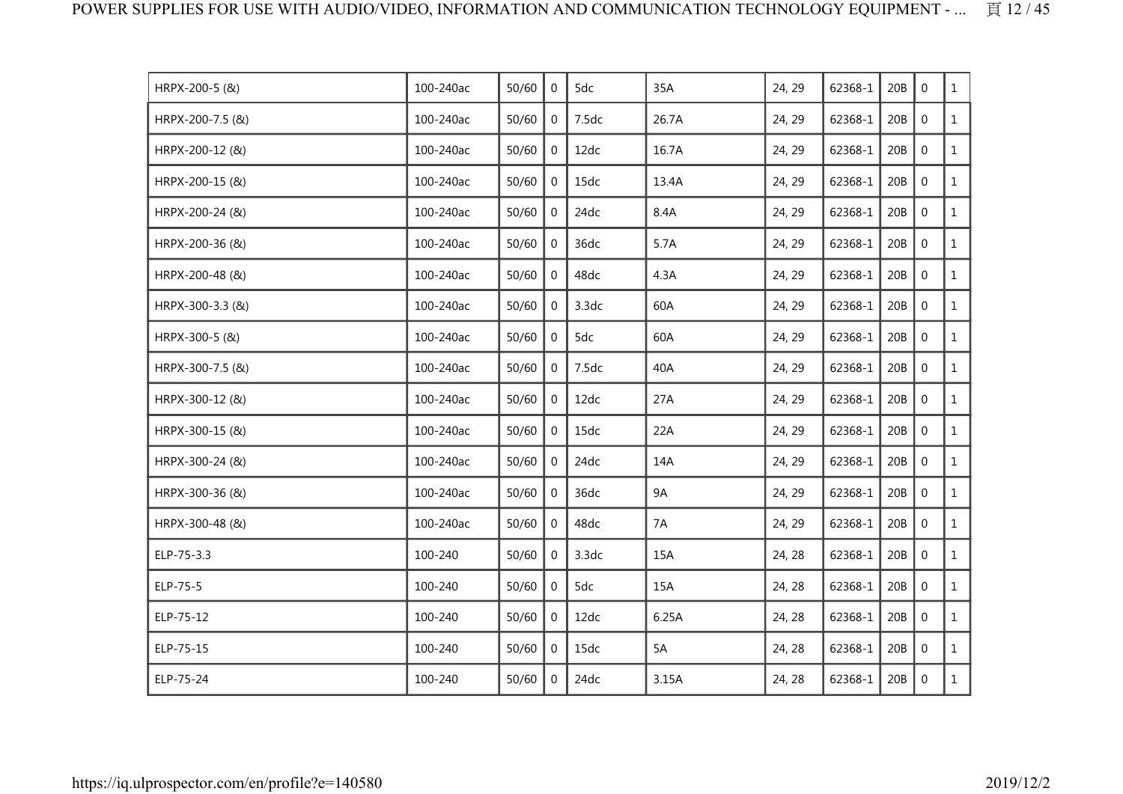| HRPX-200-5 (&)   | 100-240ac | 50/60 | $\Omega$       | 5dc   | 35A       | 24, 29 | 62368-1 | 20B | $\mathbf{0}$     | $\mathbf{1}$ |
|------------------|-----------|-------|----------------|-------|-----------|--------|---------|-----|------------------|--------------|
| HRPX-200-7.5 (&) | 100-240ac | 50/60 | $\mathbf 0$    | 7.5dc | 26.7A     | 24, 29 | 62368-1 | 20B | $\mathbf 0$      | $\mathbf{1}$ |
| HRPX-200-12 (&)  | 100-240ac | 50/60 | $\mathbf 0$    | 12dc  | 16.7A     | 24, 29 | 62368-1 | 20B | $\mathbf 0$      | $\mathbf{1}$ |
| HRPX-200-15 (&)  | 100-240ac | 50/60 | $\mathbf 0$    | 15dc  | 13.4A     | 24, 29 | 62368-1 | 20B | $\boldsymbol{0}$ | $\mathbf{1}$ |
| HRPX-200-24 (&)  | 100-240ac | 50/60 | 0              | 24dc  | 8.4A      | 24, 29 | 62368-1 | 20B | $\mathbf 0$      | $\mathbf{1}$ |
| HRPX-200-36 (&)  | 100-240ac | 50/60 | $\overline{0}$ | 36dc  | 5.7A      | 24, 29 | 62368-1 | 20B | $\mathbf 0$      | $\mathbf{1}$ |
| HRPX-200-48 (&)  | 100-240ac | 50/60 | $\Omega$       | 48dc  | 4.3A      | 24, 29 | 62368-1 | 20B | $\mathbf 0$      | $\mathbf{1}$ |
| HRPX-300-3.3 (&) | 100-240ac | 50/60 | $\Omega$       | 3.3dc | 60A       | 24, 29 | 62368-1 | 20B | $\mathbf{0}$     | $\mathbf{1}$ |
| HRPX-300-5 (&)   | 100-240ac | 50/60 | 0              | 5dc   | 60A       | 24, 29 | 62368-1 | 20B | $\mathbf 0$      | $\mathbf{1}$ |
| HRPX-300-7.5 (&) | 100-240ac | 50/60 | $\overline{0}$ | 7.5dc | 40A       | 24, 29 | 62368-1 | 20B | $\mathbf 0$      | $\mathbf{1}$ |
| HRPX-300-12 (&)  | 100-240ac | 50/60 | 0              | 12dc  | 27A       | 24, 29 | 62368-1 | 20B | $\mathbf{0}$     | $\mathbf{1}$ |
| HRPX-300-15 (&)  | 100-240ac | 50/60 | 0              | 15dc  | 22A       | 24, 29 | 62368-1 | 20B | $\mathbf 0$      | $\mathbf{1}$ |
| HRPX-300-24 (&)  | 100-240ac | 50/60 | $\overline{0}$ | 24dc  | 14A       | 24, 29 | 62368-1 | 20B | $\mathbf 0$      | $\mathbf{1}$ |
| HRPX-300-36 (&)  | 100-240ac | 50/60 | $\mathbf{0}$   | 36dc  | <b>9A</b> | 24, 29 | 62368-1 | 20B | $\mathbf 0$      | $\mathbf{1}$ |
| HRPX-300-48 (&)  | 100-240ac | 50/60 | 0              | 48dc  | 7A        | 24, 29 | 62368-1 | 20B | $\mathbf 0$      | $\mathbf{1}$ |
| ELP-75-3.3       | 100-240   | 50/60 | $\mathbf{0}$   | 3.3dc | 15A       | 24, 28 | 62368-1 | 20B | $\mathbf 0$      | $\mathbf{1}$ |
| ELP-75-5         | 100-240   | 50/60 | 0              | 5dc   | 15A       | 24, 28 | 62368-1 | 20B | $\mathbf 0$      | $\mathbf{1}$ |
| ELP-75-12        | 100-240   | 50/60 | $\Omega$       | 12dc  | 6.25A     | 24, 28 | 62368-1 | 20B | $\mathbf{0}$     | $\mathbf{1}$ |
| ELP-75-15        | 100-240   | 50/60 | $\Omega$       | 15dc  | 5A        | 24, 28 | 62368-1 | 20B | $\mathbf 0$      | $\mathbf{1}$ |
| ELP-75-24        | 100-240   | 50/60 | $\Omega$       | 24dc  | 3.15A     | 24, 28 | 62368-1 | 20B | $\mathbf 0$      | $\mathbf{1}$ |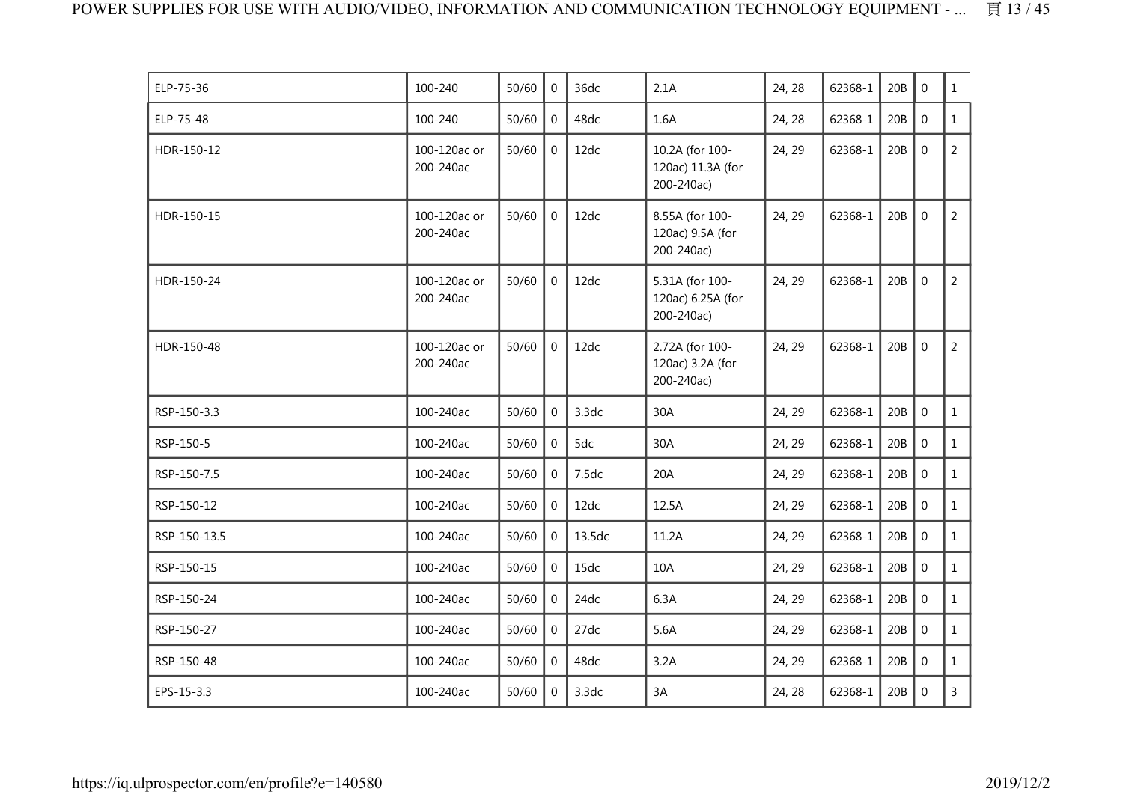| ELP-75-36    | 100-240                   | 50/60 | $\Omega$       | 36dc   | 2.1A                                               | 24, 28 | 62368-1 | 20B | $\mathbf 0$      | $\mathbf{1}$   |
|--------------|---------------------------|-------|----------------|--------|----------------------------------------------------|--------|---------|-----|------------------|----------------|
| ELP-75-48    | 100-240                   | 50/60 | $\mathbf{0}$   | 48dc   | 1.6A                                               | 24, 28 | 62368-1 | 20B | $\mathbf 0$      | $\mathbf{1}$   |
| HDR-150-12   | 100-120ac or<br>200-240ac | 50/60 | $\mathbf 0$    | 12dc   | 10.2A (for 100-<br>120ac) 11.3A (for<br>200-240ac) | 24, 29 | 62368-1 | 20B | $\mathbf 0$      | $\overline{2}$ |
| HDR-150-15   | 100-120ac or<br>200-240ac | 50/60 | $\overline{0}$ | 12dc   | 8.55A (for 100-<br>120ac) 9.5A (for<br>200-240ac)  | 24, 29 | 62368-1 | 20B | $\mathbf 0$      | $\overline{2}$ |
| HDR-150-24   | 100-120ac or<br>200-240ac | 50/60 | $\mathbf{0}$   | 12dc   | 5.31A (for 100-<br>120ac) 6.25A (for<br>200-240ac) | 24, 29 | 62368-1 | 20B | $\mathbf{0}$     | $\overline{2}$ |
| HDR-150-48   | 100-120ac or<br>200-240ac | 50/60 | $\mathbf 0$    | 12dc   | 2.72A (for 100-<br>120ac) 3.2A (for<br>200-240ac)  | 24, 29 | 62368-1 | 20B | $\mathbf 0$      | $\overline{2}$ |
| RSP-150-3.3  | 100-240ac                 | 50/60 | $\overline{0}$ | 3.3dc  | 30A                                                | 24, 29 | 62368-1 | 20B | $\mathbf 0$      | $\mathbf{1}$   |
| RSP-150-5    | 100-240ac                 | 50/60 | $\mathbf 0$    | 5dc    | 30A                                                | 24, 29 | 62368-1 | 20B | $\mathbf 0$      | $\mathbf{1}$   |
| RSP-150-7.5  | 100-240ac                 | 50/60 | $\overline{0}$ | 7.5dc  | 20A                                                | 24, 29 | 62368-1 | 20B | $\mathbf 0$      | $\mathbf{1}$   |
| RSP-150-12   | 100-240ac                 | 50/60 | $\overline{0}$ | 12dc   | 12.5A                                              | 24, 29 | 62368-1 | 20B | $\mathbf 0$      | $\mathbf{1}$   |
| RSP-150-13.5 | 100-240ac                 | 50/60 | $\mathbf 0$    | 13.5dc | 11.2A                                              | 24, 29 | 62368-1 | 20B | $\mathbf 0$      | $\mathbf{1}$   |
| RSP-150-15   | 100-240ac                 | 50/60 | $\Omega$       | 15dc   | 10A                                                | 24, 29 | 62368-1 | 20B | $\mathbf 0$      | $\mathbf{1}$   |
| RSP-150-24   | 100-240ac                 | 50/60 | $\mathbf{0}$   | 24dc   | 6.3A                                               | 24, 29 | 62368-1 | 20B | $\mathbf 0$      | $\mathbf{1}$   |
| RSP-150-27   | 100-240ac                 | 50/60 | $\mathbf{0}$   | 27dc   | 5.6A                                               | 24, 29 | 62368-1 | 20B | $\mathbf{0}$     | $\mathbf{1}$   |
| RSP-150-48   | 100-240ac                 | 50/60 | $\overline{0}$ | 48dc   | 3.2A                                               | 24, 29 | 62368-1 | 20B | $\boldsymbol{0}$ | $\mathbf{1}$   |
| EPS-15-3.3   | 100-240ac                 | 50/60 | $\overline{0}$ | 3.3dc  | 3A                                                 | 24, 28 | 62368-1 | 20B | $\mathbf 0$      | $\overline{3}$ |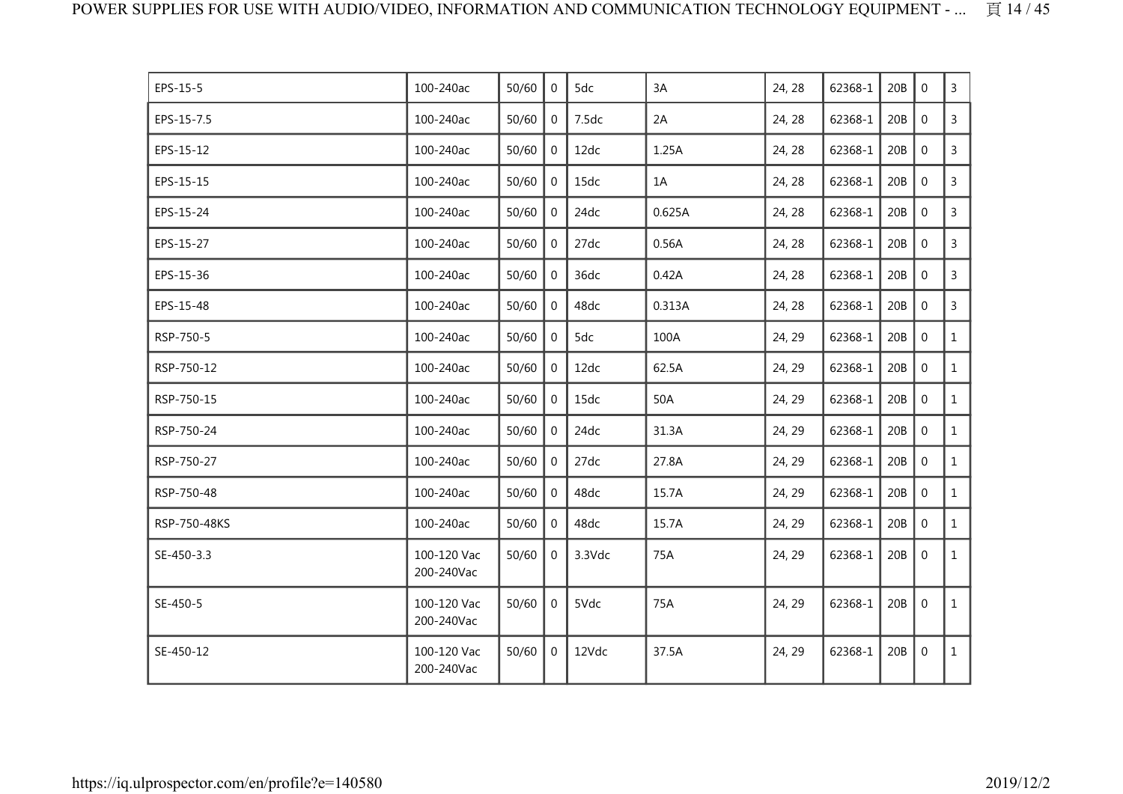| EPS-15-5     | 100-240ac                 | 50/60 | $\overline{0}$ | 5dc    | 3A     | 24, 28 | 62368-1 | 20B | $\Omega$       | 3            |
|--------------|---------------------------|-------|----------------|--------|--------|--------|---------|-----|----------------|--------------|
| EPS-15-7.5   | 100-240ac                 | 50/60 | $\overline{0}$ | 7.5dc  | 2A     | 24, 28 | 62368-1 | 20B | $\mathbf 0$    | 3            |
| EPS-15-12    | 100-240ac                 | 50/60 | $\overline{0}$ | 12dc   | 1.25A  | 24, 28 | 62368-1 | 20B | $\mathbf 0$    | $\mathsf{3}$ |
| EPS-15-15    | 100-240ac                 | 50/60 | $\mathbf{0}$   | 15dc   | 1A     | 24, 28 | 62368-1 | 20B | $\mathbf 0$    | 3            |
| EPS-15-24    | 100-240ac                 | 50/60 | $\mathbf 0$    | 24dc   | 0.625A | 24, 28 | 62368-1 | 20B | $\mathbf 0$    | $\mathsf{3}$ |
| EPS-15-27    | 100-240ac                 | 50/60 | $\mathbf 0$    | 27dc   | 0.56A  | 24, 28 | 62368-1 | 20B | $\mathbf 0$    | $\mathsf{3}$ |
| EPS-15-36    | 100-240ac                 | 50/60 | $\overline{0}$ | 36dc   | 0.42A  | 24, 28 | 62368-1 | 20B | $\mathbf 0$    | 3            |
| EPS-15-48    | 100-240ac                 | 50/60 | $\mathbf 0$    | 48dc   | 0.313A | 24, 28 | 62368-1 | 20B | $\mathbf 0$    | 3            |
| RSP-750-5    | 100-240ac                 | 50/60 | $\mathbf{0}$   | 5dc    | 100A   | 24, 29 | 62368-1 | 20B | $\mathbf 0$    | $\mathbf{1}$ |
| RSP-750-12   | 100-240ac                 | 50/60 | $\mathbf 0$    | 12dc   | 62.5A  | 24, 29 | 62368-1 | 20B | $\mathbf 0$    | $\mathbf{1}$ |
| RSP-750-15   | 100-240ac                 | 50/60 | $\mathbf 0$    | 15dc   | 50A    | 24, 29 | 62368-1 | 20B | $\mathbf 0$    | $\mathbf{1}$ |
| RSP-750-24   | 100-240ac                 | 50/60 | $\mathbf 0$    | 24dc   | 31.3A  | 24, 29 | 62368-1 | 20B | $\mathbf 0$    | $\mathbf{1}$ |
| RSP-750-27   | 100-240ac                 | 50/60 | $\mathbf 0$    | 27dc   | 27.8A  | 24, 29 | 62368-1 | 20B | $\mathbf{0}$   | $\mathbf{1}$ |
| RSP-750-48   | 100-240ac                 | 50/60 | $\overline{0}$ | 48dc   | 15.7A  | 24, 29 | 62368-1 | 20B | $\mathbf 0$    | $\mathbf{1}$ |
| RSP-750-48KS | 100-240ac                 | 50/60 | $\mathbf 0$    | 48dc   | 15.7A  | 24, 29 | 62368-1 | 20B | $\mathbf 0$    | $\mathbf{1}$ |
| SE-450-3.3   | 100-120 Vac<br>200-240Vac | 50/60 | $\mathbf 0$    | 3.3Vdc | 75A    | 24, 29 | 62368-1 | 20B | $\overline{0}$ | $\mathbf{1}$ |
| SE-450-5     | 100-120 Vac<br>200-240Vac | 50/60 | $\mathbf 0$    | 5Vdc   | 75A    | 24, 29 | 62368-1 | 20B | $\overline{0}$ | $\mathbf{1}$ |
| SE-450-12    | 100-120 Vac<br>200-240Vac | 50/60 | $\overline{0}$ | 12Vdc  | 37.5A  | 24, 29 | 62368-1 | 20B | $\mathbf 0$    | $\mathbf{1}$ |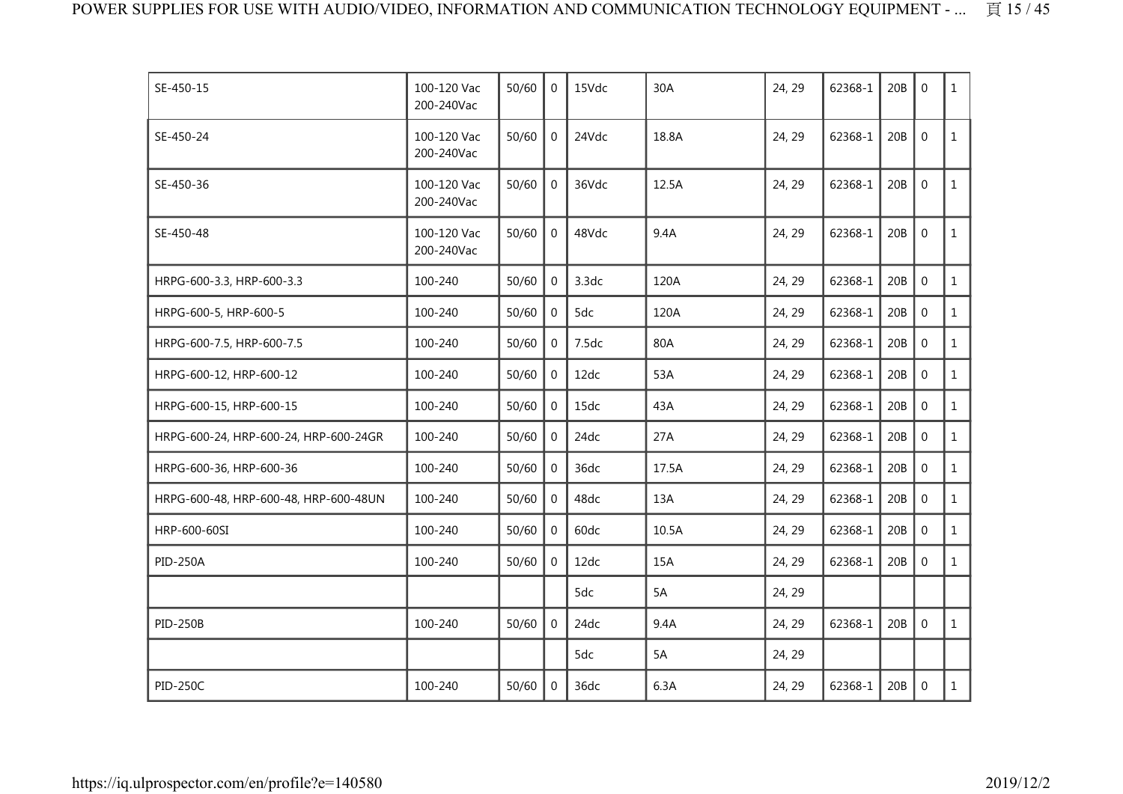| SE-450-15                             | 100-120 Vac<br>200-240Vac | 50/60 | $\mathbf{0}$   | 15Vdc | 30A   | 24, 29 | 62368-1 | 20B | $\Omega$       | $\mathbf{1}$ |
|---------------------------------------|---------------------------|-------|----------------|-------|-------|--------|---------|-----|----------------|--------------|
| SE-450-24                             | 100-120 Vac<br>200-240Vac | 50/60 | $\mathbf 0$    | 24Vdc | 18.8A | 24, 29 | 62368-1 | 20B | $\mathbf 0$    | $\mathbf{1}$ |
| SE-450-36                             | 100-120 Vac<br>200-240Vac | 50/60 | $\overline{0}$ | 36Vdc | 12.5A | 24, 29 | 62368-1 | 20B | $\mathbf 0$    | $\mathbf{1}$ |
| SE-450-48                             | 100-120 Vac<br>200-240Vac | 50/60 | $\mathbf{0}$   | 48Vdc | 9.4A  | 24, 29 | 62368-1 | 20B | $\mathbf{0}$   | $\mathbf{1}$ |
| HRPG-600-3.3, HRP-600-3.3             | 100-240                   | 50/60 | $\overline{0}$ | 3.3dc | 120A  | 24, 29 | 62368-1 | 20B | $\mathbf 0$    | $\mathbf{1}$ |
| HRPG-600-5, HRP-600-5                 | 100-240                   | 50/60 | $\mathbf 0$    | 5dc   | 120A  | 24, 29 | 62368-1 | 20B | $\mathbf 0$    | $\mathbf{1}$ |
| HRPG-600-7.5, HRP-600-7.5             | 100-240                   | 50/60 | $\overline{0}$ | 7.5dc | 80A   | 24, 29 | 62368-1 | 20B | $\mathbf 0$    | $\mathbf{1}$ |
| HRPG-600-12, HRP-600-12               | 100-240                   | 50/60 | $\Omega$       | 12dc  | 53A   | 24, 29 | 62368-1 | 20B | $\overline{0}$ | $\mathbf{1}$ |
| HRPG-600-15, HRP-600-15               | 100-240                   | 50/60 | $\mathbf 0$    | 15dc  | 43A   | 24, 29 | 62368-1 | 20B | $\mathbf 0$    | $\mathbf{1}$ |
| HRPG-600-24, HRP-600-24, HRP-600-24GR | 100-240                   | 50/60 | $\overline{0}$ | 24dc  | 27A   | 24, 29 | 62368-1 | 20B | $\mathbf 0$    | $\mathbf{1}$ |
| HRPG-600-36, HRP-600-36               | 100-240                   | 50/60 | $\overline{0}$ | 36dc  | 17.5A | 24, 29 | 62368-1 | 20B | $\mathbf 0$    | $\mathbf{1}$ |
| HRPG-600-48, HRP-600-48, HRP-600-48UN | 100-240                   | 50/60 | $\mathbf 0$    | 48dc  | 13A   | 24, 29 | 62368-1 | 20B | $\mathbf 0$    | $\mathbf{1}$ |
| HRP-600-60SI                          | 100-240                   | 50/60 | $\mathbf 0$    | 60dc  | 10.5A | 24, 29 | 62368-1 | 20B | $\mathbf 0$    | $\mathbf{1}$ |
| <b>PID-250A</b>                       | 100-240                   | 50/60 | $\overline{0}$ | 12dc  | 15A   | 24, 29 | 62368-1 | 20B | $\mathbf 0$    | $\mathbf{1}$ |
|                                       |                           |       |                | 5dc   | 5A    | 24, 29 |         |     |                |              |
| <b>PID-250B</b>                       | 100-240                   | 50/60 | $\Omega$       | 24dc  | 9.4A  | 24, 29 | 62368-1 | 20B | $\mathbf 0$    | $\mathbf{1}$ |
|                                       |                           |       |                | 5dc   | 5A    | 24, 29 |         |     |                |              |
| <b>PID-250C</b>                       | 100-240                   | 50/60 | $\mathbf 0$    | 36dc  | 6.3A  | 24, 29 | 62368-1 | 20B | $\mathbf 0$    | $\mathbf{1}$ |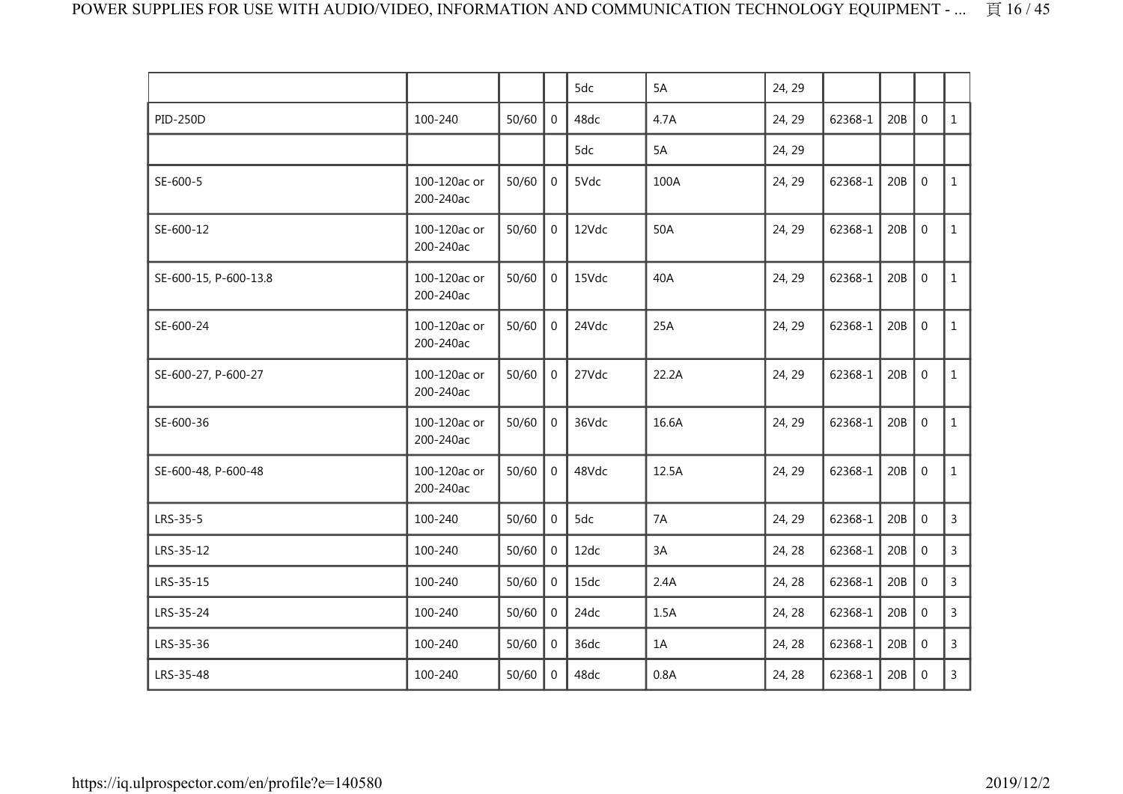|                       |                           |       |                | 5dc   | 5A    | 24, 29 |         |     |                  |                |
|-----------------------|---------------------------|-------|----------------|-------|-------|--------|---------|-----|------------------|----------------|
| <b>PID-250D</b>       | 100-240                   | 50/60 | $\mathbf 0$    | 48dc  | 4.7A  | 24, 29 | 62368-1 | 20B | $\boldsymbol{0}$ | $\mathbf{1}$   |
|                       |                           |       |                | 5dc   | 5A    | 24, 29 |         |     |                  |                |
| SE-600-5              | 100-120ac or<br>200-240ac | 50/60 | $\mathbf 0$    | 5Vdc  | 100A  | 24, 29 | 62368-1 | 20B | $\mathbf 0$      | $\mathbf{1}$   |
| SE-600-12             | 100-120ac or<br>200-240ac | 50/60 | $\mathbf 0$    | 12Vdc | 50A   | 24, 29 | 62368-1 | 20B | $\mathbf 0$      | $\mathbf{1}$   |
| SE-600-15, P-600-13.8 | 100-120ac or<br>200-240ac | 50/60 | $\mathbf 0$    | 15Vdc | 40A   | 24, 29 | 62368-1 | 20B | $\boldsymbol{0}$ | $\mathbf{1}$   |
| SE-600-24             | 100-120ac or<br>200-240ac | 50/60 | $\overline{0}$ | 24Vdc | 25A   | 24, 29 | 62368-1 | 20B | $\mathbf 0$      | $\mathbf{1}$   |
| SE-600-27, P-600-27   | 100-120ac or<br>200-240ac | 50/60 | $\mathbf{0}$   | 27Vdc | 22.2A | 24, 29 | 62368-1 | 20B | $\mathbf 0$      | $\mathbf{1}$   |
| SE-600-36             | 100-120ac or<br>200-240ac | 50/60 | $\overline{0}$ | 36Vdc | 16.6A | 24, 29 | 62368-1 | 20B | $\boldsymbol{0}$ | $\mathbf{1}$   |
| SE-600-48, P-600-48   | 100-120ac or<br>200-240ac | 50/60 | $\Omega$       | 48Vdc | 12.5A | 24, 29 | 62368-1 | 20B | $\mathbf 0$      | $\mathbf{1}$   |
| LRS-35-5              | 100-240                   | 50/60 | $\mathbf 0$    | 5dc   | 7A    | 24, 29 | 62368-1 | 20B | $\mathbf 0$      | $\mathsf{3}$   |
| LRS-35-12             | 100-240                   | 50/60 | $\mathbf 0$    | 12dc  | 3A    | 24, 28 | 62368-1 | 20B | $\mathbf 0$      | $\overline{3}$ |
| LRS-35-15             | 100-240                   | 50/60 | $\mathbf{0}$   | 15dc  | 2.4A  | 24, 28 | 62368-1 | 20B | $\mathbf{0}$     | $\overline{3}$ |
| LRS-35-24             | 100-240                   | 50/60 | $\Omega$       | 24dc  | 1.5A  | 24, 28 | 62368-1 | 20B | $\boldsymbol{0}$ | $\mathsf{3}$   |
| LRS-35-36             | 100-240                   | 50/60 | $\mathbf{0}$   | 36dc  | 1A    | 24, 28 | 62368-1 | 20B | $\mathbf 0$      | $\mathsf{3}$   |
| LRS-35-48             | 100-240                   | 50/60 | $\mathbf 0$    | 48dc  | 0.8A  | 24, 28 | 62368-1 | 20B | $\mathbf 0$      | $\mathsf{3}$   |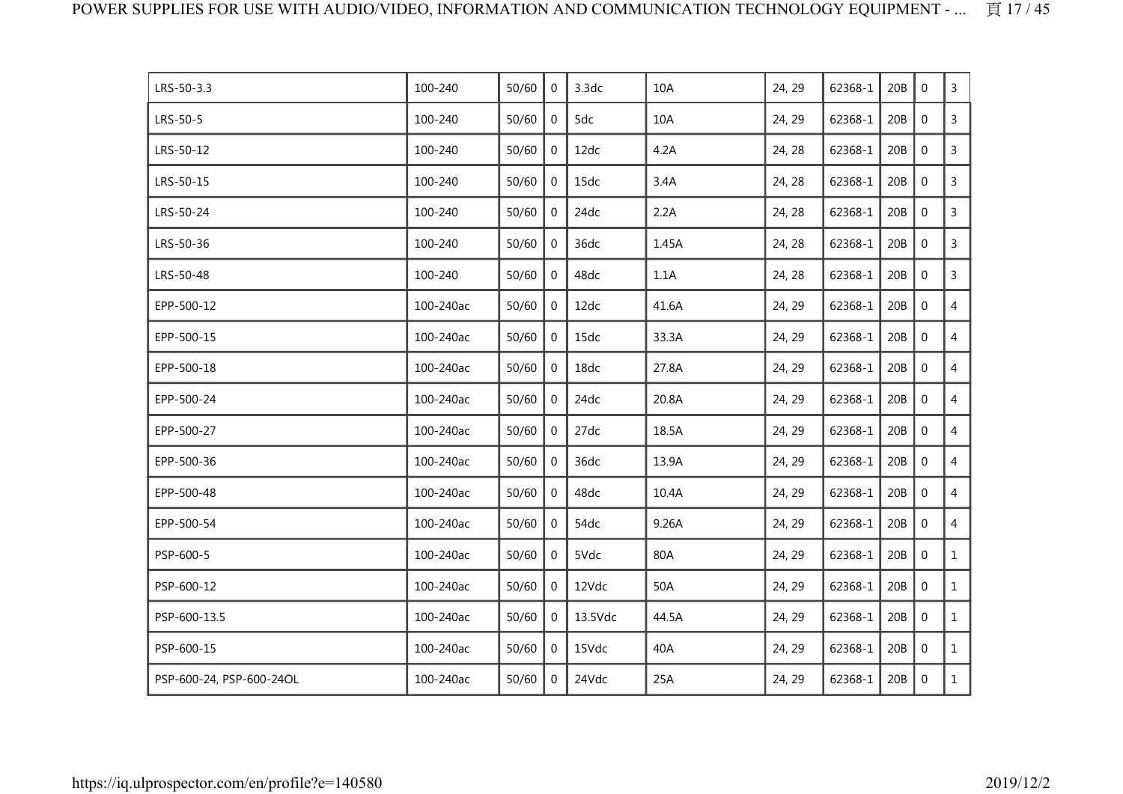| LRS-50-3.3               | 100-240   | 50/60 | $\mathbf{0}$   | 3.3dc   | 10A   | 24, 29 | 62368-1 | 20B | $\mathbf{0}$     | 3              |
|--------------------------|-----------|-------|----------------|---------|-------|--------|---------|-----|------------------|----------------|
| LRS-50-5                 | 100-240   | 50/60 | 0              | 5dc     | 10A   | 24, 29 | 62368-1 | 20B | $\mathbf 0$      | $\mathsf{3}$   |
| LRS-50-12                | 100-240   | 50/60 | 0              | 12dc    | 4.2A  | 24, 28 | 62368-1 | 20B | $\mathbf 0$      | 3              |
| LRS-50-15                | 100-240   | 50/60 | 0              | 15dc    | 3.4A  | 24, 28 | 62368-1 | 20B | $\mathbf 0$      | 3              |
| LRS-50-24                | 100-240   | 50/60 | $\mathbf{0}$   | 24dc    | 2.2A  | 24, 28 | 62368-1 | 20B | $\mathbf 0$      | $\mathsf{3}$   |
| LRS-50-36                | 100-240   | 50/60 | 0              | 36dc    | 1.45A | 24, 28 | 62368-1 | 20B | $\mathbf 0$      | $\mathsf{3}$   |
| LRS-50-48                | 100-240   | 50/60 | $\mathbf{0}$   | 48dc    | 1.1A  | 24, 28 | 62368-1 | 20B | $\mathbf 0$      | $\mathsf{3}$   |
| EPP-500-12               | 100-240ac | 50/60 | 0              | 12dc    | 41.6A | 24, 29 | 62368-1 | 20B | $\mathbf 0$      | $\overline{4}$ |
| EPP-500-15               | 100-240ac | 50/60 | 0              | 15dc    | 33.3A | 24, 29 | 62368-1 | 20B | $\mathbf 0$      | $\overline{4}$ |
| EPP-500-18               | 100-240ac | 50/60 | $\mathbf 0$    | 18dc    | 27.8A | 24, 29 | 62368-1 | 20B | $\mathbf 0$      | $\overline{4}$ |
| EPP-500-24               | 100-240ac | 50/60 | 0              | 24dc    | 20.8A | 24, 29 | 62368-1 | 20B | $\mathbf 0$      | $\overline{4}$ |
| EPP-500-27               | 100-240ac | 50/60 | $\mathbf{0}$   | 27dc    | 18.5A | 24, 29 | 62368-1 | 20B | $\mathbf 0$      | $\overline{4}$ |
| EPP-500-36               | 100-240ac | 50/60 | 0              | 36dc    | 13.9A | 24, 29 | 62368-1 | 20B | $\boldsymbol{0}$ | $\overline{4}$ |
| EPP-500-48               | 100-240ac | 50/60 | 0              | 48dc    | 10.4A | 24, 29 | 62368-1 | 20B | $\mathbf 0$      | $\overline{4}$ |
| EPP-500-54               | 100-240ac | 50/60 | 0              | 54dc    | 9.26A | 24, 29 | 62368-1 | 20B | $\mathbf 0$      | $\overline{4}$ |
| PSP-600-5                | 100-240ac | 50/60 | 0              | 5Vdc    | 80A   | 24, 29 | 62368-1 | 20B | $\mathbf 0$      | $\mathbf{1}$   |
| PSP-600-12               | 100-240ac | 50/60 | $\overline{0}$ | 12Vdc   | 50A   | 24, 29 | 62368-1 | 20B | $\mathbf 0$      | $\mathbf{1}$   |
| PSP-600-13.5             | 100-240ac | 50/60 | 0              | 13.5Vdc | 44.5A | 24, 29 | 62368-1 | 20B | $\boldsymbol{0}$ | $\mathbf{1}$   |
| PSP-600-15               | 100-240ac | 50/60 | $\mathbf{0}$   | 15Vdc   | 40A   | 24, 29 | 62368-1 | 20B | $\mathbf 0$      | $\mathbf{1}$   |
| PSP-600-24, PSP-600-24OL | 100-240ac | 50/60 | 0              | 24Vdc   | 25A   | 24, 29 | 62368-1 | 20B | $\mathbf 0$      | $\mathbf{1}$   |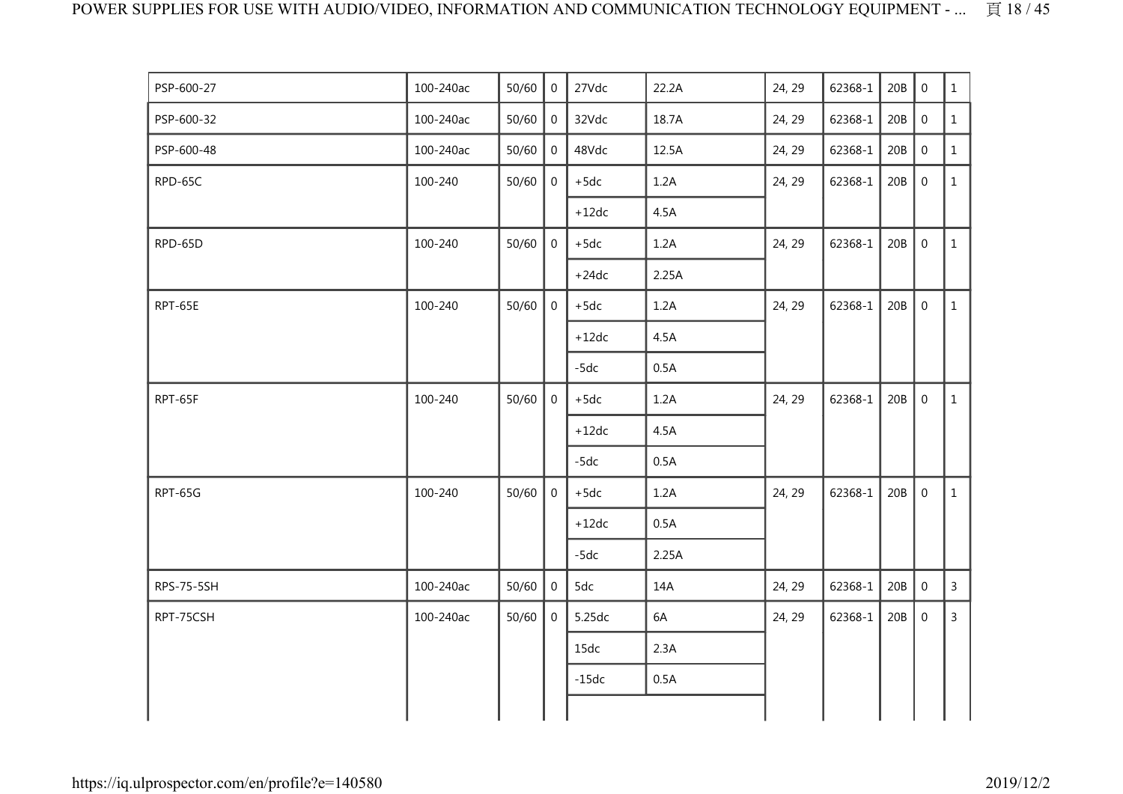| PSP-600-27 | 100-240ac | 50/60 | $\overline{0}$ | 27Vdc   | 22.2A | 24, 29 | 62368-1 | 20B | $\mathbf 0$      | $\mathbf{1}$   |
|------------|-----------|-------|----------------|---------|-------|--------|---------|-----|------------------|----------------|
| PSP-600-32 | 100-240ac | 50/60 | $\overline{0}$ | 32Vdc   | 18.7A | 24, 29 | 62368-1 | 20B | $\boldsymbol{0}$ | $\mathbf{1}$   |
| PSP-600-48 | 100-240ac | 50/60 | $\overline{0}$ | 48Vdc   | 12.5A | 24, 29 | 62368-1 | 20B | $\boldsymbol{0}$ | $\mathbf{1}$   |
| RPD-65C    | 100-240   | 50/60 | $\overline{0}$ | $+5dc$  | 1.2A  | 24, 29 | 62368-1 | 20B | $\boldsymbol{0}$ | $\mathbf{1}$   |
|            |           |       |                | $+12dc$ | 4.5A  |        |         |     |                  |                |
| RPD-65D    | 100-240   | 50/60 | $\overline{0}$ | $+5dc$  | 1.2A  | 24, 29 | 62368-1 | 20B | $\mathbf 0$      | $\mathbf{1}$   |
|            |           |       |                | $+24dc$ | 2.25A |        |         |     |                  |                |
| RPT-65E    | 100-240   | 50/60 | $\overline{0}$ | $+5dc$  | 1.2A  | 24, 29 | 62368-1 | 20B | $\mathbf 0$      | $\mathbf{1}$   |
|            |           |       |                | $+12dc$ | 4.5A  |        |         |     |                  |                |
|            |           |       |                | $-5dc$  | 0.5A  |        |         |     |                  |                |
| RPT-65F    | 100-240   | 50/60 | $\overline{0}$ | $+5dc$  | 1.2A  | 24, 29 | 62368-1 | 20B | $\mathbf 0$      | $\mathbf{1}$   |
|            |           |       |                | $+12dc$ | 4.5A  |        |         |     |                  |                |
|            |           |       |                | $-5dc$  | 0.5A  |        |         |     |                  |                |
| RPT-65G    | 100-240   | 50/60 | $\overline{0}$ | $+5dc$  | 1.2A  | 24, 29 | 62368-1 | 20B | $\mathbf 0$      | $\mathbf{1}$   |
|            |           |       |                | $+12dc$ | 0.5A  |        |         |     |                  |                |
|            |           |       |                | $-5dc$  | 2.25A |        |         |     |                  |                |
| RPS-75-5SH | 100-240ac | 50/60 | $\overline{0}$ | 5dc     | 14A   | 24, 29 | 62368-1 | 20B | $\boldsymbol{0}$ | $\overline{3}$ |
| RPT-75CSH  | 100-240ac | 50/60 | $\overline{0}$ | 5.25dc  | 6A    | 24, 29 | 62368-1 | 20B | $\overline{0}$   | $\overline{3}$ |
|            |           |       |                | 15dc    | 2.3A  |        |         |     |                  |                |
|            |           |       |                | $-15dc$ | 0.5A  |        |         |     |                  |                |
|            |           |       |                |         |       |        |         |     |                  |                |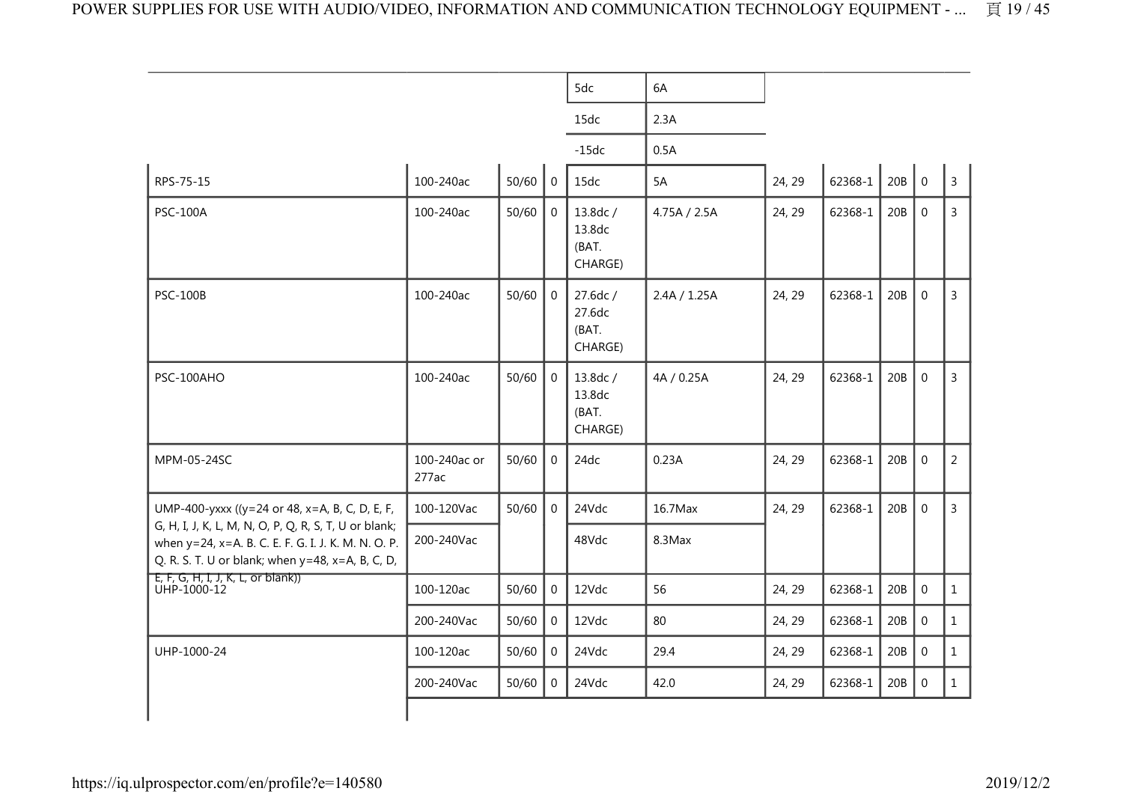|                                                                                                                                                                  |                       |       |                | 5dc                                    | 6A           |        |             |     |                |                |
|------------------------------------------------------------------------------------------------------------------------------------------------------------------|-----------------------|-------|----------------|----------------------------------------|--------------|--------|-------------|-----|----------------|----------------|
|                                                                                                                                                                  |                       |       |                | 15dc                                   | 2.3A         |        |             |     |                |                |
|                                                                                                                                                                  |                       |       |                | $-15dc$                                | 0.5A         |        |             |     |                |                |
| RPS-75-15                                                                                                                                                        | 100-240ac             | 50/60 | $\mathbf 0$    | 15dc                                   | 5A           | 24, 29 | $62368 - 1$ | 20B | $\overline{0}$ | $\overline{3}$ |
| <b>PSC-100A</b>                                                                                                                                                  | 100-240ac             | 50/60 | $\overline{0}$ | 13.8dc /<br>13.8dc<br>(BAT.<br>CHARGE) | 4.75A / 2.5A | 24, 29 | 62368-1     | 20B | $\mathbf 0$    | $\mathbf{3}$   |
| <b>PSC-100B</b>                                                                                                                                                  | 100-240ac             | 50/60 | $\mathbf 0$    | 27.6dc /<br>27.6dc<br>(BAT.<br>CHARGE) | 2.4A / 1.25A | 24, 29 | 62368-1     | 20B | $\mathbf 0$    | $\overline{3}$ |
| PSC-100AHO                                                                                                                                                       | 100-240ac             | 50/60 | $\overline{0}$ | 13.8dc /<br>13.8dc<br>(BAT.<br>CHARGE) | 4A / 0.25A   | 24, 29 | 62368-1     | 20B | $\mathbf 0$    | $\overline{3}$ |
| MPM-05-24SC                                                                                                                                                      | 100-240ac or<br>277ac | 50/60 | $\mathbf 0$    | 24dc                                   | 0.23A        | 24, 29 | 62368-1     | 20B | $\mathbf 0$    | $\overline{2}$ |
| UMP-400-yxxx ((y=24 or 48, x=A, B, C, D, E, F,                                                                                                                   | 100-120Vac            | 50/60 | $\Omega$       | 24Vdc                                  | 16.7Max      | 24, 29 | 62368-1     | 20B | $\mathbf 0$    | $\overline{3}$ |
| G, H, I, J, K, L, M, N, O, P, Q, R, S, T, U or blank;<br>when y=24, x=A. B. C. E. F. G. I. J. K. M. N. O. P.<br>Q. R. S. T. U or blank; when y=48, x=A, B, C, D, | 200-240Vac            |       |                | 48Vdc                                  | 8.3Max       |        |             |     |                |                |
| E, F, G, H, I, J, K, L, or blank))<br>UHP-1000-12                                                                                                                | 100-120ac             | 50/60 | $\overline{0}$ | 12Vdc                                  | 56           | 24, 29 | 62368-1     | 20B | $\mathbf 0$    | $\mathbf{1}$   |
|                                                                                                                                                                  | 200-240Vac            | 50/60 | $\mathbf 0$    | 12Vdc                                  | 80           | 24, 29 | 62368-1     | 20B | $\mathbf 0$    | $\mathbf{1}$   |
| UHP-1000-24                                                                                                                                                      | 100-120ac             | 50/60 | $\overline{0}$ | 24Vdc                                  | 29.4         | 24, 29 | 62368-1     | 20B | $\mathbf 0$    | $\mathbf{1}$   |
|                                                                                                                                                                  | 200-240Vac            | 50/60 | $\mathbf 0$    | 24Vdc                                  | 42.0         | 24, 29 | 62368-1     | 20B | $\mathbf 0$    | $\mathbf{1}$   |
|                                                                                                                                                                  |                       |       |                |                                        |              |        |             |     |                |                |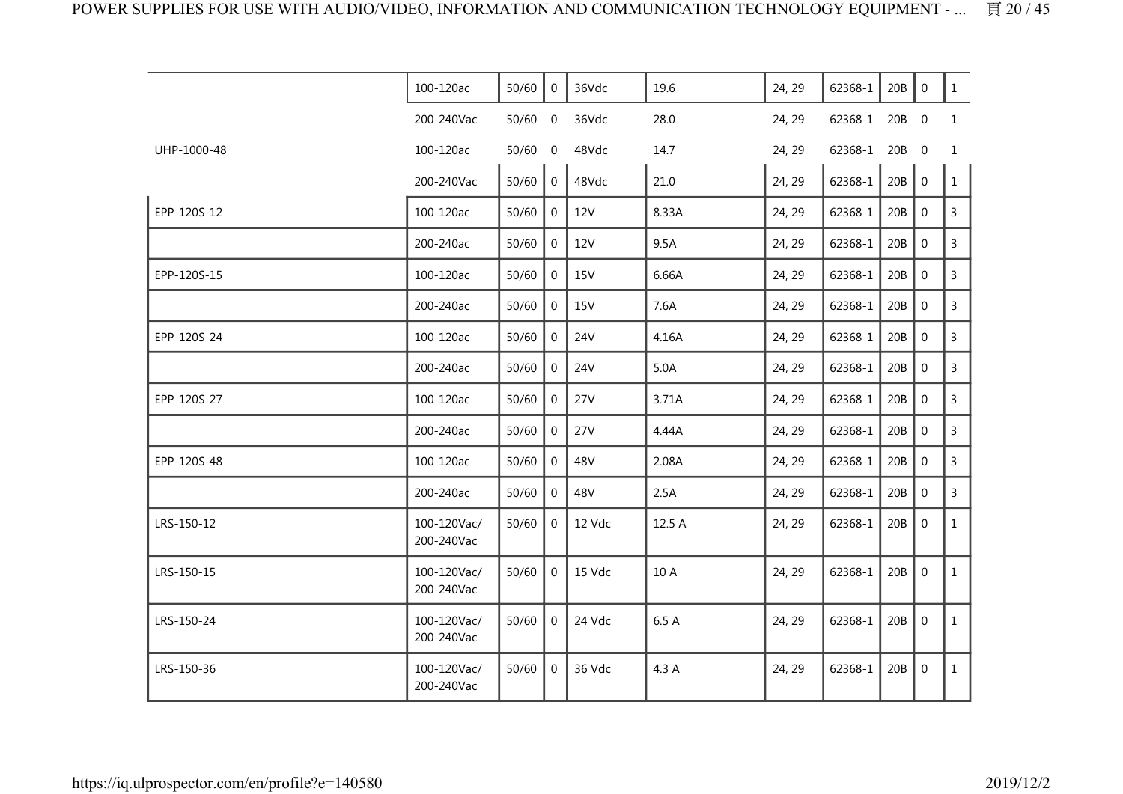|             | 100-120ac                 | 50/60 | $\overline{0}$   | 36Vdc      | 19.6   | 24, 29 | 62368-1 | 20B | $\mathbf 0$      | $\mathbf{1}$   |
|-------------|---------------------------|-------|------------------|------------|--------|--------|---------|-----|------------------|----------------|
|             | 200-240Vac                | 50/60 | $\boldsymbol{0}$ | 36Vdc      | 28.0   | 24, 29 | 62368-1 | 20B | $\overline{0}$   | $\mathbf{1}$   |
| UHP-1000-48 | 100-120ac                 | 50/60 | 0                | 48Vdc      | 14.7   | 24, 29 | 62368-1 | 20B | $\mathbf 0$      | 1              |
|             | 200-240Vac                | 50/60 | $\mathbf 0$      | 48Vdc      | 21.0   | 24, 29 | 62368-1 | 20B | $\mathbf 0$      | $\mathbf{1}$   |
| EPP-120S-12 | 100-120ac                 | 50/60 | $\mathbf 0$      | <b>12V</b> | 8.33A  | 24, 29 | 62368-1 | 20B | $\mathbf 0$      | 3              |
|             | 200-240ac                 | 50/60 | $\overline{0}$   | <b>12V</b> | 9.5A   | 24, 29 | 62368-1 | 20B | $\mathbf 0$      | 3              |
| EPP-120S-15 | 100-120ac                 | 50/60 | $\mathbf 0$      | 15V        | 6.66A  | 24, 29 | 62368-1 | 20B | $\mathbf{0}$     | 3              |
|             | 200-240ac                 | 50/60 | $\mathbf 0$      | <b>15V</b> | 7.6A   | 24, 29 | 62368-1 | 20B | $\mathbf 0$      | $\overline{3}$ |
| EPP-120S-24 | 100-120ac                 | 50/60 | $\mathbf 0$      | <b>24V</b> | 4.16A  | 24, 29 | 62368-1 | 20B | $\mathbf 0$      | 3              |
|             | 200-240ac                 | 50/60 | $\mathbf 0$      | <b>24V</b> | 5.0A   | 24, 29 | 62368-1 | 20B | $\boldsymbol{0}$ | 3              |
| EPP-120S-27 | 100-120ac                 | 50/60 | $\mathbf 0$      | 27V        | 3.71A  | 24, 29 | 62368-1 | 20B | $\mathbf 0$      | 3              |
|             | 200-240ac                 | 50/60 | $\mathbf 0$      | <b>27V</b> | 4.44A  | 24, 29 | 62368-1 | 20B | $\boldsymbol{0}$ | 3              |
| EPP-120S-48 | 100-120ac                 | 50/60 | $\mathbf 0$      | 48V        | 2.08A  | 24, 29 | 62368-1 | 20B | $\mathbf{0}$     | 3              |
|             | 200-240ac                 | 50/60 | $\Omega$         | 48V        | 2.5A   | 24, 29 | 62368-1 | 20B | $\mathbf{0}$     | $\overline{3}$ |
| LRS-150-12  | 100-120Vac/<br>200-240Vac | 50/60 | $\mathbf 0$      | 12 Vdc     | 12.5 A | 24, 29 | 62368-1 | 20B | $\mathbf{0}$     | $\mathbf{1}$   |
| LRS-150-15  | 100-120Vac/<br>200-240Vac | 50/60 | $\mathbf 0$      | 15 Vdc     | 10 A   | 24, 29 | 62368-1 | 20B | $\mathbf 0$      | $\mathbf{1}$   |
| LRS-150-24  | 100-120Vac/<br>200-240Vac | 50/60 | $\overline{0}$   | 24 Vdc     | 6.5 A  | 24, 29 | 62368-1 | 20B | $\mathbf 0$      | $\mathbf{1}$   |
| LRS-150-36  | 100-120Vac/<br>200-240Vac | 50/60 | $\mathbf 0$      | 36 Vdc     | 4.3 A  | 24, 29 | 62368-1 | 20B | $\mathbf 0$      | $\mathbf{1}$   |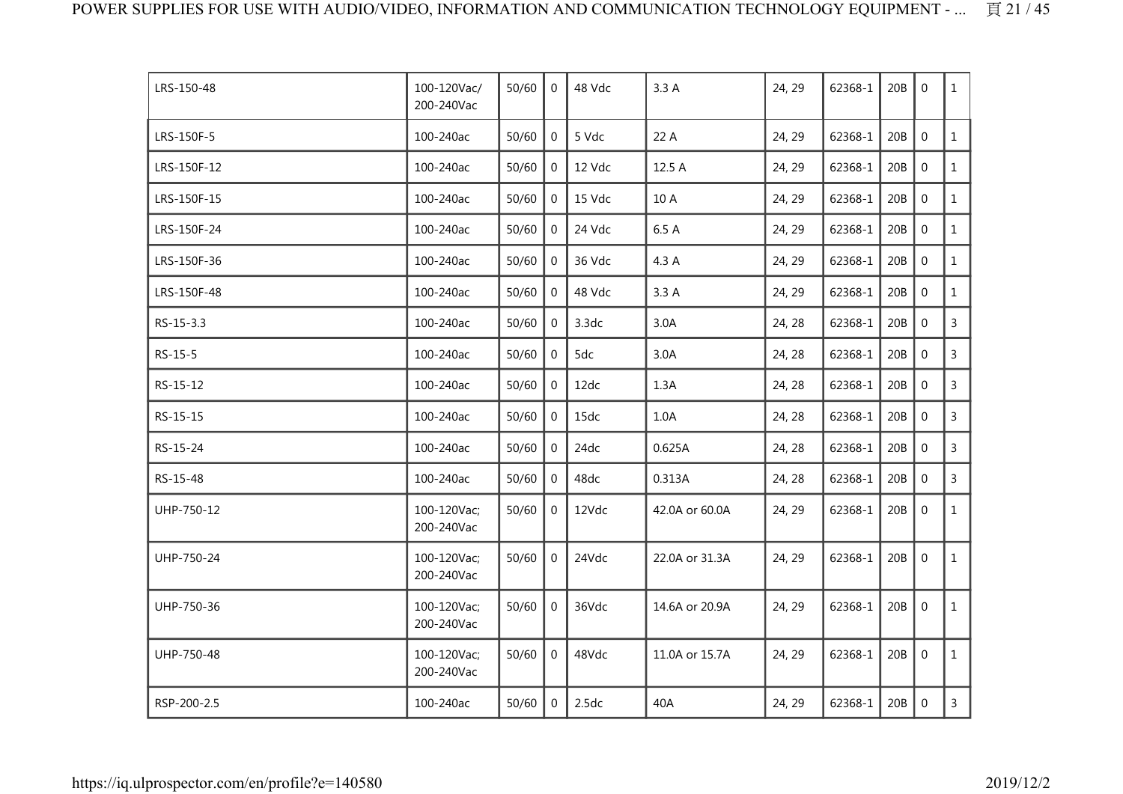| LRS-150-48  | 100-120Vac/<br>200-240Vac | 50/60 | $\Omega$       | 48 Vdc | 3.3A           | 24, 29 | 62368-1 | 20B | $\Omega$         | $\mathbf{1}$   |
|-------------|---------------------------|-------|----------------|--------|----------------|--------|---------|-----|------------------|----------------|
| LRS-150F-5  | 100-240ac                 | 50/60 | $\mathbf 0$    | 5 Vdc  | 22 A           | 24, 29 | 62368-1 | 20B | $\mathbf 0$      | $\mathbf{1}$   |
| LRS-150F-12 | 100-240ac                 | 50/60 | 0              | 12 Vdc | 12.5 A         | 24, 29 | 62368-1 | 20B | $\boldsymbol{0}$ | $\mathbf{1}$   |
| LRS-150F-15 | 100-240ac                 | 50/60 | 0              | 15 Vdc | 10 A           | 24, 29 | 62368-1 | 20B | $\mathbf 0$      | $\mathbf{1}$   |
| LRS-150F-24 | 100-240ac                 | 50/60 | $\Omega$       | 24 Vdc | 6.5 A          | 24, 29 | 62368-1 | 20B | $\mathbf 0$      | $\mathbf{1}$   |
| LRS-150F-36 | 100-240ac                 | 50/60 | 0              | 36 Vdc | 4.3 A          | 24, 29 | 62368-1 | 20B | $\mathbf 0$      | $\mathbf{1}$   |
| LRS-150F-48 | 100-240ac                 | 50/60 | $\mathbf 0$    | 48 Vdc | 3.3A           | 24, 29 | 62368-1 | 20B | $\mathbf 0$      | $\mathbf{1}$   |
| RS-15-3.3   | 100-240ac                 | 50/60 | $\overline{0}$ | 3.3dc  | 3.0A           | 24, 28 | 62368-1 | 20B | $\mathbf 0$      | $\mathsf{3}$   |
| RS-15-5     | 100-240ac                 | 50/60 | 0              | 5dc    | 3.0A           | 24, 28 | 62368-1 | 20B | $\mathbf 0$      | $\overline{3}$ |
| RS-15-12    | 100-240ac                 | 50/60 | $\Omega$       | 12dc   | 1.3A           | 24, 28 | 62368-1 | 20B | $\mathbf 0$      | 3              |
| RS-15-15    | 100-240ac                 | 50/60 | $\Omega$       | 15dc   | 1.0A           | 24, 28 | 62368-1 | 20B | $\Omega$         | $\mathsf{3}$   |
| RS-15-24    | 100-240ac                 | 50/60 | $\mathbf{0}$   | 24dc   | 0.625A         | 24, 28 | 62368-1 | 20B | $\mathbf 0$      | 3              |
| RS-15-48    | 100-240ac                 | 50/60 | $\Omega$       | 48dc   | 0.313A         | 24, 28 | 62368-1 | 20B | $\mathbf 0$      | 3              |
| UHP-750-12  | 100-120Vac;<br>200-240Vac | 50/60 | $\mathbf 0$    | 12Vdc  | 42.0A or 60.0A | 24, 29 | 62368-1 | 20B | $\mathbf 0$      | $\mathbf{1}$   |
| UHP-750-24  | 100-120Vac;<br>200-240Vac | 50/60 | $\overline{0}$ | 24Vdc  | 22.0A or 31.3A | 24, 29 | 62368-1 | 20B | $\mathbf 0$      | $\mathbf{1}$   |
| UHP-750-36  | 100-120Vac;<br>200-240Vac | 50/60 | $\mathbf 0$    | 36Vdc  | 14.6A or 20.9A | 24, 29 | 62368-1 | 20B | $\mathbf 0$      | $\mathbf{1}$   |
| UHP-750-48  | 100-120Vac;<br>200-240Vac | 50/60 | $\overline{0}$ | 48Vdc  | 11.0A or 15.7A | 24, 29 | 62368-1 | 20B | $\boldsymbol{0}$ | $\mathbf{1}$   |
| RSP-200-2.5 | 100-240ac                 | 50/60 | $\overline{0}$ | 2.5dc  | 40A            | 24, 29 | 62368-1 | 20B | $\mathbf 0$      | $\mathsf{3}$   |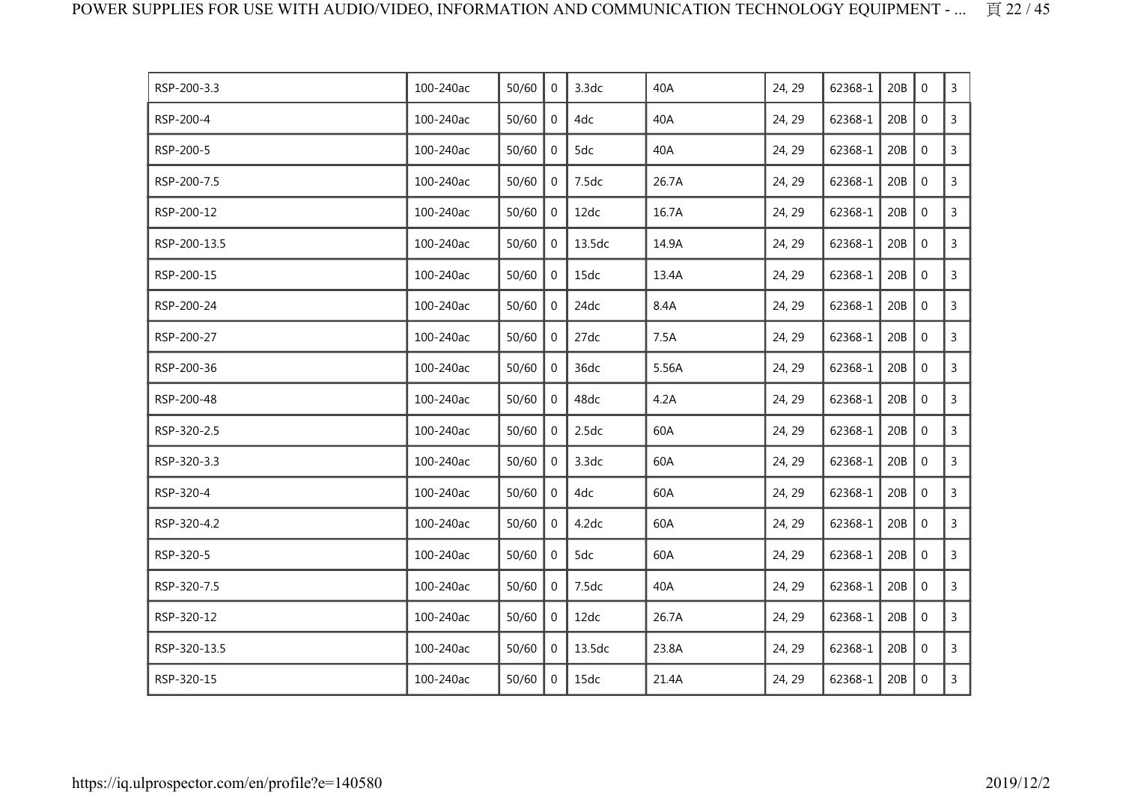| RSP-200-3.3  | 100-240ac | 50/60 | 0            | 3.3dc  | 40A   | 24, 29 | 62368-1 | 20B | $\mathbf{0}$   | 3              |
|--------------|-----------|-------|--------------|--------|-------|--------|---------|-----|----------------|----------------|
| RSP-200-4    | 100-240ac | 50/60 | 0            | 4dc    | 40A   | 24, 29 | 62368-1 | 20B | $\mathbf 0$    | $\mathsf{3}$   |
| RSP-200-5    | 100-240ac | 50/60 | 0            | 5dc    | 40A   | 24, 29 | 62368-1 | 20B | $\mathbf 0$    | 3              |
| RSP-200-7.5  | 100-240ac | 50/60 | 0            | 7.5dc  | 26.7A | 24, 29 | 62368-1 | 20B | $\mathbf 0$    | $\mathsf{3}$   |
| RSP-200-12   | 100-240ac | 50/60 | $\mathbf{0}$ | 12dc   | 16.7A | 24, 29 | 62368-1 | 20B | $\mathbf 0$    | $\mathsf{3}$   |
| RSP-200-13.5 | 100-240ac | 50/60 | 0            | 13.5dc | 14.9A | 24, 29 | 62368-1 | 20B | $\mathbf 0$    | $\overline{3}$ |
| RSP-200-15   | 100-240ac | 50/60 | $\mathbf{0}$ | 15dc   | 13.4A | 24, 29 | 62368-1 | 20B | $\mathbf 0$    | $\mathsf{3}$   |
| RSP-200-24   | 100-240ac | 50/60 | 0            | 24dc   | 8.4A  | 24, 29 | 62368-1 | 20B | $\mathbf 0$    | 3              |
| RSP-200-27   | 100-240ac | 50/60 | 0            | 27dc   | 7.5A  | 24, 29 | 62368-1 | 20B | $\mathbf 0$    | 3              |
| RSP-200-36   | 100-240ac | 50/60 | 0            | 36dc   | 5.56A | 24, 29 | 62368-1 | 20B | $\overline{0}$ | $\mathsf{3}$   |
| RSP-200-48   | 100-240ac | 50/60 | 0            | 48dc   | 4.2A  | 24, 29 | 62368-1 | 20B | $\mathbf 0$    | 3              |
| RSP-320-2.5  | 100-240ac | 50/60 | $\mathbf{0}$ | 2.5dc  | 60A   | 24, 29 | 62368-1 | 20B | $\mathbf 0$    | $\mathsf{3}$   |
| RSP-320-3.3  | 100-240ac | 50/60 | 0            | 3.3dc  | 60A   | 24, 29 | 62368-1 | 20B | $\mathbf 0$    | $\mathsf{3}$   |
| RSP-320-4    | 100-240ac | 50/60 | $\mathbf{0}$ | 4dc    | 60A   | 24, 29 | 62368-1 | 20B | $\mathbf 0$    | $\mathsf{3}$   |
| RSP-320-4.2  | 100-240ac | 50/60 | 0            | 4.2dc  | 60A   | 24, 29 | 62368-1 | 20B | $\mathbf 0$    | $\mathsf{3}$   |
| RSP-320-5    | 100-240ac | 50/60 | 0            | 5dc    | 60A   | 24, 29 | 62368-1 | 20B | $\mathbf 0$    | 3              |
| RSP-320-7.5  | 100-240ac | 50/60 | $\mathbf 0$  | 7.5dc  | 40A   | 24, 29 | 62368-1 | 20B | $\mathbf 0$    | $\overline{3}$ |
| RSP-320-12   | 100-240ac | 50/60 | 0            | 12dc   | 26.7A | 24, 29 | 62368-1 | 20B | $\mathbf 0$    | $\mathsf{3}$   |
| RSP-320-13.5 | 100-240ac | 50/60 | 0            | 13.5dc | 23.8A | 24, 29 | 62368-1 | 20B | $\mathbf 0$    | 3              |
| RSP-320-15   | 100-240ac | 50/60 | 0            | 15dc   | 21.4A | 24, 29 | 62368-1 | 20B | $\mathbf 0$    | $\overline{3}$ |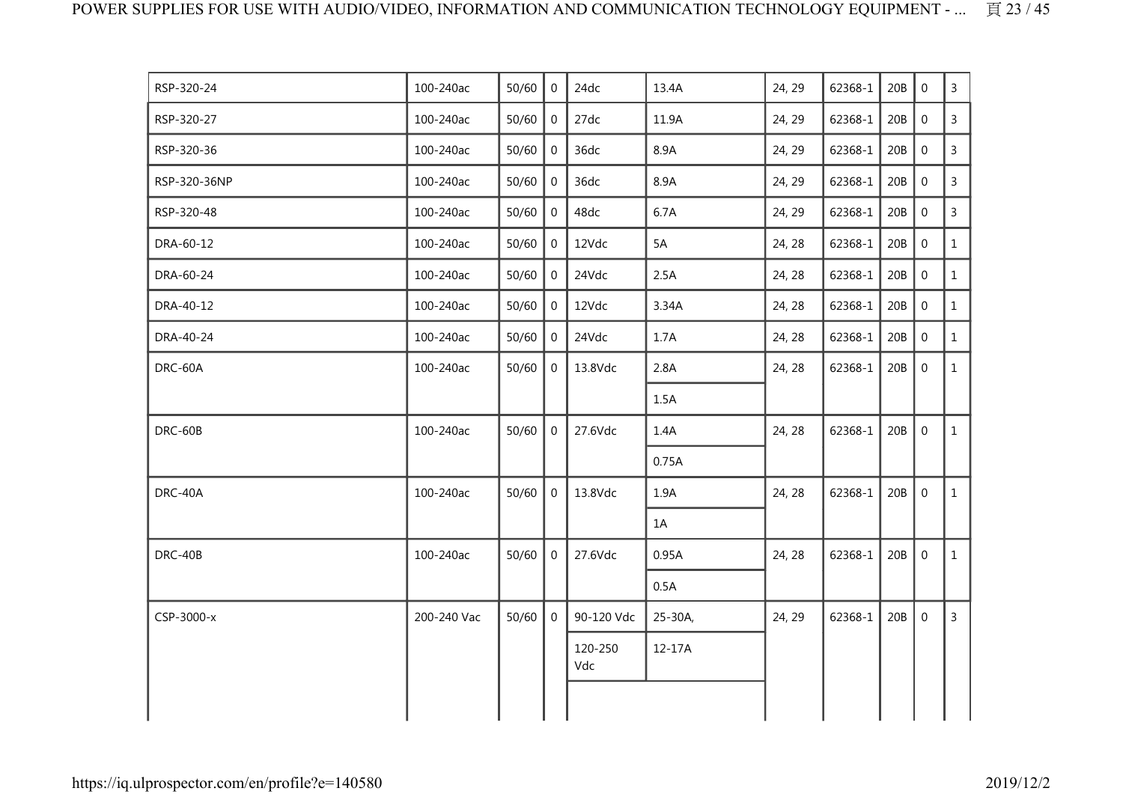| RSP-320-24   | 100-240ac   | 50/60 | $\Omega$       | 24dc           | 13.4A   | 24, 29 | 62368-1 | 20B | $\Omega$       | $\mathsf{3}$   |
|--------------|-------------|-------|----------------|----------------|---------|--------|---------|-----|----------------|----------------|
| RSP-320-27   | 100-240ac   | 50/60 | $\overline{0}$ | 27dc           | 11.9A   | 24, 29 | 62368-1 | 20B | $\mathbf 0$    | 3              |
| RSP-320-36   | 100-240ac   | 50/60 | 0              | 36dc           | 8.9A    | 24, 29 | 62368-1 | 20B | $\mathbf 0$    | 3              |
| RSP-320-36NP | 100-240ac   | 50/60 | $\mathbf{0}$   | 36dc           | 8.9A    | 24, 29 | 62368-1 | 20B | $\mathbf 0$    | $\overline{3}$ |
| RSP-320-48   | 100-240ac   | 50/60 | $\overline{0}$ | 48dc           | 6.7A    | 24, 29 | 62368-1 | 20B | $\mathbf 0$    | $\overline{3}$ |
| DRA-60-12    | 100-240ac   | 50/60 | $\mathbf 0$    | 12Vdc          | 5A      | 24, 28 | 62368-1 | 20B | $\overline{0}$ | $\mathbf{1}$   |
| DRA-60-24    | 100-240ac   | 50/60 | $\overline{0}$ | 24Vdc          | 2.5A    | 24, 28 | 62368-1 | 20B | $\mathbf 0$    | $\mathbf{1}$   |
| DRA-40-12    | 100-240ac   | 50/60 | $\mathbf 0$    | 12Vdc          | 3.34A   | 24, 28 | 62368-1 | 20B | $\mathbf 0$    | $\mathbf{1}$   |
| DRA-40-24    | 100-240ac   | 50/60 | $\overline{0}$ | 24Vdc          | 1.7A    | 24, 28 | 62368-1 | 20B | $\mathbf 0$    | $\mathbf{1}$   |
| DRC-60A      | 100-240ac   | 50/60 | $\mathbf 0$    | 13.8Vdc        | 2.8A    | 24, 28 | 62368-1 | 20B | $\mathbf 0$    | $\mathbf{1}$   |
|              |             |       |                |                | 1.5A    |        |         |     |                |                |
| DRC-60B      | 100-240ac   | 50/60 | $\overline{0}$ | 27.6Vdc        | 1.4A    | 24, 28 | 62368-1 | 20B | $\mathbf 0$    | $\mathbf{1}$   |
|              |             |       |                |                | 0.75A   |        |         |     |                |                |
| DRC-40A      | 100-240ac   | 50/60 | $\overline{0}$ | 13.8Vdc        | 1.9A    | 24, 28 | 62368-1 | 20B | $\mathbf 0$    | $\mathbf{1}$   |
|              |             |       |                |                | 1A      |        |         |     |                |                |
| DRC-40B      | 100-240ac   | 50/60 | $\overline{0}$ | 27.6Vdc        | 0.95A   | 24, 28 | 62368-1 | 20B | $\mathbf 0$    | $\mathbf{1}$   |
|              |             |       |                |                | 0.5A    |        |         |     |                |                |
| CSP-3000-x   | 200-240 Vac | 50/60 | $\mathbf 0$    | 90-120 Vdc     | 25-30A, | 24, 29 | 62368-1 | 20B | $\overline{0}$ | $\mathsf{3}$   |
|              |             |       |                | 120-250<br>Vdc | 12-17A  |        |         |     |                |                |
|              |             |       |                |                |         |        |         |     |                |                |
|              |             |       |                |                |         |        |         |     |                |                |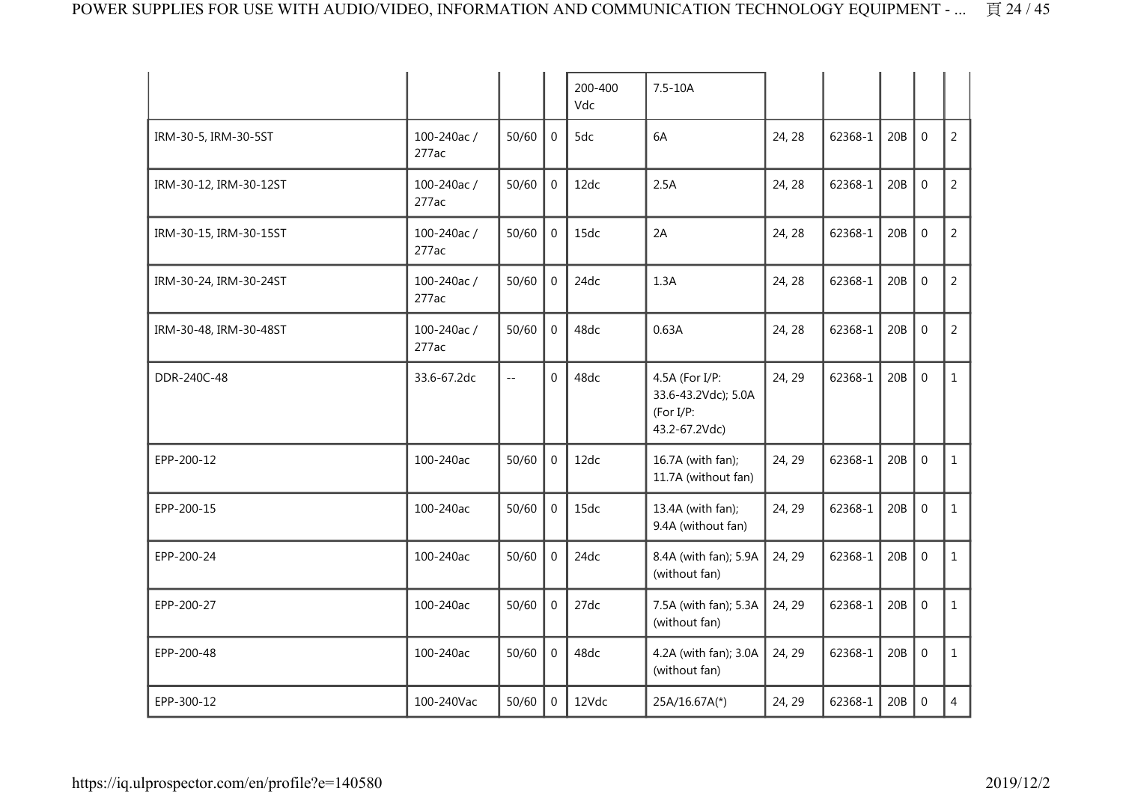|                        |                     |                      |                  | 200-400<br>Vdc | $7.5 - 10A$                                                         |        |         |     |                  |                |
|------------------------|---------------------|----------------------|------------------|----------------|---------------------------------------------------------------------|--------|---------|-----|------------------|----------------|
| IRM-30-5, IRM-30-5ST   | 100-240ac/<br>277ac | 50/60                | $\mathbf 0$      | 5dc            | 6A                                                                  | 24, 28 | 62368-1 | 20B | $\overline{0}$   | $\overline{2}$ |
| IRM-30-12, IRM-30-12ST | 100-240ac/<br>277ac | 50/60                | $\mathbf{0}$     | 12dc           | 2.5A                                                                | 24, 28 | 62368-1 | 20B | $\mathbf 0$      | $\overline{2}$ |
| IRM-30-15, IRM-30-15ST | 100-240ac/<br>277ac | 50/60                | $\mathbf 0$      | 15dc           | 2A                                                                  | 24, 28 | 62368-1 | 20B | $\mathbf 0$      | $\overline{2}$ |
| IRM-30-24, IRM-30-24ST | 100-240ac/<br>277ac | 50/60                | $\mathbf 0$      | 24dc           | 1.3A                                                                | 24, 28 | 62368-1 | 20B | $\mathbf 0$      | $\overline{2}$ |
| IRM-30-48, IRM-30-48ST | 100-240ac/<br>277ac | 50/60                | $\mathbf{0}$     | 48dc           | 0.63A                                                               | 24, 28 | 62368-1 | 20B | $\mathbf 0$      | $\overline{2}$ |
| DDR-240C-48            | 33.6-67.2dc         | $\mathbb{L}^{\perp}$ | $\overline{0}$   | 48dc           | 4.5A (For I/P:<br>33.6-43.2Vdc); 5.0A<br>(For I/P:<br>43.2-67.2Vdc) | 24, 29 | 62368-1 | 20B | $\mathbf 0$      | $\mathbf{1}$   |
| EPP-200-12             | 100-240ac           | 50/60                | $\mathbf 0$      | 12dc           | 16.7A (with fan);<br>11.7A (without fan)                            | 24, 29 | 62368-1 | 20B | $\mathbf 0$      | $\mathbf{1}$   |
| EPP-200-15             | 100-240ac           | 50/60                | $\mathbf 0$      | 15dc           | 13.4A (with fan);<br>9.4A (without fan)                             | 24, 29 | 62368-1 | 20B | $\mathbf{0}$     | $\mathbf{1}$   |
| EPP-200-24             | 100-240ac           | 50/60                | $\mathbf 0$      | 24dc           | 8.4A (with fan); 5.9A<br>(without fan)                              | 24, 29 | 62368-1 | 20B | $\mathbf 0$      | $\mathbf{1}$   |
| EPP-200-27             | 100-240ac           | 50/60                | $\Omega$         | 27dc           | 7.5A (with fan); 5.3A<br>(without fan)                              | 24, 29 | 62368-1 | 20B | $\mathbf 0$      | $\mathbf{1}$   |
| EPP-200-48             | 100-240ac           | 50/60                | $\mathbf 0$      | 48dc           | 4.2A (with fan); 3.0A<br>(without fan)                              | 24, 29 | 62368-1 | 20B | $\mathbf 0$      | $\mathbf{1}$   |
| EPP-300-12             | 100-240Vac          | 50/60                | $\boldsymbol{0}$ | 12Vdc          | 25A/16.67A(*)                                                       | 24, 29 | 62368-1 | 20B | $\boldsymbol{0}$ | $\overline{4}$ |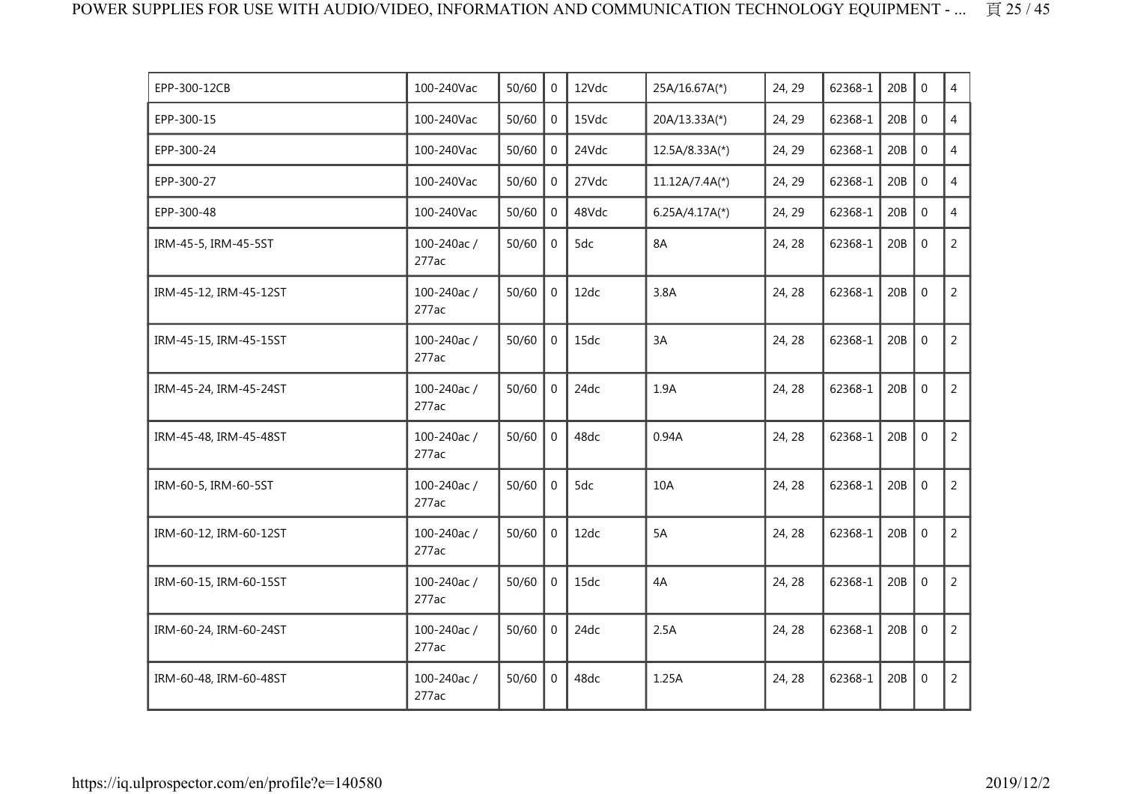| EPP-300-12CB           | 100-240Vac          | 50/60 | $\Omega$       | 12Vdc | 25A/16.67A(*)    | 24, 29 | 62368-1 | 20B | $\mathbf 0$      | 4              |
|------------------------|---------------------|-------|----------------|-------|------------------|--------|---------|-----|------------------|----------------|
| EPP-300-15             | 100-240Vac          | 50/60 | $\mathbf 0$    | 15Vdc | 20A/13.33A(*)    | 24, 29 | 62368-1 | 20B | $\mathbf 0$      | $\overline{4}$ |
| EPP-300-24             | 100-240Vac          | 50/60 | $\overline{0}$ | 24Vdc | 12.5A/8.33A(*)   | 24, 29 | 62368-1 | 20B | $\mathbf{0}$     | $\overline{4}$ |
| EPP-300-27             | 100-240Vac          | 50/60 | $\overline{0}$ | 27Vdc | $11.12A/7.4A(*)$ | 24, 29 | 62368-1 | 20B | $\mathbf 0$      | $\overline{4}$ |
| EPP-300-48             | 100-240Vac          | 50/60 | $\overline{0}$ | 48Vdc | $6.25A/4.17A(*)$ | 24, 29 | 62368-1 | 20B | $\mathbf 0$      | $\overline{4}$ |
| IRM-45-5, IRM-45-5ST   | 100-240ac/<br>277ac | 50/60 | $\mathbf 0$    | 5dc   | <b>8A</b>        | 24, 28 | 62368-1 | 20B | $\mathbf 0$      | $\overline{2}$ |
| IRM-45-12, IRM-45-12ST | 100-240ac/<br>277ac | 50/60 | $\mathbf 0$    | 12dc  | 3.8A             | 24, 28 | 62368-1 | 20B | $\mathbf 0$      | $\overline{2}$ |
| IRM-45-15, IRM-45-15ST | 100-240ac/<br>277ac | 50/60 | $\mathbf 0$    | 15dc  | 3A               | 24, 28 | 62368-1 | 20B | $\mathbf 0$      | $\overline{2}$ |
| IRM-45-24, IRM-45-24ST | 100-240ac/<br>277ac | 50/60 | $\overline{0}$ | 24dc  | 1.9A             | 24, 28 | 62368-1 | 20B | $\mathbf 0$      | $\overline{2}$ |
| IRM-45-48, IRM-45-48ST | 100-240ac/<br>277ac | 50/60 | $\mathbf 0$    | 48dc  | 0.94A            | 24, 28 | 62368-1 | 20B | $\mathbf 0$      | $\overline{2}$ |
| IRM-60-5, IRM-60-5ST   | 100-240ac/<br>277ac | 50/60 | $\mathbf{0}$   | 5dc   | 10A              | 24, 28 | 62368-1 | 20B | $\mathbf{0}$     | $\overline{2}$ |
| IRM-60-12, IRM-60-12ST | 100-240ac/<br>277ac | 50/60 | $\mathbf 0$    | 12dc  | 5A               | 24, 28 | 62368-1 | 20B | $\mathbf 0$      | $\overline{2}$ |
| IRM-60-15, IRM-60-15ST | 100-240ac/<br>277ac | 50/60 | $\mathbf 0$    | 15dc  | 4A               | 24, 28 | 62368-1 | 20B | $\mathbf 0$      | $\overline{2}$ |
| IRM-60-24, IRM-60-24ST | 100-240ac/<br>277ac | 50/60 | $\mathbf{0}$   | 24dc  | 2.5A             | 24, 28 | 62368-1 | 20B | $\boldsymbol{0}$ | $\overline{2}$ |
| IRM-60-48, IRM-60-48ST | 100-240ac/<br>277ac | 50/60 | $\mathbf 0$    | 48dc  | 1.25A            | 24, 28 | 62368-1 | 20B | $\boldsymbol{0}$ | $\overline{2}$ |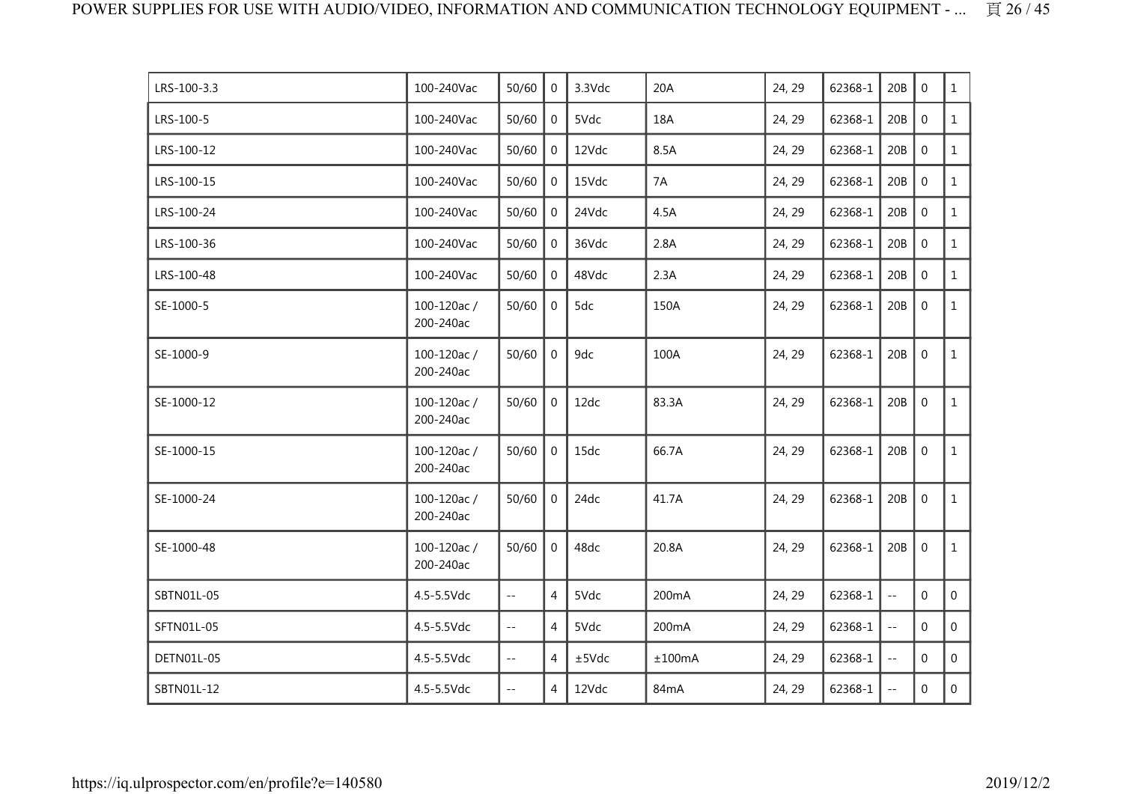| LRS-100-3.3 | 100-240Vac              | 50/60                    | $\Omega$       | 3.3Vdc | 20A    | 24, 29 | 62368-1 | 20B                  | $\mathbf 0$      | $\mathbf{1}$   |
|-------------|-------------------------|--------------------------|----------------|--------|--------|--------|---------|----------------------|------------------|----------------|
| LRS-100-5   | 100-240Vac              | 50/60                    | $\mathbf 0$    | 5Vdc   | 18A    | 24, 29 | 62368-1 | 20B                  | $\mathbf 0$      | $\mathbf{1}$   |
| LRS-100-12  | 100-240Vac              | 50/60                    | $\mathbf 0$    | 12Vdc  | 8.5A   | 24, 29 | 62368-1 | 20B                  | $\mathbf 0$      | $\mathbf{1}$   |
| LRS-100-15  | 100-240Vac              | 50/60                    | $\mathbf{0}$   | 15Vdc  | 7A     | 24, 29 | 62368-1 | 20B                  | $\mathbf 0$      | $\mathbf{1}$   |
| LRS-100-24  | 100-240Vac              | 50/60                    | $\mathbf 0$    | 24Vdc  | 4.5A   | 24, 29 | 62368-1 | 20B                  | $\mathbf 0$      | $\mathbf{1}$   |
| LRS-100-36  | 100-240Vac              | 50/60                    | $\mathbf 0$    | 36Vdc  | 2.8A   | 24, 29 | 62368-1 | 20B                  | $\mathbf 0$      | $\mathbf{1}$   |
| LRS-100-48  | 100-240Vac              | 50/60                    | 0              | 48Vdc  | 2.3A   | 24, 29 | 62368-1 | 20B                  | $\boldsymbol{0}$ | $\mathbf{1}$   |
| SE-1000-5   | 100-120ac/<br>200-240ac | 50/60                    | $\mathbf 0$    | 5dc    | 150A   | 24, 29 | 62368-1 | 20B                  | $\mathbf 0$      | $\mathbf{1}$   |
| SE-1000-9   | 100-120ac/<br>200-240ac | 50/60                    | $\mathbf 0$    | 9dc    | 100A   | 24, 29 | 62368-1 | 20B                  | $\mathbf 0$      | $\mathbf{1}$   |
| SE-1000-12  | 100-120ac/<br>200-240ac | 50/60                    | $\mathbf 0$    | 12dc   | 83.3A  | 24, 29 | 62368-1 | 20B                  | $\boldsymbol{0}$ | $\mathbf{1}$   |
| SE-1000-15  | 100-120ac/<br>200-240ac | 50/60                    | $\overline{0}$ | 15dc   | 66.7A  | 24, 29 | 62368-1 | 20B                  | $\boldsymbol{0}$ | $\mathbf{1}$   |
| SE-1000-24  | 100-120ac/<br>200-240ac | 50/60                    | $\Omega$       | 24dc   | 41.7A  | 24, 29 | 62368-1 | 20B                  | $\mathbf 0$      | $\mathbf{1}$   |
| SE-1000-48  | 100-120ac/<br>200-240ac | 50/60                    | $\mathbf{0}$   | 48dc   | 20.8A  | 24, 29 | 62368-1 | 20B                  | $\mathbf 0$      | $\mathbf{1}$   |
| SBTN01L-05  | 4.5-5.5Vdc              | $\overline{\phantom{a}}$ | 4              | 5Vdc   | 200mA  | 24, 29 | 62368-1 | $\sim$ $\sim$        | $\mathbf 0$      | $\mathbf{0}$   |
| SFTN01L-05  | 4.5-5.5Vdc              | $\mathbb{L}^{\perp}$     | $\overline{4}$ | 5Vdc   | 200mA  | 24, 29 | 62368-1 | $\mathbb{Z}^{\perp}$ | $\mathbf 0$      | $\overline{0}$ |
| DETN01L-05  | 4.5-5.5Vdc              | $\sim$ $-$               | 4              | ±5Vdc  | ±100mA | 24, 29 | 62368-1 | $\sim$ $\sim$        | $\mathbf{0}$     | $\mathbf{0}$   |
| SBTN01L-12  | 4.5-5.5Vdc              | $\overline{\phantom{a}}$ | 4              | 12Vdc  | 84mA   | 24, 29 | 62368-1 | $\pm$ $\pm$          | 0                | $\overline{0}$ |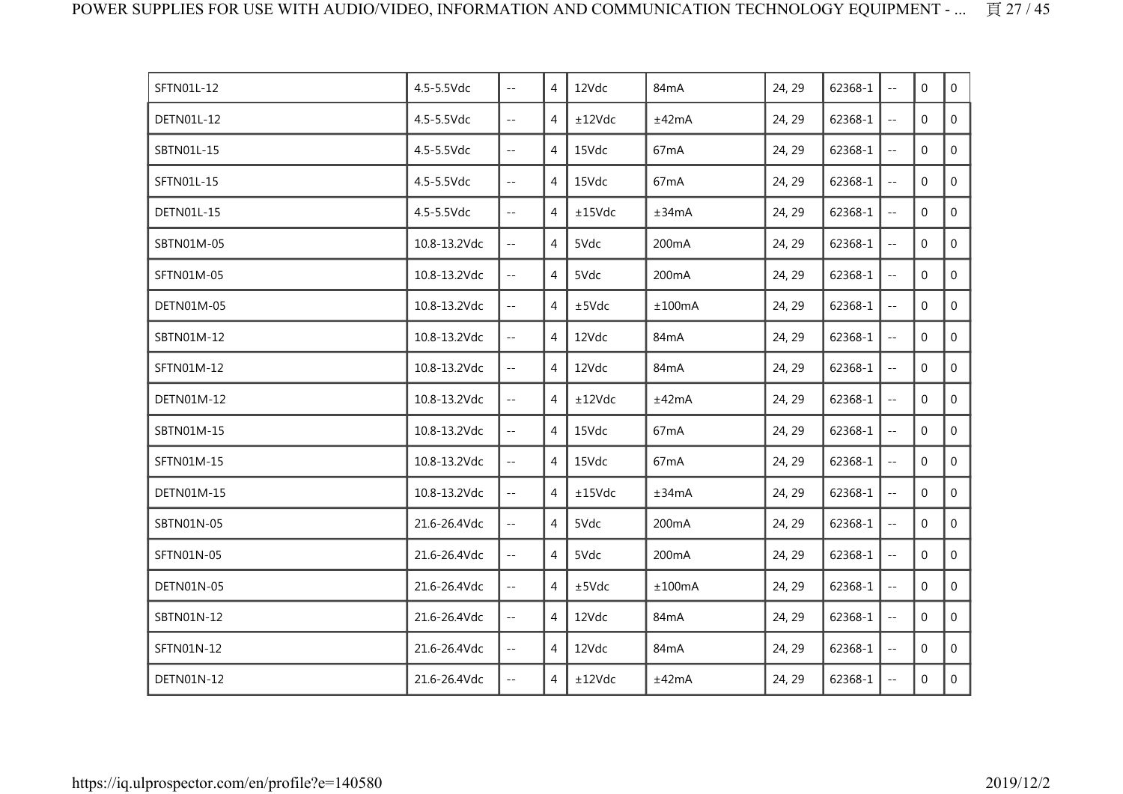| SFTN01L-12 | 4.5-5.5Vdc   | $\sim$ $\sim$               | 4              | 12Vdc  | 84 <sub>m</sub> A  | 24, 29 | 62368-1 | $\sim$ $\sim$              | $\mathbf{0}$   | $\mathbf 0$    |
|------------|--------------|-----------------------------|----------------|--------|--------------------|--------|---------|----------------------------|----------------|----------------|
| DETN01L-12 | 4.5-5.5Vdc   | $\sim$ $-$                  | 4              | ±12Vdc | ±42mA              | 24, 29 | 62368-1 | $\sim$ $\sim$              | $\mathbf{0}$   | $\mathbf 0$    |
| SBTN01L-15 | 4.5-5.5Vdc   | $\mathbb{L} \mathbb{L}$     | 4              | 15Vdc  | 67mA               | 24, 29 | 62368-1 | $\overline{\phantom{a}}$ . | $\Omega$       | $\mathbf 0$    |
| SFTN01L-15 | 4.5-5.5Vdc   | $\sim$ $\sim$               | $\overline{4}$ | 15Vdc  | 67 <sub>m</sub> A  | 24, 29 | 62368-1 | $\overline{\phantom{a}}$   | $\mathbf 0$    | $\mathbf 0$    |
| DETN01L-15 | 4.5-5.5Vdc   | $\sim$ $-$                  | 4              | ±15Vdc | ±34mA              | 24, 29 | 62368-1 | $\sim$ $\sim$              | $\Omega$       | $\overline{0}$ |
| SBTN01M-05 | 10.8-13.2Vdc | $- -$                       | 4              | 5Vdc   | 200mA              | 24, 29 | 62368-1 | $\sim$ $-$                 | $\mathbf 0$    | $\mathbf 0$    |
| SFTN01M-05 | 10.8-13.2Vdc | $\mathbb{L}^{\perp}$        | $\overline{4}$ | 5Vdc   | 200mA              | 24, 29 | 62368-1 | $\mathbb{Z}^{\perp}$       | $\mathbf 0$    | $\overline{0}$ |
| DETN01M-05 | 10.8-13.2Vdc | $\mathbb{L}^{\mathbb{L}}$   | 4              | ±5Vdc  | ±100mA             | 24, 29 | 62368-1 | $\overline{\phantom{a}}$ . | $\mathbf{0}$   | $\mathbf{0}$   |
| SBTN01M-12 | 10.8-13.2Vdc | $ -$                        | 4              | 12Vdc  | 84mA               | 24, 29 | 62368-1 | $\sim$ $-$                 | $\Omega$       | $\overline{0}$ |
| SFTN01M-12 | 10.8-13.2Vdc | $\mathcal{L}^{\mathcal{L}}$ | $\overline{4}$ | 12Vdc  | 84mA               | 24, 29 | 62368-1 | $\sim$ $\sim$              | $\Omega$       | $\mathbf 0$    |
| DETN01M-12 | 10.8-13.2Vdc | $\mathcal{L}(\mathcal{L})$  | 4              | ±12Vdc | ±42mA              | 24, 29 | 62368-1 | $\overline{\phantom{a}}$   | $\mathbf{0}$   | $\mathbf 0$    |
| SBTN01M-15 | 10.8-13.2Vdc | $ -$                        | $\overline{4}$ | 15Vdc  | 67mA               | 24, 29 | 62368-1 | $\overline{\phantom{a}}$   | $\mathbf 0$    | $\overline{0}$ |
| SFTN01M-15 | 10.8-13.2Vdc | $\mathcal{L}^{\mathcal{L}}$ | 4              | 15Vdc  | 67 <sub>m</sub> A  | 24, 29 | 62368-1 | $\sim$ $-$                 | $\mathbf{0}$   | $\mathbf 0$    |
| DETN01M-15 | 10.8-13.2Vdc | $\mathcal{L}(\mathcal{L})$  | 4              | ±15Vdc | ±34mA              | 24, 29 | 62368-1 | $\sim$ $\sim$              | $\overline{0}$ | $\overline{0}$ |
| SBTN01N-05 | 21.6-26.4Vdc | $\mathcal{L}^{\mathcal{L}}$ | 4              | 5Vdc   | 200 <sub>m</sub> A | 24, 29 | 62368-1 | $\overline{a}$             | $\mathbf{0}$   | 0              |
| SFTN01N-05 | 21.6-26.4Vdc | $\mathcal{L}(\mathcal{L})$  | $\overline{4}$ | 5Vdc   | 200mA              | 24, 29 | 62368-1 | $\sim$ $-$                 | $\Omega$       | $\overline{0}$ |
| DETN01N-05 | 21.6-26.4Vdc | $\mathcal{L}^{\perp}$       | $\overline{4}$ | ±5Vdc  | ±100mA             | 24, 29 | 62368-1 | $\sim$ $-$                 | $\mathbf{0}$   | $\mathbf 0$    |
| SBTN01N-12 | 21.6-26.4Vdc | $- -$                       | $\overline{4}$ | 12Vdc  | 84mA               | 24, 29 | 62368-1 | $\overline{\phantom{a}}$   | $\mathbf{0}$   | $\mathbf 0$    |
| SFTN01N-12 | 21.6-26.4Vdc | $-$                         | 4              | 12Vdc  | 84 <sub>m</sub> A  | 24, 29 | 62368-1 | $\overline{\phantom{a}}$   | $\mathbf 0$    | 0              |
| DETN01N-12 | 21.6-26.4Vdc | $-$                         | 4              | ±12Vdc | ±42mA              | 24, 29 | 62368-1 | $\sim$ $-$                 | $\mathbf{0}$   | $\overline{0}$ |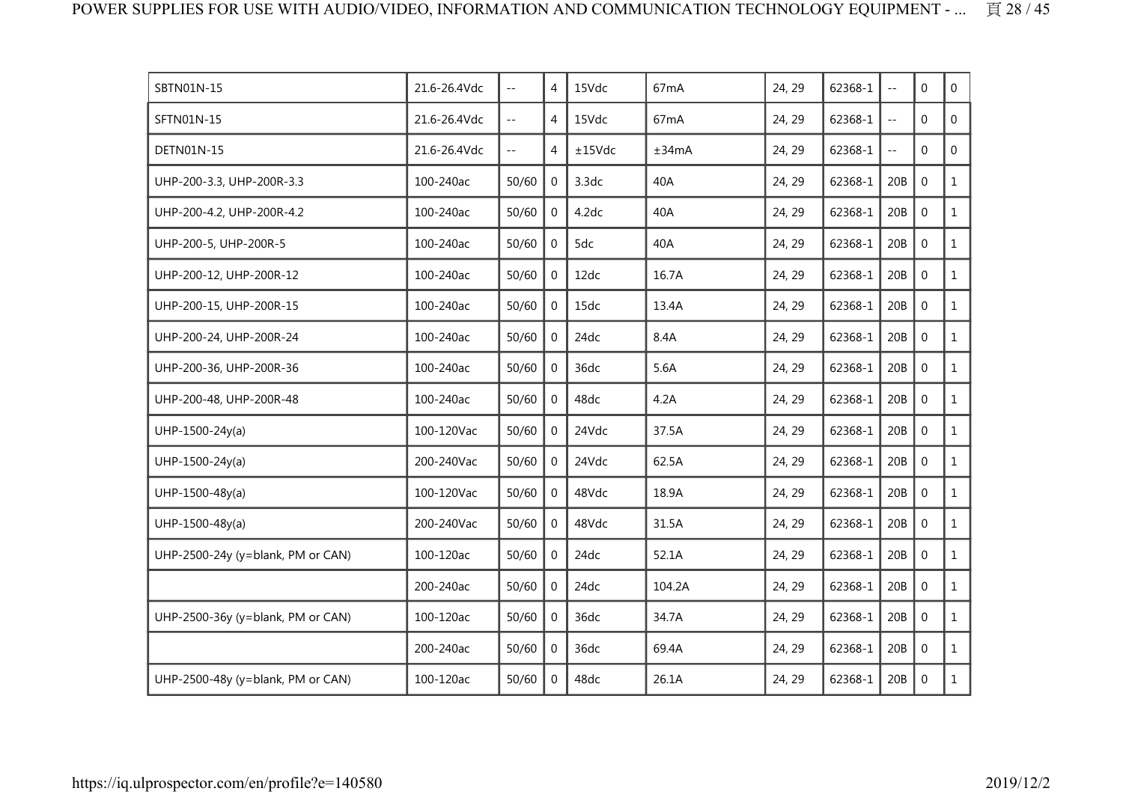| SBTN01N-15                        | 21.6-26.4Vdc | $\overline{\phantom{a}}$  | 4              | 15Vdc  | 67 <sub>m</sub> A | 24, 29 | 62368-1 | $\ddotsc$     | $\Omega$         | $\mathbf 0$    |
|-----------------------------------|--------------|---------------------------|----------------|--------|-------------------|--------|---------|---------------|------------------|----------------|
| SFTN01N-15                        | 21.6-26.4Vdc | $-$                       | 4              | 15Vdc  | 67 <sub>m</sub> A | 24, 29 | 62368-1 | $\sim$ $\sim$ | $\mathbf{0}$     | 0              |
| <b>DETN01N-15</b>                 | 21.6-26.4Vdc | $\mathbb{L}^{\mathbb{L}}$ | 4              | ±15Vdc | ±34mA             | 24, 29 | 62368-1 | $\sim$ $\sim$ | $\Omega$         | $\overline{0}$ |
| UHP-200-3.3, UHP-200R-3.3         | 100-240ac    | 50/60                     | 0              | 3.3dc  | 40A               | 24, 29 | 62368-1 | 20B           | $\Omega$         | $\mathbf{1}$   |
| UHP-200-4.2, UHP-200R-4.2         | 100-240ac    | 50/60                     | $\mathbf{0}$   | 4.2dc  | 40A               | 24, 29 | 62368-1 | 20B           | $\mathbf{0}$     | $\mathbf{1}$   |
| UHP-200-5, UHP-200R-5             | 100-240ac    | 50/60                     | $\mathbf{0}$   | 5dc    | 40A               | 24, 29 | 62368-1 | 20B           | $\mathbf 0$      | $\mathbf{1}$   |
| UHP-200-12, UHP-200R-12           | 100-240ac    | 50/60                     | $\overline{0}$ | 12dc   | 16.7A             | 24, 29 | 62368-1 | 20B           | $\mathbf 0$      | $\mathbf{1}$   |
| UHP-200-15, UHP-200R-15           | 100-240ac    | 50/60                     | $\Omega$       | 15dc   | 13.4A             | 24, 29 | 62368-1 | 20B           | $\boldsymbol{0}$ | $\mathbf{1}$   |
| UHP-200-24, UHP-200R-24           | 100-240ac    | 50/60                     | $\Omega$       | 24dc   | 8.4A              | 24, 29 | 62368-1 | 20B           | $\mathbf{0}$     | $\mathbf{1}$   |
| UHP-200-36, UHP-200R-36           | 100-240ac    | 50/60                     | $\Omega$       | 36dc   | 5.6A              | 24, 29 | 62368-1 | 20B           | $\mathbf 0$      | $\mathbf{1}$   |
| UHP-200-48, UHP-200R-48           | 100-240ac    | 50/60                     | $\mathbf{0}$   | 48dc   | 4.2A              | 24, 29 | 62368-1 | 20B           | $\mathbf 0$      | $\mathbf{1}$   |
| $UHP-1500-24y(a)$                 | 100-120Vac   | 50/60                     | $\overline{0}$ | 24Vdc  | 37.5A             | 24, 29 | 62368-1 | 20B           | $\mathbf{0}$     | $\mathbf{1}$   |
| UHP-1500-24y(a)                   | 200-240Vac   | 50/60                     | $\overline{0}$ | 24Vdc  | 62.5A             | 24, 29 | 62368-1 | 20B           | $\mathbf 0$      | $\mathbf{1}$   |
| UHP-1500-48y(a)                   | 100-120Vac   | 50/60                     | $\Omega$       | 48Vdc  | 18.9A             | 24, 29 | 62368-1 | 20B           | $\mathbf{0}$     | $\mathbf{1}$   |
| UHP-1500-48y(a)                   | 200-240Vac   | 50/60                     | $\Omega$       | 48Vdc  | 31.5A             | 24, 29 | 62368-1 | 20B           | $\mathbf 0$      | $\mathbf{1}$   |
| UHP-2500-24y (y=blank, PM or CAN) | 100-120ac    | 50/60                     | $\Omega$       | 24dc   | 52.1A             | 24, 29 | 62368-1 | 20B           | $\mathbf 0$      | $\mathbf{1}$   |
|                                   | 200-240ac    | 50/60                     | $\mathbf{0}$   | 24dc   | 104.2A            | 24, 29 | 62368-1 | 20B           | $\mathbf 0$      | $\mathbf{1}$   |
| UHP-2500-36y (y=blank, PM or CAN) | 100-120ac    | 50/60                     | $\mathbf{0}$   | 36dc   | 34.7A             | 24, 29 | 62368-1 | 20B           | $\mathbf{0}$     | $\mathbf{1}$   |
|                                   | 200-240ac    | 50/60                     | $\mathbf{0}$   | 36dc   | 69.4A             | 24, 29 | 62368-1 | 20B           | $\mathbf{0}$     | $\mathbf{1}$   |
| UHP-2500-48y (y=blank, PM or CAN) | 100-120ac    | 50/60                     | $\Omega$       | 48dc   | 26.1A             | 24, 29 | 62368-1 | 20B           | $\mathbf 0$      | $\mathbf{1}$   |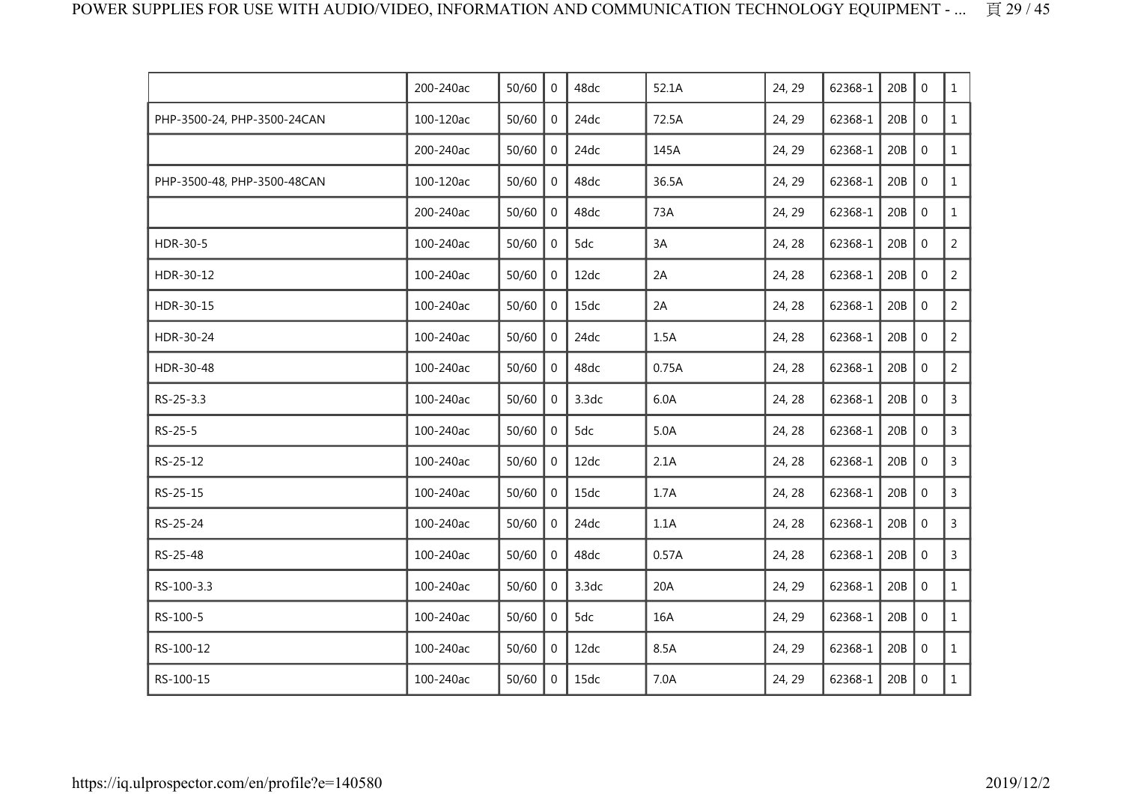|                             | 200-240ac | 50/60 | $\Omega$       | 48dc  | 52.1A | 24, 29 | 62368-1 | 20B | $\mathbf 0$ | $\mathbf{1}$   |
|-----------------------------|-----------|-------|----------------|-------|-------|--------|---------|-----|-------------|----------------|
| PHP-3500-24, PHP-3500-24CAN | 100-120ac | 50/60 | $\mathbf 0$    | 24dc  | 72.5A | 24, 29 | 62368-1 | 20B | $\mathbf 0$ | $\mathbf{1}$   |
|                             | 200-240ac | 50/60 | 0              | 24dc  | 145A  | 24, 29 | 62368-1 | 20B | $\mathbf 0$ | $\mathbf{1}$   |
| PHP-3500-48, PHP-3500-48CAN | 100-120ac | 50/60 | 0              | 48dc  | 36.5A | 24, 29 | 62368-1 | 20B | $\mathbf 0$ | $\mathbf{1}$   |
|                             | 200-240ac | 50/60 | $\Omega$       | 48dc  | 73A   | 24, 29 | 62368-1 | 20B | $\mathbf 0$ | $\mathbf{1}$   |
| HDR-30-5                    | 100-240ac | 50/60 | $\mathbf 0$    | 5dc   | 3A    | 24, 28 | 62368-1 | 20B | $\mathbf 0$ | $\overline{2}$ |
| HDR-30-12                   | 100-240ac | 50/60 | $\mathbf 0$    | 12dc  | 2A    | 24, 28 | 62368-1 | 20B | $\mathbf 0$ | $\overline{2}$ |
| HDR-30-15                   | 100-240ac | 50/60 | $\Omega$       | 15dc  | 2A    | 24, 28 | 62368-1 | 20B | $\mathbf 0$ | $\overline{2}$ |
| HDR-30-24                   | 100-240ac | 50/60 | $\mathbf 0$    | 24dc  | 1.5A  | 24, 28 | 62368-1 | 20B | $\mathbf 0$ | $\overline{2}$ |
| HDR-30-48                   | 100-240ac | 50/60 | $\overline{0}$ | 48dc  | 0.75A | 24, 28 | 62368-1 | 20B | $\mathbf 0$ | $\overline{2}$ |
| RS-25-3.3                   | 100-240ac | 50/60 | $\overline{0}$ | 3.3dc | 6.0A  | 24, 28 | 62368-1 | 20B | $\mathbf 0$ | $\overline{3}$ |
| RS-25-5                     | 100-240ac | 50/60 | $\mathbf 0$    | 5dc   | 5.0A  | 24, 28 | 62368-1 | 20B | $\mathbf 0$ | $\mathsf{3}$   |
| RS-25-12                    | 100-240ac | 50/60 | $\mathbf 0$    | 12dc  | 2.1A  | 24, 28 | 62368-1 | 20B | $\mathbf 0$ | $\mathsf{3}$   |
| RS-25-15                    | 100-240ac | 50/60 | $\overline{0}$ | 15dc  | 1.7A  | 24, 28 | 62368-1 | 20B | $\mathbf 0$ | $\mathsf{3}$   |
| RS-25-24                    | 100-240ac | 50/60 | 0              | 24dc  | 1.1A  | 24, 28 | 62368-1 | 20B | $\mathbf 0$ | 3              |
| RS-25-48                    | 100-240ac | 50/60 | 0              | 48dc  | 0.57A | 24, 28 | 62368-1 | 20B | $\mathbf 0$ | $\mathsf{3}$   |
| RS-100-3.3                  | 100-240ac | 50/60 | $\mathbf 0$    | 3.3dc | 20A   | 24, 29 | 62368-1 | 20B | $\mathbf 0$ | $\mathbf{1}$   |
| RS-100-5                    | 100-240ac | 50/60 | $\Omega$       | 5dc   | 16A   | 24, 29 | 62368-1 | 20B | $\mathbf 0$ | $\mathbf{1}$   |
| RS-100-12                   | 100-240ac | 50/60 | $\Omega$       | 12dc  | 8.5A  | 24, 29 | 62368-1 | 20B | $\mathbf 0$ | $\mathbf{1}$   |
| RS-100-15                   | 100-240ac | 50/60 | $\mathbf{0}$   | 15dc  | 7.0A  | 24, 29 | 62368-1 | 20B | $\mathbf 0$ | $\mathbf{1}$   |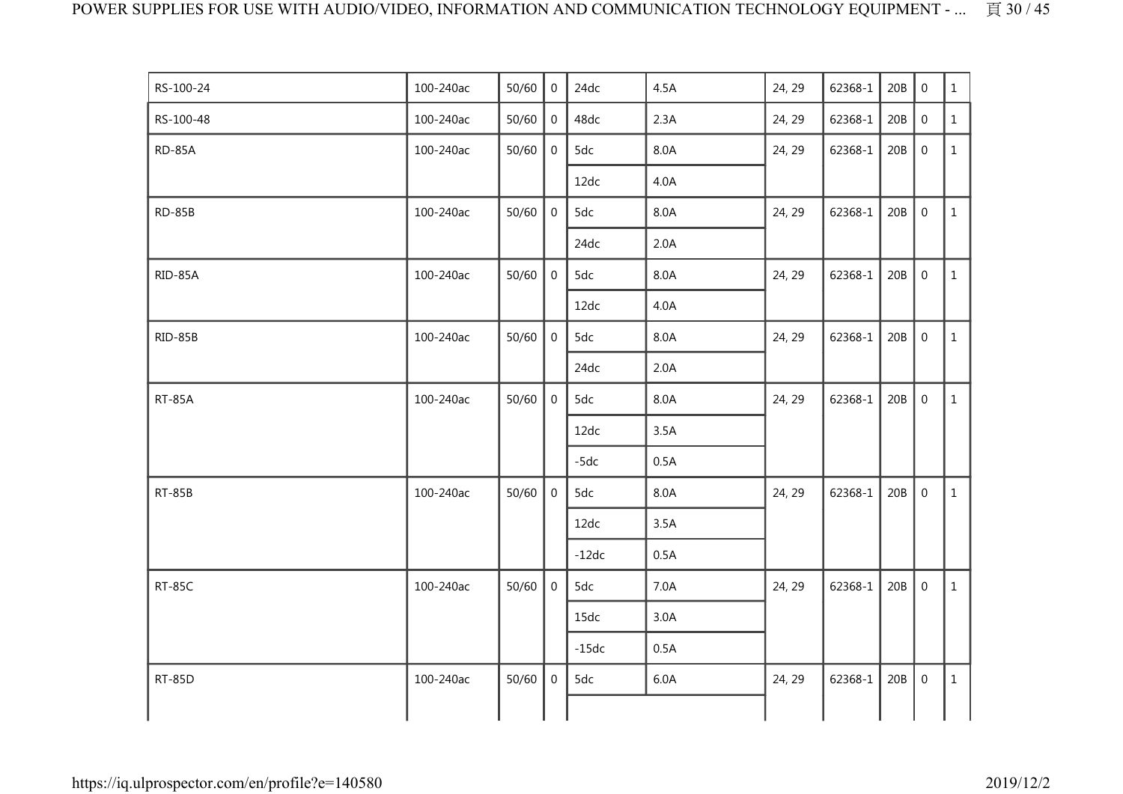| RS-100-24     | 100-240ac | 50/60 | $\mathbf 0$      | 24dc    | 4.5A | 24, 29 | 62368-1 | 20B | $\mathbf 0$      | $\mathbf{1}$ |
|---------------|-----------|-------|------------------|---------|------|--------|---------|-----|------------------|--------------|
| RS-100-48     | 100-240ac | 50/60 | $\mathbf{0}$     | 48dc    | 2.3A | 24, 29 | 62368-1 | 20B | $\boldsymbol{0}$ | $\mathbf{1}$ |
| <b>RD-85A</b> | 100-240ac | 50/60 | 0                | 5dc     | 8.0A | 24, 29 | 62368-1 | 20B | $\mathbf 0$      | $\mathbf{1}$ |
|               |           |       |                  | 12dc    | 4.0A |        |         |     |                  |              |
| RD-85B        | 100-240ac | 50/60 | $\mathbf 0$      | 5dc     | 8.0A | 24, 29 | 62368-1 | 20B | $\boldsymbol{0}$ | $\mathbf{1}$ |
|               |           |       |                  | 24dc    | 2.0A |        |         |     |                  |              |
| RID-85A       | 100-240ac | 50/60 | $\mathbf 0$      | 5dc     | 8.0A | 24, 29 | 62368-1 | 20B | $\mathbf 0$      | $\mathbf{1}$ |
|               |           |       |                  | 12dc    | 4.0A |        |         |     |                  |              |
| RID-85B       | 100-240ac | 50/60 | $\mathbf 0$      | 5dc     | 8.0A | 24, 29 | 62368-1 | 20B | $\boldsymbol{0}$ | $\mathbf{1}$ |
|               |           |       |                  | 24dc    | 2.0A |        |         |     |                  |              |
| <b>RT-85A</b> | 100-240ac | 50/60 | $\mathbf 0$      | 5dc     | 8.0A | 24, 29 | 62368-1 | 20B | $\boldsymbol{0}$ | $\mathbf{1}$ |
|               |           |       |                  | 12dc    | 3.5A |        |         |     |                  |              |
|               |           |       |                  | $-5dc$  | 0.5A |        |         |     |                  |              |
| <b>RT-85B</b> | 100-240ac | 50/60 | $\mathbf 0$      | 5dc     | 8.0A | 24, 29 | 62368-1 | 20B | $\mathbf 0$      | $\mathbf{1}$ |
|               |           |       |                  | 12dc    | 3.5A |        |         |     |                  |              |
|               |           |       |                  | $-12dc$ | 0.5A |        |         |     |                  |              |
| <b>RT-85C</b> | 100-240ac | 50/60 | $\boldsymbol{0}$ | 5dc     | 7.0A | 24, 29 | 62368-1 | 20B | $\boldsymbol{0}$ | $\mathbf{1}$ |
|               |           |       |                  | 15dc    | 3.0A |        |         |     |                  |              |
|               |           |       |                  | $-15dc$ | 0.5A |        |         |     |                  |              |
| <b>RT-85D</b> | 100-240ac | 50/60 | $\mathbf{0}$     | 5dc     | 6.0A | 24, 29 | 62368-1 | 20B | $\boldsymbol{0}$ | $\mathbf{1}$ |
|               |           |       |                  |         |      |        |         |     |                  |              |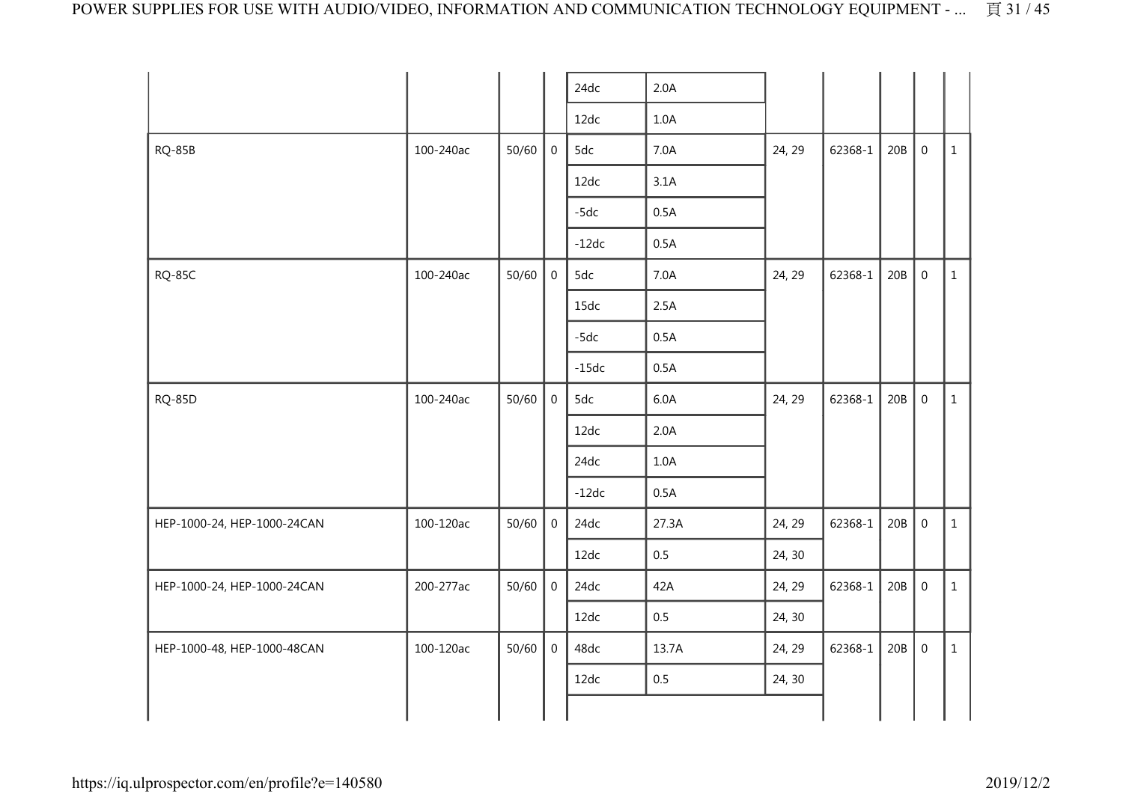|                             |           |       |                | 24dc    | 2.0A  |        |         |     |                  |              |
|-----------------------------|-----------|-------|----------------|---------|-------|--------|---------|-----|------------------|--------------|
|                             |           |       |                | 12dc    | 1.0A  |        |         |     |                  |              |
| <b>RQ-85B</b>               | 100-240ac | 50/60 | $\mathbf 0$    | 5dc     | 7.0A  | 24, 29 | 62368-1 | 20B | $\boldsymbol{0}$ | $\mathbf{1}$ |
|                             |           |       |                | 12dc    | 3.1A  |        |         |     |                  |              |
|                             |           |       |                | $-5dc$  | 0.5A  |        |         |     |                  |              |
|                             |           |       |                | $-12dc$ | 0.5A  |        |         |     |                  |              |
| <b>RQ-85C</b>               | 100-240ac | 50/60 | $\overline{0}$ | 5dc     | 7.0A  | 24, 29 | 62368-1 | 20B | $\mathbf 0$      | $\mathbf{1}$ |
|                             |           |       |                | 15dc    | 2.5A  |        |         |     |                  |              |
|                             |           |       |                | $-5dc$  | 0.5A  |        |         |     |                  |              |
|                             |           |       |                | $-15dc$ | 0.5A  |        |         |     |                  |              |
| <b>RQ-85D</b>               | 100-240ac | 50/60 | $\mathbf 0$    | 5dc     | 6.0A  | 24, 29 | 62368-1 | 20B | $\mathbf 0$      | $\mathbf{1}$ |
|                             |           |       |                | 12dc    | 2.0A  |        |         |     |                  |              |
|                             |           |       |                | 24dc    | 1.0A  |        |         |     |                  |              |
|                             |           |       |                | $-12dc$ | 0.5A  |        |         |     |                  |              |
| HEP-1000-24, HEP-1000-24CAN | 100-120ac | 50/60 | $\overline{0}$ | 24dc    | 27.3A | 24, 29 | 62368-1 | 20B | $\mathbf 0$      | $\mathbf{1}$ |
|                             |           |       |                | 12dc    | 0.5   | 24, 30 |         |     |                  |              |
| HEP-1000-24, HEP-1000-24CAN | 200-277ac | 50/60 | $\overline{0}$ | 24dc    | 42A   | 24, 29 | 62368-1 | 20B | $\mathbf 0$      | $\mathbf{1}$ |
|                             |           |       |                | 12dc    | 0.5   | 24, 30 |         |     |                  |              |
| HEP-1000-48, HEP-1000-48CAN | 100-120ac | 50/60 | $\overline{0}$ | 48dc    | 13.7A | 24, 29 | 62368-1 | 20B | $\mathbf 0$      | $\mathbf{1}$ |
|                             |           |       |                | 12dc    | 0.5   | 24, 30 |         |     |                  |              |
|                             |           |       |                |         |       |        |         |     |                  |              |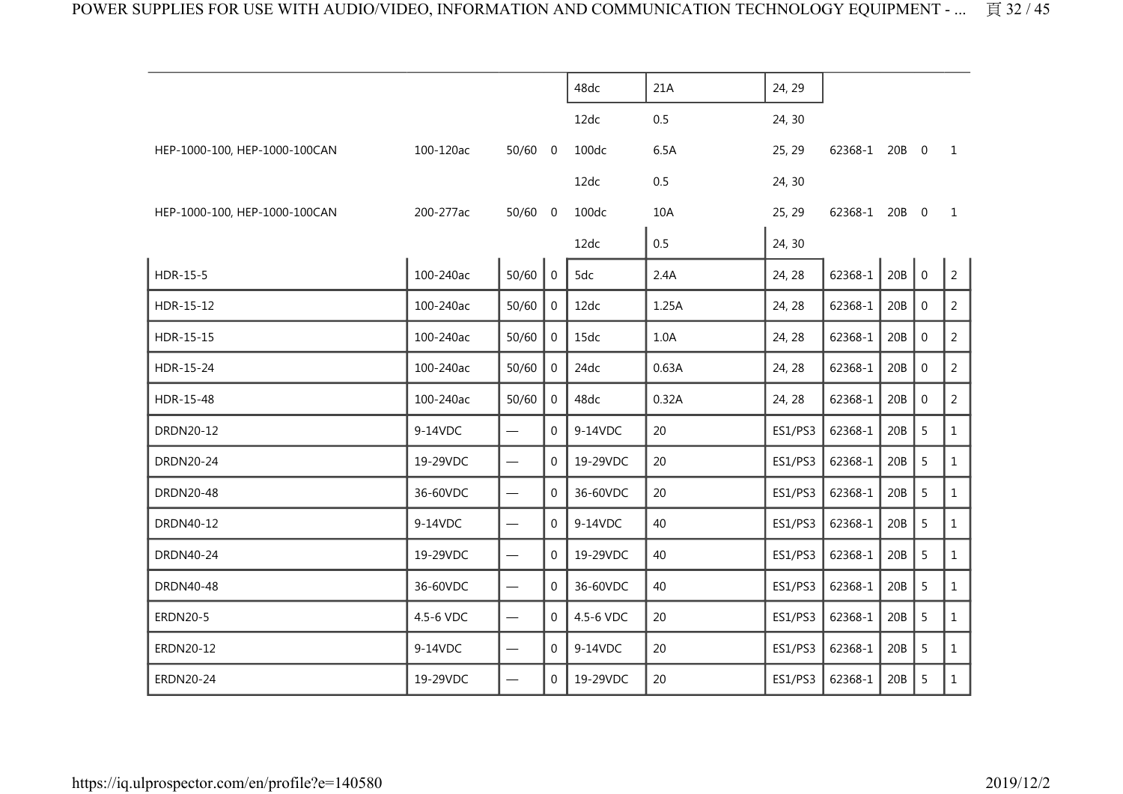|                               |           |                                  |                | 48dc      | 21A   | 24, 29  |               |         |             |                |
|-------------------------------|-----------|----------------------------------|----------------|-----------|-------|---------|---------------|---------|-------------|----------------|
|                               |           |                                  |                | 12dc      | 0.5   | 24, 30  |               |         |             |                |
| HEP-1000-100, HEP-1000-100CAN | 100-120ac | $50/60$ 0                        |                | 100dc     | 6.5A  | 25, 29  | 62368-1 20B 0 |         |             | 1              |
|                               |           |                                  |                | 12dc      | 0.5   | 24, 30  |               |         |             |                |
| HEP-1000-100, HEP-1000-100CAN | 200-277ac | $50/60$ 0                        |                | 100dc     | 10A   | 25, 29  | 62368-1 20B 0 |         |             | $\mathbf{1}$   |
|                               |           |                                  |                | 12dc      | 0.5   | 24, 30  |               |         |             |                |
| HDR-15-5                      | 100-240ac | 50/60                            | $\overline{0}$ | 5dc       | 2.4A  | 24, 28  | 62368-1       | $20B$ 0 |             | $\overline{2}$ |
| HDR-15-12                     | 100-240ac | 50/60                            | 0              | 12dc      | 1.25A | 24, 28  | 62368-1       | 20B     | $\mathbf 0$ | 2              |
| HDR-15-15                     | 100-240ac | 50/60                            | 0              | 15dc      | 1.0A  | 24, 28  | 62368-1       | 20B     | $\mathbf 0$ | $\overline{2}$ |
| HDR-15-24                     | 100-240ac | 50/60                            | $\mathbf 0$    | 24dc      | 0.63A | 24, 28  | 62368-1       | 20B     | $\mathbf 0$ | $\overline{2}$ |
| HDR-15-48                     | 100-240ac | 50/60                            | $\mathbf 0$    | 48dc      | 0.32A | 24, 28  | 62368-1       | 20B     | $\mathbf 0$ | $\overline{2}$ |
| DRDN20-12                     | 9-14VDC   | $\overline{\phantom{0}}$         | $\Omega$       | 9-14VDC   | 20    | ES1/PS3 | 62368-1       | 20B     | 5           | $\mathbf{1}$   |
| DRDN20-24                     | 19-29VDC  |                                  | $\Omega$       | 19-29VDC  | 20    | ES1/PS3 | 62368-1       | 20B     | 5           | $\mathbf{1}$   |
| <b>DRDN20-48</b>              | 36-60VDC  | $\overbrace{\phantom{12322111}}$ | $\Omega$       | 36-60VDC  | 20    | ES1/PS3 | 62368-1       | 20B     | 5           | $\mathbf{1}$   |
| DRDN40-12                     | 9-14VDC   | $\overline{\phantom{0}}$         | $\Omega$       | 9-14VDC   | 40    | ES1/PS3 | 62368-1       | 20B     | 5           | $\mathbf{1}$   |
| DRDN40-24                     | 19-29VDC  | $\overline{\phantom{0}}$         | $\mathbf{0}$   | 19-29VDC  | 40    | ES1/PS3 | 62368-1       | 20B     | 5           | $\mathbf{1}$   |
| DRDN40-48                     | 36-60VDC  |                                  | $\overline{0}$ | 36-60VDC  | 40    | ES1/PS3 | 62368-1       | 20B     | 5           | $\mathbf{1}$   |
| <b>ERDN20-5</b>               | 4.5-6 VDC | $\qquad \qquad$                  | $\Omega$       | 4.5-6 VDC | 20    | ES1/PS3 | 62368-1       | 20B     | 5           | $\mathbf{1}$   |
| ERDN20-12                     | 9-14VDC   |                                  | 0              | 9-14VDC   | 20    | ES1/PS3 | 62368-1       | 20B     | 5           | $\mathbf{1}$   |
| ERDN20-24                     | 19-29VDC  |                                  | $\Omega$       | 19-29VDC  | 20    | ES1/PS3 | 62368-1       | 20B     | 5           | $\mathbf{1}$   |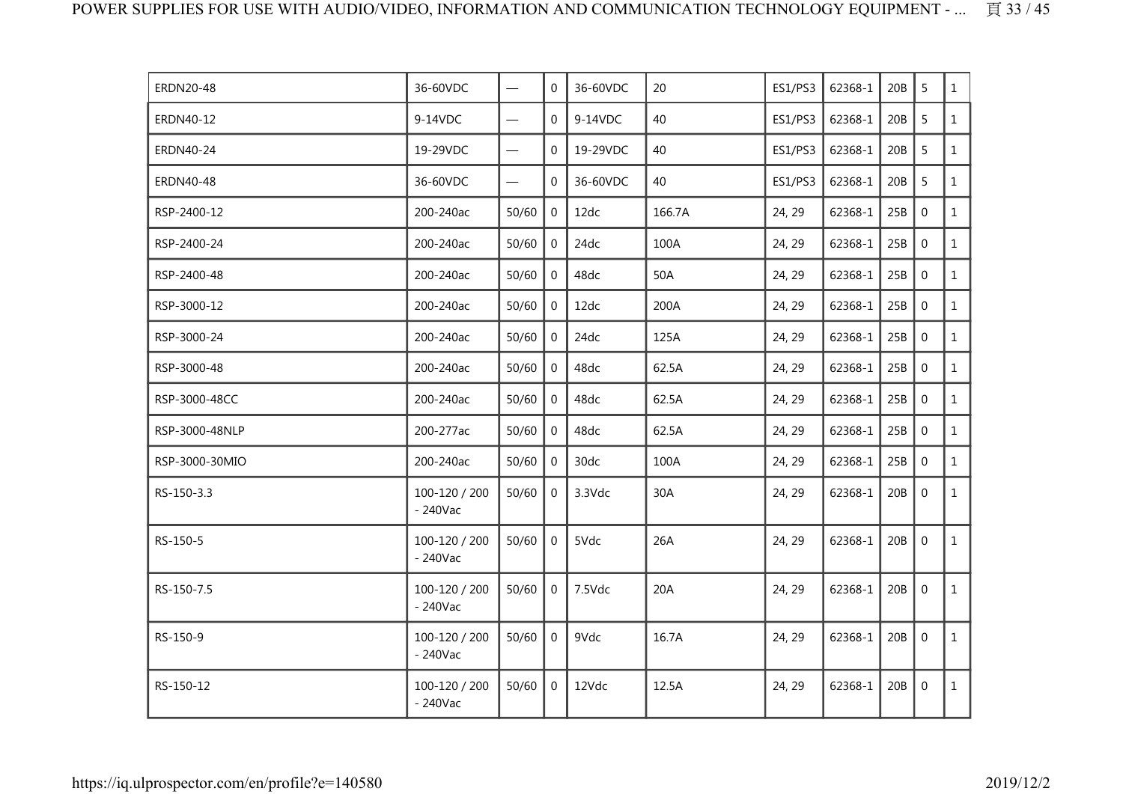| <b>ERDN20-48</b> | 36-60VDC                    |                                | $\mathbf 0$    | 36-60VDC | 20     | <b>ES1/PS3</b> | 62368-1 | 20B | 5            | $\mathbf{1}$ |
|------------------|-----------------------------|--------------------------------|----------------|----------|--------|----------------|---------|-----|--------------|--------------|
| ERDN40-12        | 9-14VDC                     | $\overline{\phantom{0}}$       | $\overline{0}$ | 9-14VDC  | 40     | ES1/PS3        | 62368-1 | 20B | 5            | $\mathbf{1}$ |
| <b>ERDN40-24</b> | 19-29VDC                    | $\qquad \qquad \longleftarrow$ | 0              | 19-29VDC | 40     | ES1/PS3        | 62368-1 | 20B | 5            | $\mathbf{1}$ |
| <b>ERDN40-48</b> | 36-60VDC                    |                                | $\mathbf 0$    | 36-60VDC | 40     | <b>ES1/PS3</b> | 62368-1 | 20B | 5            | $\mathbf{1}$ |
| RSP-2400-12      | 200-240ac                   | 50/60                          | $\overline{0}$ | 12dc     | 166.7A | 24, 29         | 62368-1 | 25B | $\mathbf 0$  | $\mathbf{1}$ |
| RSP-2400-24      | 200-240ac                   | 50/60                          | $\Omega$       | 24dc     | 100A   | 24, 29         | 62368-1 | 25B | $\mathbf 0$  | $\mathbf{1}$ |
| RSP-2400-48      | 200-240ac                   | 50/60                          | $\mathbf 0$    | 48dc     | 50A    | 24, 29         | 62368-1 | 25B | $\mathbf 0$  | $\mathbf{1}$ |
| RSP-3000-12      | 200-240ac                   | 50/60                          | $\overline{0}$ | 12dc     | 200A   | 24, 29         | 62368-1 | 25B | $\mathbf{0}$ | $\mathbf{1}$ |
| RSP-3000-24      | 200-240ac                   | 50/60                          | $\overline{0}$ | 24dc     | 125A   | 24, 29         | 62368-1 | 25B | $\mathbf 0$  | $\mathbf{1}$ |
| RSP-3000-48      | 200-240ac                   | 50/60                          | $\Omega$       | 48dc     | 62.5A  | 24, 29         | 62368-1 | 25B | $\mathbf 0$  | $\mathbf{1}$ |
| RSP-3000-48CC    | 200-240ac                   | 50/60                          | $\overline{0}$ | 48dc     | 62.5A  | 24, 29         | 62368-1 | 25B | $\mathbf 0$  | $\mathbf{1}$ |
| RSP-3000-48NLP   | 200-277ac                   | 50/60                          | $\overline{0}$ | 48dc     | 62.5A  | 24, 29         | 62368-1 | 25B | $\mathbf 0$  | $\mathbf{1}$ |
| RSP-3000-30MIO   | 200-240ac                   | 50/60                          | $\overline{0}$ | 30dc     | 100A   | 24, 29         | 62368-1 | 25B | $\mathbf 0$  | $\mathbf{1}$ |
| RS-150-3.3       | 100-120 / 200<br>$-240$ Vac | 50/60                          | $\mathbf 0$    | 3.3Vdc   | 30A    | 24, 29         | 62368-1 | 20B | $\mathbf 0$  | $\mathbf{1}$ |
| RS-150-5         | 100-120 / 200<br>$-240$ Vac | 50/60                          | $\overline{0}$ | 5Vdc     | 26A    | 24, 29         | 62368-1 | 20B | $\mathbf 0$  | $\mathbf{1}$ |
| RS-150-7.5       | 100-120 / 200<br>$-240$ Vac | 50/60                          | $\mathbf 0$    | 7.5Vdc   | 20A    | 24, 29         | 62368-1 | 20B | $\mathbf 0$  | $\mathbf{1}$ |
| RS-150-9         | 100-120 / 200<br>$-240$ Vac | 50/60                          | $\overline{0}$ | 9Vdc     | 16.7A  | 24, 29         | 62368-1 | 20B | $\mathbf 0$  | $\mathbf{1}$ |
| RS-150-12        | 100-120 / 200<br>$-240$ Vac | 50/60                          | $\mathbf 0$    | 12Vdc    | 12.5A  | 24, 29         | 62368-1 | 20B | $\mathbf 0$  | $\mathbf{1}$ |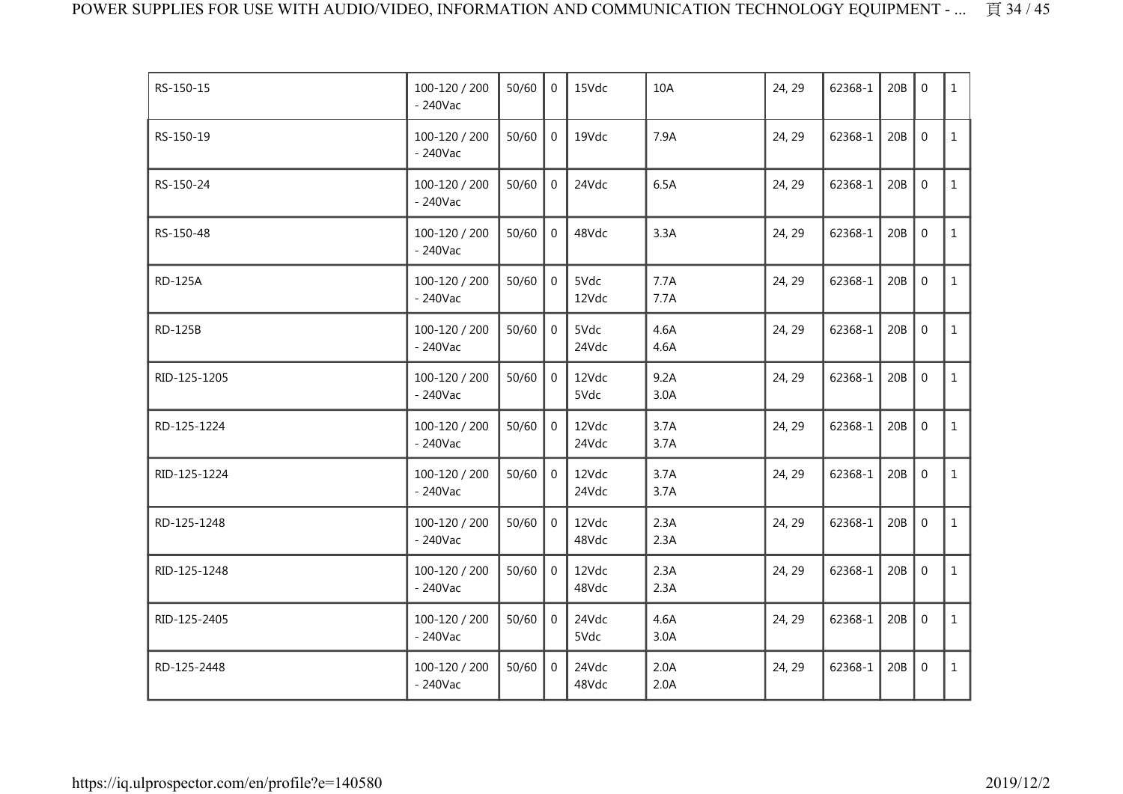| RS-150-15      | 100-120 / 200<br>$-240$ Vac | 50/60 | $\Omega$       | 15Vdc          | 10A          | 24, 29 | 62368-1 | 20B | $\mathbf 0$  | $\mathbf{1}$ |
|----------------|-----------------------------|-------|----------------|----------------|--------------|--------|---------|-----|--------------|--------------|
| RS-150-19      | 100-120 / 200<br>$-240$ Vac | 50/60 | $\mathbf 0$    | 19Vdc          | 7.9A         | 24, 29 | 62368-1 | 20B | $\mathbf 0$  | $\mathbf{1}$ |
| RS-150-24      | 100-120 / 200<br>$-240$ Vac | 50/60 | $\overline{0}$ | 24Vdc          | 6.5A         | 24, 29 | 62368-1 | 20B | $\mathbf 0$  | $\mathbf{1}$ |
| RS-150-48      | 100-120 / 200<br>$-240$ Vac | 50/60 | $\mathbf 0$    | 48Vdc          | 3.3A         | 24, 29 | 62368-1 | 20B | $\mathbf 0$  | $\mathbf{1}$ |
| <b>RD-125A</b> | 100-120 / 200<br>$-240$ Vac | 50/60 | $\mathbf 0$    | 5Vdc<br>12Vdc  | 7.7A<br>7.7A | 24, 29 | 62368-1 | 20B | $\mathbf 0$  | $\mathbf{1}$ |
| <b>RD-125B</b> | 100-120 / 200<br>$-240$ Vac | 50/60 | $\mathbf 0$    | 5Vdc<br>24Vdc  | 4.6A<br>4.6A | 24, 29 | 62368-1 | 20B | $\mathbf{0}$ | $\mathbf{1}$ |
| RID-125-1205   | 100-120 / 200<br>$-240$ Vac | 50/60 | $\overline{0}$ | 12Vdc<br>5Vdc  | 9.2A<br>3.0A | 24, 29 | 62368-1 | 20B | $\mathbf 0$  | $\mathbf{1}$ |
| RD-125-1224    | 100-120 / 200<br>$-240$ Vac | 50/60 | $\Omega$       | 12Vdc<br>24Vdc | 3.7A<br>3.7A | 24, 29 | 62368-1 | 20B | $\mathbf 0$  | $\mathbf{1}$ |
| RID-125-1224   | 100-120 / 200<br>$-240$ Vac | 50/60 | $\mathbf 0$    | 12Vdc<br>24Vdc | 3.7A<br>3.7A | 24, 29 | 62368-1 | 20B | $\mathbf 0$  | $\mathbf{1}$ |
| RD-125-1248    | 100-120 / 200<br>$-240$ Vac | 50/60 | $\overline{0}$ | 12Vdc<br>48Vdc | 2.3A<br>2.3A | 24, 29 | 62368-1 | 20B | $\mathbf 0$  | $\mathbf{1}$ |
| RID-125-1248   | 100-120 / 200<br>$-240$ Vac | 50/60 | $\mathbf{0}$   | 12Vdc<br>48Vdc | 2.3A<br>2.3A | 24, 29 | 62368-1 | 20B | $\mathbf 0$  | $\mathbf{1}$ |
| RID-125-2405   | 100-120 / 200<br>$-240$ Vac | 50/60 | $\overline{0}$ | 24Vdc<br>5Vdc  | 4.6A<br>3.0A | 24, 29 | 62368-1 | 20B | $\mathbf 0$  | $\mathbf{1}$ |
| RD-125-2448    | 100-120 / 200<br>$-240$ Vac | 50/60 | $\mathbf 0$    | 24Vdc<br>48Vdc | 2.0A<br>2.0A | 24, 29 | 62368-1 | 20B | $\mathbf 0$  | $\mathbf{1}$ |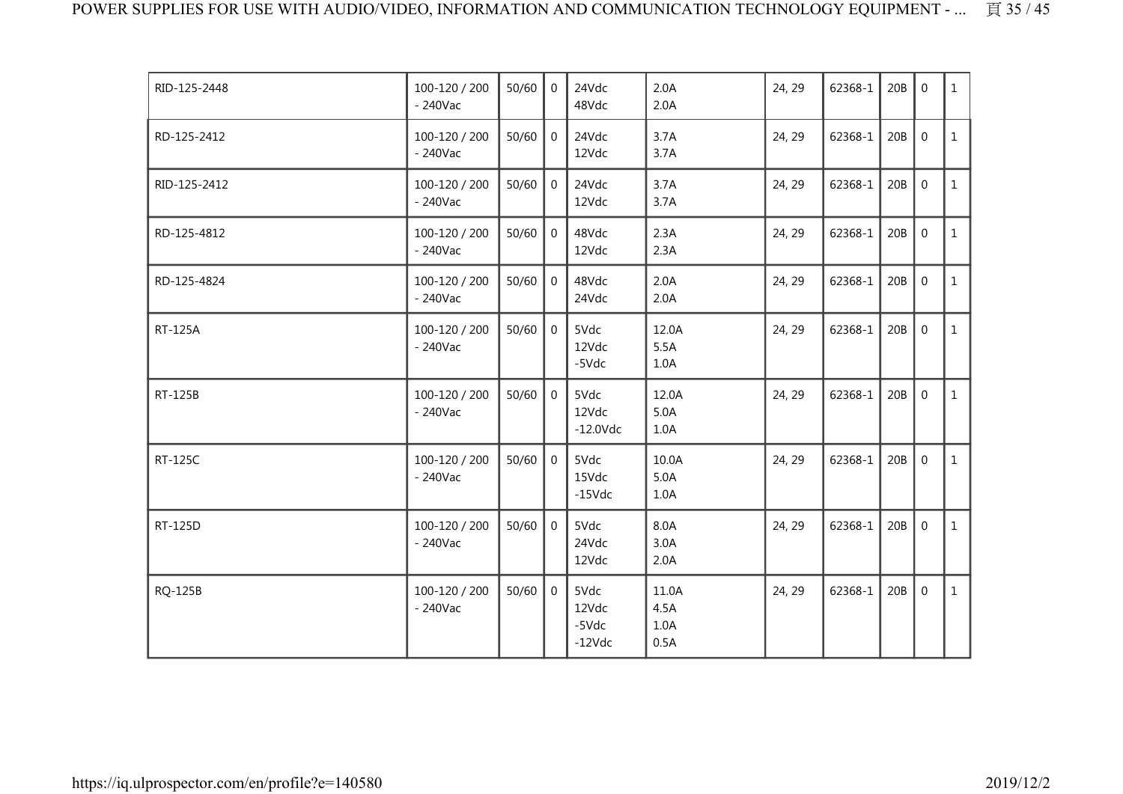| RID-125-2448 | 100-120 / 200<br>$-240$ Vac | 50/60 | $\Omega$       | 24Vdc<br>48Vdc                     | 2.0A<br>2.0A                  | 24, 29 | 62368-1 | 20B | $\mathbf{0}$   | $\mathbf{1}$ |
|--------------|-----------------------------|-------|----------------|------------------------------------|-------------------------------|--------|---------|-----|----------------|--------------|
| RD-125-2412  | 100-120 / 200<br>$-240$ Vac | 50/60 | $\overline{0}$ | 24Vdc<br>12Vdc                     | 3.7A<br>3.7A                  | 24, 29 | 62368-1 | 20B | $\mathbf 0$    | $\mathbf{1}$ |
| RID-125-2412 | 100-120 / 200<br>$-240$ Vac | 50/60 | $\Omega$       | 24Vdc<br>12Vdc                     | 3.7A<br>3.7A                  | 24, 29 | 62368-1 | 20B | $\overline{0}$ | $\mathbf{1}$ |
| RD-125-4812  | 100-120 / 200<br>$-240$ Vac | 50/60 | $\mathbf 0$    | 48Vdc<br>12Vdc                     | 2.3A<br>2.3A                  | 24, 29 | 62368-1 | 20B | $\mathbf 0$    | $\mathbf{1}$ |
| RD-125-4824  | 100-120 / 200<br>$-240$ Vac | 50/60 | $\overline{0}$ | 48Vdc<br>24Vdc                     | 2.0A<br>2.0A                  | 24, 29 | 62368-1 | 20B | $\mathbf 0$    | $\mathbf{1}$ |
| RT-125A      | 100-120 / 200<br>$-240$ Vac | 50/60 | $\overline{0}$ | 5Vdc<br>12Vdc<br>-5Vdc             | 12.0A<br>5.5A<br>1.0A         | 24, 29 | 62368-1 | 20B | $\mathbf 0$    | $\mathbf{1}$ |
| RT-125B      | 100-120 / 200<br>$-240$ Vac | 50/60 | $\mathbf{0}$   | 5Vdc<br>12Vdc<br>$-12.0$ Vdc       | 12.0A<br>5.0A<br>1.0A         | 24, 29 | 62368-1 | 20B | $\mathbf 0$    | $\mathbf{1}$ |
| RT-125C      | 100-120 / 200<br>$-240$ Vac | 50/60 | $\Omega$       | 5Vdc<br>15Vdc<br>$-15$ Vdc         | 10.0A<br>5.0A<br>1.0A         | 24, 29 | 62368-1 | 20B | $\overline{0}$ | $\mathbf{1}$ |
| RT-125D      | 100-120 / 200<br>$-240$ Vac | 50/60 | $\Omega$       | 5Vdc<br>24Vdc<br>12Vdc             | 8.0A<br>3.0A<br>2.0A          | 24, 29 | 62368-1 | 20B | $\mathbf 0$    | $\mathbf{1}$ |
| RQ-125B      | 100-120 / 200<br>$-240$ Vac | 50/60 | $\Omega$       | 5Vdc<br>12Vdc<br>-5Vdc<br>$-12Vdc$ | 11.0A<br>4.5A<br>1.0A<br>0.5A | 24, 29 | 62368-1 | 20B | $\mathbf 0$    | $\mathbf{1}$ |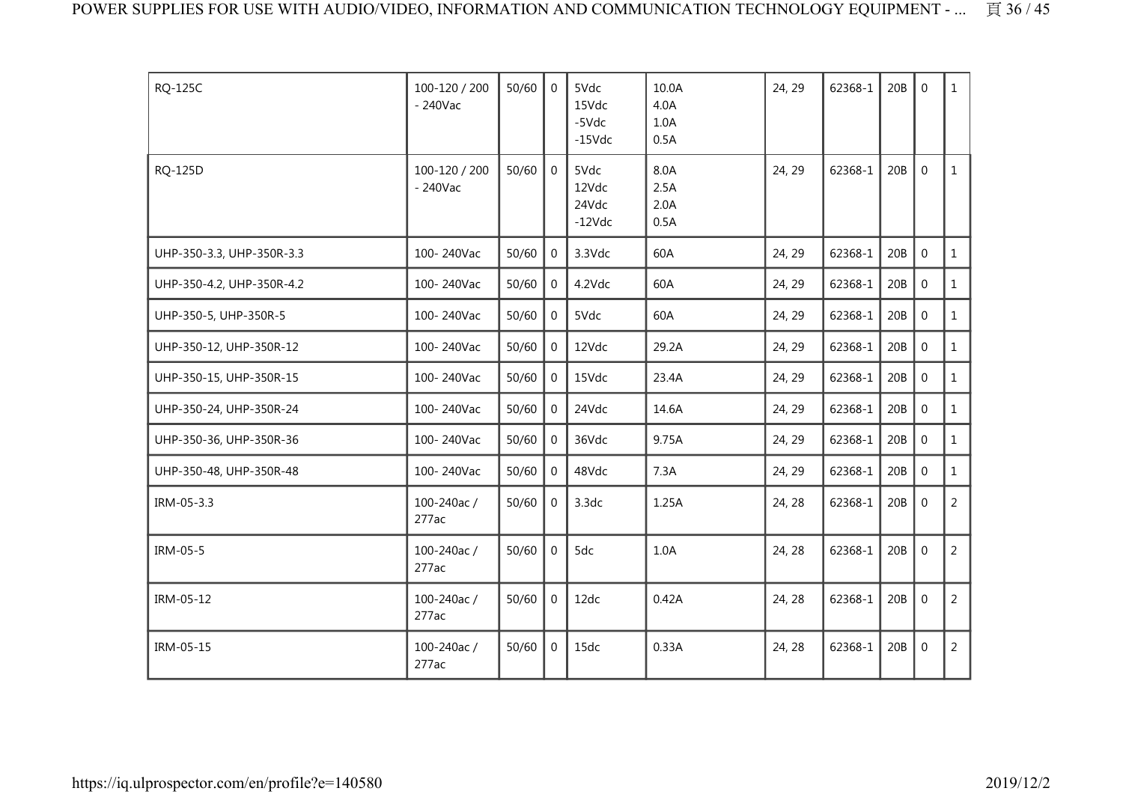| RQ-125C                   | 100-120 / 200<br>$-240$ Vac | 50/60 | $\Omega$       | 5Vdc<br>15Vdc<br>-5Vdc<br>$-15Vdc$ | 10.0A<br>4.0A<br>1.0A<br>0.5A | 24, 29 | 62368-1 | 20B | $\overline{0}$ | $\mathbf{1}$   |
|---------------------------|-----------------------------|-------|----------------|------------------------------------|-------------------------------|--------|---------|-----|----------------|----------------|
| RQ-125D                   | 100-120 / 200<br>$-240$ Vac | 50/60 | $\mathbf{0}$   | 5Vdc<br>12Vdc<br>24Vdc<br>$-12Vdc$ | 8.0A<br>2.5A<br>2.0A<br>0.5A  | 24, 29 | 62368-1 | 20B | $\Omega$       | $\mathbf{1}$   |
| UHP-350-3.3, UHP-350R-3.3 | 100-240Vac                  | 50/60 | $\overline{0}$ | 3.3Vdc                             | 60A                           | 24, 29 | 62368-1 | 20B | $\mathbf 0$    | $\mathbf{1}$   |
| UHP-350-4.2, UHP-350R-4.2 | 100-240Vac                  | 50/60 | $\mathbf 0$    | 4.2Vdc                             | 60A                           | 24, 29 | 62368-1 | 20B | $\mathbf 0$    | $\mathbf{1}$   |
| UHP-350-5, UHP-350R-5     | 100-240Vac                  | 50/60 | $\overline{0}$ | 5Vdc                               | 60A                           | 24, 29 | 62368-1 | 20B | $\mathbf 0$    | $\mathbf{1}$   |
| UHP-350-12, UHP-350R-12   | 100-240Vac                  | 50/60 | $\mathbf 0$    | 12Vdc                              | 29.2A                         | 24, 29 | 62368-1 | 20B | $\mathbf 0$    | $\mathbf{1}$   |
| UHP-350-15, UHP-350R-15   | 100-240Vac                  | 50/60 | $\overline{0}$ | 15Vdc                              | 23.4A                         | 24, 29 | 62368-1 | 20B | $\mathbf{0}$   | $\mathbf{1}$   |
| UHP-350-24, UHP-350R-24   | 100-240Vac                  | 50/60 | $\Omega$       | 24Vdc                              | 14.6A                         | 24, 29 | 62368-1 | 20B | $\Omega$       | $\mathbf{1}$   |
| UHP-350-36, UHP-350R-36   | 100-240Vac                  | 50/60 | $\mathbf 0$    | 36Vdc                              | 9.75A                         | 24, 29 | 62368-1 | 20B | $\mathbf 0$    | $\mathbf{1}$   |
| UHP-350-48, UHP-350R-48   | 100-240Vac                  | 50/60 | $\overline{0}$ | 48Vdc                              | 7.3A                          | 24, 29 | 62368-1 | 20B | $\mathbf 0$    | $\mathbf{1}$   |
| IRM-05-3.3                | 100-240ac/<br>277ac         | 50/60 | $\Omega$       | 3.3dc                              | 1.25A                         | 24, 28 | 62368-1 | 20B | $\mathbf 0$    | $\overline{2}$ |
| IRM-05-5                  | 100-240ac/<br>277ac         | 50/60 | $\mathbf 0$    | 5dc                                | 1.0A                          | 24, 28 | 62368-1 | 20B | $\mathbf 0$    | $\overline{2}$ |
| IRM-05-12                 | 100-240ac/<br>277ac         | 50/60 | $\mathbf 0$    | 12dc                               | 0.42A                         | 24, 28 | 62368-1 | 20B | $\mathbf 0$    | $\overline{2}$ |
| IRM-05-15                 | 100-240ac/<br>277ac         | 50/60 | $\mathbf{0}$   | 15dc                               | 0.33A                         | 24, 28 | 62368-1 | 20B | $\mathbf 0$    | $\overline{2}$ |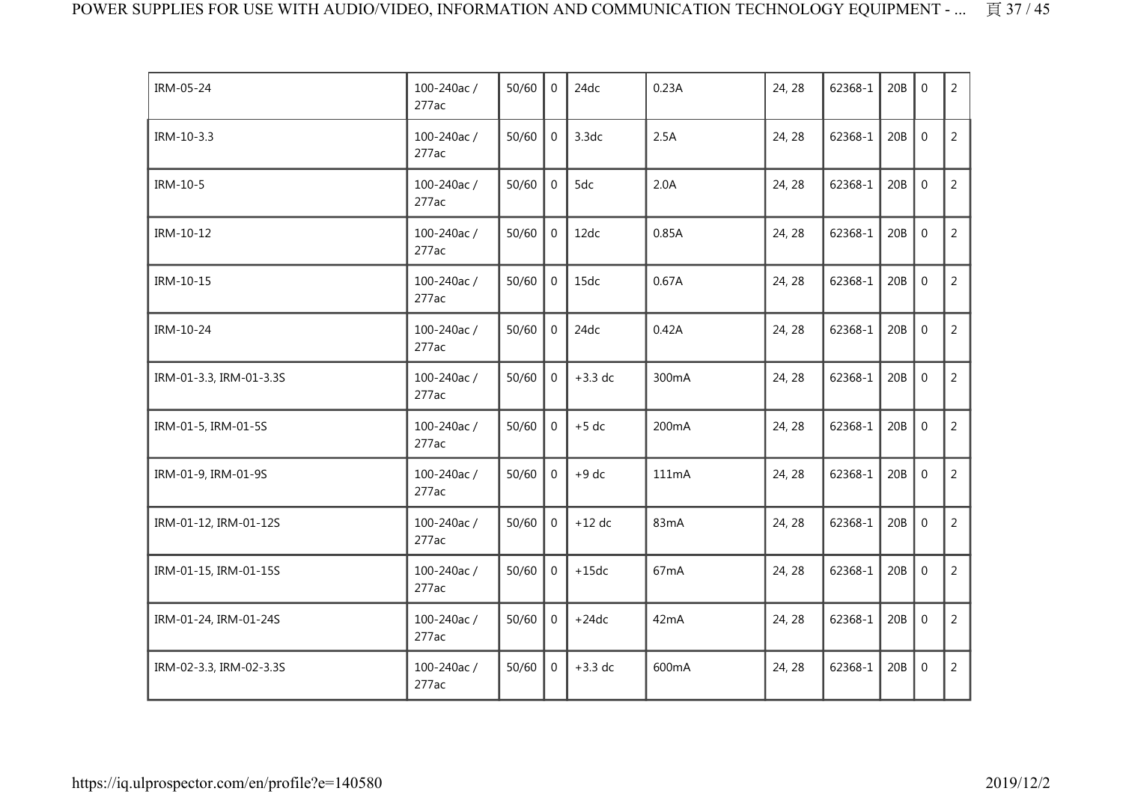| IRM-05-24               | 100-240ac/<br>277ac | 50/60 | $\mathbf{0}$     | 24dc      | 0.23A             | 24, 28 | 62368-1 | 20B | $\mathbf{0}$     | $\overline{2}$ |
|-------------------------|---------------------|-------|------------------|-----------|-------------------|--------|---------|-----|------------------|----------------|
| IRM-10-3.3              | 100-240ac/<br>277ac | 50/60 | $\boldsymbol{0}$ | 3.3dc     | 2.5A              | 24, 28 | 62368-1 | 20B | $\boldsymbol{0}$ | $\overline{2}$ |
| IRM-10-5                | 100-240ac/<br>277ac | 50/60 | $\mathbf 0$      | 5dc       | 2.0A              | 24, 28 | 62368-1 | 20B | $\mathbf 0$      | $\overline{2}$ |
| IRM-10-12               | 100-240ac/<br>277ac | 50/60 | $\mathbf 0$      | 12dc      | 0.85A             | 24, 28 | 62368-1 | 20B | $\overline{0}$   | $\overline{2}$ |
| IRM-10-15               | 100-240ac/<br>277ac | 50/60 | $\mathbf{0}$     | 15dc      | 0.67A             | 24, 28 | 62368-1 | 20B | $\mathbf{0}$     | $\overline{2}$ |
| IRM-10-24               | 100-240ac/<br>277ac | 50/60 | $\mathbf 0$      | 24dc      | 0.42A             | 24, 28 | 62368-1 | 20B | $\mathbf 0$      | $\overline{2}$ |
| IRM-01-3.3, IRM-01-3.3S | 100-240ac/<br>277ac | 50/60 | $\mathbf 0$      | $+3.3$ dc | 300mA             | 24, 28 | 62368-1 | 20B | $\mathbf 0$      | $\overline{2}$ |
| IRM-01-5, IRM-01-5S     | 100-240ac/<br>277ac | 50/60 | $\Omega$         | $+5$ dc   | 200mA             | 24, 28 | 62368-1 | 20B | $\mathbf 0$      | $\overline{2}$ |
| IRM-01-9, IRM-01-9S     | 100-240ac/<br>277ac | 50/60 | $\mathbf 0$      | $+9$ dc   | 111mA             | 24, 28 | 62368-1 | 20B | $\mathbf 0$      | $\overline{2}$ |
| IRM-01-12, IRM-01-12S   | 100-240ac/<br>277ac | 50/60 | $\mathbf 0$      | $+12$ dc  | 83mA              | 24, 28 | 62368-1 | 20B | $\mathbf 0$      | $\overline{2}$ |
| IRM-01-15, IRM-01-15S   | 100-240ac/<br>277ac | 50/60 | $\Omega$         | $+15dc$   | 67 <sub>m</sub> A | 24, 28 | 62368-1 | 20B | $\mathbf 0$      | $\overline{2}$ |
| IRM-01-24, IRM-01-24S   | 100-240ac/<br>277ac | 50/60 | $\mathbf 0$      | $+24dc$   | 42mA              | 24, 28 | 62368-1 | 20B | $\mathbf 0$      | $\overline{2}$ |
| IRM-02-3.3, IRM-02-3.3S | 100-240ac/<br>277ac | 50/60 | $\mathbf 0$      | $+3.3$ dc | 600mA             | 24, 28 | 62368-1 | 20B | $\mathbf 0$      | $\overline{2}$ |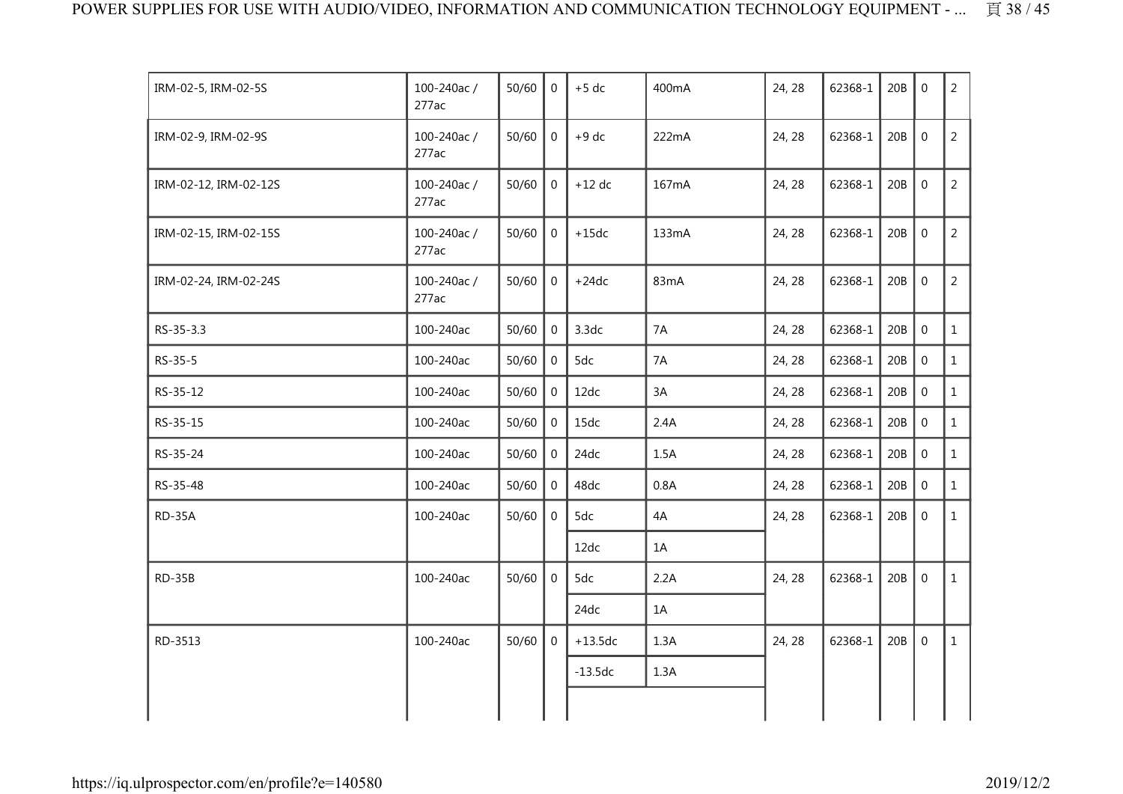| IRM-02-5, IRM-02-5S   | 100-240ac/<br>277ac | 50/60 | $\Omega$       | $+5$ dc   | 400mA | 24, 28 | 62368-1 | 20B | $\Omega$    | $\overline{2}$ |
|-----------------------|---------------------|-------|----------------|-----------|-------|--------|---------|-----|-------------|----------------|
| IRM-02-9, IRM-02-9S   | 100-240ac/<br>277ac | 50/60 | $\overline{0}$ | $+9$ dc   | 222mA | 24, 28 | 62368-1 | 20B | $\mathbf 0$ | $\overline{2}$ |
| IRM-02-12, IRM-02-12S | 100-240ac/<br>277ac | 50/60 | $\mathbf 0$    | $+12$ dc  | 167mA | 24, 28 | 62368-1 | 20B | $\mathbf 0$ | $\overline{2}$ |
| IRM-02-15, IRM-02-15S | 100-240ac/<br>277ac | 50/60 | $\overline{0}$ | $+15dc$   | 133mA | 24, 28 | 62368-1 | 20B | $\mathbf 0$ | $\overline{2}$ |
| IRM-02-24, IRM-02-24S | 100-240ac/<br>277ac | 50/60 | $\overline{0}$ | $+24dc$   | 83mA  | 24, 28 | 62368-1 | 20B | $\mathbf 0$ | $\overline{2}$ |
| RS-35-3.3             | 100-240ac           | 50/60 | $\overline{0}$ | 3.3dc     | 7A    | 24, 28 | 62368-1 | 20B | $\mathbf 0$ | $\mathbf{1}$   |
| RS-35-5               | 100-240ac           | 50/60 | $\mathbf{0}$   | 5dc       | 7A    | 24, 28 | 62368-1 | 20B | $\mathbf 0$ | $\mathbf{1}$   |
| RS-35-12              | 100-240ac           | 50/60 | $\mathbf{0}$   | 12dc      | 3A    | 24, 28 | 62368-1 | 20B | $\mathbf 0$ | $\mathbf{1}$   |
| RS-35-15              | 100-240ac           | 50/60 | $\mathbf 0$    | 15dc      | 2.4A  | 24, 28 | 62368-1 | 20B | $\mathbf 0$ | $\mathbf{1}$   |
| RS-35-24              | 100-240ac           | 50/60 | $\mathbf{0}$   | 24dc      | 1.5A  | 24, 28 | 62368-1 | 20B | $\mathbf 0$ | $\mathbf{1}$   |
| RS-35-48              | 100-240ac           | 50/60 | $\mathbf 0$    | 48dc      | 0.8A  | 24, 28 | 62368-1 | 20B | $\mathbf 0$ | $\mathbf{1}$   |
| RD-35A                | 100-240ac           | 50/60 | $\mathbf 0$    | 5dc       | 4A    | 24, 28 | 62368-1 | 20B | $\mathbf 0$ | $\mathbf{1}$   |
|                       |                     |       |                | 12dc      | 1A    |        |         |     |             |                |
| <b>RD-35B</b>         | 100-240ac           | 50/60 | $\Omega$       | 5dc       | 2.2A  | 24, 28 | 62368-1 | 20B | $\mathbf 0$ | $\mathbf{1}$   |
|                       |                     |       |                | 24dc      | 1A    |        |         |     |             |                |
| RD-3513               | 100-240ac           | 50/60 | $\Omega$       | $+13.5dc$ | 1.3A  | 24, 28 | 62368-1 | 20B | $\mathbf 0$ | $\mathbf{1}$   |
|                       |                     |       |                | $-13.5dc$ | 1.3A  |        |         |     |             |                |
|                       |                     |       |                |           |       |        |         |     |             |                |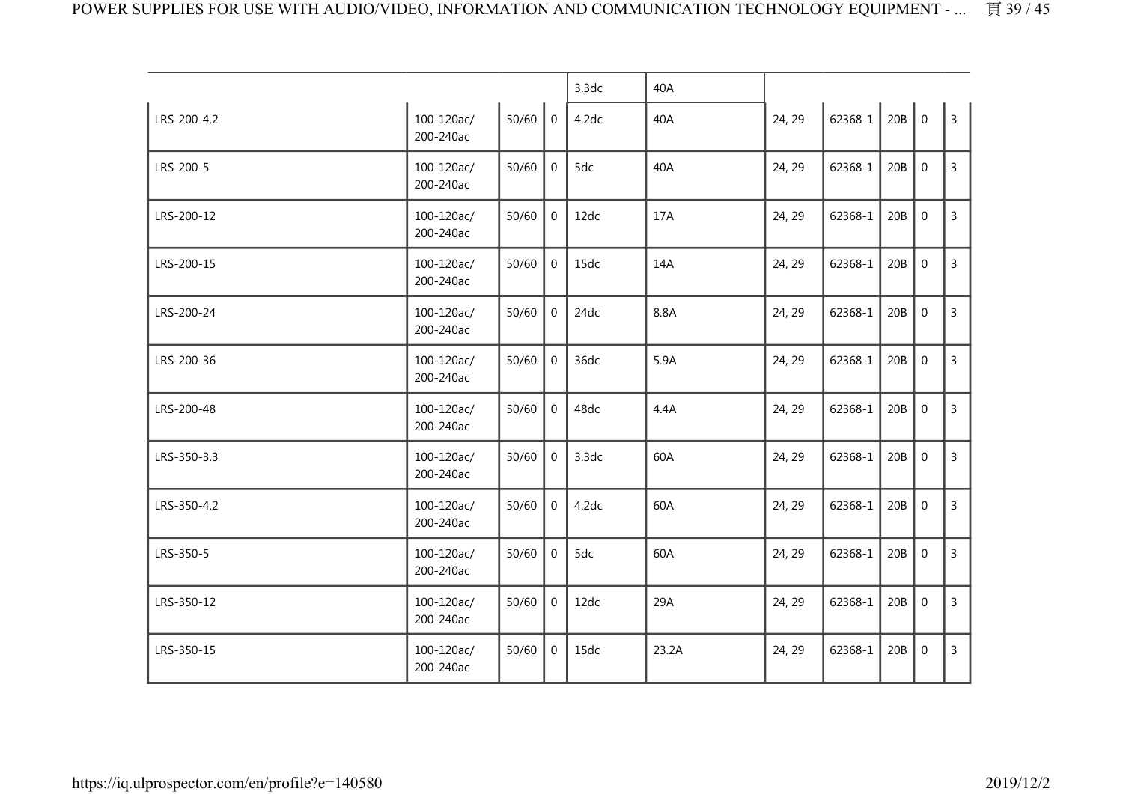|             |                         |           |                | 3.3dc | 40A   |        |             |     |                  |                |
|-------------|-------------------------|-----------|----------------|-------|-------|--------|-------------|-----|------------------|----------------|
| LRS-200-4.2 | 100-120ac/<br>200-240ac | $50/60$ 0 |                | 4.2dc | 40A   | 24, 29 | $62368 - 1$ | 20B | $\boldsymbol{0}$ | $\overline{3}$ |
| LRS-200-5   | 100-120ac/<br>200-240ac | 50/60     | $\mathbf{0}$   | 5dc   | 40A   | 24, 29 | 62368-1     | 20B | $\mathbf{0}$     | 3              |
| LRS-200-12  | 100-120ac/<br>200-240ac | 50/60     | $\mathbf{0}$   | 12dc  | 17A   | 24, 29 | 62368-1     | 20B | $\mathbf 0$      | $\overline{3}$ |
| LRS-200-15  | 100-120ac/<br>200-240ac | 50/60     | $\mathbf 0$    | 15dc  | 14A   | 24, 29 | 62368-1     | 20B | $\mathbf 0$      | 3              |
| LRS-200-24  | 100-120ac/<br>200-240ac | 50/60     | 0              | 24dc  | 8.8A  | 24, 29 | 62368-1     | 20B | $\boldsymbol{0}$ | 3              |
| LRS-200-36  | 100-120ac/<br>200-240ac | 50/60     | $\Omega$       | 36dc  | 5.9A  | 24, 29 | 62368-1     | 20B | $\mathbf 0$      | 3              |
| LRS-200-48  | 100-120ac/<br>200-240ac | 50/60     | $\Omega$       | 48dc  | 4.4A  | 24, 29 | 62368-1     | 20B | $\mathbf 0$      | $\overline{3}$ |
| LRS-350-3.3 | 100-120ac/<br>200-240ac | 50/60     | $\mathbf 0$    | 3.3dc | 60A   | 24, 29 | 62368-1     | 20B | $\mathbf 0$      | $\overline{3}$ |
| LRS-350-4.2 | 100-120ac/<br>200-240ac | 50/60     | $\overline{0}$ | 4.2dc | 60A   | 24, 29 | 62368-1     | 20B | $\mathbf{0}$     | $\mathbf{3}$   |
| LRS-350-5   | 100-120ac/<br>200-240ac | 50/60     | $\overline{0}$ | 5dc   | 60A   | 24, 29 | 62368-1     | 20B | $\mathbf{0}$     | 3              |
| LRS-350-12  | 100-120ac/<br>200-240ac | 50/60     | $\overline{0}$ | 12dc  | 29A   | 24, 29 | 62368-1     | 20B | $\mathbf 0$      | $\overline{3}$ |
| LRS-350-15  | 100-120ac/<br>200-240ac | 50/60     | $\overline{0}$ | 15dc  | 23.2A | 24, 29 | 62368-1     | 20B | $\boldsymbol{0}$ | $\mathsf{3}$   |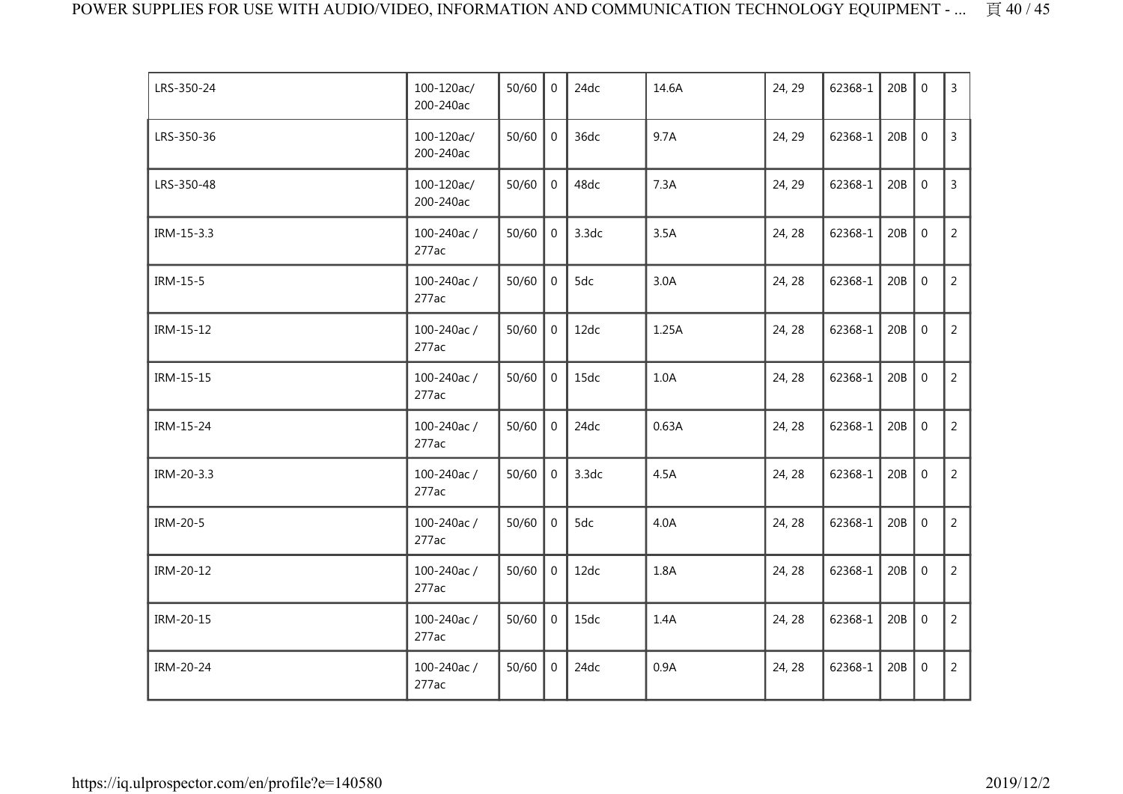| LRS-350-24 | 100-120ac/<br>200-240ac | 50/60 | $\Omega$       | 24dc  | 14.6A | 24, 29 | 62368-1 | 20B | $\mathbf 0$    | 3              |
|------------|-------------------------|-------|----------------|-------|-------|--------|---------|-----|----------------|----------------|
| LRS-350-36 | 100-120ac/<br>200-240ac | 50/60 | $\mathbf 0$    | 36dc  | 9.7A  | 24, 29 | 62368-1 | 20B | $\mathbf 0$    | $\overline{3}$ |
| LRS-350-48 | 100-120ac/<br>200-240ac | 50/60 | $\overline{0}$ | 48dc  | 7.3A  | 24, 29 | 62368-1 | 20B | $\mathbf 0$    | $\overline{3}$ |
| IRM-15-3.3 | 100-240ac/<br>277ac     | 50/60 | $\mathbf 0$    | 3.3dc | 3.5A  | 24, 28 | 62368-1 | 20B | $\mathbf 0$    | $\overline{2}$ |
| IRM-15-5   | 100-240ac/<br>277ac     | 50/60 | $\mathbf 0$    | 5dc   | 3.0A  | 24, 28 | 62368-1 | 20B | $\mathbf 0$    | $\overline{2}$ |
| IRM-15-12  | 100-240ac/<br>277ac     | 50/60 | $\mathbf 0$    | 12dc  | 1.25A | 24, 28 | 62368-1 | 20B | $\overline{0}$ | $\overline{2}$ |
| IRM-15-15  | 100-240ac/<br>277ac     | 50/60 | $\mathbf 0$    | 15dc  | 1.0A  | 24, 28 | 62368-1 | 20B | $\mathbf 0$    | $\overline{2}$ |
| IRM-15-24  | 100-240ac/<br>277ac     | 50/60 | $\overline{0}$ | 24dc  | 0.63A | 24, 28 | 62368-1 | 20B | $\mathbf 0$    | 2              |
| IRM-20-3.3 | 100-240ac/<br>277ac     | 50/60 | $\overline{0}$ | 3.3dc | 4.5A  | 24, 28 | 62368-1 | 20B | $\mathbf 0$    | $\overline{2}$ |
| IRM-20-5   | 100-240ac/<br>277ac     | 50/60 | $\mathbf{0}$   | 5dc   | 4.0A  | 24, 28 | 62368-1 | 20B | $\mathbf{0}$   | $\overline{2}$ |
| IRM-20-12  | 100-240ac/<br>277ac     | 50/60 | $\mathbf 0$    | 12dc  | 1.8A  | 24, 28 | 62368-1 | 20B | $\mathbf 0$    | $\overline{2}$ |
| IRM-20-15  | 100-240ac/<br>277ac     | 50/60 | $\overline{0}$ | 15dc  | 1.4A  | 24, 28 | 62368-1 | 20B | $\mathbf 0$    | $\overline{2}$ |
| IRM-20-24  | 100-240ac/<br>277ac     | 50/60 | $\mathbf 0$    | 24dc  | 0.9A  | 24, 28 | 62368-1 | 20B | $\mathbf 0$    | $\overline{2}$ |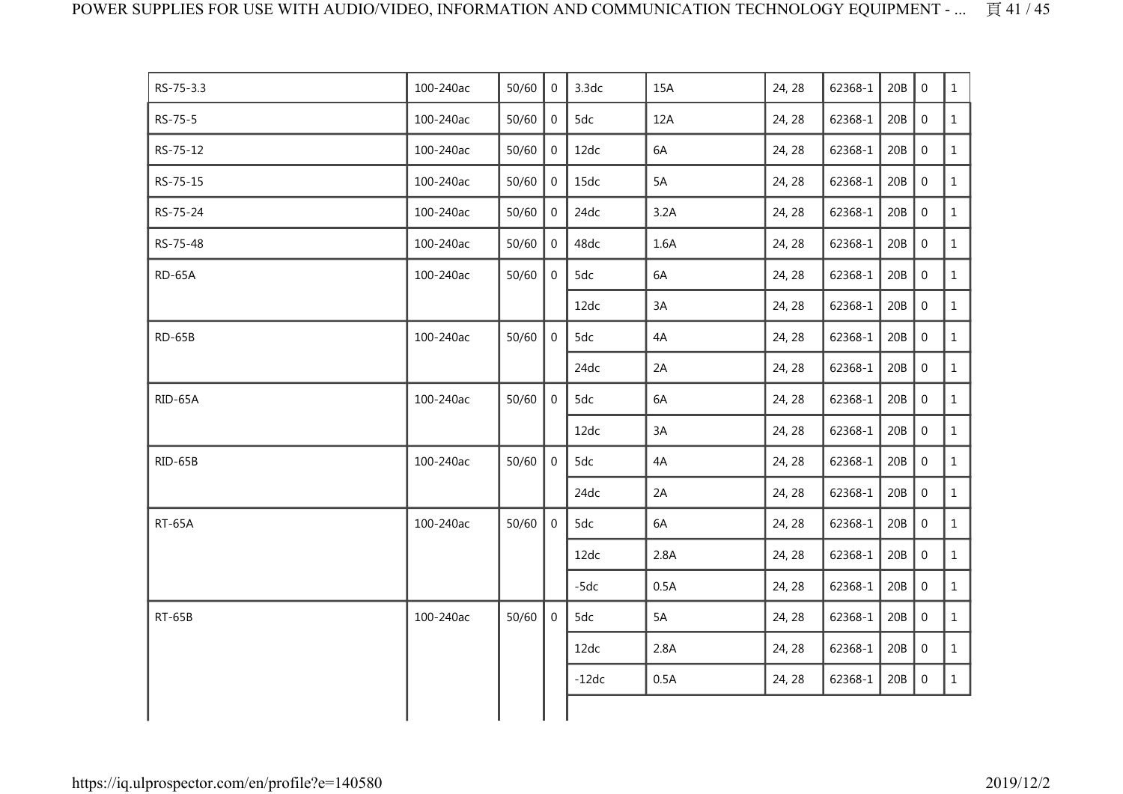| RS-75-3.3     | 100-240ac | 50/60 | $\mathbf{0}$   | 3.3dc   | 15A  | 24, 28 | 62368-1 | 20B | $\mathbf 0$      | $\mathbf{1}$ |
|---------------|-----------|-------|----------------|---------|------|--------|---------|-----|------------------|--------------|
| RS-75-5       | 100-240ac | 50/60 | $\overline{0}$ | 5dc     | 12A  | 24, 28 | 62368-1 | 20B | $\mathbf 0$      | $\mathbf{1}$ |
| RS-75-12      | 100-240ac | 50/60 | 0              | 12dc    | 6A   | 24, 28 | 62368-1 | 20B | $\mathbf 0$      | $\mathbf{1}$ |
| RS-75-15      | 100-240ac | 50/60 | $\overline{0}$ | 15dc    | 5A   | 24, 28 | 62368-1 | 20B | $\boldsymbol{0}$ | $\mathbf{1}$ |
| RS-75-24      | 100-240ac | 50/60 | $\mathbf 0$    | 24dc    | 3.2A | 24, 28 | 62368-1 | 20B | $\boldsymbol{0}$ | $\mathbf{1}$ |
| RS-75-48      | 100-240ac | 50/60 | $\overline{0}$ | 48dc    | 1.6A | 24, 28 | 62368-1 | 20B | $\mathbf 0$      | $\mathbf{1}$ |
| <b>RD-65A</b> | 100-240ac | 50/60 | $\overline{0}$ | 5dc     | 6A   | 24, 28 | 62368-1 | 20B | $\overline{0}$   | $\mathbf{1}$ |
|               |           |       |                | 12dc    | 3A   | 24, 28 | 62368-1 | 20B | $\mathbf 0$      | $\mathbf{1}$ |
| <b>RD-65B</b> | 100-240ac | 50/60 | $\mathbf 0$    | 5dc     | 4A   | 24, 28 | 62368-1 | 20B | $\mathbf 0$      | $\mathbf{1}$ |
|               |           |       |                | 24dc    | 2A   | 24, 28 | 62368-1 | 20B | $\mathbf 0$      | $\mathbf{1}$ |
| RID-65A       | 100-240ac | 50/60 | $\mathbf 0$    | 5dc     | 6A   | 24, 28 | 62368-1 | 20B | $\overline{0}$   | $\mathbf{1}$ |
|               |           |       |                | 12dc    | 3A   | 24, 28 | 62368-1 | 20B | $\boldsymbol{0}$ | $\mathbf{1}$ |
| RID-65B       | 100-240ac | 50/60 | $\mathbf 0$    | 5dc     | 4A   | 24, 28 | 62368-1 | 20B | $\mathbf 0$      | $\mathbf{1}$ |
|               |           |       |                | 24dc    | 2A   | 24, 28 | 62368-1 | 20B | $\mathbf 0$      | $\mathbf{1}$ |
| <b>RT-65A</b> | 100-240ac | 50/60 | $\overline{0}$ | 5dc     | 6A   | 24, 28 | 62368-1 | 20B | $\overline{0}$   | $\mathbf{1}$ |
|               |           |       |                | 12dc    | 2.8A | 24, 28 | 62368-1 | 20B | $\mathbf 0$      | $\mathbf{1}$ |
|               |           |       |                | $-5dc$  | 0.5A | 24, 28 | 62368-1 | 20B | $\mathbf 0$      | $\mathbf{1}$ |
| <b>RT-65B</b> | 100-240ac | 50/60 | $\overline{0}$ | 5dc     | 5A   | 24, 28 | 62368-1 | 20B | $\mathbf 0$      | $\mathbf{1}$ |
|               |           |       |                | 12dc    | 2.8A | 24, 28 | 62368-1 | 20B | $\boldsymbol{0}$ | $\mathbf{1}$ |
|               |           |       |                | $-12dc$ | 0.5A | 24, 28 | 62368-1 | 20B | $\boldsymbol{0}$ | $\mathbf{1}$ |
|               |           |       |                |         |      |        |         |     |                  |              |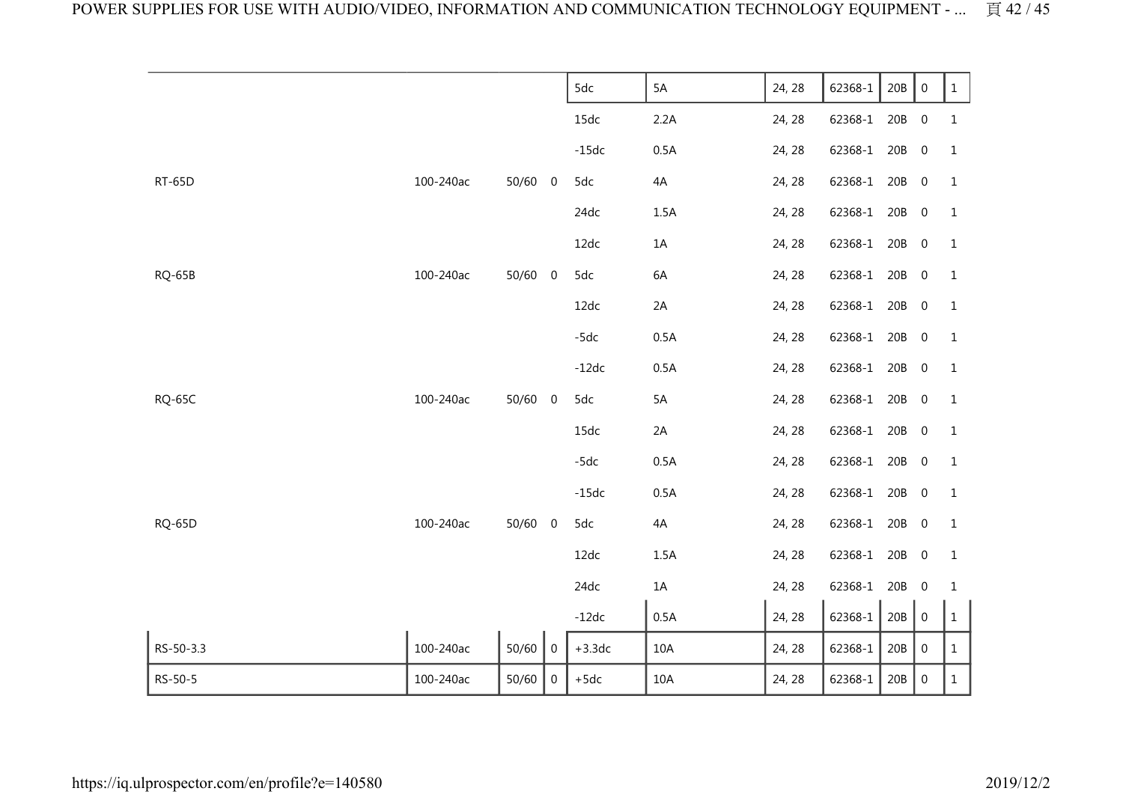|               |           |         |                | 5dc      | 5A   | 24, 28 | 62368-1 | 20B   | $\boldsymbol{0}$ | $\mathbf{1}$ |
|---------------|-----------|---------|----------------|----------|------|--------|---------|-------|------------------|--------------|
|               |           |         |                |          |      |        |         |       |                  |              |
|               |           |         |                | 15dc     | 2.2A | 24, 28 | 62368-1 | 20B   | $\boldsymbol{0}$ | $\mathbf 1$  |
|               |           |         |                | $-15dc$  | 0.5A | 24, 28 | 62368-1 | 20B   | $\boldsymbol{0}$ | $\mathbf{1}$ |
| <b>RT-65D</b> | 100-240ac | 50/60 0 |                | 5dc      | $4A$ | 24, 28 | 62368-1 | 20B   | $\boldsymbol{0}$ | $\mathbf{1}$ |
|               |           |         |                | 24dc     | 1.5A | 24, 28 | 62368-1 | 20B   | $\boldsymbol{0}$ | 1            |
|               |           |         |                | 12dc     | 1A   | 24, 28 | 62368-1 | 20B   | $\pmb{0}$        | $\mathbf{1}$ |
| RQ-65B        | 100-240ac | 50/60   | $\overline{0}$ | 5dc      | 6A   | 24, 28 | 62368-1 | 20B   | $\boldsymbol{0}$ | $1\,$        |
|               |           |         |                | 12dc     | 2A   | 24, 28 | 62368-1 | 20B   | $\boldsymbol{0}$ | 1            |
|               |           |         |                | $-5dc$   | 0.5A | 24, 28 | 62368-1 | 20B   | $\boldsymbol{0}$ | 1            |
|               |           |         |                | $-12dc$  | 0.5A | 24, 28 | 62368-1 | 20B   | $\boldsymbol{0}$ | 1            |
| <b>RQ-65C</b> | 100-240ac | 50/60 0 |                | 5dc      | 5A   | 24, 28 | 62368-1 | 20B   | $\boldsymbol{0}$ | $\mathbf{1}$ |
|               |           |         |                | 15dc     | 2A   | 24, 28 | 62368-1 | 20B   | $\boldsymbol{0}$ | $\mathbf{1}$ |
|               |           |         |                | $-5dc$   | 0.5A | 24, 28 | 62368-1 | 20B   | $\pmb{0}$        | $\mathbf{1}$ |
|               |           |         |                | $-15dc$  | 0.5A | 24, 28 | 62368-1 | 20B   | $\boldsymbol{0}$ | 1            |
| <b>RQ-65D</b> | 100-240ac | 50/60 0 |                | 5dc      | 4A   | 24, 28 | 62368-1 | 20B   | $\boldsymbol{0}$ | 1            |
|               |           |         |                | 12dc     | 1.5A | 24, 28 | 62368-1 | 20B   | $\boldsymbol{0}$ | $\mathbf{1}$ |
|               |           |         |                | 24dc     | $1A$ | 24, 28 | 62368-1 | 20B   | $\boldsymbol{0}$ | $\mathbf{1}$ |
|               |           |         |                | $-12dc$  | 0.5A | 24, 28 | 62368-1 | 20B   | $\boldsymbol{0}$ | $\mathbf 1$  |
| RS-50-3.3     | 100-240ac | 50/60   | $\mathbf 0$    | $+3.3dc$ | 10A  | 24, 28 | 62368-1 | $20B$ | $\boldsymbol{0}$ | $\mathbf{1}$ |
| RS-50-5       | 100-240ac | 50/60   | $\mathbf 0$    | $+5dc$   | 10A  | 24, 28 | 62368-1 | 20B   | $\boldsymbol{0}$ | $\mathbf 1$  |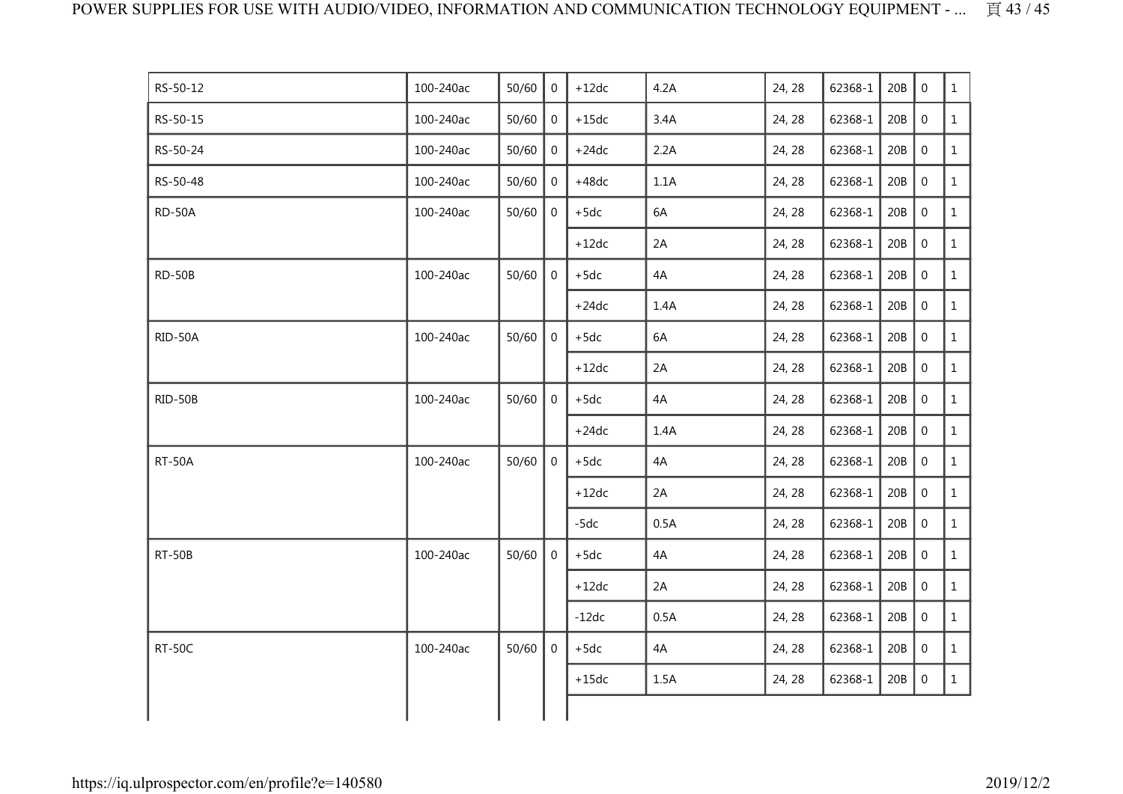| RS-50-12      | 100-240ac | 50/60 | $\Omega$       | $+12dc$ | 4.2A | 24, 28 | 62368-1 | 20B | $\Omega$         | $\mathbf{1}$ |
|---------------|-----------|-------|----------------|---------|------|--------|---------|-----|------------------|--------------|
| RS-50-15      | 100-240ac | 50/60 | $\mathbf 0$    | $+15dc$ | 3.4A | 24, 28 | 62368-1 | 20B | $\overline{0}$   | $\mathbf{1}$ |
| RS-50-24      | 100-240ac | 50/60 | 0              | $+24dc$ | 2.2A | 24, 28 | 62368-1 | 20B | $\boldsymbol{0}$ | $\mathbf{1}$ |
| RS-50-48      | 100-240ac | 50/60 | $\mathbf 0$    | $+48dc$ | 1.1A | 24, 28 | 62368-1 | 20B | $\mathbf 0$      | $\mathbf{1}$ |
| RD-50A        | 100-240ac | 50/60 | $\mathbf{0}$   | $+5dc$  | 6A   | 24, 28 | 62368-1 | 20B | $\boldsymbol{0}$ | $\mathbf{1}$ |
|               |           |       |                | $+12dc$ | 2A   | 24, 28 | 62368-1 | 20B | $\mathbf 0$      | $\mathbf{1}$ |
| RD-50B        | 100-240ac | 50/60 | $\overline{0}$ | $+5dc$  | 4A   | 24, 28 | 62368-1 | 20B | $\mathbf 0$      | $\mathbf{1}$ |
|               |           |       |                | $+24dc$ | 1.4A | 24, 28 | 62368-1 | 20B | $\mathbf 0$      | $\mathbf{1}$ |
| RID-50A       | 100-240ac | 50/60 | $\overline{0}$ | $+5dc$  | 6A   | 24, 28 | 62368-1 | 20B | $\overline{0}$   | $\mathbf{1}$ |
|               |           |       |                | $+12dc$ | 2A   | 24, 28 | 62368-1 | 20B | $\boldsymbol{0}$ | $\mathbf{1}$ |
| RID-50B       | 100-240ac | 50/60 | $\overline{0}$ | $+5dc$  | 4A   | 24, 28 | 62368-1 | 20B | $\mathbf 0$      | $\mathbf{1}$ |
|               |           |       |                | $+24dc$ | 1.4A | 24, 28 | 62368-1 | 20B | $\boldsymbol{0}$ | $\mathbf{1}$ |
| <b>RT-50A</b> | 100-240ac | 50/60 | $\overline{0}$ | $+5dc$  | 4A   | 24, 28 | 62368-1 | 20B | $\mathbf 0$      | $\mathbf{1}$ |
|               |           |       |                | $+12dc$ | 2A   | 24, 28 | 62368-1 | 20B | $\boldsymbol{0}$ | $\mathbf{1}$ |
|               |           |       |                | $-5dc$  | 0.5A | 24, 28 | 62368-1 | 20B | $\mathbf 0$      | $\mathbf{1}$ |
| RT-50B        | 100-240ac | 50/60 | $\overline{0}$ | $+5dc$  | 4A   | 24, 28 | 62368-1 | 20B | $\mathbf 0$      | $\mathbf{1}$ |
|               |           |       |                | $+12dc$ | 2A   | 24, 28 | 62368-1 | 20B | $\mathbf 0$      | $\mathbf{1}$ |
|               |           |       |                | $-12dc$ | 0.5A | 24, 28 | 62368-1 | 20B | $\,0\,$          | $\mathbf{1}$ |
| <b>RT-50C</b> | 100-240ac | 50/60 | $\mathbf{0}$   | $+5dc$  | 4A   | 24, 28 | 62368-1 | 20B | $\boldsymbol{0}$ | $\mathbf{1}$ |
|               |           |       |                | $+15dc$ | 1.5A | 24, 28 | 62368-1 | 20B | $\,0\,$          | $\mathbf{1}$ |
|               |           |       |                |         |      |        |         |     |                  |              |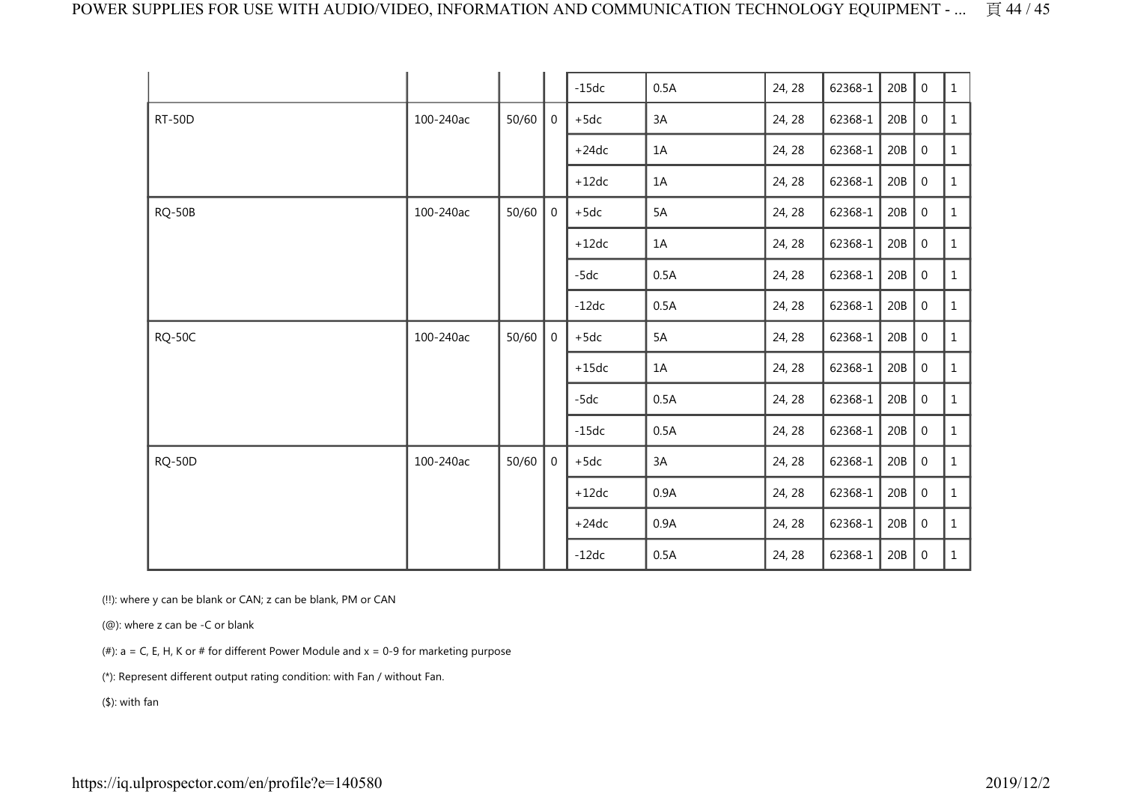|               |           |       |                | $-15dc$ | 0.5A | 24, 28 | 62368-1 | 20B | $\boldsymbol{0}$ | $\mathbf{1}$ |
|---------------|-----------|-------|----------------|---------|------|--------|---------|-----|------------------|--------------|
| <b>RT-50D</b> | 100-240ac | 50/60 | $\overline{0}$ | $+5dc$  | 3A   | 24, 28 | 62368-1 | 20B | $\boldsymbol{0}$ | $\mathbf{1}$ |
|               |           |       |                | $+24dc$ | 1A   | 24, 28 | 62368-1 | 20B | $\boldsymbol{0}$ | 1            |
|               |           |       |                | $+12dc$ | 1A   | 24, 28 | 62368-1 | 20B | $\boldsymbol{0}$ | $\mathbf{1}$ |
| <b>RQ-50B</b> | 100-240ac | 50/60 | $\mathbf 0$    | $+5dc$  | 5A   | 24, 28 | 62368-1 | 20B | $\boldsymbol{0}$ | $\mathbf{1}$ |
|               |           |       |                | $+12dc$ | 1A   | 24, 28 | 62368-1 | 20B | $\mathbf 0$      | $\mathbf{1}$ |
|               |           |       |                | $-5dc$  | 0.5A | 24, 28 | 62368-1 | 20B | $\mathbf 0$      | 1            |
|               |           |       |                | $-12dc$ | 0.5A | 24, 28 | 62368-1 | 20B | $\mathbf 0$      | 1            |
| <b>RQ-50C</b> | 100-240ac | 50/60 | $\overline{0}$ | $+5dc$  | 5A   | 24, 28 | 62368-1 | 20B | $\boldsymbol{0}$ | $\mathbf{1}$ |
|               |           |       |                | $+15dc$ | 1A   | 24, 28 | 62368-1 | 20B | $\mathbf 0$      | 1            |
|               |           |       |                | $-5dc$  | 0.5A | 24, 28 | 62368-1 | 20B | $\boldsymbol{0}$ | $\mathbf{1}$ |
|               |           |       |                | $-15dc$ | 0.5A | 24, 28 | 62368-1 | 20B | $\boldsymbol{0}$ | $\mathbf{1}$ |
| <b>RQ-50D</b> | 100-240ac | 50/60 | $\mathbf 0$    | $+5dc$  | 3A   | 24, 28 | 62368-1 | 20B | $\overline{0}$   | $\mathbf{1}$ |
|               |           |       |                | $+12dc$ | 0.9A | 24, 28 | 62368-1 | 20B | $\mathbf 0$      | $\mathbf{1}$ |
|               |           |       |                | $+24dc$ | 0.9A | 24, 28 | 62368-1 | 20B | $\boldsymbol{0}$ | 1            |
|               |           |       |                | $-12dc$ | 0.5A | 24, 28 | 62368-1 | 20B | $\mathbf 0$      | $\mathbf{1}$ |

(!!): where y can be blank or CAN; z can be blank, PM or CAN

(@): where z can be -C or blank

(#):  $a = C$ , E, H, K or # for different Power Module and  $x = 0-9$  for marketing purpose

(\*): Represent different output rating condition: with Fan / without Fan.

(\$): with fan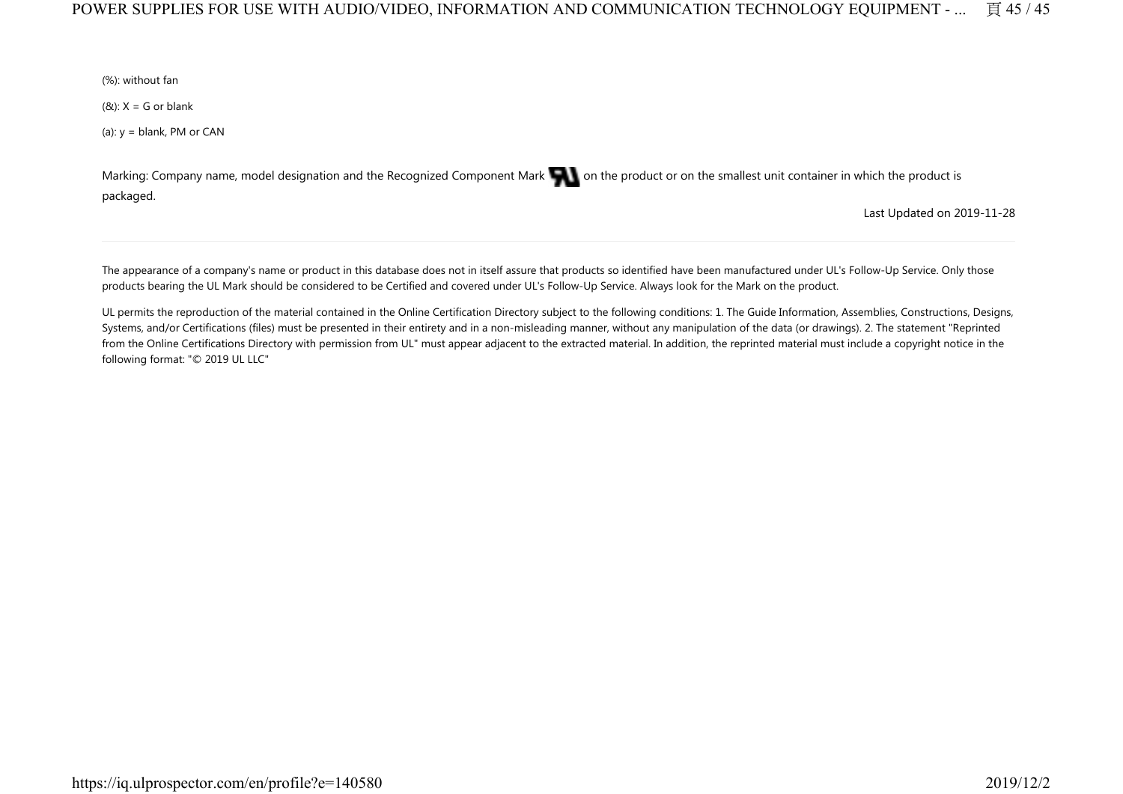### POWER SUPPLIES FOR USE WITH AUDIO/VIDEO, INFORMATION AND COMMUNICATION TECHNOLOGY EQUIPMENT - ... 頁 45 / 45

(%): without fan

 $(8x)$ : X = G or blank

(a):  $y =$  blank, PM or CAN

Marking: Company name, model designation and the Recognized Component Mark on the product or on the smallest unit container in which the product is packaged.

Last Updated on 2019-11-28

The appearance of a company's name or product in this database does not in itself assure that products so identified have been manufactured under UL's Follow-Up Service. Only those products bearing the UL Mark should be considered to be Certified and covered under UL's Follow-Up Service. Always look for the Mark on the product.

UL permits the reproduction of the material contained in the Online Certification Directory subject to the following conditions: 1. The Guide Information, Assemblies, Constructions, Designs, Systems, and/or Certifications (files) must be presented in their entirety and in a non-misleading manner, without any manipulation of the data (or drawings). 2. The statement "Reprinted from the Online Certifications Directory with permission from UL" must appear adjacent to the extracted material. In addition, the reprinted material must include a copyright notice in the following format: "© 2019 UL LLC"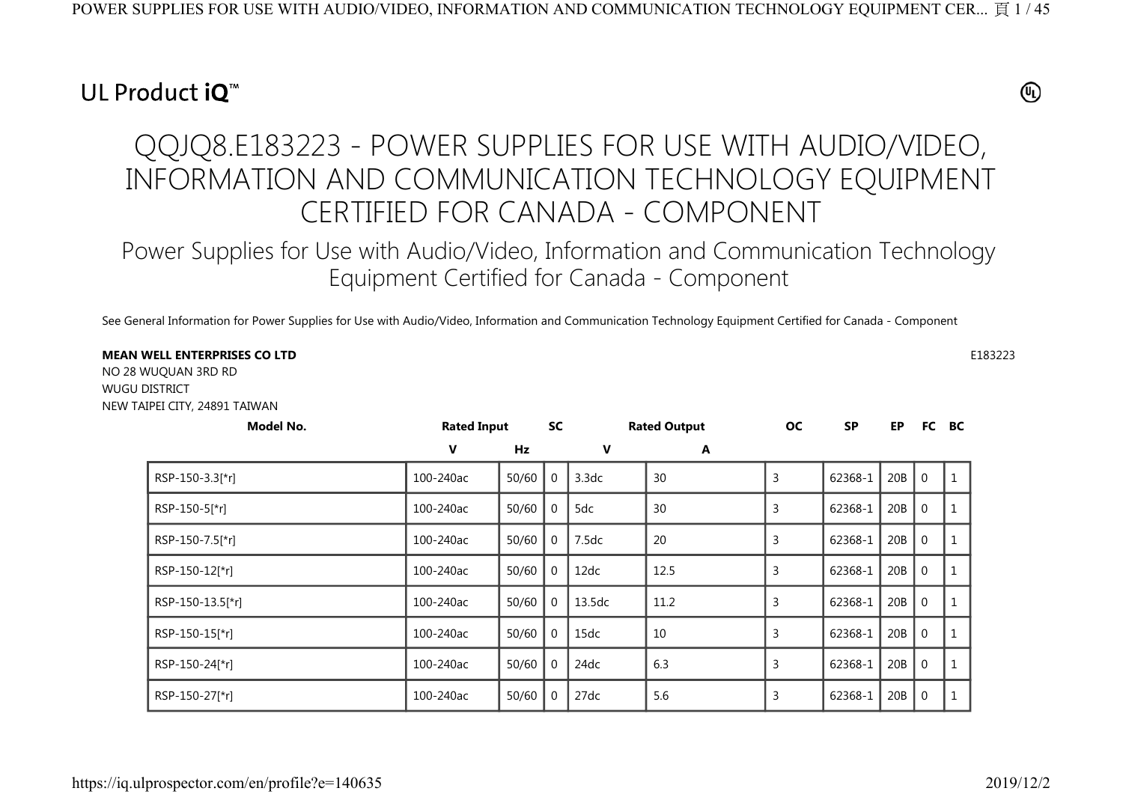## UL Product iO<sup>™</sup>

## $^{\circledR}$

# QQJQ8.E183223 - POWER SUPPLIES FOR USE WITH AUDIO/VIDEO, INFORMATION AND COMMUNICATION TECHNOLOGY EQUIPMENT CERTIFIED FOR CANADA - COMPONENT

Power Supplies for Use with Audio/Video, Information and Communication Technology Equipment Certified for Canada - Component

See General Information for Power Supplies for Use with Audio/Video, Information and Communication Technology Equipment Certified for Canada - Component

#### **MEAN WELL ENTERPRISES CO LTD** $\mathsf{D}$  E183223

NO 28 WUQUAN 3RD RD WUGU DISTRICT NEW TAIPEI CITY, 24891 TAIWAN

| Model No.        | <b>Rated Input</b> |       | <b>SC</b> |        | <b>Rated Output</b> | <b>OC</b> | <b>SP</b> | EP  |                | FC BC |
|------------------|--------------------|-------|-----------|--------|---------------------|-----------|-----------|-----|----------------|-------|
|                  | V                  | Hz    |           | V      | A                   |           |           |     |                |       |
| RSP-150-3.3[*r]  | 100-240ac          | 50/60 |           | 3.3dc  | 30                  | 3         | 62368-1   | 20B | $\overline{0}$ |       |
| RSP-150-5[*r]    | 100-240ac          | 50/60 |           | 5dc    | 30                  | 3         | 62368-1   | 20B | $\mathbf 0$    |       |
| RSP-150-7.5[*r]  | 100-240ac          | 50/60 |           | 7.5dc  | 20                  | 3         | 62368-1   | 20B | $\mathbf 0$    |       |
| RSP-150-12[*r]   | 100-240ac          | 50/60 |           | 12dc   | 12.5                | 3         | 62368-1   | 20B | $\mathbf 0$    |       |
| RSP-150-13.5[*r] | 100-240ac          | 50/60 |           | 13.5dc | 11.2                | 3         | 62368-1   | 20B | $\mathbf 0$    |       |
| RSP-150-15[*r]   | 100-240ac          | 50/60 |           | 15dc   | 10                  | 3         | 62368-1   | 20B | $\mathbf 0$    |       |
| RSP-150-24[*r]   | 100-240ac          | 50/60 |           | 24dc   | 6.3                 | 3         | 62368-1   | 20B | $\mathbf{0}$   |       |
| RSP-150-27[*r]   | 100-240ac          | 50/60 |           | 27dc   | 5.6                 | 3         | 62368-1   | 20B | $\Omega$       |       |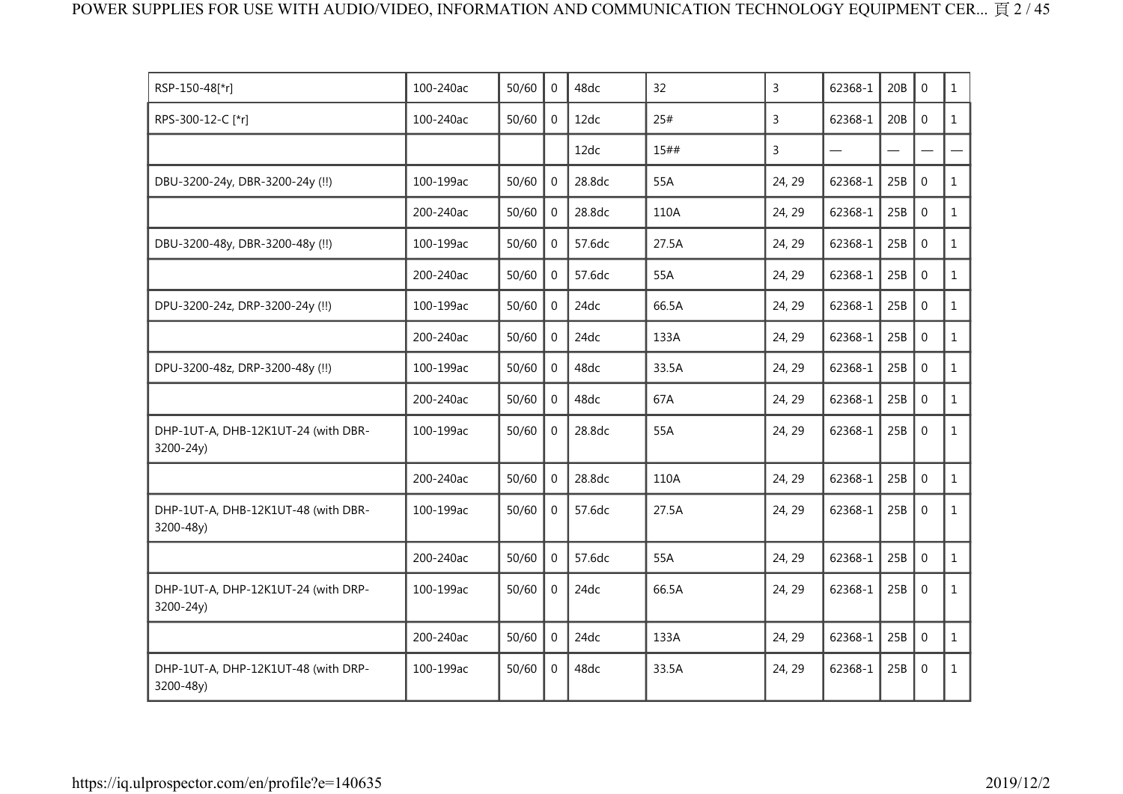| RSP-150-48[*r]                                   | 100-240ac | 50/60 | $\Omega$       | 48dc   | 32    | 3      | 62368-1 | 20B | $\mathbf{0}$ | $\mathbf{1}$ |
|--------------------------------------------------|-----------|-------|----------------|--------|-------|--------|---------|-----|--------------|--------------|
| RPS-300-12-C [*r]                                | 100-240ac | 50/60 | $\overline{0}$ | 12dc   | 25#   | 3      | 62368-1 | 20B | $\mathbf{0}$ | $\mathbf{1}$ |
|                                                  |           |       |                | 12dc   | 15##  | 3      |         |     |              |              |
| DBU-3200-24y, DBR-3200-24y (!!)                  | 100-199ac | 50/60 | $\Omega$       | 28.8dc | 55A   | 24, 29 | 62368-1 | 25B | $\mathbf 0$  | $\mathbf{1}$ |
|                                                  | 200-240ac | 50/60 | $\overline{0}$ | 28.8dc | 110A  | 24, 29 | 62368-1 | 25B | $\mathbf 0$  | $\mathbf{1}$ |
| DBU-3200-48y, DBR-3200-48y (!!)                  | 100-199ac | 50/60 | $\overline{0}$ | 57.6dc | 27.5A | 24, 29 | 62368-1 | 25B | $\mathbf 0$  | $\mathbf{1}$ |
|                                                  | 200-240ac | 50/60 | $\Omega$       | 57.6dc | 55A   | 24, 29 | 62368-1 | 25B | $\mathbf 0$  | $\mathbf{1}$ |
| DPU-3200-24z, DRP-3200-24y (!!)                  | 100-199ac | 50/60 | $\Omega$       | 24dc   | 66.5A | 24, 29 | 62368-1 | 25B | $\mathbf{0}$ | $\mathbf{1}$ |
|                                                  | 200-240ac | 50/60 | $\overline{0}$ | 24dc   | 133A  | 24, 29 | 62368-1 | 25B | $\mathbf 0$  | $\mathbf{1}$ |
| DPU-3200-48z, DRP-3200-48y (!!)                  | 100-199ac | 50/60 | $\Omega$       | 48dc   | 33.5A | 24, 29 | 62368-1 | 25B | $\mathbf 0$  | $\mathbf{1}$ |
|                                                  | 200-240ac | 50/60 | $\Omega$       | 48dc   | 67A   | 24, 29 | 62368-1 | 25B | $\mathbf 0$  | $\mathbf{1}$ |
| DHP-1UT-A, DHB-12K1UT-24 (with DBR-<br>3200-24y) | 100-199ac | 50/60 | $\overline{0}$ | 28.8dc | 55A   | 24, 29 | 62368-1 | 25B | $\mathbf 0$  | $\mathbf{1}$ |
|                                                  | 200-240ac | 50/60 | $\Omega$       | 28.8dc | 110A  | 24, 29 | 62368-1 | 25B | $\mathbf 0$  | $\mathbf{1}$ |
| DHP-1UT-A, DHB-12K1UT-48 (with DBR-<br>3200-48y) | 100-199ac | 50/60 | $\mathbf 0$    | 57.6dc | 27.5A | 24, 29 | 62368-1 | 25B | $\mathbf 0$  | $\mathbf{1}$ |
|                                                  | 200-240ac | 50/60 | $\overline{0}$ | 57.6dc | 55A   | 24, 29 | 62368-1 | 25B | $\mathbf{0}$ | $\mathbf{1}$ |
| DHP-1UT-A, DHP-12K1UT-24 (with DRP-<br>3200-24y) | 100-199ac | 50/60 | $\Omega$       | 24dc   | 66.5A | 24, 29 | 62368-1 | 25B | $\Omega$     | $\mathbf{1}$ |
|                                                  | 200-240ac | 50/60 | $\Omega$       | 24dc   | 133A  | 24, 29 | 62368-1 | 25B | $\mathbf 0$  | $\mathbf{1}$ |
| DHP-1UT-A, DHP-12K1UT-48 (with DRP-<br>3200-48y) | 100-199ac | 50/60 | $\overline{0}$ | 48dc   | 33.5A | 24, 29 | 62368-1 | 25B | $\mathbf 0$  | $\mathbf{1}$ |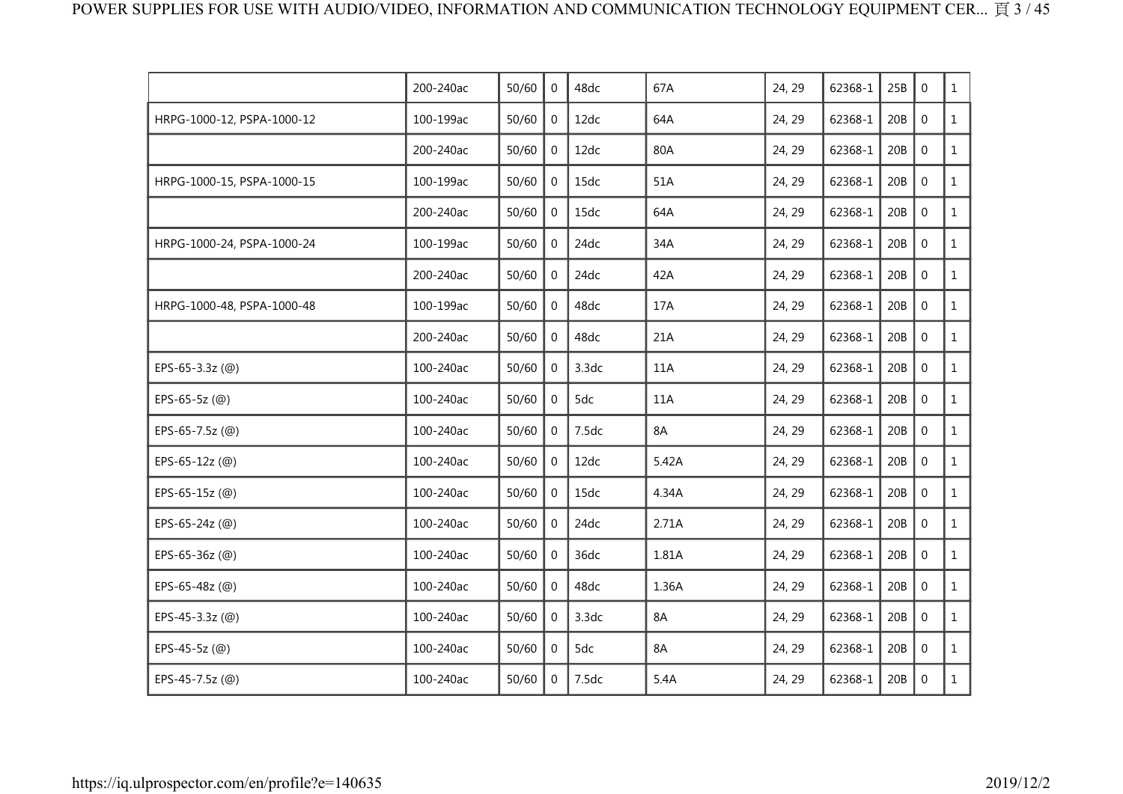|                               | 200-240ac | 50/60 | $\Omega$       | 48dc  | 67A   | 24, 29 | 62368-1 | 25B | $\mathbf 0$  | $\mathbf{1}$ |
|-------------------------------|-----------|-------|----------------|-------|-------|--------|---------|-----|--------------|--------------|
| HRPG-1000-12, PSPA-1000-12    | 100-199ac | 50/60 | 0              | 12dc  | 64A   | 24, 29 | 62368-1 | 20B | $\mathbf 0$  | $\mathbf{1}$ |
|                               | 200-240ac | 50/60 | $\mathbf 0$    | 12dc  | 80A   | 24, 29 | 62368-1 | 20B | $\mathbf 0$  | $\mathbf{1}$ |
| HRPG-1000-15, PSPA-1000-15    | 100-199ac | 50/60 | $\overline{0}$ | 15dc  | 51A   | 24, 29 | 62368-1 | 20B | $\mathbf 0$  | $\mathbf{1}$ |
|                               | 200-240ac | 50/60 | $\Omega$       | 15dc  | 64A   | 24, 29 | 62368-1 | 20B | $\mathbf 0$  | $\mathbf{1}$ |
| HRPG-1000-24, PSPA-1000-24    | 100-199ac | 50/60 | $\mathbf{0}$   | 24dc  | 34A   | 24, 29 | 62368-1 | 20B | $\mathbf 0$  | $\mathbf{1}$ |
|                               | 200-240ac | 50/60 | $\overline{0}$ | 24dc  | 42A   | 24, 29 | 62368-1 | 20B | $\mathbf 0$  | $\mathbf{1}$ |
| HRPG-1000-48, PSPA-1000-48    | 100-199ac | 50/60 | 0              | 48dc  | 17A   | 24, 29 | 62368-1 | 20B | $\mathbf 0$  | $\mathbf{1}$ |
|                               | 200-240ac | 50/60 | $\mathbf{0}$   | 48dc  | 21A   | 24, 29 | 62368-1 | 20B | $\mathbf 0$  | $\mathbf{1}$ |
| EPS-65-3.3z (@)               | 100-240ac | 50/60 | $\mathbf 0$    | 3.3dc | 11A   | 24, 29 | 62368-1 | 20B | $\mathbf 0$  | $\mathbf{1}$ |
| EPS-65-5z $(\textcircled{\o}$ | 100-240ac | 50/60 | $\Omega$       | 5dc   | 11A   | 24, 29 | 62368-1 | 20B | $\mathbf{0}$ | $\mathbf{1}$ |
| EPS-65-7.5z (@)               | 100-240ac | 50/60 | $\Omega$       | 7.5dc | 8A    | 24, 29 | 62368-1 | 20B | $\mathbf 0$  | $\mathbf{1}$ |
| EPS-65-12z (@)                | 100-240ac | 50/60 | $\mathbf{0}$   | 12dc  | 5.42A | 24, 29 | 62368-1 | 20B | $\mathbf 0$  | $\mathbf{1}$ |
| EPS-65-15z (@)                | 100-240ac | 50/60 | $\overline{0}$ | 15dc  | 4.34A | 24, 29 | 62368-1 | 20B | $\mathbf 0$  | $\mathbf{1}$ |
| EPS-65-24z (@)                | 100-240ac | 50/60 | 0              | 24dc  | 2.71A | 24, 29 | 62368-1 | 20B | $\mathbf 0$  | $\mathbf{1}$ |
| EPS-65-36z (@)                | 100-240ac | 50/60 | $\mathbf{0}$   | 36dc  | 1.81A | 24, 29 | 62368-1 | 20B | $\mathbf 0$  | $\mathbf{1}$ |
| EPS-65-48z (@)                | 100-240ac | 50/60 | $\mathbf{0}$   | 48dc  | 1.36A | 24, 29 | 62368-1 | 20B | $\mathbf 0$  | $\mathbf{1}$ |
| EPS-45-3.3z (@)               | 100-240ac | 50/60 | $\overline{0}$ | 3.3dc | 8A    | 24, 29 | 62368-1 | 20B | $\mathbf{0}$ | $\mathbf{1}$ |
| EPS-45-5z (@)                 | 100-240ac | 50/60 | $\Omega$       | 5dc   | 8A    | 24, 29 | 62368-1 | 20B | $\mathbf 0$  | $\mathbf{1}$ |
| EPS-45-7.5z (@)               | 100-240ac | 50/60 | $\overline{0}$ | 7.5dc | 5.4A  | 24, 29 | 62368-1 | 20B | $\mathbf 0$  | $\mathbf{1}$ |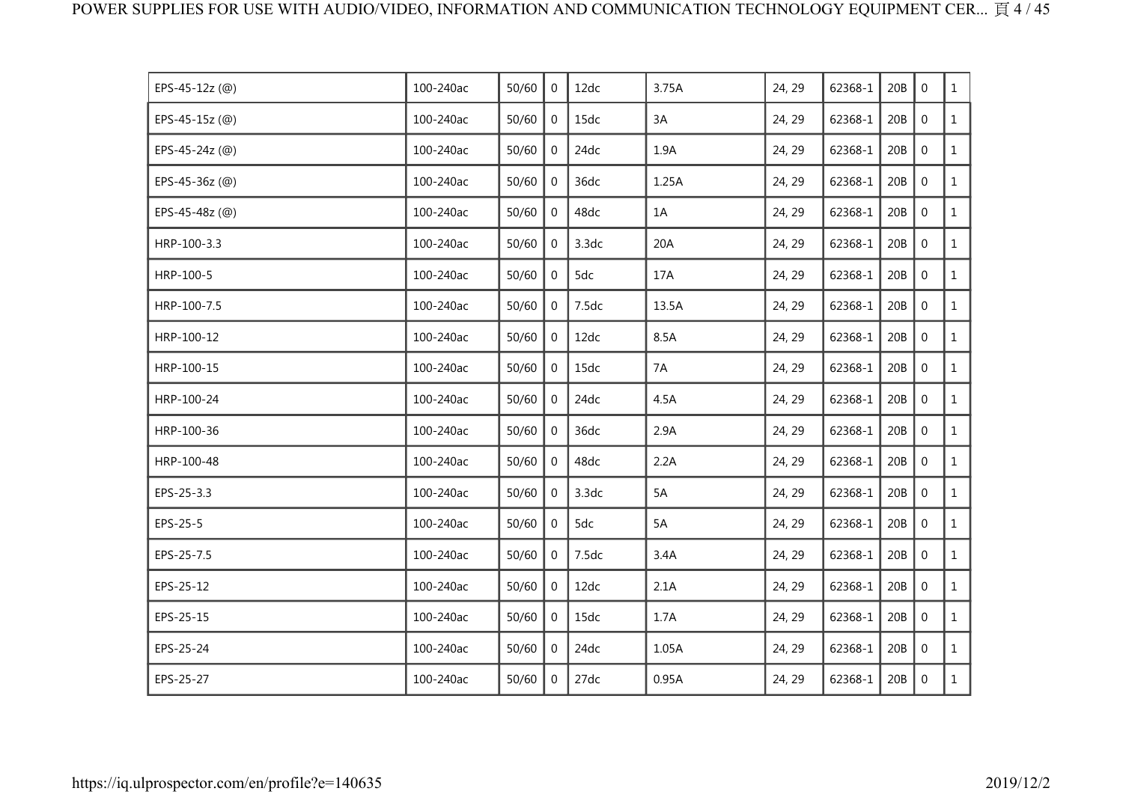| EPS-45-12z (@) | 100-240ac | 50/60 | $\mathbf 0$    | 12dc  | 3.75A | 24, 29 | 62368-1 | 20B | $\mathbf 0$ | $\mathbf{1}$ |
|----------------|-----------|-------|----------------|-------|-------|--------|---------|-----|-------------|--------------|
| EPS-45-15z (@) | 100-240ac | 50/60 | $\mathbf 0$    | 15dc  | 3A    | 24, 29 | 62368-1 | 20B | $\mathbf 0$ | $\mathbf{1}$ |
| EPS-45-24z (@) | 100-240ac | 50/60 | $\overline{0}$ | 24dc  | 1.9A  | 24, 29 | 62368-1 | 20B | $\mathbf 0$ | $\mathbf{1}$ |
| EPS-45-36z (@) | 100-240ac | 50/60 | $\mathbf 0$    | 36dc  | 1.25A | 24, 29 | 62368-1 | 20B | $\mathbf 0$ | $\mathbf{1}$ |
| EPS-45-48z (@) | 100-240ac | 50/60 | $\mathbf 0$    | 48dc  | 1A    | 24, 29 | 62368-1 | 20B | $\mathbf 0$ | $\mathbf{1}$ |
| HRP-100-3.3    | 100-240ac | 50/60 | $\mathbf 0$    | 3.3dc | 20A   | 24, 29 | 62368-1 | 20B | $\mathbf 0$ | $\mathbf{1}$ |
| HRP-100-5      | 100-240ac | 50/60 | 0              | 5dc   | 17A   | 24, 29 | 62368-1 | 20B | $\mathbf 0$ | $\mathbf{1}$ |
| HRP-100-7.5    | 100-240ac | 50/60 | $\mathbf{0}$   | 7.5dc | 13.5A | 24, 29 | 62368-1 | 20B | $\mathbf 0$ | $\mathbf{1}$ |
| HRP-100-12     | 100-240ac | 50/60 | $\overline{0}$ | 12dc  | 8.5A  | 24, 29 | 62368-1 | 20B | $\mathbf 0$ | $\mathbf{1}$ |
| HRP-100-15     | 100-240ac | 50/60 | $\overline{0}$ | 15dc  | 7A    | 24, 29 | 62368-1 | 20B | $\mathbf 0$ | $\mathbf{1}$ |
| HRP-100-24     | 100-240ac | 50/60 | $\mathbf 0$    | 24dc  | 4.5A  | 24, 29 | 62368-1 | 20B | $\mathbf 0$ | $\mathbf{1}$ |
| HRP-100-36     | 100-240ac | 50/60 | $\mathbf 0$    | 36dc  | 2.9A  | 24, 29 | 62368-1 | 20B | $\mathbf 0$ | $\mathbf{1}$ |
| HRP-100-48     | 100-240ac | 50/60 | $\mathbf 0$    | 48dc  | 2.2A  | 24, 29 | 62368-1 | 20B | $\mathbf 0$ | $\mathbf{1}$ |
| EPS-25-3.3     | 100-240ac | 50/60 | $\mathbf{0}$   | 3.3dc | 5A    | 24, 29 | 62368-1 | 20B | $\mathbf 0$ | $\mathbf{1}$ |
| EPS-25-5       | 100-240ac | 50/60 | $\mathbf 0$    | 5dc   | 5A    | 24, 29 | 62368-1 | 20B | $\mathbf 0$ | $\mathbf{1}$ |
| EPS-25-7.5     | 100-240ac | 50/60 | $\overline{0}$ | 7.5dc | 3.4A  | 24, 29 | 62368-1 | 20B | $\mathbf 0$ | $\mathbf{1}$ |
| EPS-25-12      | 100-240ac | 50/60 | $\mathbf 0$    | 12dc  | 2.1A  | 24, 29 | 62368-1 | 20B | $\mathbf 0$ | $\mathbf{1}$ |
| EPS-25-15      | 100-240ac | 50/60 | $\mathbf{0}$   | 15dc  | 1.7A  | 24, 29 | 62368-1 | 20B | $\mathbf 0$ | $\mathbf{1}$ |
| EPS-25-24      | 100-240ac | 50/60 | $\overline{0}$ | 24dc  | 1.05A | 24, 29 | 62368-1 | 20B | $\mathbf 0$ | $\mathbf{1}$ |
| EPS-25-27      | 100-240ac | 50/60 | $\mathbf{0}$   | 27dc  | 0.95A | 24, 29 | 62368-1 | 20B | $\mathbf 0$ | $\mathbf{1}$ |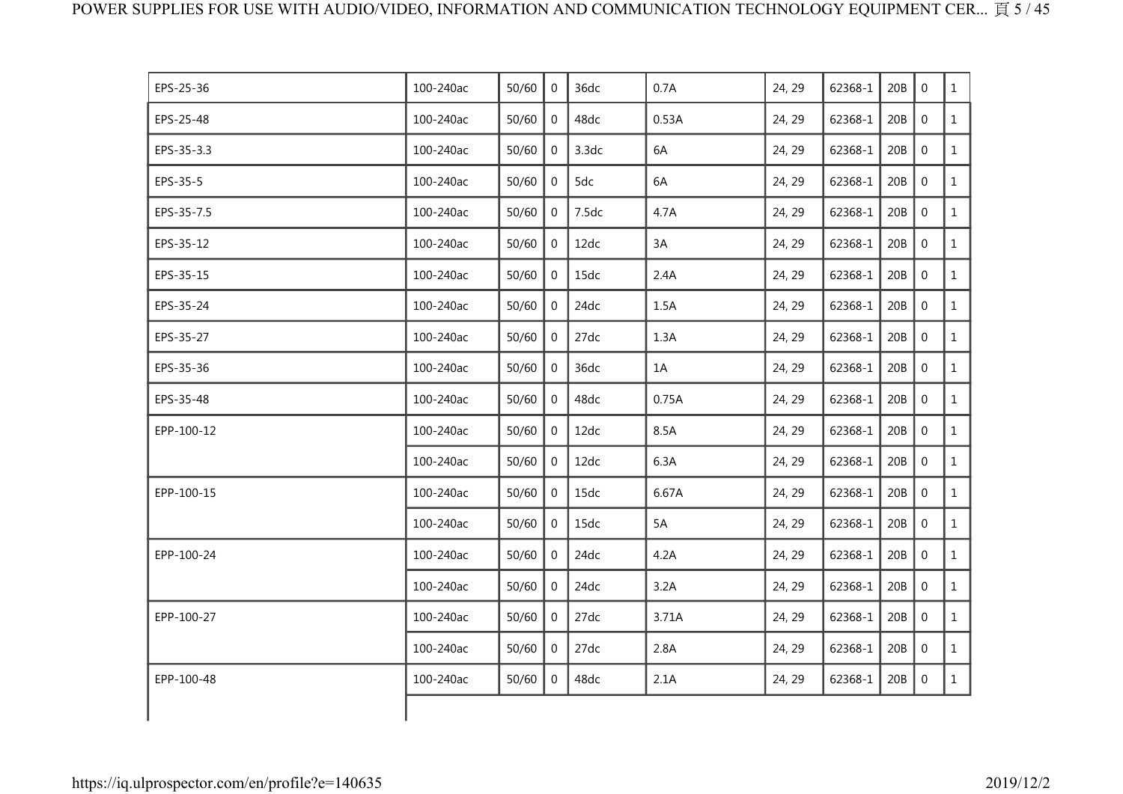| EPS-25-36  | 100-240ac | 50/60 | $\Omega$       | 36dc  | 0.7A  | 24, 29 | 62368-1 | 20B | $\Omega$       | $\mathbf{1}$ |
|------------|-----------|-------|----------------|-------|-------|--------|---------|-----|----------------|--------------|
| EPS-25-48  | 100-240ac | 50/60 | $\overline{0}$ | 48dc  | 0.53A | 24, 29 | 62368-1 | 20B | $\mathbf 0$    | $\mathbf{1}$ |
| EPS-35-3.3 | 100-240ac | 50/60 | $\mathbf{0}$   | 3.3dc | 6A    | 24, 29 | 62368-1 | 20B | $\mathbf 0$    | $\mathbf{1}$ |
| EPS-35-5   | 100-240ac | 50/60 | $\overline{0}$ | 5dc   | 6A    | 24, 29 | 62368-1 | 20B | $\mathbf 0$    | $\mathbf{1}$ |
| EPS-35-7.5 | 100-240ac | 50/60 | $\overline{0}$ | 7.5dc | 4.7A  | 24, 29 | 62368-1 | 20B | $\mathbf 0$    | $\mathbf{1}$ |
| EPS-35-12  | 100-240ac | 50/60 | $\Omega$       | 12dc  | 3A    | 24, 29 | 62368-1 | 20B | $\Omega$       | $\mathbf{1}$ |
| EPS-35-15  | 100-240ac | 50/60 | $\mathbf 0$    | 15dc  | 2.4A  | 24, 29 | 62368-1 | 20B | $\mathbf 0$    | $\mathbf{1}$ |
| EPS-35-24  | 100-240ac | 50/60 | $\overline{0}$ | 24dc  | 1.5A  | 24, 29 | 62368-1 | 20B | $\mathbf 0$    | $\mathbf{1}$ |
| EPS-35-27  | 100-240ac | 50/60 | $\overline{0}$ | 27dc  | 1.3A  | 24, 29 | 62368-1 | 20B | $\mathbf 0$    | $\mathbf{1}$ |
| EPS-35-36  | 100-240ac | 50/60 | $\Omega$       | 36dc  | 1A    | 24, 29 | 62368-1 | 20B | $\mathbf 0$    | $\mathbf{1}$ |
| EPS-35-48  | 100-240ac | 50/60 | $\Omega$       | 48dc  | 0.75A | 24, 29 | 62368-1 | 20B | $\Omega$       | $\mathbf{1}$ |
| EPP-100-12 | 100-240ac | 50/60 | $\overline{0}$ | 12dc  | 8.5A  | 24, 29 | 62368-1 | 20B | $\mathbf 0$    | $\mathbf{1}$ |
|            | 100-240ac | 50/60 | $\overline{0}$ | 12dc  | 6.3A  | 24, 29 | 62368-1 | 20B | $\mathbf 0$    | $\mathbf{1}$ |
| EPP-100-15 | 100-240ac | 50/60 | $\overline{0}$ | 15dc  | 6.67A | 24, 29 | 62368-1 | 20B | $\mathbf 0$    | $\mathbf{1}$ |
|            | 100-240ac | 50/60 | $\overline{0}$ | 15dc  | 5A    | 24, 29 | 62368-1 | 20B | $\overline{0}$ | $\mathbf{1}$ |
| EPP-100-24 | 100-240ac | 50/60 | $\Omega$       | 24dc  | 4.2A  | 24, 29 | 62368-1 | 20B | $\mathbf 0$    | $\mathbf{1}$ |
|            | 100-240ac | 50/60 | $\overline{0}$ | 24dc  | 3.2A  | 24, 29 | 62368-1 | 20B | $\mathbf 0$    | $\mathbf{1}$ |
| EPP-100-27 | 100-240ac | 50/60 | $\overline{0}$ | 27dc  | 3.71A | 24, 29 | 62368-1 | 20B | $\mathbf 0$    | $\mathbf{1}$ |
|            | 100-240ac | 50/60 | $\overline{0}$ | 27dc  | 2.8A  | 24, 29 | 62368-1 | 20B | $\mathbf 0$    | $\mathbf{1}$ |
| EPP-100-48 | 100-240ac | 50/60 | $\overline{0}$ | 48dc  | 2.1A  | 24, 29 | 62368-1 | 20B | $\mathbf 0$    | $\mathbf{1}$ |
|            |           |       |                |       |       |        |         |     |                |              |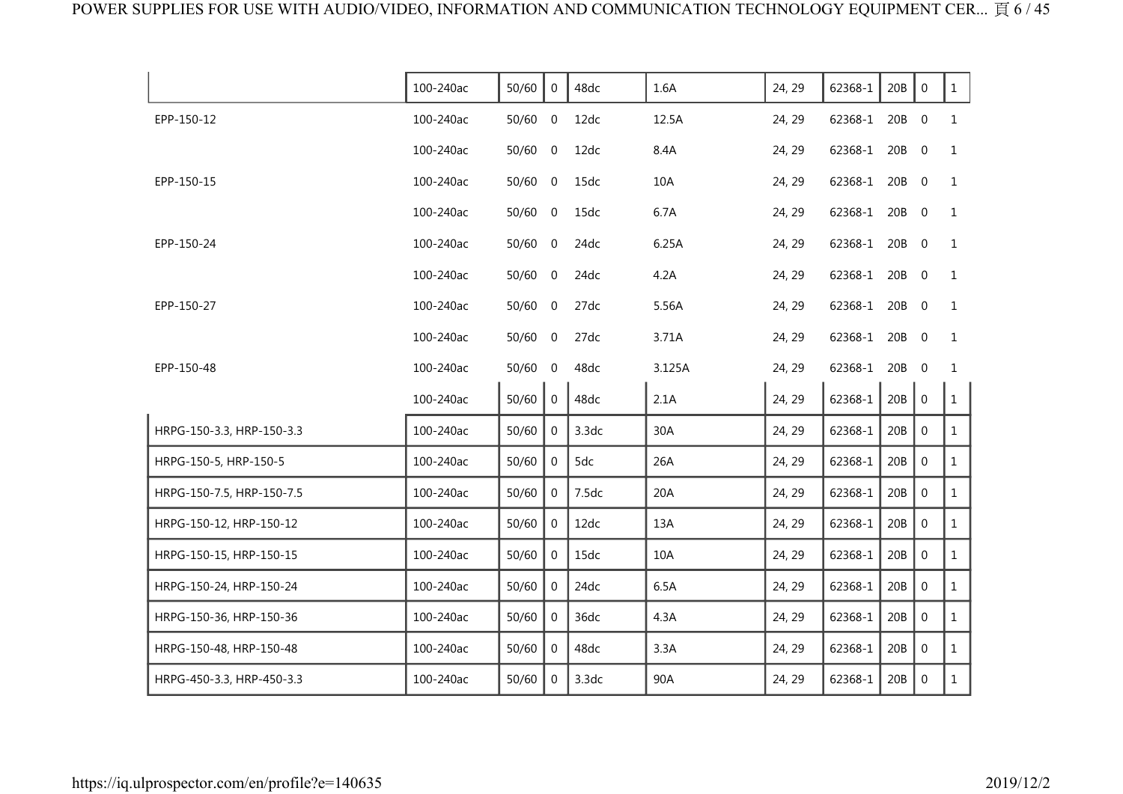|                           | 100-240ac | 50/60     | $\overline{0}$ | 48dc  | 1.6A   | 24, 29 | 62368-1       | 20B   | $\mathbf 0$    | $\mathbf{1}$ |
|---------------------------|-----------|-----------|----------------|-------|--------|--------|---------------|-------|----------------|--------------|
| EPP-150-12                | 100-240ac | $50/60$ 0 |                | 12dc  | 12.5A  | 24, 29 | 62368-1       | 20B   | $\mathbf 0$    | $\mathbf{1}$ |
|                           | 100-240ac | $50/60$ 0 |                | 12dc  | 8.4A   | 24, 29 | 62368-1       | 20B   | $\mathbf 0$    | $\mathbf{1}$ |
| EPP-150-15                | 100-240ac | 50/60 0   |                | 15dc  | 10A    | 24, 29 | 62368-1 20B 0 |       |                | 1            |
|                           | 100-240ac | 50/60 0   |                | 15dc  | 6.7A   | 24, 29 | 62368-1       | 20B 0 |                | $\mathbf{1}$ |
| EPP-150-24                | 100-240ac | $50/60$ 0 |                | 24dc  | 6.25A  | 24, 29 | 62368-1       | 20B 0 |                | $\mathbf{1}$ |
|                           | 100-240ac | $50/60$ 0 |                | 24dc  | 4.2A   | 24, 29 | 62368-1       | 20B 0 |                | $\mathbf{1}$ |
| EPP-150-27                | 100-240ac | $50/60$ 0 |                | 27dc  | 5.56A  | 24, 29 | 62368-1 20B 0 |       |                | $\mathbf{1}$ |
|                           | 100-240ac | 50/60 0   |                | 27dc  | 3.71A  | 24, 29 | 62368-1 20B 0 |       |                | $\mathbf{1}$ |
| EPP-150-48                | 100-240ac | $50/60$ 0 |                | 48dc  | 3.125A | 24, 29 | 62368-1       | 20B   | $\overline{0}$ | $\mathbf{1}$ |
|                           | 100-240ac | 50/60     | $\overline{0}$ | 48dc  | 2.1A   | 24, 29 | 62368-1       | 20B   | $\mathbf 0$    | $\mathbf{1}$ |
| HRPG-150-3.3, HRP-150-3.3 | 100-240ac | 50/60     | $\mathbf{0}$   | 3.3dc | 30A    | 24, 29 | 62368-1       | 20B   | $\mathbf 0$    | $\mathbf{1}$ |
| HRPG-150-5, HRP-150-5     | 100-240ac | 50/60     | $\overline{0}$ | 5dc   | 26A    | 24, 29 | 62368-1       | 20B   | $\mathbf{0}$   | $\mathbf{1}$ |
| HRPG-150-7.5, HRP-150-7.5 | 100-240ac | 50/60     | $\Omega$       | 7.5dc | 20A    | 24, 29 | 62368-1       | 20B   | $\mathbf 0$    | $\mathbf{1}$ |
| HRPG-150-12, HRP-150-12   | 100-240ac | 50/60     | $\Omega$       | 12dc  | 13A    | 24, 29 | 62368-1       | 20B   | $\mathbf{0}$   | $\mathbf{1}$ |
| HRPG-150-15, HRP-150-15   | 100-240ac | 50/60     | $\mathbf{0}$   | 15dc  | 10A    | 24, 29 | 62368-1       | 20B   | $\mathbf 0$    | $\mathbf{1}$ |
| HRPG-150-24, HRP-150-24   | 100-240ac | 50/60     | $\overline{0}$ | 24dc  | 6.5A   | 24, 29 | 62368-1       | 20B   | $\mathbf{0}$   | $\mathbf{1}$ |
| HRPG-150-36, HRP-150-36   | 100-240ac | 50/60     | $\overline{0}$ | 36dc  | 4.3A   | 24, 29 | 62368-1       | 20B   | $\mathbf{0}$   | $\mathbf{1}$ |
| HRPG-150-48, HRP-150-48   | 100-240ac | 50/60     | $\Omega$       | 48dc  | 3.3A   | 24, 29 | 62368-1       | 20B   | $\mathbf{0}$   | $\mathbf{1}$ |
| HRPG-450-3.3, HRP-450-3.3 | 100-240ac | 50/60     | $\Omega$       | 3.3dc | 90A    | 24, 29 | 62368-1       | 20B   | $\mathbf 0$    | $\mathbf{1}$ |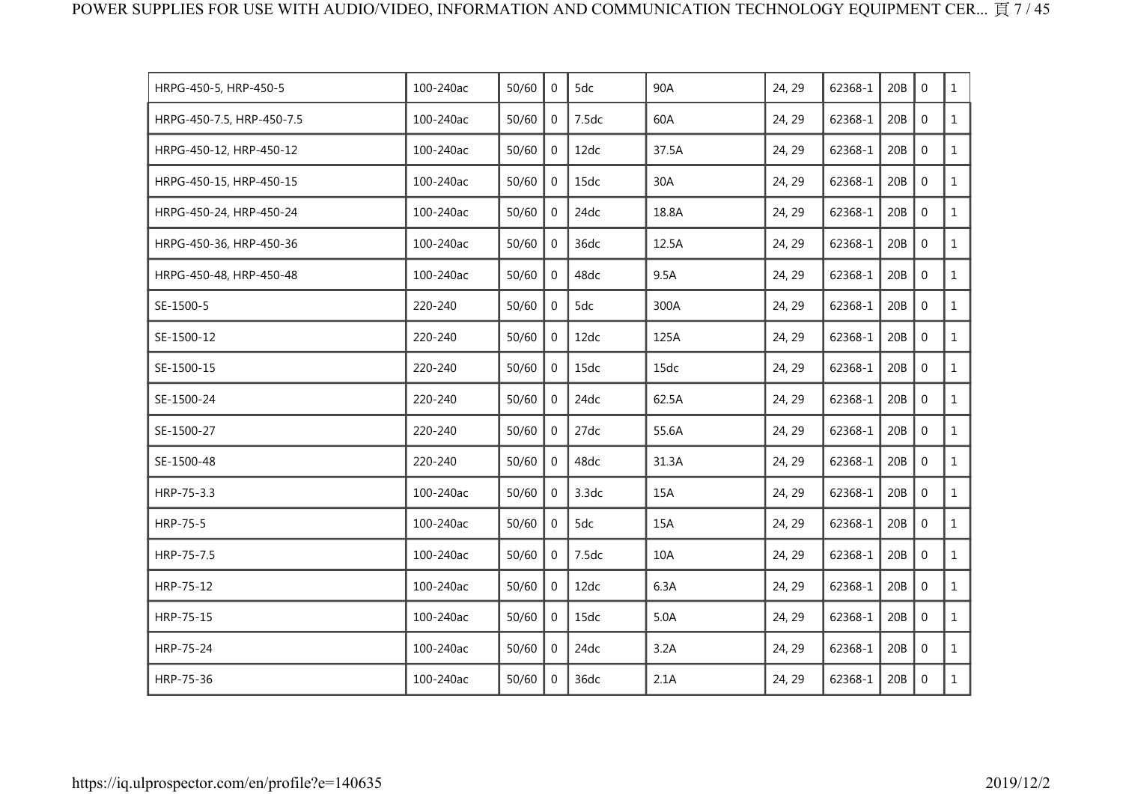| HRPG-450-5, HRP-450-5     | 100-240ac | 50/60 | $\mathbf 0$    | 5dc   | 90A   | 24, 29 | 62368-1 | 20B | $\mathbf 0$    | $\mathbf{1}$ |
|---------------------------|-----------|-------|----------------|-------|-------|--------|---------|-----|----------------|--------------|
| HRPG-450-7.5, HRP-450-7.5 | 100-240ac | 50/60 | $\mathbf 0$    | 7.5dc | 60A   | 24, 29 | 62368-1 | 20B | $\mathbf 0$    | $\mathbf{1}$ |
| HRPG-450-12, HRP-450-12   | 100-240ac | 50/60 | $\overline{0}$ | 12dc  | 37.5A | 24, 29 | 62368-1 | 20B | $\mathbf 0$    | $\mathbf{1}$ |
| HRPG-450-15, HRP-450-15   | 100-240ac | 50/60 | 0              | 15dc  | 30A   | 24, 29 | 62368-1 | 20B | $\mathbf 0$    | $\mathbf{1}$ |
| HRPG-450-24, HRP-450-24   | 100-240ac | 50/60 | $\mathbf 0$    | 24dc  | 18.8A | 24, 29 | 62368-1 | 20B | $\mathbf 0$    | $\mathbf{1}$ |
| HRPG-450-36, HRP-450-36   | 100-240ac | 50/60 | $\mathbf 0$    | 36dc  | 12.5A | 24, 29 | 62368-1 | 20B | $\mathbf 0$    | $\mathbf{1}$ |
| HRPG-450-48, HRP-450-48   | 100-240ac | 50/60 | $\Omega$       | 48dc  | 9.5A  | 24, 29 | 62368-1 | 20B | $\mathbf 0$    | $\mathbf{1}$ |
| SE-1500-5                 | 220-240   | 50/60 | 0              | 5dc   | 300A  | 24, 29 | 62368-1 | 20B | $\mathbf 0$    | $\mathbf{1}$ |
| SE-1500-12                | 220-240   | 50/60 | $\mathbf{0}$   | 12dc  | 125A  | 24, 29 | 62368-1 | 20B | $\mathbf 0$    | $\mathbf{1}$ |
| SE-1500-15                | 220-240   | 50/60 | $\mathbf 0$    | 15dc  | 15dc  | 24, 29 | 62368-1 | 20B | $\mathbf 0$    | $\mathbf{1}$ |
| SE-1500-24                | 220-240   | 50/60 | $\Omega$       | 24dc  | 62.5A | 24, 29 | 62368-1 | 20B | $\mathbf 0$    | $\mathbf{1}$ |
| SE-1500-27                | 220-240   | 50/60 | 0              | 27dc  | 55.6A | 24, 29 | 62368-1 | 20B | $\mathbf 0$    | $\mathbf{1}$ |
| SE-1500-48                | 220-240   | 50/60 | $\mathbf 0$    | 48dc  | 31.3A | 24, 29 | 62368-1 | 20B | $\mathbf 0$    | $\mathbf{1}$ |
| HRP-75-3.3                | 100-240ac | 50/60 | $\mathbf 0$    | 3.3dc | 15A   | 24, 29 | 62368-1 | 20B | $\overline{0}$ | $\mathbf{1}$ |
| HRP-75-5                  | 100-240ac | 50/60 | $\Omega$       | 5dc   | 15A   | 24, 29 | 62368-1 | 20B | $\mathbf 0$    | $\mathbf{1}$ |
| HRP-75-7.5                | 100-240ac | 50/60 | $\Omega$       | 7.5dc | 10A   | 24, 29 | 62368-1 | 20B | $\Omega$       | $\mathbf{1}$ |
| HRP-75-12                 | 100-240ac | 50/60 | $\overline{0}$ | 12dc  | 6.3A  | 24, 29 | 62368-1 | 20B | $\mathbf 0$    | $\mathbf{1}$ |
| HRP-75-15                 | 100-240ac | 50/60 | $\mathbf{0}$   | 15dc  | 5.0A  | 24, 29 | 62368-1 | 20B | $\mathbf 0$    | $\mathbf{1}$ |
| HRP-75-24                 | 100-240ac | 50/60 | $\overline{0}$ | 24dc  | 3.2A  | 24, 29 | 62368-1 | 20B | $\mathbf 0$    | $\mathbf{1}$ |
| HRP-75-36                 | 100-240ac | 50/60 | $\mathbf 0$    | 36dc  | 2.1A  | 24, 29 | 62368-1 | 20B | $\mathbf 0$    | $\mathbf{1}$ |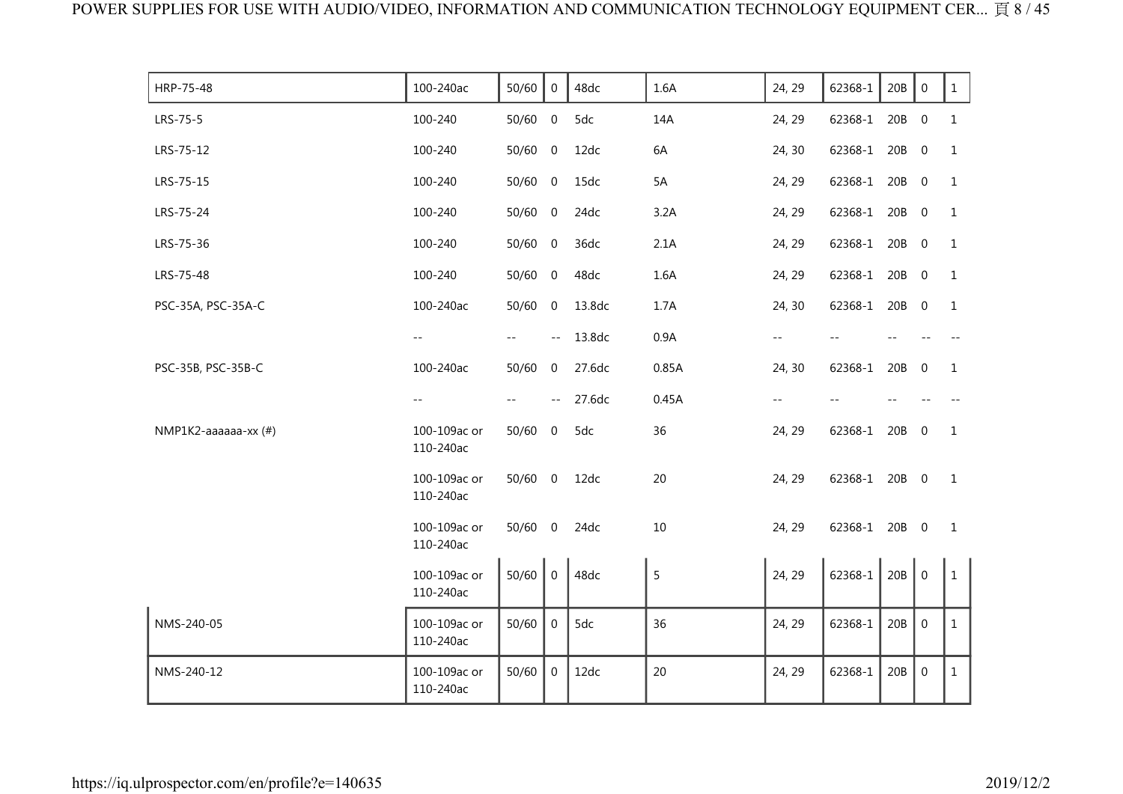| HRP-75-48            | 100-240ac                 | 50/60     | $\overline{0}$           | 48dc   | 1.6A  | 24, 29 | 62368-1       | 20B | $\mathbf 0$      | $\mathbf{1}$ |
|----------------------|---------------------------|-----------|--------------------------|--------|-------|--------|---------------|-----|------------------|--------------|
| LRS-75-5             | 100-240                   | 50/60 0   |                          | 5dc    | 14A   | 24, 29 | 62368-1       | 20B | $\overline{0}$   | $\mathbf{1}$ |
| LRS-75-12            | 100-240                   | 50/60     | $\overline{0}$           | 12dc   | 6A    | 24, 30 | 62368-1       | 20B | $\mathbf 0$      | 1            |
| LRS-75-15            | 100-240                   | $50/60$ 0 |                          | 15dc   | 5A    | 24, 29 | 62368-1       | 20B | $\overline{0}$   | 1            |
| LRS-75-24            | 100-240                   | 50/60 0   |                          | 24dc   | 3.2A  | 24, 29 | 62368-1       | 20B | $\overline{0}$   | $\mathbf{1}$ |
| LRS-75-36            | 100-240                   | 50/60     | $\overline{0}$           | 36dc   | 2.1A  | 24, 29 | 62368-1       | 20B | $\overline{0}$   | $\mathbf{1}$ |
| LRS-75-48            | 100-240                   | 50/60 0   |                          | 48dc   | 1.6A  | 24, 29 | 62368-1       | 20B | $\overline{0}$   | 1            |
| PSC-35A, PSC-35A-C   | 100-240ac                 | 50/60 0   |                          | 13.8dc | 1.7A  | 24, 30 | 62368-1 20B   |     | $\overline{0}$   | $\mathbf{1}$ |
|                      | $\sim$ $-$                |           | $\sim$ $-$               | 13.8dc | 0.9A  | $- -$  |               |     |                  |              |
| PSC-35B, PSC-35B-C   | 100-240ac                 | 50/60     | $\mathbf 0$              | 27.6dc | 0.85A | 24, 30 | 62368-1       | 20B | $\mathbf{0}$     | 1            |
|                      | $\qquad \qquad -$         |           | $\overline{\phantom{m}}$ | 27.6dc | 0.45A | --     |               |     |                  |              |
| NMP1K2-aaaaaa-xx (#) | 100-109ac or<br>110-240ac | 50/60     | $\overline{0}$           | 5dc    | 36    | 24, 29 | 62368-1       | 20B | $\overline{0}$   | $\mathbf{1}$ |
|                      | 100-109ac or<br>110-240ac | $50/60$ 0 |                          | 12dc   | 20    | 24, 29 | 62368-1 20B 0 |     |                  | 1            |
|                      | 100-109ac or<br>110-240ac | $50/60$ 0 |                          | 24dc   | 10    | 24, 29 | 62368-1 20B 0 |     |                  | 1            |
|                      | 100-109ac or<br>110-240ac | 50/60     | $\overline{0}$           | 48dc   | 5     | 24, 29 | 62368-1       | 20B | $\mathbf 0$      | $\mathbf{1}$ |
| NMS-240-05           | 100-109ac or<br>110-240ac | 50/60     | $\mathbf{0}$             | 5dc    | 36    | 24, 29 | 62368-1       | 20B | $\boldsymbol{0}$ | $\mathbf{1}$ |
| NMS-240-12           | 100-109ac or<br>110-240ac | 50/60     | $\overline{0}$           | 12dc   | 20    | 24, 29 | 62368-1       | 20B | $\boldsymbol{0}$ | $\mathbf{1}$ |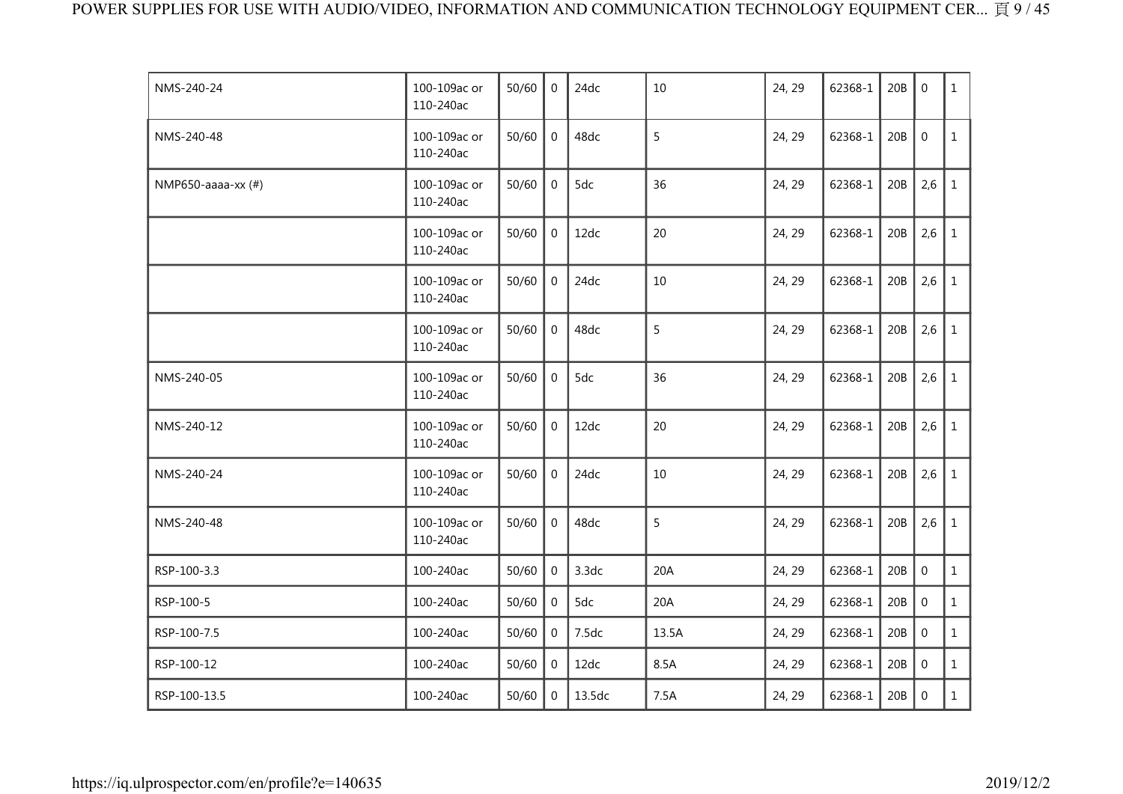| NMS-240-24         | 100-109ac or<br>110-240ac | 50/60 | $\mathbf 0$    | 24dc   | 10    | 24, 29 | 62368-1 | 20B | $\mathbf{0}$     | $\mathbf{1}$ |
|--------------------|---------------------------|-------|----------------|--------|-------|--------|---------|-----|------------------|--------------|
| NMS-240-48         | 100-109ac or<br>110-240ac | 50/60 | $\mathbf 0$    | 48dc   | 5     | 24, 29 | 62368-1 | 20B | $\mathbf 0$      | $\mathbf{1}$ |
| NMP650-aaaa-xx (#) | 100-109ac or<br>110-240ac | 50/60 | $\mathbf 0$    | 5dc    | 36    | 24, 29 | 62368-1 | 20B | 2,6              | $\mathbf{1}$ |
|                    | 100-109ac or<br>110-240ac | 50/60 | $\mathbf 0$    | 12dc   | 20    | 24, 29 | 62368-1 | 20B | 2,6              | $\mathbf{1}$ |
|                    | 100-109ac or<br>110-240ac | 50/60 | $\overline{0}$ | 24dc   | 10    | 24, 29 | 62368-1 | 20B | 2,6              | $\mathbf{1}$ |
|                    | 100-109ac or<br>110-240ac | 50/60 | $\overline{0}$ | 48dc   | 5     | 24, 29 | 62368-1 | 20B | 2,6              | $\mathbf{1}$ |
| NMS-240-05         | 100-109ac or<br>110-240ac | 50/60 | $\mathbf 0$    | 5dc    | 36    | 24, 29 | 62368-1 | 20B | 2,6              | $\mathbf{1}$ |
| NMS-240-12         | 100-109ac or<br>110-240ac | 50/60 | $\mathbf 0$    | 12dc   | 20    | 24, 29 | 62368-1 | 20B | 2,6              | $\mathbf{1}$ |
| NMS-240-24         | 100-109ac or<br>110-240ac | 50/60 | $\overline{0}$ | 24dc   | 10    | 24, 29 | 62368-1 | 20B | 2,6              | $\mathbf{1}$ |
| NMS-240-48         | 100-109ac or<br>110-240ac | 50/60 | $\mathbf 0$    | 48dc   | 5     | 24, 29 | 62368-1 | 20B | 2,6              | $\mathbf{1}$ |
| RSP-100-3.3        | 100-240ac                 | 50/60 | 0              | 3.3dc  | 20A   | 24, 29 | 62368-1 | 20B | $\boldsymbol{0}$ | $\mathbf{1}$ |
| RSP-100-5          | 100-240ac                 | 50/60 | 0              | 5dc    | 20A   | 24, 29 | 62368-1 | 20B | $\mathbf 0$      | $\mathbf{1}$ |
| RSP-100-7.5        | 100-240ac                 | 50/60 | $\mathbf 0$    | 7.5dc  | 13.5A | 24, 29 | 62368-1 | 20B | $\mathbf 0$      | $\mathbf{1}$ |
| RSP-100-12         | 100-240ac                 | 50/60 | 0              | 12dc   | 8.5A  | 24, 29 | 62368-1 | 20B | $\boldsymbol{0}$ | $\mathbf{1}$ |
| RSP-100-13.5       | 100-240ac                 | 50/60 | 0              | 13.5dc | 7.5A  | 24, 29 | 62368-1 | 20B | $\mathbf 0$      | $\mathbf{1}$ |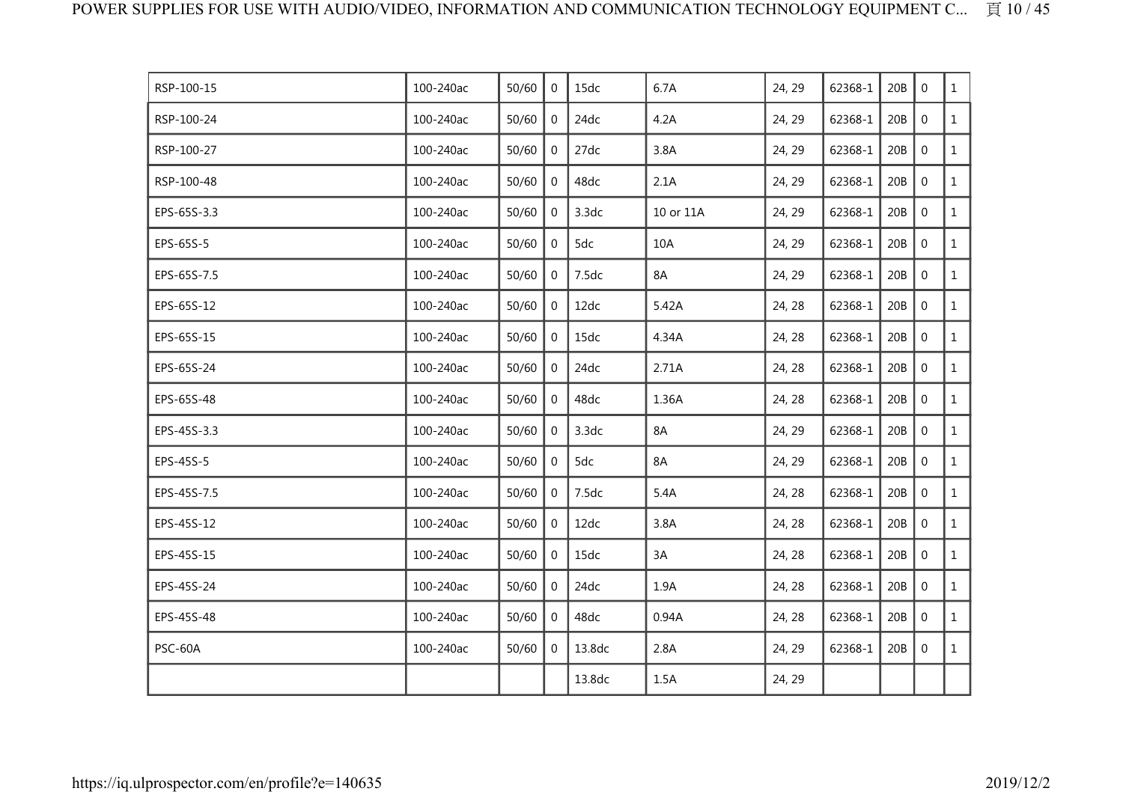| RSP-100-15  | 100-240ac | 50/60 | $\overline{0}$ | 15dc   | 6.7A      | 24, 29 | 62368-1 | 20B | $\mathbf{0}$   | $\mathbf{1}$ |
|-------------|-----------|-------|----------------|--------|-----------|--------|---------|-----|----------------|--------------|
| RSP-100-24  | 100-240ac | 50/60 | $\mathbf 0$    | 24dc   | 4.2A      | 24, 29 | 62368-1 | 20B | $\mathbf 0$    | 1            |
| RSP-100-27  | 100-240ac | 50/60 | $\mathbf 0$    | 27dc   | 3.8A      | 24, 29 | 62368-1 | 20B | $\mathbf 0$    | $\mathbf{1}$ |
| RSP-100-48  | 100-240ac | 50/60 | 0              | 48dc   | 2.1A      | 24, 29 | 62368-1 | 20B | $\mathbf 0$    | $\mathbf{1}$ |
| EPS-65S-3.3 | 100-240ac | 50/60 | $\overline{0}$ | 3.3dc  | 10 or 11A | 24, 29 | 62368-1 | 20B | $\overline{0}$ | $\mathbf{1}$ |
| EPS-65S-5   | 100-240ac | 50/60 | $\mathbf 0$    | 5dc    | 10A       | 24, 29 | 62368-1 | 20B | $\overline{0}$ | $\mathbf{1}$ |
| EPS-65S-7.5 | 100-240ac | 50/60 | $\overline{0}$ | 7.5dc  | 8A        | 24, 29 | 62368-1 | 20B | $\mathbf 0$    | $\mathbf{1}$ |
| EPS-65S-12  | 100-240ac | 50/60 | $\overline{0}$ | 12dc   | 5.42A     | 24, 28 | 62368-1 | 20B | $\mathbf 0$    | $\mathbf{1}$ |
| EPS-65S-15  | 100-240ac | 50/60 | $\overline{0}$ | 15dc   | 4.34A     | 24, 28 | 62368-1 | 20B | $\mathbf 0$    | $\mathbf{1}$ |
| EPS-65S-24  | 100-240ac | 50/60 | $\overline{0}$ | 24dc   | 2.71A     | 24, 28 | 62368-1 | 20B | $\mathbf 0$    | $\mathbf{1}$ |
| EPS-65S-48  | 100-240ac | 50/60 | $\mathbf 0$    | 48dc   | 1.36A     | 24, 28 | 62368-1 | 20B | $\mathbf 0$    | $\mathbf{1}$ |
| EPS-45S-3.3 | 100-240ac | 50/60 | $\mathbf 0$    | 3.3dc  | 8A        | 24, 29 | 62368-1 | 20B | $\mathbf 0$    | $\mathbf{1}$ |
| EPS-45S-5   | 100-240ac | 50/60 | $\mathbf 0$    | 5dc    | 8A        | 24, 29 | 62368-1 | 20B | $\mathbf 0$    | $\mathbf{1}$ |
| EPS-45S-7.5 | 100-240ac | 50/60 | $\mathbf 0$    | 7.5dc  | 5.4A      | 24, 28 | 62368-1 | 20B | $\mathbf 0$    | $\mathbf{1}$ |
| EPS-45S-12  | 100-240ac | 50/60 | $\overline{0}$ | 12dc   | 3.8A      | 24, 28 | 62368-1 | 20B | $\mathbf 0$    | $\mathbf{1}$ |
| EPS-45S-15  | 100-240ac | 50/60 | $\mathbf 0$    | 15dc   | 3A        | 24, 28 | 62368-1 | 20B | $\mathbf 0$    | $\mathbf{1}$ |
| EPS-45S-24  | 100-240ac | 50/60 | $\overline{0}$ | 24dc   | 1.9A      | 24, 28 | 62368-1 | 20B | $\mathbf 0$    | $\mathbf{1}$ |
| EPS-45S-48  | 100-240ac | 50/60 | $\mathbf{0}$   | 48dc   | 0.94A     | 24, 28 | 62368-1 | 20B | $\mathbf 0$    | $\mathbf{1}$ |
| PSC-60A     | 100-240ac | 50/60 | $\overline{0}$ | 13.8dc | 2.8A      | 24, 29 | 62368-1 | 20B | $\mathbf 0$    | $\mathbf{1}$ |
|             |           |       |                | 13.8dc | 1.5A      | 24, 29 |         |     |                |              |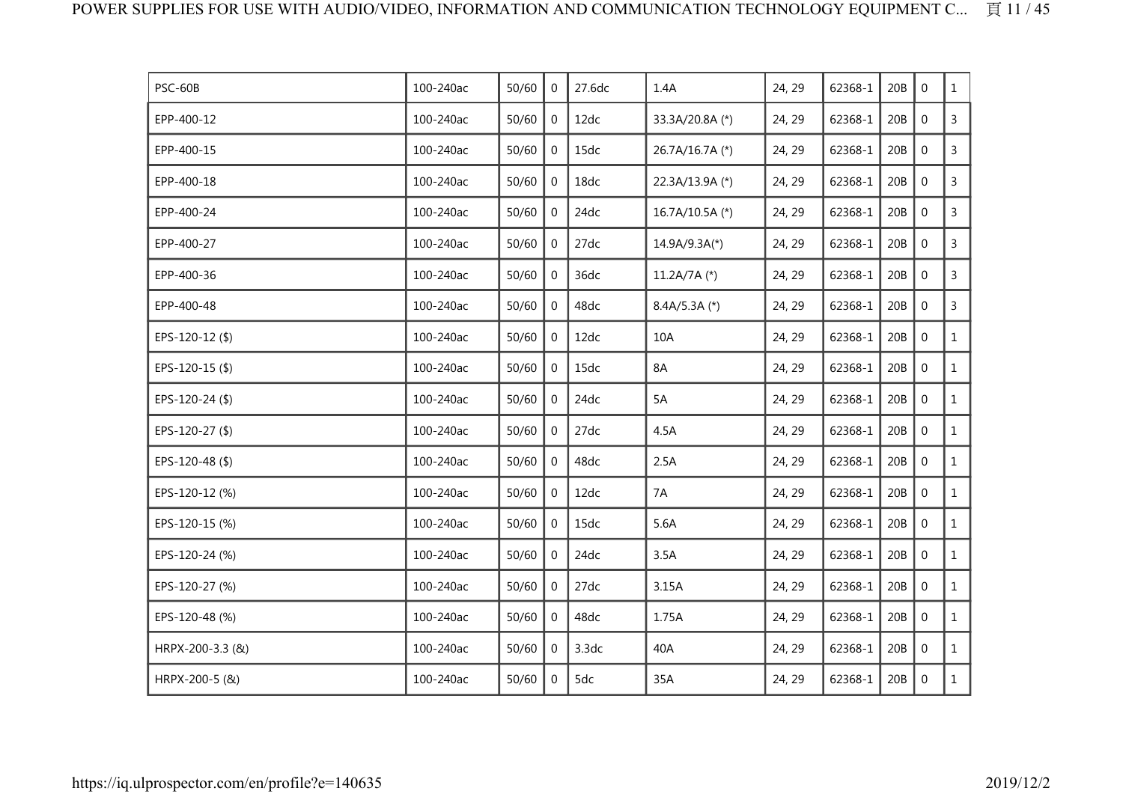| PSC-60B          | 100-240ac | 50/60 | $\overline{0}$ | 27.6dc | 1.4A            | 24, 29 | 62368-1 | 20B | $\mathbf 0$      | $\mathbf{1}$   |
|------------------|-----------|-------|----------------|--------|-----------------|--------|---------|-----|------------------|----------------|
| EPP-400-12       | 100-240ac | 50/60 | 0              | 12dc   | 33.3A/20.8A (*) | 24, 29 | 62368-1 | 20B | $\mathbf 0$      | $\mathsf{3}$   |
| EPP-400-15       | 100-240ac | 50/60 | 0              | 15dc   | 26.7A/16.7A (*) | 24, 29 | 62368-1 | 20B | $\mathbf 0$      | $\mathsf{3}$   |
| EPP-400-18       | 100-240ac | 50/60 | $\overline{0}$ | 18dc   | 22.3A/13.9A (*) | 24, 29 | 62368-1 | 20B | $\boldsymbol{0}$ | $\mathsf{3}$   |
| EPP-400-24       | 100-240ac | 50/60 | 0              | 24dc   | 16.7A/10.5A (*) | 24, 29 | 62368-1 | 20B | $\mathbf 0$      | $\mathsf{3}$   |
| EPP-400-27       | 100-240ac | 50/60 | 0              | 27dc   | $14.9A/9.3A(*)$ | 24, 29 | 62368-1 | 20B | $\mathbf 0$      | $\overline{3}$ |
| EPP-400-36       | 100-240ac | 50/60 | 0              | 36dc   | 11.2A/7A $(*)$  | 24, 29 | 62368-1 | 20B | $\mathbf 0$      | $\overline{3}$ |
| EPP-400-48       | 100-240ac | 50/60 | 0              | 48dc   | $8.4A/5.3A$ (*) | 24, 29 | 62368-1 | 20B | $\mathbf 0$      | 3              |
| EPS-120-12(\$)   | 100-240ac | 50/60 | 0              | 12dc   | 10A             | 24, 29 | 62368-1 | 20B | $\mathbf 0$      | $\mathbf{1}$   |
| EPS-120-15 (\$)  | 100-240ac | 50/60 | $\overline{0}$ | 15dc   | 8A              | 24, 29 | 62368-1 | 20B | $\mathbf 0$      | $\mathbf{1}$   |
| EPS-120-24 (\$)  | 100-240ac | 50/60 | $\overline{0}$ | 24dc   | 5A              | 24, 29 | 62368-1 | 20B | $\mathbf 0$      | $\mathbf{1}$   |
| EPS-120-27 (\$)  | 100-240ac | 50/60 | 0              | 27dc   | 4.5A            | 24, 29 | 62368-1 | 20B | $\mathbf 0$      | $\mathbf{1}$   |
| EPS-120-48 (\$)  | 100-240ac | 50/60 | $\overline{0}$ | 48dc   | 2.5A            | 24, 29 | 62368-1 | 20B | $\mathbf 0$      | $\mathbf{1}$   |
| EPS-120-12 (%)   | 100-240ac | 50/60 | $\overline{0}$ | 12dc   | 7A              | 24, 29 | 62368-1 | 20B | $\boldsymbol{0}$ | $\mathbf{1}$   |
| EPS-120-15 (%)   | 100-240ac | 50/60 | $\mathbf{0}$   | 15dc   | 5.6A            | 24, 29 | 62368-1 | 20B | $\mathbf 0$      | $\mathbf{1}$   |
| EPS-120-24 (%)   | 100-240ac | 50/60 | 0              | 24dc   | 3.5A            | 24, 29 | 62368-1 | 20B | $\mathbf 0$      | $\mathbf{1}$   |
| EPS-120-27 (%)   | 100-240ac | 50/60 | $\overline{0}$ | 27dc   | 3.15A           | 24, 29 | 62368-1 | 20B | $\mathbf 0$      | $\mathbf{1}$   |
| EPS-120-48 (%)   | 100-240ac | 50/60 | 0              | 48dc   | 1.75A           | 24, 29 | 62368-1 | 20B | $\mathbf 0$      | $\mathbf{1}$   |
| HRPX-200-3.3 (&) | 100-240ac | 50/60 | $\overline{0}$ | 3.3dc  | 40A             | 24, 29 | 62368-1 | 20B | $\mathbf 0$      | $\mathbf{1}$   |
| HRPX-200-5 (&)   | 100-240ac | 50/60 | $\mathbf 0$    | 5dc    | 35A             | 24, 29 | 62368-1 | 20B | $\mathbf 0$      | $\mathbf{1}$   |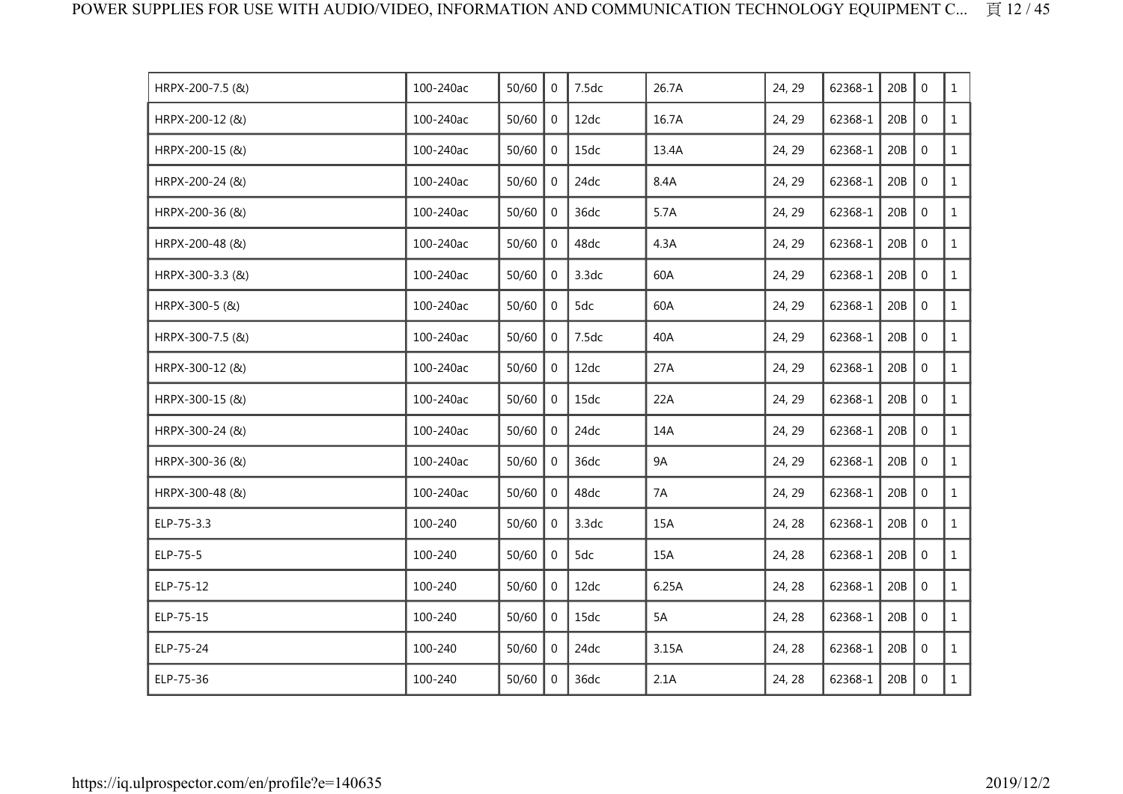| HRPX-200-7.5 (&) | 100-240ac | 50/60 | $\mathbf{0}$   | 7.5dc | 26.7A     | 24, 29 | 62368-1 | 20B | $\mathbf 0$      | $\mathbf{1}$ |
|------------------|-----------|-------|----------------|-------|-----------|--------|---------|-----|------------------|--------------|
| HRPX-200-12 (&)  | 100-240ac | 50/60 | $\mathbf 0$    | 12dc  | 16.7A     | 24, 29 | 62368-1 | 20B | $\mathbf 0$      | $\mathbf{1}$ |
| HRPX-200-15 (&)  | 100-240ac | 50/60 | $\mathbf 0$    | 15dc  | 13.4A     | 24, 29 | 62368-1 | 20B | $\mathbf 0$      | $\mathbf{1}$ |
| HRPX-200-24 (&)  | 100-240ac | 50/60 | $\overline{0}$ | 24dc  | 8.4A      | 24, 29 | 62368-1 | 20B | $\mathbf 0$      | $\mathbf{1}$ |
| HRPX-200-36 (&)  | 100-240ac | 50/60 | $\Omega$       | 36dc  | 5.7A      | 24, 29 | 62368-1 | 20B | $\mathbf 0$      | $\mathbf{1}$ |
| HRPX-200-48 (&)  | 100-240ac | 50/60 | $\overline{0}$ | 48dc  | 4.3A      | 24, 29 | 62368-1 | 20B | $\mathbf 0$      | $\mathbf{1}$ |
| HRPX-300-3.3 (&) | 100-240ac | 50/60 | $\overline{0}$ | 3.3dc | 60A       | 24, 29 | 62368-1 | 20B | $\mathbf 0$      | $\mathbf{1}$ |
| HRPX-300-5 (&)   | 100-240ac | 50/60 | 0              | 5dc   | 60A       | 24, 29 | 62368-1 | 20B | $\mathbf 0$      | $\mathbf{1}$ |
| HRPX-300-7.5 (&) | 100-240ac | 50/60 | $\mathbf{0}$   | 7.5dc | 40A       | 24, 29 | 62368-1 | 20B | $\mathbf 0$      | $\mathbf{1}$ |
| HRPX-300-12 (&)  | 100-240ac | 50/60 | $\mathbf{0}$   | 12dc  | 27A       | 24, 29 | 62368-1 | 20B | $\mathbf 0$      | $\mathbf{1}$ |
| HRPX-300-15 (&)  | 100-240ac | 50/60 | $\mathbf 0$    | 15dc  | 22A       | 24, 29 | 62368-1 | 20B | $\mathbf 0$      | $\mathbf{1}$ |
| HRPX-300-24 (&)  | 100-240ac | 50/60 | $\mathbf 0$    | 24dc  | 14A       | 24, 29 | 62368-1 | 20B | $\mathbf 0$      | $\mathbf{1}$ |
| HRPX-300-36 (&)  | 100-240ac | 50/60 | $\overline{0}$ | 36dc  | <b>9A</b> | 24, 29 | 62368-1 | 20B | $\boldsymbol{0}$ | $\mathbf{1}$ |
| HRPX-300-48 (&)  | 100-240ac | 50/60 | $\mathbf{0}$   | 48dc  | 7A        | 24, 29 | 62368-1 | 20B | $\mathbf 0$      | $\mathbf{1}$ |
| ELP-75-3.3       | 100-240   | 50/60 | 0              | 3.3dc | 15A       | 24, 28 | 62368-1 | 20B | $\mathbf 0$      | $\mathbf{1}$ |
| ELP-75-5         | 100-240   | 50/60 | $\mathbf 0$    | 5dc   | 15A       | 24, 28 | 62368-1 | 20B | $\mathbf 0$      | $\mathbf{1}$ |
| ELP-75-12        | 100-240   | 50/60 | $\mathbf 0$    | 12dc  | 6.25A     | 24, 28 | 62368-1 | 20B | $\mathbf 0$      | $\mathbf{1}$ |
| ELP-75-15        | 100-240   | 50/60 | $\Omega$       | 15dc  | 5A        | 24, 28 | 62368-1 | 20B | $\mathbf 0$      | $\mathbf{1}$ |
| ELP-75-24        | 100-240   | 50/60 | $\Omega$       | 24dc  | 3.15A     | 24, 28 | 62368-1 | 20B | $\mathbf 0$      | $\mathbf{1}$ |
| ELP-75-36        | 100-240   | 50/60 | $\mathbf 0$    | 36dc  | 2.1A      | 24, 28 | 62368-1 | 20B | $\mathbf 0$      | $\mathbf{1}$ |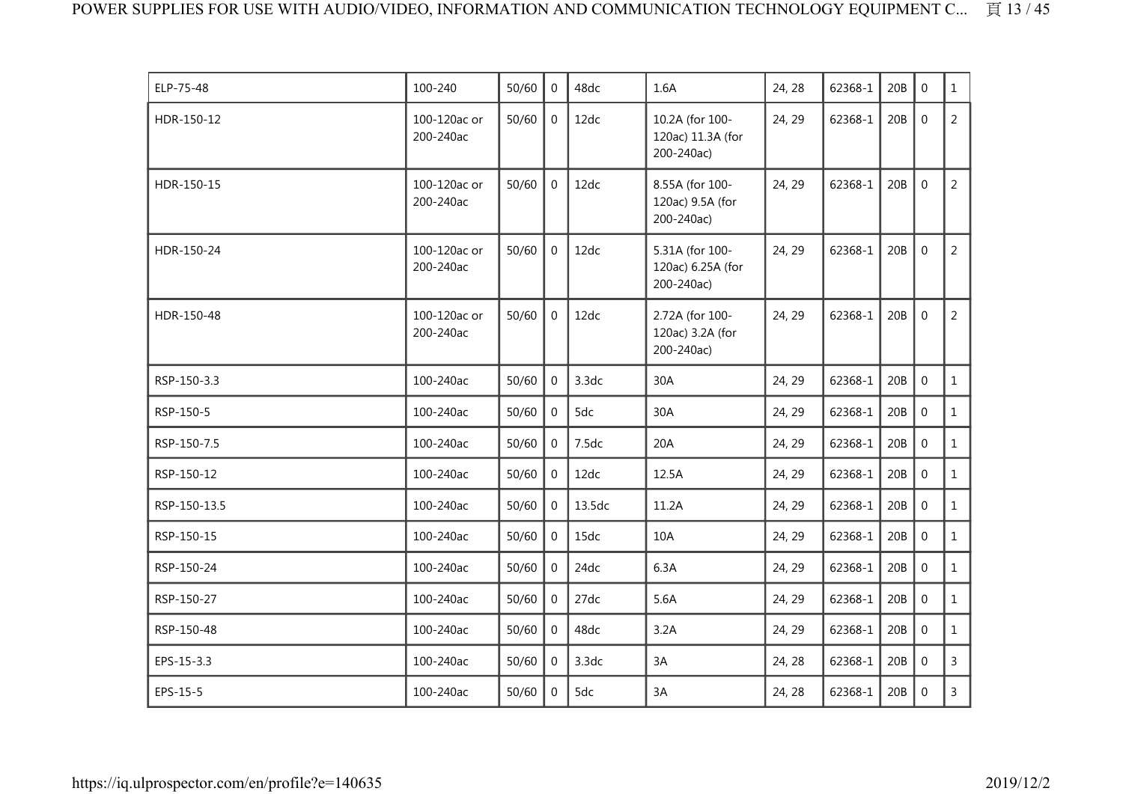| ELP-75-48    | 100-240                   | 50/60 | $\Omega$       | 48dc   | 1.6A                                               | 24, 28 | 62368-1 | 20B | $\mathbf{0}$     | $\mathbf{1}$   |
|--------------|---------------------------|-------|----------------|--------|----------------------------------------------------|--------|---------|-----|------------------|----------------|
| HDR-150-12   | 100-120ac or<br>200-240ac | 50/60 | $\overline{0}$ | 12dc   | 10.2A (for 100-<br>120ac) 11.3A (for<br>200-240ac) | 24, 29 | 62368-1 | 20B | $\mathbf 0$      | $\overline{2}$ |
| HDR-150-15   | 100-120ac or<br>200-240ac | 50/60 | $\overline{0}$ | 12dc   | 8.55A (for 100-<br>120ac) 9.5A (for<br>200-240ac)  | 24, 29 | 62368-1 | 20B | $\boldsymbol{0}$ | $\overline{2}$ |
| HDR-150-24   | 100-120ac or<br>200-240ac | 50/60 | $\overline{0}$ | 12dc   | 5.31A (for 100-<br>120ac) 6.25A (for<br>200-240ac) | 24, 29 | 62368-1 | 20B | $\mathbf 0$      | $\overline{2}$ |
| HDR-150-48   | 100-120ac or<br>200-240ac | 50/60 | $\mathbf 0$    | 12dc   | 2.72A (for 100-<br>120ac) 3.2A (for<br>200-240ac)  | 24, 29 | 62368-1 | 20B | $\mathbf 0$      | $\overline{2}$ |
| RSP-150-3.3  | 100-240ac                 | 50/60 | $\overline{0}$ | 3.3dc  | 30A                                                | 24, 29 | 62368-1 | 20B | $\boldsymbol{0}$ | $\mathbf{1}$   |
| RSP-150-5    | 100-240ac                 | 50/60 | $\Omega$       | 5dc    | 30A                                                | 24, 29 | 62368-1 | 20B | $\mathbf{0}$     | $\mathbf{1}$   |
| RSP-150-7.5  | 100-240ac                 | 50/60 | $\mathbf 0$    | 7.5dc  | 20A                                                | 24, 29 | 62368-1 | 20B | $\mathbf{0}$     | $\mathbf{1}$   |
| RSP-150-12   | 100-240ac                 | 50/60 | $\overline{0}$ | 12dc   | 12.5A                                              | 24, 29 | 62368-1 | 20B | $\mathbf 0$      | $\mathbf{1}$   |
| RSP-150-13.5 | 100-240ac                 | 50/60 | 0              | 13.5dc | 11.2A                                              | 24, 29 | 62368-1 | 20B | $\mathbf 0$      | $\mathbf{1}$   |
| RSP-150-15   | 100-240ac                 | 50/60 | $\overline{0}$ | 15dc   | 10A                                                | 24, 29 | 62368-1 | 20B | $\mathbf 0$      | $\mathbf{1}$   |
| RSP-150-24   | 100-240ac                 | 50/60 | $\Omega$       | 24dc   | 6.3A                                               | 24, 29 | 62368-1 | 20B | $\mathbf{0}$     | $\mathbf{1}$   |
| RSP-150-27   | 100-240ac                 | 50/60 | $\overline{0}$ | 27dc   | 5.6A                                               | 24, 29 | 62368-1 | 20B | $\mathbf 0$      | $\mathbf{1}$   |
| RSP-150-48   | 100-240ac                 | 50/60 | $\overline{0}$ | 48dc   | 3.2A                                               | 24, 29 | 62368-1 | 20B | $\overline{0}$   | $\mathbf{1}$   |
| EPS-15-3.3   | 100-240ac                 | 50/60 | $\Omega$       | 3.3dc  | 3A                                                 | 24, 28 | 62368-1 | 20B | $\mathbf{0}$     | 3              |
| EPS-15-5     | 100-240ac                 | 50/60 | 0              | 5dc    | 3A                                                 | 24, 28 | 62368-1 | 20B | $\mathbf 0$      | $\mathsf{3}$   |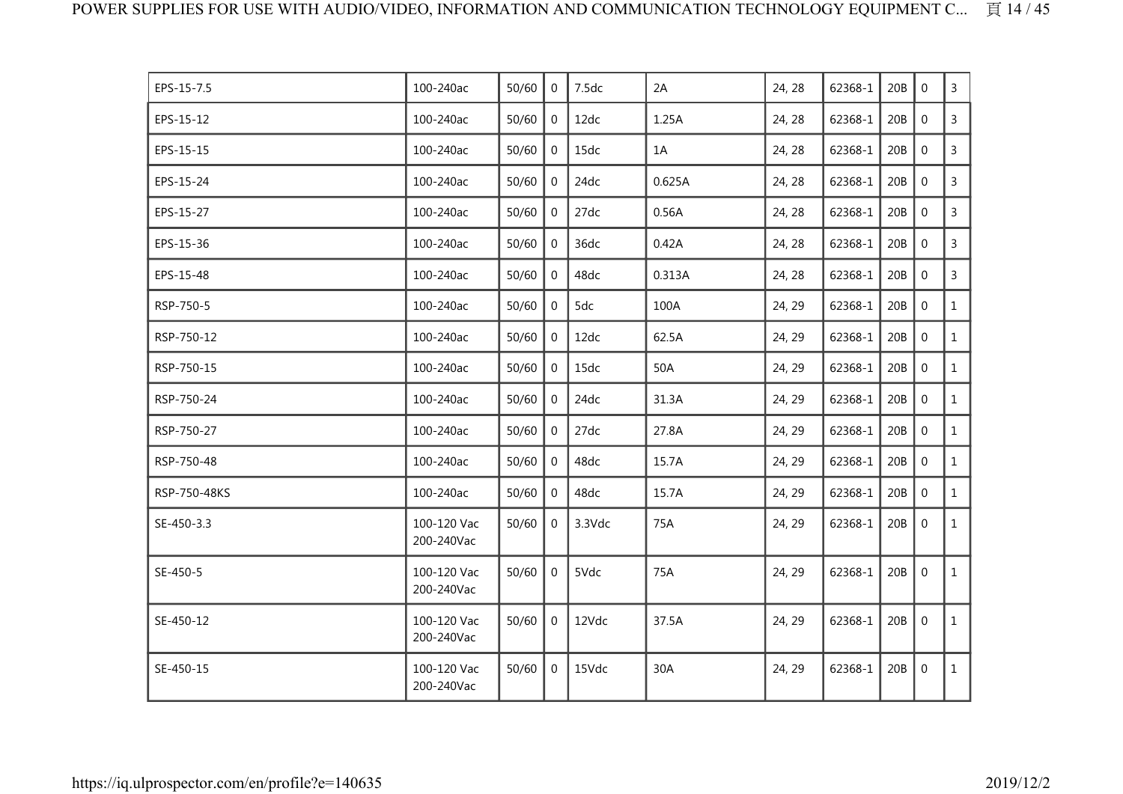| EPS-15-7.5   | 100-240ac                 | 50/60 | $\Omega$       | 7.5dc  | 2A     | 24, 28 | 62368-1 | 20B | $\mathbf{0}$   | $\mathsf{3}$   |
|--------------|---------------------------|-------|----------------|--------|--------|--------|---------|-----|----------------|----------------|
| EPS-15-12    | 100-240ac                 | 50/60 | $\mathbf 0$    | 12dc   | 1.25A  | 24, 28 | 62368-1 | 20B | $\mathbf 0$    | $\overline{3}$ |
| EPS-15-15    | 100-240ac                 | 50/60 | $\mathbf{0}$   | 15dc   | 1A     | 24, 28 | 62368-1 | 20B | $\mathbf 0$    | $\overline{3}$ |
| EPS-15-24    | 100-240ac                 | 50/60 | $\mathbf{0}$   | 24dc   | 0.625A | 24, 28 | 62368-1 | 20B | $\mathbf 0$    | 3              |
| EPS-15-27    | 100-240ac                 | 50/60 | $\mathbf{0}$   | 27dc   | 0.56A  | 24, 28 | 62368-1 | 20B | $\mathbf 0$    | $\mathsf{3}$   |
| EPS-15-36    | 100-240ac                 | 50/60 | $\mathbf{0}$   | 36dc   | 0.42A  | 24, 28 | 62368-1 | 20B | $\mathbf 0$    | $\overline{3}$ |
| EPS-15-48    | 100-240ac                 | 50/60 | $\mathbf{0}$   | 48dc   | 0.313A | 24, 28 | 62368-1 | 20B | $\mathbf 0$    | 3              |
| RSP-750-5    | 100-240ac                 | 50/60 | $\mathbf 0$    | 5dc    | 100A   | 24, 29 | 62368-1 | 20B | $\mathbf 0$    | $\mathbf{1}$   |
| RSP-750-12   | 100-240ac                 | 50/60 | $\overline{0}$ | 12dc   | 62.5A  | 24, 29 | 62368-1 | 20B | $\overline{0}$ | $\mathbf{1}$   |
| RSP-750-15   | 100-240ac                 | 50/60 | $\overline{0}$ | 15dc   | 50A    | 24, 29 | 62368-1 | 20B | $\mathbf 0$    | $\mathbf{1}$   |
| RSP-750-24   | 100-240ac                 | 50/60 | $\mathbf{0}$   | 24dc   | 31.3A  | 24, 29 | 62368-1 | 20B | $\mathbf 0$    | $\mathbf{1}$   |
| RSP-750-27   | 100-240ac                 | 50/60 | $\mathbf 0$    | 27dc   | 27.8A  | 24, 29 | 62368-1 | 20B | $\mathbf 0$    | $\mathbf{1}$   |
| RSP-750-48   | 100-240ac                 | 50/60 | $\mathbf{0}$   | 48dc   | 15.7A  | 24, 29 | 62368-1 | 20B | $\mathbf{0}$   | $\mathbf{1}$   |
| RSP-750-48KS | 100-240ac                 | 50/60 | $\Omega$       | 48dc   | 15.7A  | 24, 29 | 62368-1 | 20B | $\Omega$       | $\mathbf{1}$   |
| SE-450-3.3   | 100-120 Vac<br>200-240Vac | 50/60 | $\mathbf{0}$   | 3.3Vdc | 75A    | 24, 29 | 62368-1 | 20B | $\mathbf 0$    | $\mathbf{1}$   |
| SE-450-5     | 100-120 Vac<br>200-240Vac | 50/60 | $\overline{0}$ | 5Vdc   | 75A    | 24, 29 | 62368-1 | 20B | $\mathbf 0$    | $\mathbf{1}$   |
| SE-450-12    | 100-120 Vac<br>200-240Vac | 50/60 | $\overline{0}$ | 12Vdc  | 37.5A  | 24, 29 | 62368-1 | 20B | $\overline{0}$ | $\mathbf{1}$   |
| SE-450-15    | 100-120 Vac<br>200-240Vac | 50/60 | $\overline{0}$ | 15Vdc  | 30A    | 24, 29 | 62368-1 | 20B | $\mathbf 0$    | $\mathbf{1}$   |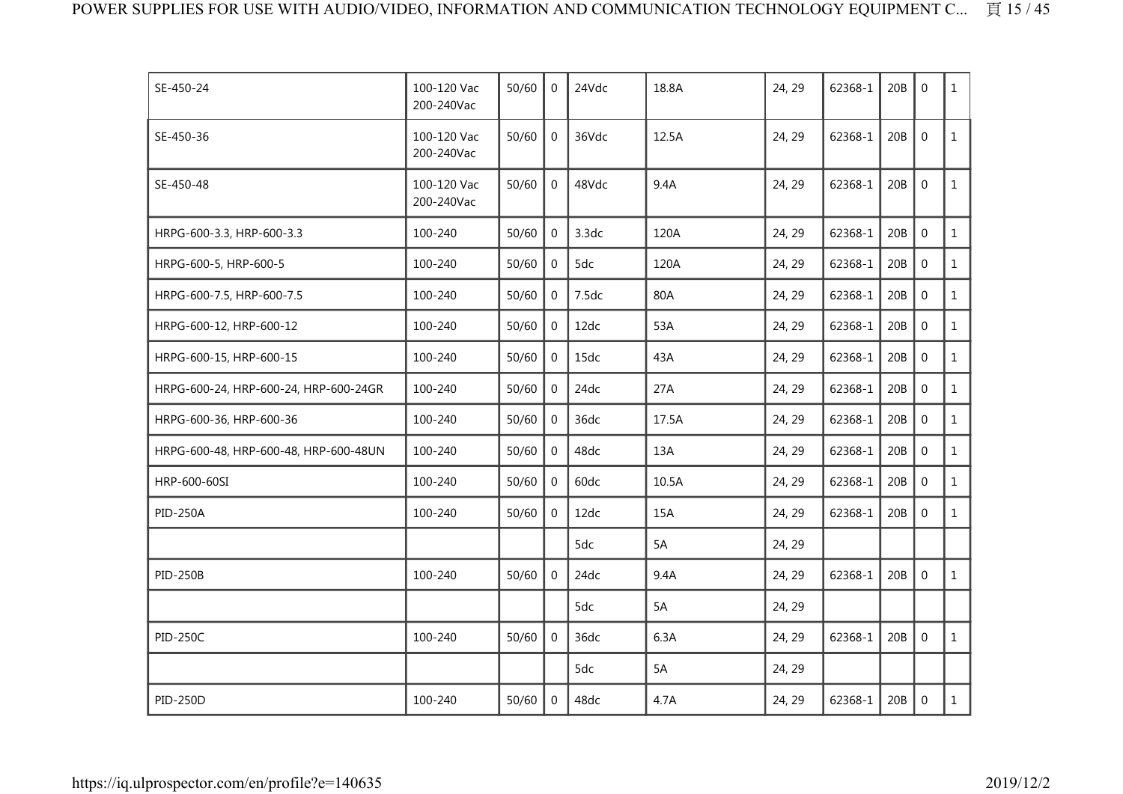| SE-450-24                             | 100-120 Vac<br>200-240Vac | 50/60 | $\Omega$       | 24Vdc | 18.8A | 24, 29 | 62368-1 | 20B | $\Omega$       | $\mathbf{1}$ |
|---------------------------------------|---------------------------|-------|----------------|-------|-------|--------|---------|-----|----------------|--------------|
| SE-450-36                             | 100-120 Vac<br>200-240Vac | 50/60 | $\Omega$       | 36Vdc | 12.5A | 24, 29 | 62368-1 | 20B | $\mathbf{0}$   | $\mathbf{1}$ |
| SE-450-48                             | 100-120 Vac<br>200-240Vac | 50/60 | $\mathbf 0$    | 48Vdc | 9.4A  | 24, 29 | 62368-1 | 20B | $\mathbf 0$    | $\mathbf{1}$ |
| HRPG-600-3.3, HRP-600-3.3             | 100-240                   | 50/60 | $\mathbf{0}$   | 3.3dc | 120A  | 24, 29 | 62368-1 | 20B | $\mathbf 0$    | $\mathbf{1}$ |
| HRPG-600-5, HRP-600-5                 | 100-240                   | 50/60 | $\Omega$       | 5dc   | 120A  | 24, 29 | 62368-1 | 20B | $\Omega$       | $\mathbf{1}$ |
| HRPG-600-7.5, HRP-600-7.5             | 100-240                   | 50/60 | $\mathbf 0$    | 7.5dc | 80A   | 24, 29 | 62368-1 | 20B | $\Omega$       | $\mathbf{1}$ |
| HRPG-600-12, HRP-600-12               | 100-240                   | 50/60 | $\overline{0}$ | 12dc  | 53A   | 24, 29 | 62368-1 | 20B | $\mathbf 0$    | $\mathbf{1}$ |
| HRPG-600-15, HRP-600-15               | 100-240                   | 50/60 | $\Omega$       | 15dc  | 43A   | 24, 29 | 62368-1 | 20B | $\mathbf 0$    | $\mathbf{1}$ |
| HRPG-600-24, HRP-600-24, HRP-600-24GR | 100-240                   | 50/60 | $\mathbf{0}$   | 24dc  | 27A   | 24, 29 | 62368-1 | 20B | $\mathbf 0$    | $\mathbf{1}$ |
| HRPG-600-36, HRP-600-36               | 100-240                   | 50/60 | $\Omega$       | 36dc  | 17.5A | 24, 29 | 62368-1 | 20B | $\mathbf 0$    | $\mathbf{1}$ |
| HRPG-600-48, HRP-600-48, HRP-600-48UN | 100-240                   | 50/60 | $\Omega$       | 48dc  | 13A   | 24, 29 | 62368-1 | 20B | $\Omega$       | $\mathbf{1}$ |
| HRP-600-60SI                          | 100-240                   | 50/60 | $\mathbf 0$    | 60dc  | 10.5A | 24, 29 | 62368-1 | 20B | $\mathbf 0$    | $\mathbf{1}$ |
| <b>PID-250A</b>                       | 100-240                   | 50/60 | $\mathbf{0}$   | 12dc  | 15A   | 24, 29 | 62368-1 | 20B | $\mathbf 0$    | $\mathbf{1}$ |
|                                       |                           |       |                | 5dc   | 5A    | 24, 29 |         |     |                |              |
| <b>PID-250B</b>                       | 100-240                   | 50/60 | $\Omega$       | 24dc  | 9.4A  | 24, 29 | 62368-1 | 20B | $\overline{0}$ | $\mathbf{1}$ |
|                                       |                           |       |                | 5dc   | 5A    | 24, 29 |         |     |                |              |
| <b>PID-250C</b>                       | 100-240                   | 50/60 | $\Omega$       | 36dc  | 6.3A  | 24, 29 | 62368-1 | 20B | $\mathbf 0$    | $\mathbf{1}$ |
|                                       |                           |       |                | 5dc   | 5A    | 24, 29 |         |     |                |              |
| <b>PID-250D</b>                       | 100-240                   | 50/60 | $\overline{0}$ | 48dc  | 4.7A  | 24, 29 | 62368-1 | 20B | $\mathbf 0$    | $\mathbf{1}$ |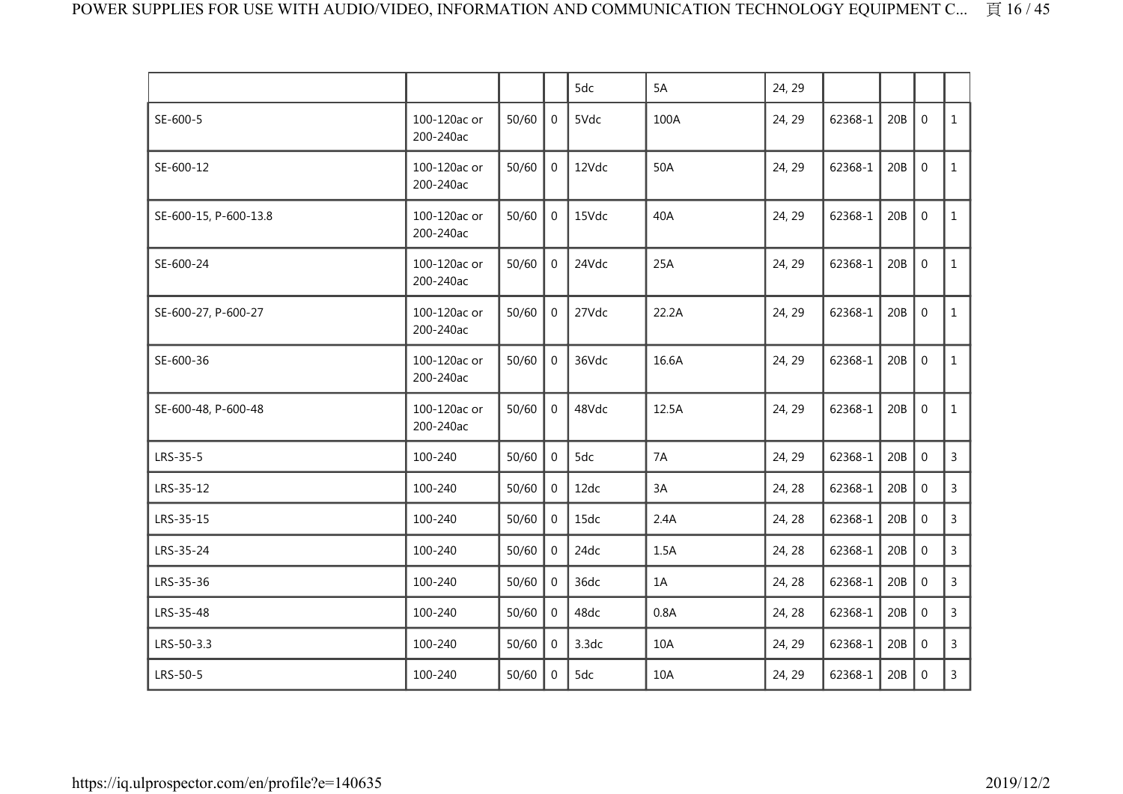|                       |                           |       |                | 5dc   | 5A    | 24, 29 |         |     |             |                |
|-----------------------|---------------------------|-------|----------------|-------|-------|--------|---------|-----|-------------|----------------|
| SE-600-5              | 100-120ac or<br>200-240ac | 50/60 | 0              | 5Vdc  | 100A  | 24, 29 | 62368-1 | 20B | $\mathbf 0$ | $\mathbf{1}$   |
| SE-600-12             | 100-120ac or<br>200-240ac | 50/60 | $\overline{0}$ | 12Vdc | 50A   | 24, 29 | 62368-1 | 20B | $\mathbf 0$ | $\mathbf{1}$   |
| SE-600-15, P-600-13.8 | 100-120ac or<br>200-240ac | 50/60 | $\overline{0}$ | 15Vdc | 40A   | 24, 29 | 62368-1 | 20B | $\mathbf 0$ | $\mathbf{1}$   |
| SE-600-24             | 100-120ac or<br>200-240ac | 50/60 | $\mathbf 0$    | 24Vdc | 25A   | 24, 29 | 62368-1 | 20B | $\mathbf 0$ | $\mathbf{1}$   |
| SE-600-27, P-600-27   | 100-120ac or<br>200-240ac | 50/60 | $\overline{0}$ | 27Vdc | 22.2A | 24, 29 | 62368-1 | 20B | $\mathbf 0$ | $\mathbf{1}$   |
| SE-600-36             | 100-120ac or<br>200-240ac | 50/60 | $\overline{0}$ | 36Vdc | 16.6A | 24, 29 | 62368-1 | 20B | $\mathbf 0$ | $\mathbf{1}$   |
| SE-600-48, P-600-48   | 100-120ac or<br>200-240ac | 50/60 | $\mathbf 0$    | 48Vdc | 12.5A | 24, 29 | 62368-1 | 20B | $\mathbf 0$ | $\mathbf{1}$   |
| LRS-35-5              | 100-240                   | 50/60 | $\mathbf 0$    | 5dc   | 7A    | 24, 29 | 62368-1 | 20B | $\mathbf 0$ | $\overline{3}$ |
| LRS-35-12             | 100-240                   | 50/60 | 0              | 12dc  | 3A    | 24, 28 | 62368-1 | 20B | $\mathbf 0$ | $\mathsf{3}$   |
| LRS-35-15             | 100-240                   | 50/60 | $\overline{0}$ | 15dc  | 2.4A  | 24, 28 | 62368-1 | 20B | $\mathbf 0$ | $\mathsf{3}$   |
| LRS-35-24             | 100-240                   | 50/60 | $\overline{0}$ | 24dc  | 1.5A  | 24, 28 | 62368-1 | 20B | $\mathbf 0$ | $\mathsf{3}$   |
| LRS-35-36             | 100-240                   | 50/60 | $\overline{0}$ | 36dc  | 1A    | 24, 28 | 62368-1 | 20B | $\mathbf 0$ | $\overline{3}$ |
| LRS-35-48             | 100-240                   | 50/60 | 0              | 48dc  | 0.8A  | 24, 28 | 62368-1 | 20B | $\mathbf 0$ | $\mathsf{3}$   |
| LRS-50-3.3            | 100-240                   | 50/60 | $\Omega$       | 3.3dc | 10A   | 24, 29 | 62368-1 | 20B | $\mathbf 0$ | 3              |
| LRS-50-5              | 100-240                   | 50/60 | $\mathbf 0$    | 5dc   | 10A   | 24, 29 | 62368-1 | 20B | $\mathbf 0$ | $\mathsf{3}$   |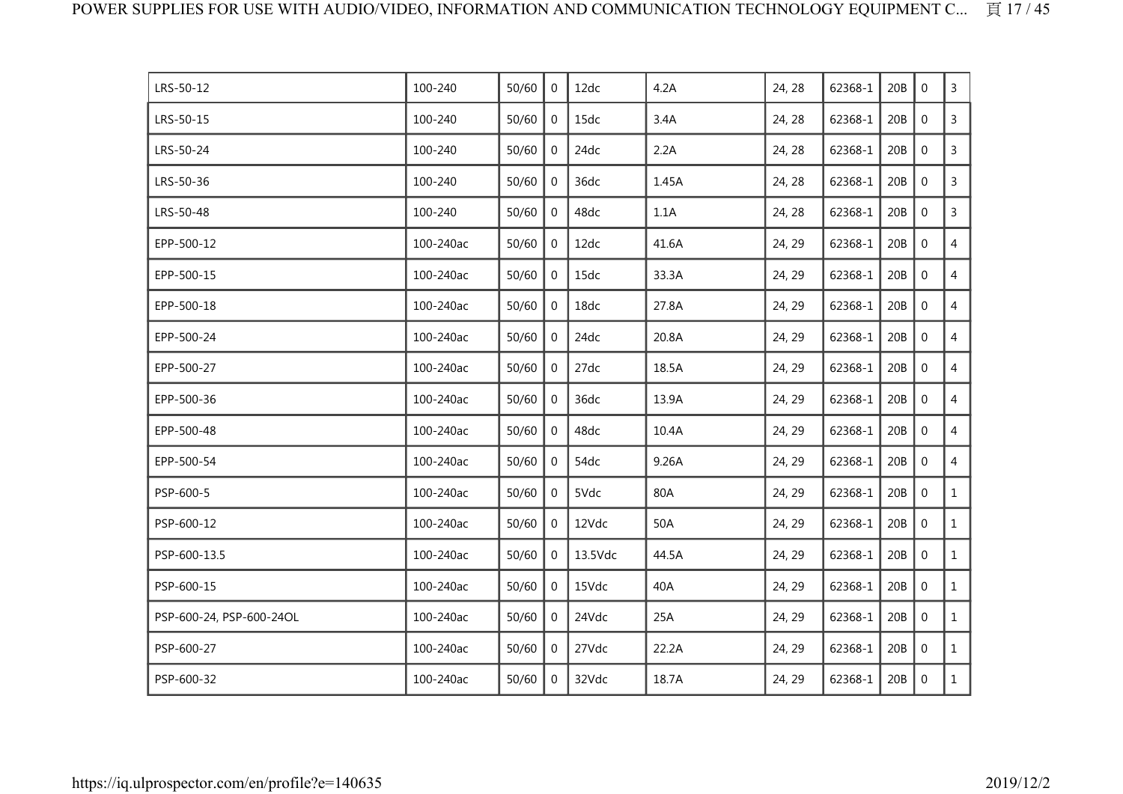| LRS-50-12                | 100-240   | 50/60 | $\mathbf 0$    | 12dc    | 4.2A  | 24, 28 | 62368-1 | 20B | $\mathbf 0$    | $\mathsf{3}$   |
|--------------------------|-----------|-------|----------------|---------|-------|--------|---------|-----|----------------|----------------|
| LRS-50-15                | 100-240   | 50/60 | $\mathbf 0$    | 15dc    | 3.4A  | 24, 28 | 62368-1 | 20B | $\mathbf 0$    | $\mathsf{3}$   |
| LRS-50-24                | 100-240   | 50/60 | $\mathbf 0$    | 24dc    | 2.2A  | 24, 28 | 62368-1 | 20B | $\mathbf 0$    | 3              |
| LRS-50-36                | 100-240   | 50/60 | $\mathbf{0}$   | 36dc    | 1.45A | 24, 28 | 62368-1 | 20B | $\mathbf 0$    | 3              |
| LRS-50-48                | 100-240   | 50/60 | $\mathbf 0$    | 48dc    | 1.1A  | 24, 28 | 62368-1 | 20B | $\mathbf 0$    | 3              |
| EPP-500-12               | 100-240ac | 50/60 | $\mathbf 0$    | 12dc    | 41.6A | 24, 29 | 62368-1 | 20B | $\overline{0}$ | $\overline{4}$ |
| EPP-500-15               | 100-240ac | 50/60 | $\mathbf{0}$   | 15dc    | 33.3A | 24, 29 | 62368-1 | 20B | $\mathbf 0$    | $\overline{4}$ |
| EPP-500-18               | 100-240ac | 50/60 | $\overline{0}$ | 18dc    | 27.8A | 24, 29 | 62368-1 | 20B | $\mathbf 0$    | $\overline{4}$ |
| EPP-500-24               | 100-240ac | 50/60 | 0              | 24dc    | 20.8A | 24, 29 | 62368-1 | 20B | $\mathbf 0$    | $\overline{4}$ |
| EPP-500-27               | 100-240ac | 50/60 | $\mathbf 0$    | 27dc    | 18.5A | 24, 29 | 62368-1 | 20B | $\mathbf 0$    | $\overline{4}$ |
| EPP-500-36               | 100-240ac | 50/60 | $\mathbf{0}$   | 36dc    | 13.9A | 24, 29 | 62368-1 | 20B | $\mathbf 0$    | $\overline{4}$ |
| EPP-500-48               | 100-240ac | 50/60 | $\mathbf 0$    | 48dc    | 10.4A | 24, 29 | 62368-1 | 20B | $\overline{0}$ | $\overline{4}$ |
| EPP-500-54               | 100-240ac | 50/60 | $\mathbf 0$    | 54dc    | 9.26A | 24, 29 | 62368-1 | 20B | $\overline{0}$ | $\overline{4}$ |
| PSP-600-5                | 100-240ac | 50/60 | $\mathbf 0$    | 5Vdc    | 80A   | 24, 29 | 62368-1 | 20B | $\mathbf 0$    | $\mathbf{1}$   |
| PSP-600-12               | 100-240ac | 50/60 | $\overline{0}$ | 12Vdc   | 50A   | 24, 29 | 62368-1 | 20B | $\mathbf 0$    | $\mathbf{1}$   |
| PSP-600-13.5             | 100-240ac | 50/60 | $\mathbf 0$    | 13.5Vdc | 44.5A | 24, 29 | 62368-1 | 20B | $\mathbf 0$    | $\mathbf{1}$   |
| PSP-600-15               | 100-240ac | 50/60 | $\mathbf 0$    | 15Vdc   | 40A   | 24, 29 | 62368-1 | 20B | $\mathbf 0$    | $\mathbf{1}$   |
| PSP-600-24, PSP-600-24OL | 100-240ac | 50/60 | $\Omega$       | 24Vdc   | 25A   | 24, 29 | 62368-1 | 20B | $\mathbf 0$    | $\mathbf{1}$   |
| PSP-600-27               | 100-240ac | 50/60 | $\overline{0}$ | 27Vdc   | 22.2A | 24, 29 | 62368-1 | 20B | $\overline{0}$ | $\mathbf{1}$   |
| PSP-600-32               | 100-240ac | 50/60 | $\mathbf 0$    | 32Vdc   | 18.7A | 24, 29 | 62368-1 | 20B | $\mathbf 0$    | $\mathbf{1}$   |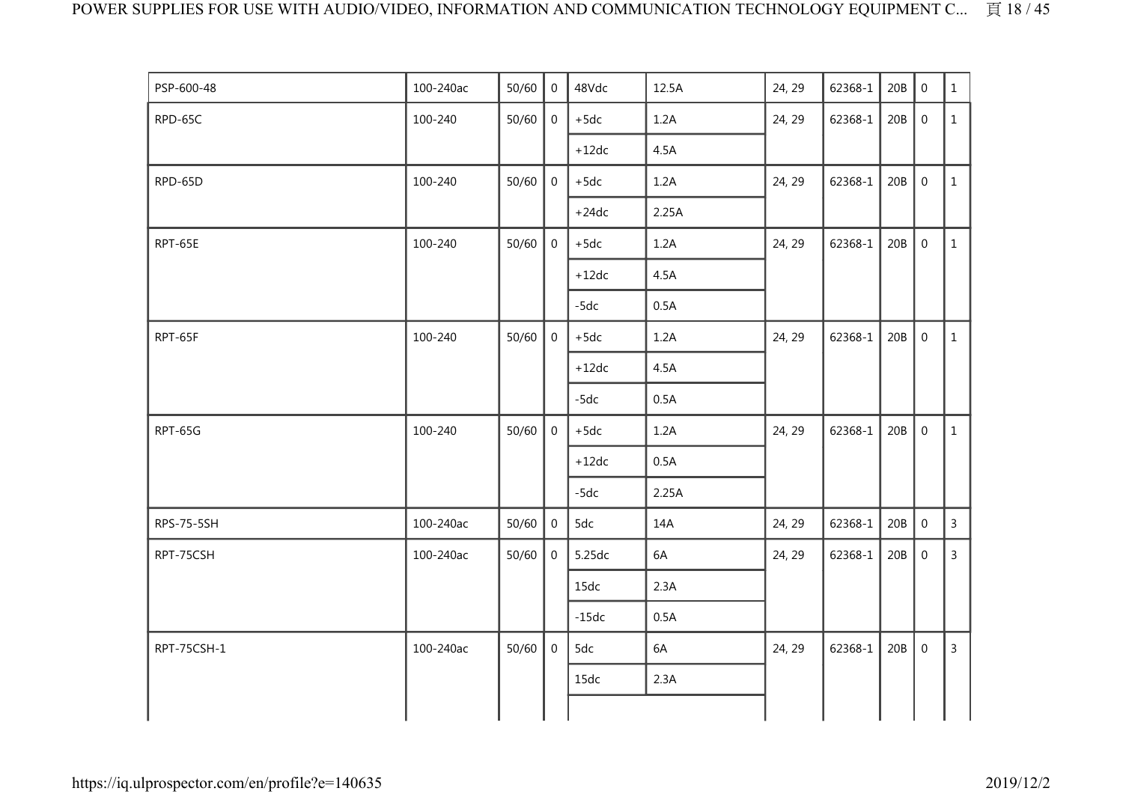| PSP-600-48        | 100-240ac | 50/60 | $\overline{0}$ | 48Vdc   | 12.5A | 24, 29 | 62368-1 | 20B | $\mathbf 0$      | $\mathbf{1}$   |
|-------------------|-----------|-------|----------------|---------|-------|--------|---------|-----|------------------|----------------|
| RPD-65C           | 100-240   | 50/60 | $\mathbf 0$    | $+5dc$  | 1.2A  | 24, 29 | 62368-1 | 20B | $\boldsymbol{0}$ | $\mathbf{1}$   |
|                   |           |       |                | $+12dc$ | 4.5A  |        |         |     |                  |                |
| RPD-65D           | 100-240   | 50/60 | $\mathbf 0$    | $+5dc$  | 1.2A  | 24, 29 | 62368-1 | 20B | $\mathbf 0$      | $\mathbf{1}$   |
|                   |           |       |                | $+24dc$ | 2.25A |        |         |     |                  |                |
| RPT-65E           | 100-240   | 50/60 | $\mathbf 0$    | $+5dc$  | 1.2A  | 24, 29 | 62368-1 | 20B | $\boldsymbol{0}$ | $\mathbf{1}$   |
|                   |           |       |                | $+12dc$ | 4.5A  |        |         |     |                  |                |
|                   |           |       |                | $-5dc$  | 0.5A  |        |         |     |                  |                |
| RPT-65F           | 100-240   | 50/60 | $\mathbf 0$    | $+5dc$  | 1.2A  | 24, 29 | 62368-1 | 20B | $\boldsymbol{0}$ | $\mathbf{1}$   |
|                   |           |       |                | $+12dc$ | 4.5A  |        |         |     |                  |                |
|                   |           |       |                | $-5dc$  | 0.5A  |        |         |     |                  |                |
| RPT-65G           | 100-240   | 50/60 | $\overline{0}$ | $+5dc$  | 1.2A  | 24, 29 | 62368-1 | 20B | $\mathbf 0$      | $\mathbf{1}$   |
|                   |           |       |                | $+12dc$ | 0.5A  |        |         |     |                  |                |
|                   |           |       |                | $-5dc$  | 2.25A |        |         |     |                  |                |
| <b>RPS-75-5SH</b> | 100-240ac | 50/60 | $\mathbf 0$    | 5dc     | 14A   | 24, 29 | 62368-1 | 20B | $\mathbf 0$      | $\overline{3}$ |
| RPT-75CSH         | 100-240ac | 50/60 | $\overline{0}$ | 5.25dc  | 6A    | 24, 29 | 62368-1 | 20B | $\mathbf 0$      | $\overline{3}$ |
|                   |           |       |                | 15dc    | 2.3A  |        |         |     |                  |                |
|                   |           |       |                | $-15dc$ | 0.5A  |        |         |     |                  |                |
| RPT-75CSH-1       | 100-240ac | 50/60 | $\Omega$       | 5dc     | 6A    | 24, 29 | 62368-1 | 20B | $\mathbf 0$      | $\overline{3}$ |
|                   |           |       |                | 15dc    | 2.3A  |        |         |     |                  |                |
|                   |           |       |                |         |       |        |         |     |                  |                |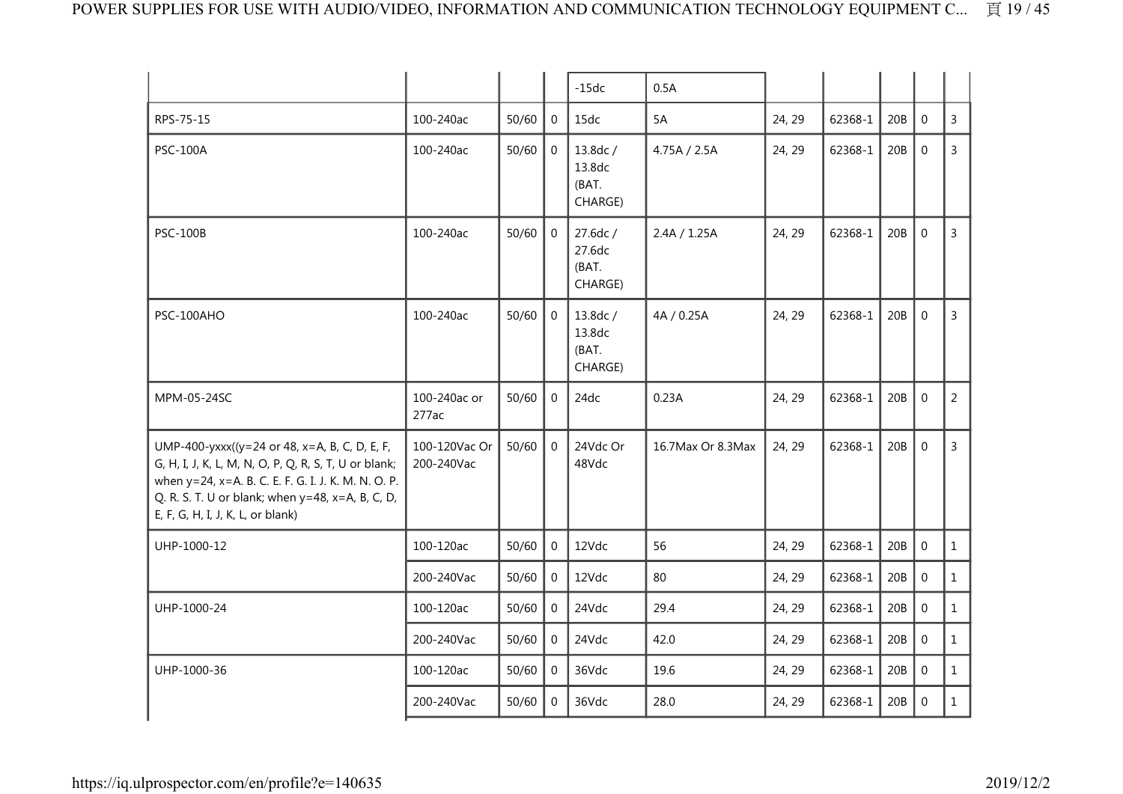|                                                                                                                                                                                                                                                        |                             |       |                | $-15dc$                                | 0.5A              |        |         |     |                  |                |
|--------------------------------------------------------------------------------------------------------------------------------------------------------------------------------------------------------------------------------------------------------|-----------------------------|-------|----------------|----------------------------------------|-------------------|--------|---------|-----|------------------|----------------|
| RPS-75-15                                                                                                                                                                                                                                              | 100-240ac                   | 50/60 | $\mathbf{0}$   | 15dc                                   | 5A                | 24, 29 | 62368-1 | 20B | $\Omega$         | $\overline{3}$ |
| <b>PSC-100A</b>                                                                                                                                                                                                                                        | 100-240ac                   | 50/60 | $\Omega$       | 13.8dc /<br>13.8dc<br>(BAT.<br>CHARGE) | 4.75A / 2.5A      | 24, 29 | 62368-1 | 20B | $\Omega$         | $\mathbf{3}$   |
| <b>PSC-100B</b>                                                                                                                                                                                                                                        | 100-240ac                   | 50/60 | $\mathbf 0$    | 27.6dc /<br>27.6dc<br>(BAT.<br>CHARGE) | 2.4A / 1.25A      | 24, 29 | 62368-1 | 20B | $\boldsymbol{0}$ | $\overline{3}$ |
| PSC-100AHO                                                                                                                                                                                                                                             | 100-240ac                   | 50/60 | $\Omega$       | 13.8dc /<br>13.8dc<br>(BAT.<br>CHARGE) | 4A / 0.25A        | 24, 29 | 62368-1 | 20B | $\Omega$         | $\mathbf{3}$   |
| MPM-05-24SC                                                                                                                                                                                                                                            | 100-240ac or<br>277ac       | 50/60 | $\overline{0}$ | 24dc                                   | 0.23A             | 24, 29 | 62368-1 | 20B | $\mathbf 0$      | $\overline{2}$ |
| UMP-400-yxxx((y=24 or 48, x=A, B, C, D, E, F,<br>G, H, I, J, K, L, M, N, O, P, Q, R, S, T, U or blank;<br>when y=24, x=A. B. C. E. F. G. I. J. K. M. N. O. P.<br>Q. R. S. T. U or blank; when y=48, x=A, B, C, D,<br>E, F, G, H, I, J, K, L, or blank) | 100-120Vac Or<br>200-240Vac | 50/60 | $\mathbf 0$    | 24Vdc Or<br>48Vdc                      | 16.7Max Or 8.3Max | 24, 29 | 62368-1 | 20B | $\boldsymbol{0}$ | 3              |
| UHP-1000-12                                                                                                                                                                                                                                            | 100-120ac                   | 50/60 | $\mathbf 0$    | 12Vdc                                  | 56                | 24, 29 | 62368-1 | 20B | $\mathbf 0$      | $\mathbf{1}$   |
|                                                                                                                                                                                                                                                        | 200-240Vac                  | 50/60 | $\mathbf 0$    | 12Vdc                                  | 80                | 24, 29 | 62368-1 | 20B | $\mathbf{0}$     | $\mathbf{1}$   |
| UHP-1000-24                                                                                                                                                                                                                                            | 100-120ac                   | 50/60 | $\overline{0}$ | 24Vdc                                  | 29.4              | 24, 29 | 62368-1 | 20B | $\boldsymbol{0}$ | $\mathbf{1}$   |
|                                                                                                                                                                                                                                                        | 200-240Vac                  | 50/60 | $\overline{0}$ | 24Vdc                                  | 42.0              | 24, 29 | 62368-1 | 20B | $\mathbf 0$      | $\mathbf{1}$   |
| UHP-1000-36                                                                                                                                                                                                                                            | 100-120ac                   | 50/60 | $\Omega$       | 36Vdc                                  | 19.6              | 24, 29 | 62368-1 | 20B | $\Omega$         | $\mathbf{1}$   |
|                                                                                                                                                                                                                                                        | 200-240Vac                  | 50/60 | $\Omega$       | 36Vdc                                  | 28.0              | 24, 29 | 62368-1 | 20B | $\mathbf 0$      | $\mathbf{1}$   |
|                                                                                                                                                                                                                                                        |                             |       |                |                                        |                   |        |         |     |                  |                |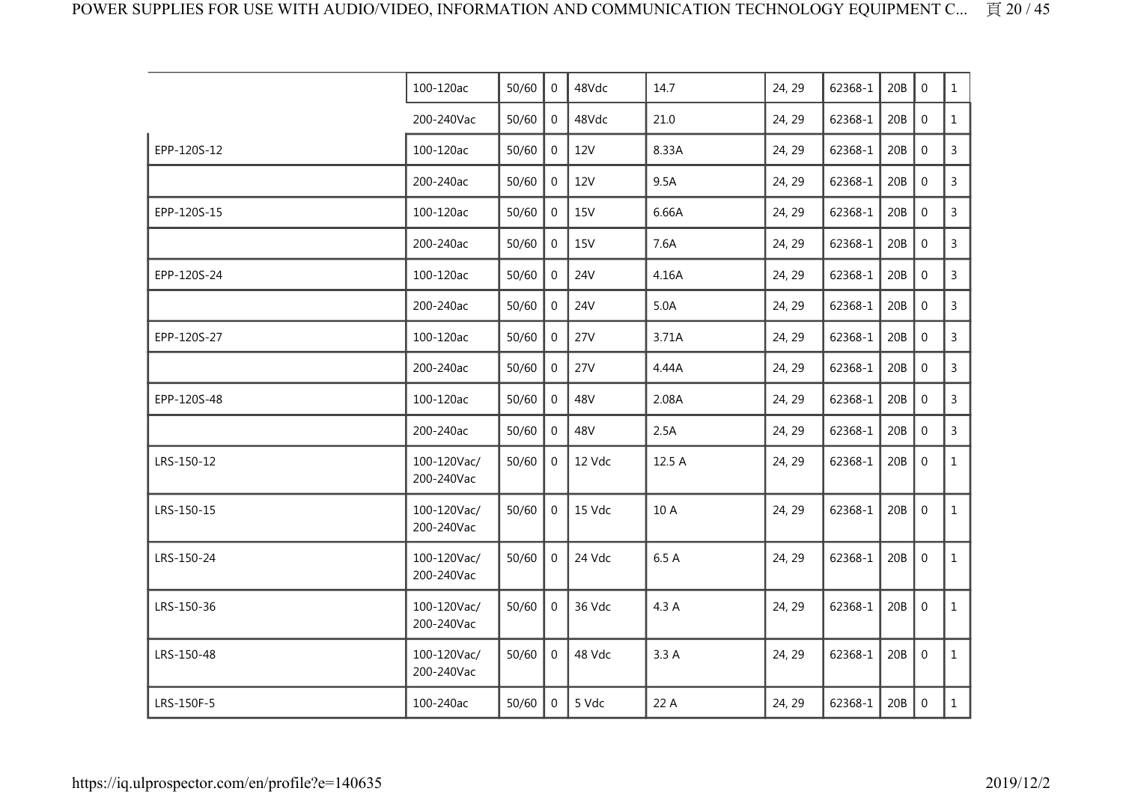|             | 100-120ac                 | 50/60 | 0              | 48Vdc      | 14.7   | 24, 29 | 62368-1 | 20B | $\Omega$         | $\mathbf{1}$   |
|-------------|---------------------------|-------|----------------|------------|--------|--------|---------|-----|------------------|----------------|
|             | 200-240Vac                | 50/60 | $\mathbf{0}$   | 48Vdc      | 21.0   | 24, 29 | 62368-1 | 20B | $\mathbf 0$      | $\mathbf{1}$   |
| EPP-120S-12 | 100-120ac                 | 50/60 | $\mathbf{0}$   | 12V        | 8.33A  | 24, 29 | 62368-1 | 20B | $\boldsymbol{0}$ | $\mathsf{3}$   |
|             | 200-240ac                 | 50/60 | 0              | <b>12V</b> | 9.5A   | 24, 29 | 62368-1 | 20B | $\mathbf 0$      | $\overline{3}$ |
| EPP-120S-15 | 100-120ac                 | 50/60 | $\overline{0}$ | <b>15V</b> | 6.66A  | 24, 29 | 62368-1 | 20B | $\boldsymbol{0}$ | $\overline{3}$ |
|             | 200-240ac                 | 50/60 | $\overline{0}$ | <b>15V</b> | 7.6A   | 24, 29 | 62368-1 | 20B | $\mathbf 0$      | $\mathsf{3}$   |
| EPP-120S-24 | 100-120ac                 | 50/60 | $\mathbf 0$    | <b>24V</b> | 4.16A  | 24, 29 | 62368-1 | 20B | $\mathbf 0$      | $\overline{3}$ |
|             | 200-240ac                 | 50/60 | $\mathbf{0}$   | 24V        | 5.0A   | 24, 29 | 62368-1 | 20B | $\mathbf 0$      | 3              |
| EPP-120S-27 | 100-120ac                 | 50/60 | $\overline{0}$ | 27V        | 3.71A  | 24, 29 | 62368-1 | 20B | $\mathbf 0$      | $\mathsf{3}$   |
|             | 200-240ac                 | 50/60 | 0              | 27V        | 4.44A  | 24, 29 | 62368-1 | 20B | $\mathbf{0}$     | $\mathsf{3}$   |
| EPP-120S-48 | 100-120ac                 | 50/60 | $\mathbf{0}$   | 48V        | 2.08A  | 24, 29 | 62368-1 | 20B | $\mathbf 0$      | 3              |
|             | 200-240ac                 | 50/60 | $\overline{0}$ | 48V        | 2.5A   | 24, 29 | 62368-1 | 20B | $\mathbf 0$      | $\overline{3}$ |
| LRS-150-12  | 100-120Vac/<br>200-240Vac | 50/60 | $\overline{0}$ | 12 Vdc     | 12.5 A | 24, 29 | 62368-1 | 20B | $\mathbf 0$      | $\mathbf{1}$   |
| LRS-150-15  | 100-120Vac/<br>200-240Vac | 50/60 | $\overline{0}$ | 15 Vdc     | 10 A   | 24, 29 | 62368-1 | 20B | $\mathbf 0$      | $\mathbf{1}$   |
| LRS-150-24  | 100-120Vac/<br>200-240Vac | 50/60 | $\overline{0}$ | 24 Vdc     | 6.5 A  | 24, 29 | 62368-1 | 20B | $\mathbf 0$      | $\mathbf{1}$   |
| LRS-150-36  | 100-120Vac/<br>200-240Vac | 50/60 | 0              | 36 Vdc     | 4.3 A  | 24, 29 | 62368-1 | 20B | $\mathbf 0$      | $\mathbf{1}$   |
| LRS-150-48  | 100-120Vac/<br>200-240Vac | 50/60 | $\mathbf{0}$   | 48 Vdc     | 3.3A   | 24, 29 | 62368-1 | 20B | $\boldsymbol{0}$ | $\mathbf{1}$   |
| LRS-150F-5  | 100-240ac                 | 50/60 | $\overline{0}$ | 5 Vdc      | 22 A   | 24, 29 | 62368-1 | 20B | $\mathbf 0$      | $\mathbf{1}$   |
|             |                           |       |                |            |        |        |         |     |                  |                |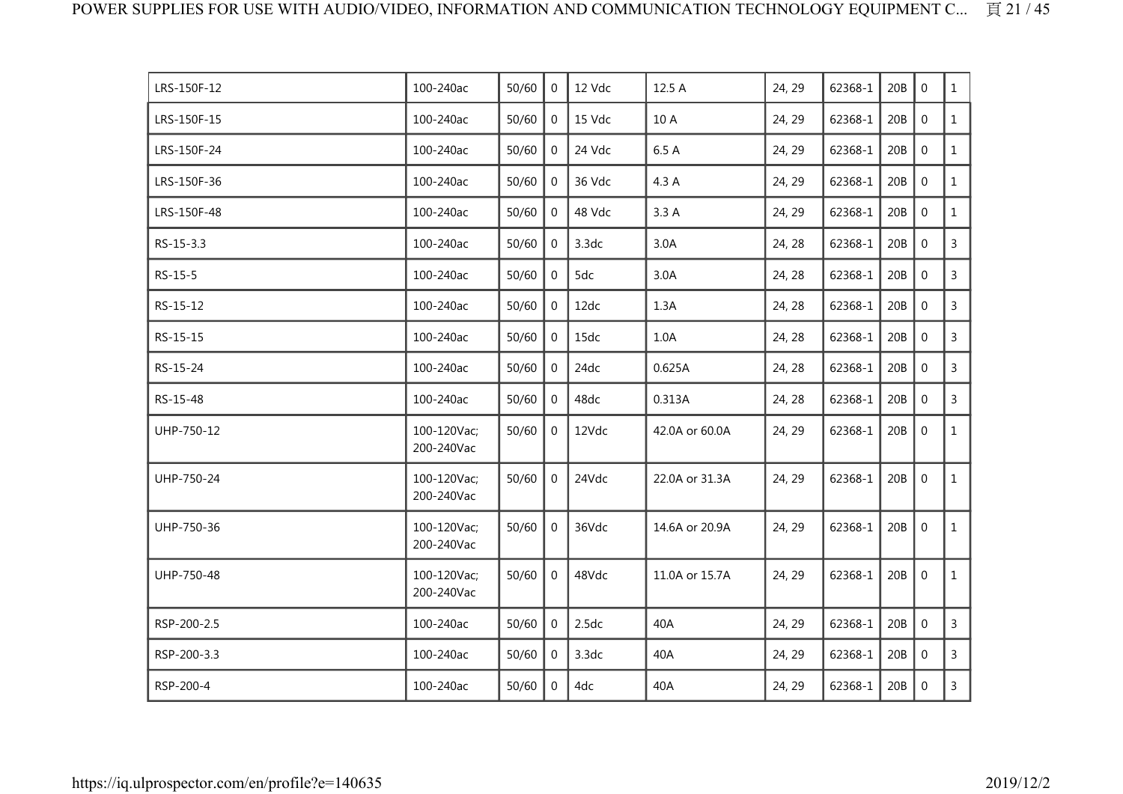|                           |           | $\Omega$       |        |                |        |         |         |                | $\mathbf{1}$   |
|---------------------------|-----------|----------------|--------|----------------|--------|---------|---------|----------------|----------------|
| 100-240ac                 | 50/60     | $\mathbf 0$    | 15 Vdc | 10 A           | 24, 29 | 62368-1 | 20B     | $\mathbf 0$    | $\mathbf{1}$   |
| 100-240ac                 | 50/60     | $\mathbf{0}$   | 24 Vdc | 6.5 A          | 24, 29 | 62368-1 | 20B     | $\mathbf 0$    | $\mathbf{1}$   |
| 100-240ac                 | 50/60     | 0              | 36 Vdc | 4.3 A          | 24, 29 | 62368-1 | 20B     | $\mathbf 0$    | $\mathbf{1}$   |
| 100-240ac                 | 50/60     | $\overline{0}$ | 48 Vdc | 3.3A           | 24, 29 | 62368-1 | 20B     | $\mathbf 0$    | $\mathbf{1}$   |
| 100-240ac                 | 50/60     | $\mathbf{0}$   | 3.3dc  | 3.0A           | 24, 28 | 62368-1 | 20B     | $\overline{0}$ | $\mathsf{3}$   |
| 100-240ac                 | 50/60     | $\mathbf{0}$   | 5dc    | 3.0A           | 24, 28 | 62368-1 | 20B     | $\mathbf{0}$   | $\overline{3}$ |
| 100-240ac                 | 50/60     | $\mathbf{0}$   | 12dc   | 1.3A           | 24, 28 | 62368-1 | 20B     | $\mathbf 0$    | $\overline{3}$ |
| 100-240ac                 | 50/60     | $\overline{0}$ | 15dc   | 1.0A           | 24, 28 | 62368-1 | 20B     | $\mathbf 0$    | $\overline{3}$ |
| 100-240ac                 | 50/60     | $\mathbf{0}$   | 24dc   | 0.625A         | 24, 28 | 62368-1 | 20B     | $\mathbf 0$    | 3              |
| 100-240ac                 | 50/60     | 0              | 48dc   | 0.313A         | 24, 28 | 62368-1 | 20B     | $\mathbf 0$    | $\overline{3}$ |
| 100-120Vac;<br>200-240Vac | 50/60     | $\overline{0}$ | 12Vdc  | 42.0A or 60.0A | 24, 29 | 62368-1 | 20B     | $\overline{0}$ | $\mathbf{1}$   |
| 100-120Vac;<br>200-240Vac | 50/60     | $\overline{0}$ | 24Vdc  | 22.0A or 31.3A | 24, 29 | 62368-1 | 20B     | $\mathbf 0$    | $\mathbf{1}$   |
| 100-120Vac;<br>200-240Vac | 50/60     | $\mathbf 0$    | 36Vdc  | 14.6A or 20.9A | 24, 29 | 62368-1 | 20B     | $\mathbf 0$    | $\mathbf{1}$   |
| 100-120Vac;<br>200-240Vac | 50/60     | $\overline{0}$ | 48Vdc  | 11.0A or 15.7A | 24, 29 | 62368-1 | 20B     | $\mathbf 0$    | $\mathbf{1}$   |
| 100-240ac                 | 50/60     | $\mathbf{0}$   | 2.5dc  | 40A            | 24, 29 | 62368-1 | 20B     | $\mathbf 0$    | $\mathsf{3}$   |
| 100-240ac                 | 50/60     | $\mathbf{0}$   | 3.3dc  | 40A            | 24, 29 | 62368-1 | 20B     | $\mathbf 0$    | 3              |
| 100-240ac                 | 50/60     | $\mathbf 0$    | 4dc    | 40A            | 24, 29 | 62368-1 | 20B     | $\mathbf 0$    | $\mathsf{3}$   |
|                           | 100-240ac | 50/60          |        | 12 Vdc         | 12.5 A | 24, 29  | 62368-1 | 20B            | $\Omega$       |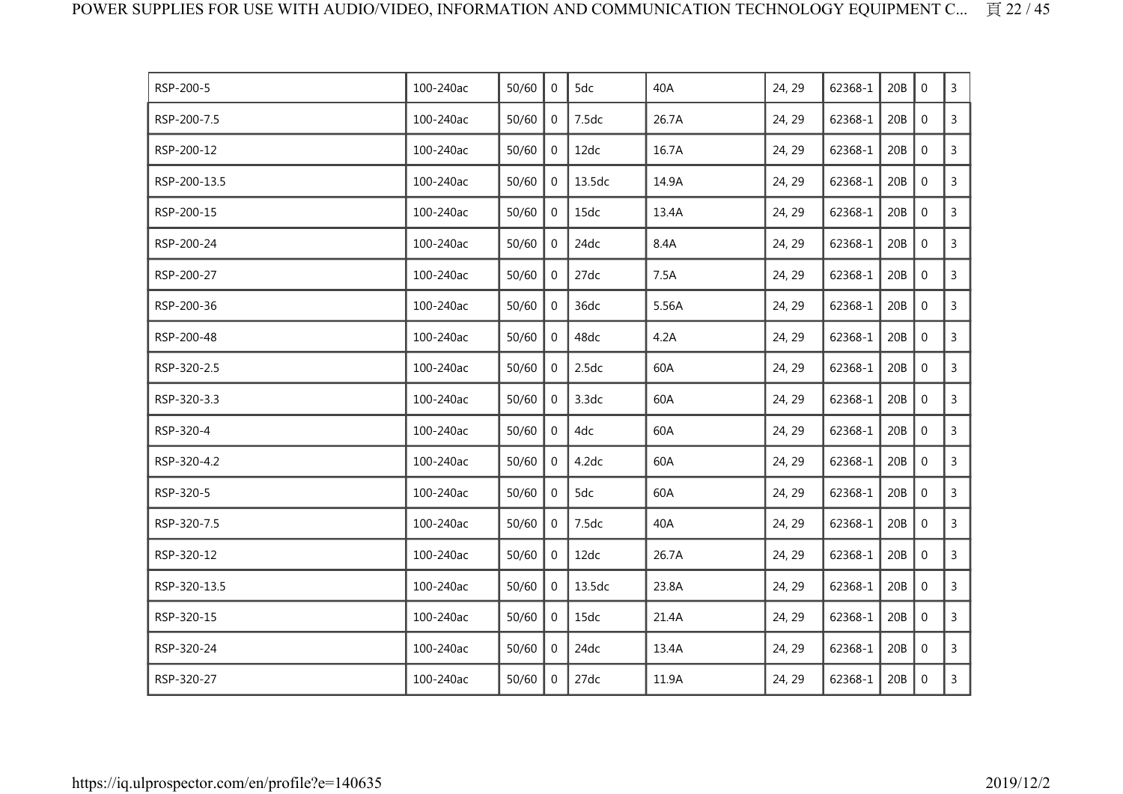| RSP-200-5    | 100-240ac | 50/60 | 0              | 5dc    | 40A   | 24, 29 | 62368-1 | 20B | $\mathbf 0$ | 3              |
|--------------|-----------|-------|----------------|--------|-------|--------|---------|-----|-------------|----------------|
| RSP-200-7.5  | 100-240ac | 50/60 | 0              | 7.5dc  | 26.7A | 24, 29 | 62368-1 | 20B | $\mathbf 0$ | $\mathsf{3}$   |
| RSP-200-12   | 100-240ac | 50/60 | $\mathbf 0$    | 12dc   | 16.7A | 24, 29 | 62368-1 | 20B | $\mathbf 0$ | 3              |
| RSP-200-13.5 | 100-240ac | 50/60 | 0              | 13.5dc | 14.9A | 24, 29 | 62368-1 | 20B | $\mathbf 0$ | $\mathsf{3}$   |
| RSP-200-15   | 100-240ac | 50/60 | $\mathbf{0}$   | 15dc   | 13.4A | 24, 29 | 62368-1 | 20B | $\mathbf 0$ | $\mathsf{3}$   |
| RSP-200-24   | 100-240ac | 50/60 | 0              | 24dc   | 8.4A  | 24, 29 | 62368-1 | 20B | $\mathbf 0$ | $\mathsf{3}$   |
| RSP-200-27   | 100-240ac | 50/60 | 0              | 27dc   | 7.5A  | 24, 29 | 62368-1 | 20B | $\mathbf 0$ | $\mathsf{3}$   |
| RSP-200-36   | 100-240ac | 50/60 | 0              | 36dc   | 5.56A | 24, 29 | 62368-1 | 20B | $\mathbf 0$ | 3              |
| RSP-200-48   | 100-240ac | 50/60 | 0              | 48dc   | 4.2A  | 24, 29 | 62368-1 | 20B | $\mathbf 0$ | 3              |
| RSP-320-2.5  | 100-240ac | 50/60 | $\mathbf 0$    | 2.5dc  | 60A   | 24, 29 | 62368-1 | 20B | $\mathbf 0$ | $\overline{3}$ |
| RSP-320-3.3  | 100-240ac | 50/60 | 0              | 3.3dc  | 60A   | 24, 29 | 62368-1 | 20B | $\mathbf 0$ | 3              |
| RSP-320-4    | 100-240ac | 50/60 | $\mathbf{0}$   | 4dc    | 60A   | 24, 29 | 62368-1 | 20B | $\mathbf 0$ | $\mathsf{3}$   |
| RSP-320-4.2  | 100-240ac | 50/60 | 0              | 4.2dc  | 60A   | 24, 29 | 62368-1 | 20B | $\mathbf 0$ | $\overline{3}$ |
| RSP-320-5    | 100-240ac | 50/60 | $\mathbf{0}$   | 5dc    | 60A   | 24, 29 | 62368-1 | 20B | $\mathbf 0$ | $\mathsf{3}$   |
| RSP-320-7.5  | 100-240ac | 50/60 | 0              | 7.5dc  | 40A   | 24, 29 | 62368-1 | 20B | $\mathbf 0$ | 3              |
| RSP-320-12   | 100-240ac | 50/60 | $\mathbf 0$    | 12dc   | 26.7A | 24, 29 | 62368-1 | 20B | $\mathbf 0$ | $\mathsf{3}$   |
| RSP-320-13.5 | 100-240ac | 50/60 | $\mathbf 0$    | 13.5dc | 23.8A | 24, 29 | 62368-1 | 20B | $\mathbf 0$ | $\mathbf{3}$   |
| RSP-320-15   | 100-240ac | 50/60 | 0              | 15dc   | 21.4A | 24, 29 | 62368-1 | 20B | $\mathbf 0$ | $\mathsf{3}$   |
| RSP-320-24   | 100-240ac | 50/60 | $\overline{0}$ | 24dc   | 13.4A | 24, 29 | 62368-1 | 20B | $\mathbf 0$ | 3              |
| RSP-320-27   | 100-240ac | 50/60 | 0              | 27dc   | 11.9A | 24, 29 | 62368-1 | 20B | $\mathbf 0$ | $\overline{3}$ |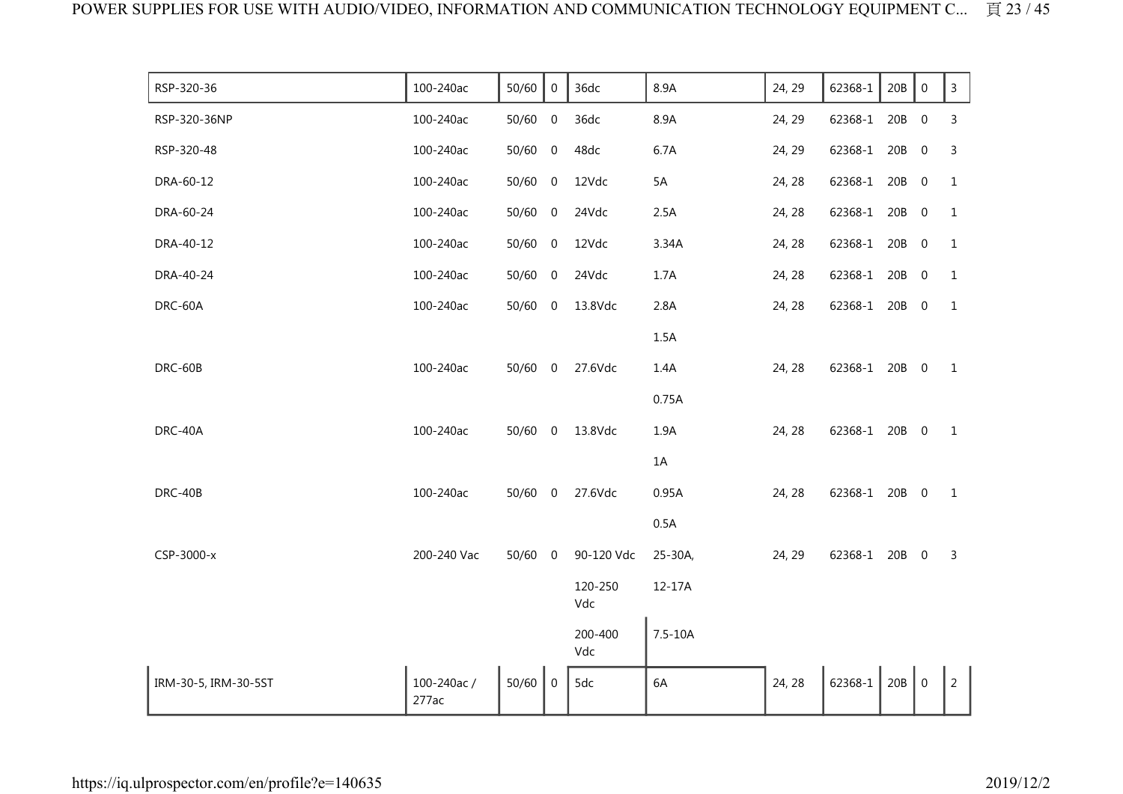| RSP-320-36           | 100-240ac           | 50/60     | $\mathbf 0$      | 36dc           | 8.9A        | 24, 29 | 62368-1       | 20B | $\mathbf 0$      | $\mathsf 3$    |
|----------------------|---------------------|-----------|------------------|----------------|-------------|--------|---------------|-----|------------------|----------------|
| RSP-320-36NP         | 100-240ac           | 50/60     | $\boldsymbol{0}$ | 36dc           | 8.9A        | 24, 29 | 62368-1       | 20B | $\boldsymbol{0}$ | 3              |
| RSP-320-48           | 100-240ac           | 50/60     | $\overline{0}$   | 48dc           | 6.7A        | 24, 29 | 62368-1       | 20B | $\overline{0}$   | 3              |
| DRA-60-12            | 100-240ac           | 50/60 0   |                  | 12Vdc          | 5A          | 24, 28 | 62368-1 20B   |     | $\overline{0}$   | $\mathbf{1}$   |
| DRA-60-24            | 100-240ac           | 50/60     | $\overline{0}$   | 24Vdc          | 2.5A        | 24, 28 | 62368-1       | 20B | $\overline{0}$   | $\mathbf{1}$   |
| DRA-40-12            | 100-240ac           | 50/60 0   |                  | 12Vdc          | 3.34A       | 24, 28 | 62368-1 20B 0 |     |                  | $1\,$          |
| DRA-40-24            | 100-240ac           | 50/60     | $\overline{0}$   | 24Vdc          | 1.7A        | 24, 28 | 62368-1       | 20B | $\overline{0}$   | $\mathbf{1}$   |
| DRC-60A              | 100-240ac           | 50/60 0   |                  | 13.8Vdc        | 2.8A        | 24, 28 | 62368-1 20B   |     | $\overline{0}$   | $\mathbf{1}$   |
|                      |                     |           |                  |                | 1.5A        |        |               |     |                  |                |
| DRC-60B              | 100-240ac           | $50/60$ 0 |                  | 27.6Vdc        | 1.4A        | 24, 28 | 62368-1 20B 0 |     |                  | $\mathbf{1}$   |
|                      |                     |           |                  |                | 0.75A       |        |               |     |                  |                |
| DRC-40A              | 100-240ac           | 50/60 0   |                  | 13.8Vdc        | 1.9A        | 24, 28 | 62368-1 20B 0 |     |                  | $\mathbf{1}$   |
|                      |                     |           |                  |                | 1A          |        |               |     |                  |                |
| DRC-40B              | 100-240ac           | $50/60$ 0 |                  | 27.6Vdc        | 0.95A       | 24, 28 | 62368-1 20B 0 |     |                  | $\mathbf{1}$   |
|                      |                     |           |                  |                | 0.5A        |        |               |     |                  |                |
| CSP-3000-x           | 200-240 Vac         | $50/60$ 0 |                  | 90-120 Vdc     | 25-30A,     | 24, 29 | 62368-1 20B 0 |     |                  | 3              |
|                      |                     |           |                  | 120-250<br>Vdc | 12-17A      |        |               |     |                  |                |
|                      |                     |           |                  | 200-400<br>Vdc | $7.5 - 10A$ |        |               |     |                  |                |
| IRM-30-5, IRM-30-5ST | 100-240ac/<br>277ac | 50/60     | $\overline{0}$   | 5dc            | 6A          | 24, 28 | 62368-1       | 20B | $\mathbf 0$      | $\overline{2}$ |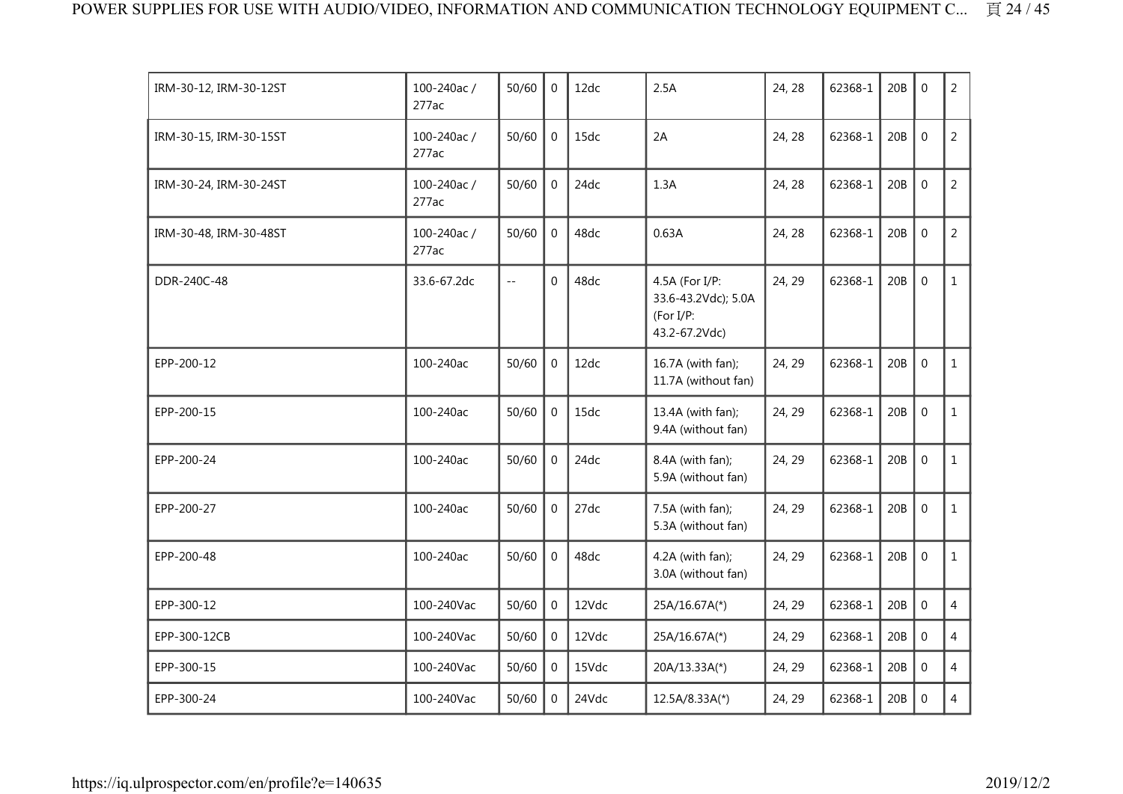| IRM-30-12, IRM-30-12ST | 100-240ac/<br>277ac | 50/60         | $\Omega$       | 12dc  | 2.5A                                                                | 24, 28 | 62368-1 | 20B | $\mathbf 0$      | 2              |
|------------------------|---------------------|---------------|----------------|-------|---------------------------------------------------------------------|--------|---------|-----|------------------|----------------|
| IRM-30-15, IRM-30-15ST | 100-240ac/<br>277ac | 50/60         | $\overline{0}$ | 15dc  | 2A                                                                  | 24, 28 | 62368-1 | 20B | $\mathbf 0$      | $\overline{2}$ |
| IRM-30-24, IRM-30-24ST | 100-240ac/<br>277ac | 50/60         | 0              | 24dc  | 1.3A                                                                | 24, 28 | 62368-1 | 20B | $\mathbf 0$      | $\overline{2}$ |
| IRM-30-48, IRM-30-48ST | 100-240ac/<br>277ac | 50/60         | $\overline{0}$ | 48dc  | 0.63A                                                               | 24, 28 | 62368-1 | 20B | $\mathbf 0$      | $\overline{2}$ |
| DDR-240C-48            | 33.6-67.2dc         | $\sim$ $\sim$ | $\Omega$       | 48dc  | 4.5A (For I/P:<br>33.6-43.2Vdc); 5.0A<br>(For I/P:<br>43.2-67.2Vdc) | 24, 29 | 62368-1 | 20B | $\mathbf 0$      | $\mathbf{1}$   |
| EPP-200-12             | 100-240ac           | 50/60         | $\mathbf 0$    | 12dc  | 16.7A (with fan);<br>11.7A (without fan)                            | 24, 29 | 62368-1 | 20B | $\mathbf 0$      | $\mathbf{1}$   |
| EPP-200-15             | 100-240ac           | 50/60         | $\overline{0}$ | 15dc  | 13.4A (with fan);<br>9.4A (without fan)                             | 24, 29 | 62368-1 | 20B | $\mathbf 0$      | $\mathbf{1}$   |
| EPP-200-24             | 100-240ac           | 50/60         | $\Omega$       | 24dc  | 8.4A (with fan);<br>5.9A (without fan)                              | 24, 29 | 62368-1 | 20B | $\mathbf{0}$     | $\mathbf{1}$   |
| EPP-200-27             | 100-240ac           | 50/60         | $\overline{0}$ | 27dc  | 7.5A (with fan);<br>5.3A (without fan)                              | 24, 29 | 62368-1 | 20B | $\mathbf 0$      | $\mathbf{1}$   |
| EPP-200-48             | 100-240ac           | 50/60         | $\Omega$       | 48dc  | 4.2A (with fan);<br>3.0A (without fan)                              | 24, 29 | 62368-1 | 20B | $\mathbf 0$      | $\mathbf{1}$   |
| EPP-300-12             | 100-240Vac          | 50/60         | $\overline{0}$ | 12Vdc | 25A/16.67A(*)                                                       | 24, 29 | 62368-1 | 20B | $\mathbf 0$      | $\overline{4}$ |
| EPP-300-12CB           | 100-240Vac          | 50/60         | $\mathbf 0$    | 12Vdc | 25A/16.67A(*)                                                       | 24, 29 | 62368-1 | 20B | $\mathbf 0$      | $\overline{4}$ |
| EPP-300-15             | 100-240Vac          | 50/60         | $\Omega$       | 15Vdc | 20A/13.33A(*)                                                       | 24, 29 | 62368-1 | 20B | $\mathbf 0$      | 4              |
| EPP-300-24             | 100-240Vac          | 50/60         | $\overline{0}$ | 24Vdc | 12.5A/8.33A(*)                                                      | 24, 29 | 62368-1 | 20B | $\boldsymbol{0}$ | $\overline{4}$ |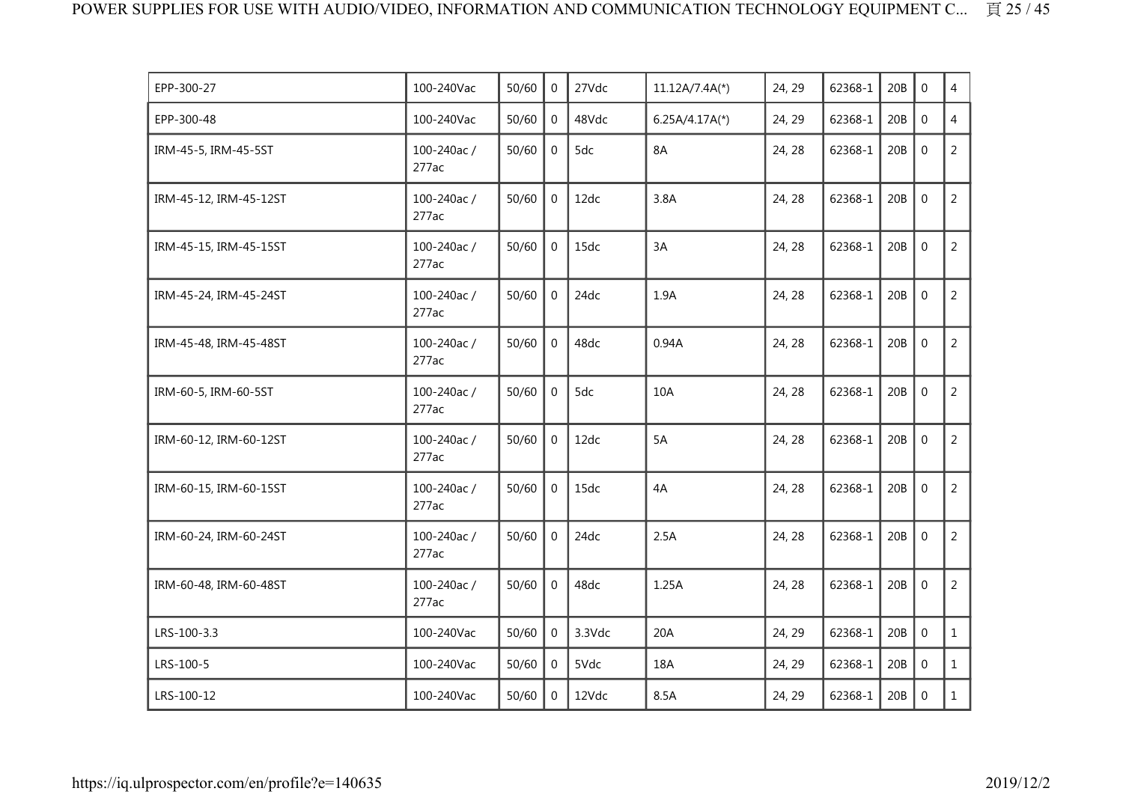| EPP-300-27             | 100-240Vac          | 50/60 | $\overline{0}$ | 27Vdc  | 11.12A/7.4A(*)   | 24, 29 | 62368-1 | 20B | $\Omega$         | $\overline{4}$ |
|------------------------|---------------------|-------|----------------|--------|------------------|--------|---------|-----|------------------|----------------|
| EPP-300-48             | 100-240Vac          | 50/60 | $\overline{0}$ | 48Vdc  | $6.25A/4.17A(*)$ | 24, 29 | 62368-1 | 20B | $\mathbf 0$      | $\overline{4}$ |
| IRM-45-5, IRM-45-5ST   | 100-240ac/<br>277ac | 50/60 | $\overline{0}$ | 5dc    | 8A               | 24, 28 | 62368-1 | 20B | $\mathbf{0}$     | $\overline{2}$ |
| IRM-45-12, IRM-45-12ST | 100-240ac/<br>277ac | 50/60 | $\overline{0}$ | 12dc   | 3.8A             | 24, 28 | 62368-1 | 20B | $\mathbf 0$      | $\overline{2}$ |
| IRM-45-15, IRM-45-15ST | 100-240ac/<br>277ac | 50/60 | $\overline{0}$ | 15dc   | 3A               | 24, 28 | 62368-1 | 20B | $\mathbf 0$      | $\overline{2}$ |
| IRM-45-24, IRM-45-24ST | 100-240ac/<br>277ac | 50/60 | $\mathbf 0$    | 24dc   | 1.9A             | 24, 28 | 62368-1 | 20B | $\boldsymbol{0}$ | $\overline{2}$ |
| IRM-45-48, IRM-45-48ST | 100-240ac/<br>277ac | 50/60 | $\overline{0}$ | 48dc   | 0.94A            | 24, 28 | 62368-1 | 20B | $\mathbf 0$      | $\overline{2}$ |
| IRM-60-5, IRM-60-5ST   | 100-240ac/<br>277ac | 50/60 | $\mathbf 0$    | 5dc    | 10A              | 24, 28 | 62368-1 | 20B | $\mathbf 0$      | $\overline{2}$ |
| IRM-60-12, IRM-60-12ST | 100-240ac/<br>277ac | 50/60 | $\mathbf 0$    | 12dc   | 5A               | 24, 28 | 62368-1 | 20B | $\mathbf 0$      | $\overline{2}$ |
| IRM-60-15, IRM-60-15ST | 100-240ac/<br>277ac | 50/60 | $\mathbf 0$    | 15dc   | 4A               | 24, 28 | 62368-1 | 20B | $\mathbf 0$      | $\overline{2}$ |
| IRM-60-24, IRM-60-24ST | 100-240ac/<br>277ac | 50/60 | $\Omega$       | 24dc   | 2.5A             | 24, 28 | 62368-1 | 20B | $\mathbf 0$      | $\overline{2}$ |
| IRM-60-48, IRM-60-48ST | 100-240ac/<br>277ac | 50/60 | $\Omega$       | 48dc   | 1.25A            | 24, 28 | 62368-1 | 20B | $\mathbf 0$      | $\overline{2}$ |
| LRS-100-3.3            | 100-240Vac          | 50/60 | $\overline{0}$ | 3.3Vdc | 20A              | 24, 29 | 62368-1 | 20B | $\mathbf 0$      | $\mathbf{1}$   |
| LRS-100-5              | 100-240Vac          | 50/60 | $\overline{0}$ | 5Vdc   | 18A              | 24, 29 | 62368-1 | 20B | $\mathbf 0$      | $\mathbf{1}$   |
| LRS-100-12             | 100-240Vac          | 50/60 | $\mathbf{0}$   | 12Vdc  | 8.5A             | 24, 29 | 62368-1 | 20B | $\mathbf 0$      | $\mathbf{1}$   |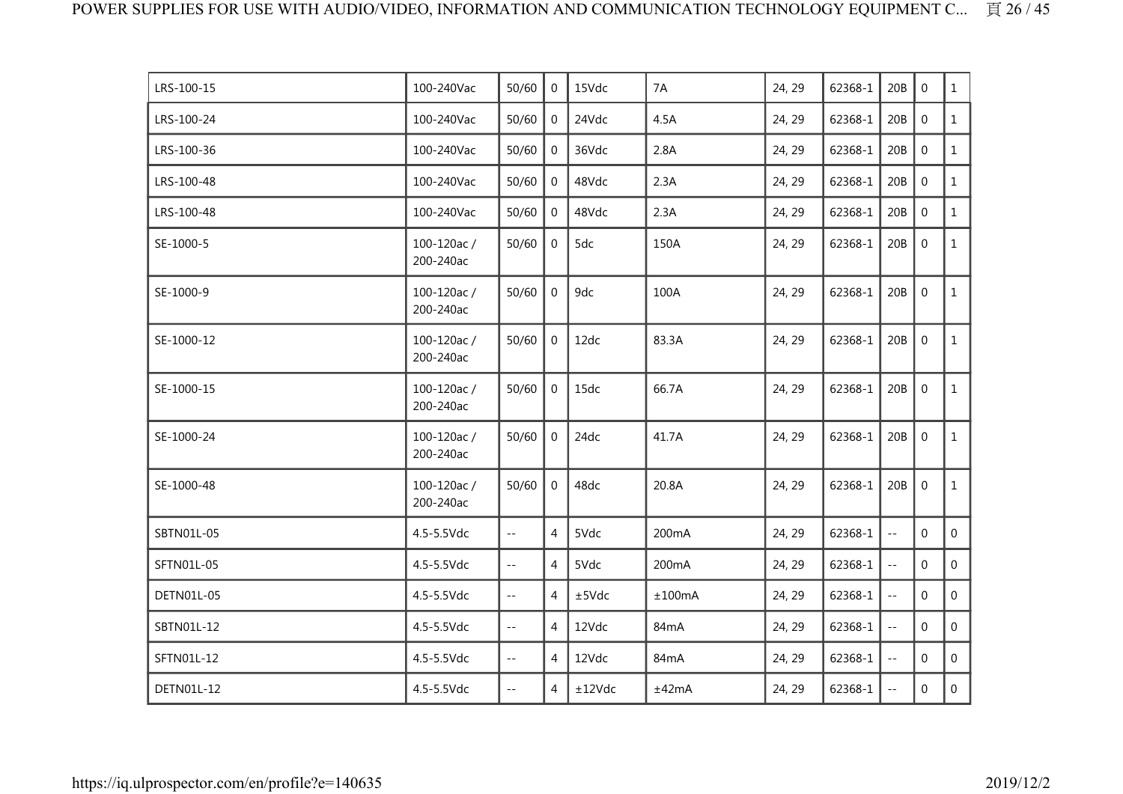| LRS-100-15 | 100-240Vac              | 50/60                                         | $\overline{0}$ | 15Vdc  | 7A                 | 24, 29 | 62368-1 | 20B                        | $\Omega$         | $\mathbf{1}$   |
|------------|-------------------------|-----------------------------------------------|----------------|--------|--------------------|--------|---------|----------------------------|------------------|----------------|
| LRS-100-24 | 100-240Vac              | 50/60                                         | $\mathbf 0$    | 24Vdc  | 4.5A               | 24, 29 | 62368-1 | 20B                        | $\mathbf 0$      | $\mathbf{1}$   |
| LRS-100-36 | 100-240Vac              | 50/60                                         | $\mathbf{0}$   | 36Vdc  | 2.8A               | 24, 29 | 62368-1 | 20B                        | $\mathbf 0$      | $\mathbf{1}$   |
| LRS-100-48 | 100-240Vac              | 50/60                                         | $\mathbf{0}$   | 48Vdc  | 2.3A               | 24, 29 | 62368-1 | 20B                        | $\mathbf 0$      | $\mathbf{1}$   |
| LRS-100-48 | 100-240Vac              | 50/60                                         | $\mathbf 0$    | 48Vdc  | 2.3A               | 24, 29 | 62368-1 | 20B                        | $\mathbf 0$      | $\mathbf{1}$   |
| SE-1000-5  | 100-120ac/<br>200-240ac | 50/60                                         | $\mathbf 0$    | 5dc    | 150A               | 24, 29 | 62368-1 | 20B                        | $\mathbf 0$      | $\mathbf{1}$   |
| SE-1000-9  | 100-120ac/<br>200-240ac | 50/60                                         | $\overline{0}$ | 9dc    | 100A               | 24, 29 | 62368-1 | 20B                        | $\mathbf 0$      | $\mathbf{1}$   |
| SE-1000-12 | 100-120ac/<br>200-240ac | 50/60                                         | $\overline{0}$ | 12dc   | 83.3A              | 24, 29 | 62368-1 | 20B                        | $\mathbf 0$      | $\mathbf{1}$   |
| SE-1000-15 | 100-120ac/<br>200-240ac | 50/60                                         | $\mathbf 0$    | 15dc   | 66.7A              | 24, 29 | 62368-1 | 20B                        | $\mathbf 0$      | $\mathbf{1}$   |
| SE-1000-24 | 100-120ac/<br>200-240ac | 50/60                                         | $\mathbf{0}$   | 24dc   | 41.7A              | 24, 29 | 62368-1 | 20B                        | $\boldsymbol{0}$ | $\mathbf{1}$   |
| SE-1000-48 | 100-120ac/<br>200-240ac | 50/60                                         | $\mathbf 0$    | 48dc   | 20.8A              | 24, 29 | 62368-1 | 20B                        | $\boldsymbol{0}$ | $\mathbf{1}$   |
| SBTN01L-05 | 4.5-5.5Vdc              | $\mathbb{L} \mathbb{L}$                       | 4              | 5Vdc   | 200 <sub>m</sub> A | 24, 29 | 62368-1 | $\overline{\phantom{a}}$ . | $\mathbf{0}$     | $\mathbf{0}$   |
| SFTN01L-05 | 4.5-5.5Vdc              | $\mathbb{L}^{\mathbb{L}}$                     | 4              | 5Vdc   | 200 <sub>m</sub> A | 24, 29 | 62368-1 | $\overline{a}$             | $\mathbf{0}$     | 0              |
| DETN01L-05 | 4.5-5.5Vdc              | $\sim$ $\sim$                                 | 4              | ±5Vdc  | ±100mA             | 24, 29 | 62368-1 | $\sim$ $\sim$              | $\Omega$         | $\overline{0}$ |
| SBTN01L-12 | 4.5-5.5Vdc              | $\perp$ .                                     | $\overline{4}$ | 12Vdc  | 84mA               | 24, 29 | 62368-1 | $\overline{a}$             | $\mathbf 0$      | $\overline{0}$ |
| SFTN01L-12 | 4.5-5.5Vdc              | $\mathord{\hspace{1pt}\text{--}\hspace{1pt}}$ | $\overline{4}$ | 12Vdc  | 84 <sub>m</sub> A  | 24, 29 | 62368-1 | $\overline{\phantom{a}}$   | $\mathbf{0}$     | $\Omega$       |
| DETN01L-12 | 4.5-5.5Vdc              | $\sim$ $-$                                    | 4              | ±12Vdc | ±42mA              | 24, 29 | 62368-1 | $\sim$ $-$                 | $\mathbf{0}$     | $\overline{0}$ |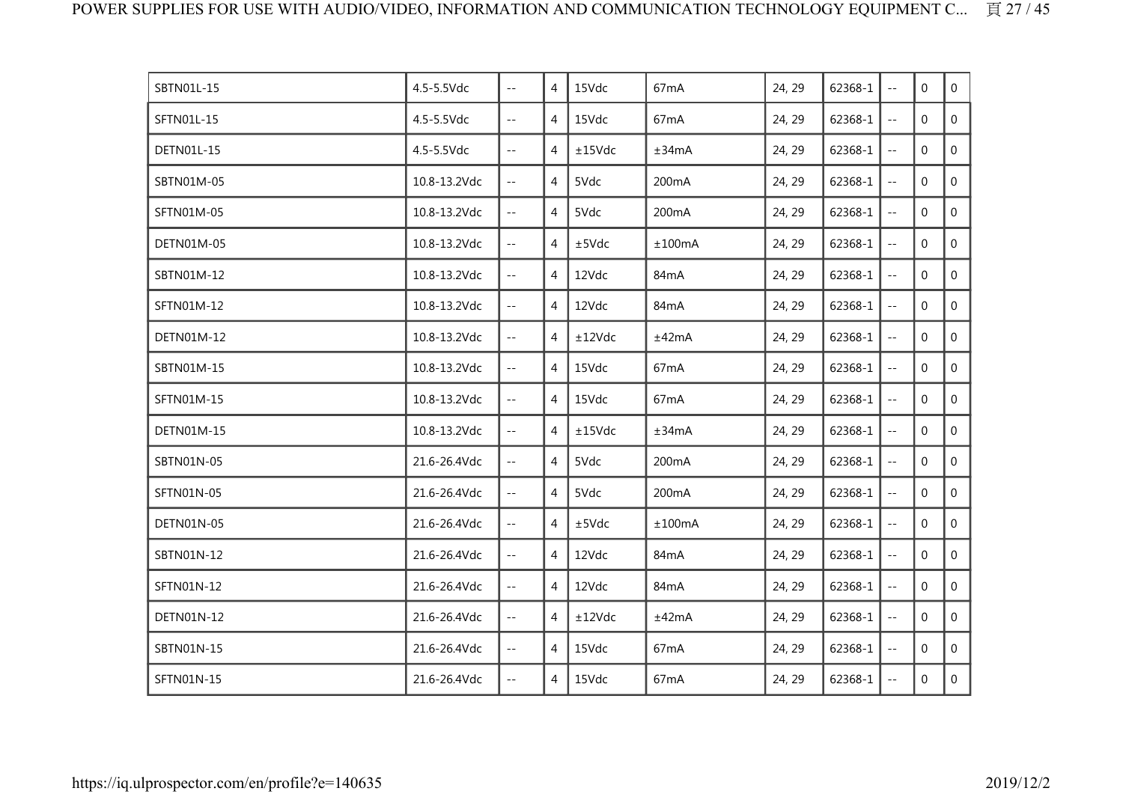| SBTN01L-15 | 4.5-5.5Vdc   | $\mathbb{L} \mathbb{L}$                       | 4              | 15Vdc  | 67 <sub>m</sub> A  | 24, 29 | 62368-1 | $\sim$ $\sim$             | $\mathbf 0$  | $\overline{0}$ |
|------------|--------------|-----------------------------------------------|----------------|--------|--------------------|--------|---------|---------------------------|--------------|----------------|
| SFTN01L-15 | 4.5-5.5Vdc   | $\sim$ $-$                                    | 4              | 15Vdc  | 67 <sub>m</sub> A  | 24, 29 | 62368-1 | $\sim$ $-$                | $\mathbf{0}$ | $\overline{0}$ |
| DETN01L-15 | 4.5-5.5Vdc   | $-$                                           | 4              | ±15Vdc | ±34mA              | 24, 29 | 62368-1 | $\sim$ $\sim$             | $\Omega$     | $\Omega$       |
| SBTN01M-05 | 10.8-13.2Vdc | $\sim$ $\sim$                                 | 4              | 5Vdc   | 200mA              | 24, 29 | 62368-1 | $\mathbb{L} \mathbb{L}$   | $\mathbf{0}$ | $\mathbf 0$    |
| SFTN01M-05 | 10.8-13.2Vdc | $\overline{\phantom{a}}$                      | 4              | 5Vdc   | 200 <sub>m</sub> A | 24, 29 | 62368-1 | $\perp$ $\perp$           | $\Omega$     | $\overline{0}$ |
| DETN01M-05 | 10.8-13.2Vdc | $\mathbb{L}^{\mathbb{L}}$                     | 4              | ±5Vdc  | ±100mA             | 24, 29 | 62368-1 | $\mathbb{Z}^{\mathbb{Z}}$ | $\mathbf{0}$ | $\mathbf 0$    |
| SBTN01M-12 | 10.8-13.2Vdc | $\mathbb{L} \mathbb{L}$                       | 4              | 12Vdc  | 84 <sub>m</sub> A  | 24, 29 | 62368-1 | $\mathbb{L}^2$            | $\mathbf{0}$ | $\overline{0}$ |
| SFTN01M-12 | 10.8-13.2Vdc | $\sim$ $-$                                    | 4              | 12Vdc  | 84 <sub>m</sub> A  | 24, 29 | 62368-1 | $\overline{\phantom{a}}$  | $\mathbf{0}$ | 0              |
| DETN01M-12 | 10.8-13.2Vdc | $\sim$ $-$                                    | $\overline{4}$ | ±12Vdc | ±42mA              | 24, 29 | 62368-1 | $\sim$ $-$                | $\Omega$     | $\overline{0}$ |
| SBTN01M-15 | 10.8-13.2Vdc | $\sim$ $\sim$                                 | $\overline{4}$ | 15Vdc  | 67mA               | 24, 29 | 62368-1 | $\overline{a}$            | $\mathbf 0$  | $\overline{0}$ |
| SFTN01M-15 | 10.8-13.2Vdc | $\sim$ $-$                                    | 4              | 15Vdc  | 67 <sub>m</sub> A  | 24, 29 | 62368-1 | $\overline{\phantom{a}}$  | $\mathbf{0}$ | $\mathbf 0$    |
| DETN01M-15 | 10.8-13.2Vdc | $\overline{\phantom{a}}$                      | 4              | ±15Vdc | ±34mA              | 24, 29 | 62368-1 | 44                        | $\Omega$     | $\overline{0}$ |
| SBTN01N-05 | 21.6-26.4Vdc | $\mathord{\hspace{1pt}\text{--}\hspace{1pt}}$ | 4              | 5Vdc   | 200 <sub>m</sub> A | 24, 29 | 62368-1 | $\pm$ $\pm$               | $\mathbf{0}$ | $\mathbf 0$    |
| SFTN01N-05 | 21.6-26.4Vdc | $\mathcal{L} =$                               | 4              | 5Vdc   | 200 <sub>m</sub> A | 24, 29 | 62368-1 | $\mathbb{L} \mathbb{L}$   | $\Omega$     | $\overline{0}$ |
| DETN01N-05 | 21.6-26.4Vdc | $\mathbb{L}^{\mathbb{L}}$                     | 4              | ±5Vdc  | ±100mA             | 24, 29 | 62368-1 | $\overline{a}$            | $\mathbf{0}$ | 0              |
| SBTN01N-12 | 21.6-26.4Vdc | $\sim$ $-$                                    | 4              | 12Vdc  | 84 <sub>m</sub> A  | 24, 29 | 62368-1 | $\sim$ $\sim$             | $\Omega$     | $\overline{0}$ |
| SFTN01N-12 | 21.6-26.4Vdc | $\mathcal{L} =$                               | $\overline{4}$ | 12Vdc  | 84 <sub>m</sub> A  | 24, 29 | 62368-1 | $\overline{a}$            | $\mathbf 0$  | $\mathbf 0$    |
| DETN01N-12 | 21.6-26.4Vdc | $\sim$ $-$                                    | 4              | ±12Vdc | ±42mA              | 24, 29 | 62368-1 | $\overline{\phantom{a}}$  | $\mathbf{0}$ | 0              |
| SBTN01N-15 | 21.6-26.4Vdc | $\sim$ $-$                                    | 4              | 15Vdc  | 67 <sub>m</sub> A  | 24, 29 | 62368-1 | 44                        | $\mathbf 0$  | 0              |
| SFTN01N-15 | 21.6-26.4Vdc | $\mathcal{L}=\mathcal{L}$                     | 4              | 15Vdc  | 67 <sub>m</sub> A  | 24, 29 | 62368-1 | $\sim$ $-$                | $\mathbf 0$  | $\overline{0}$ |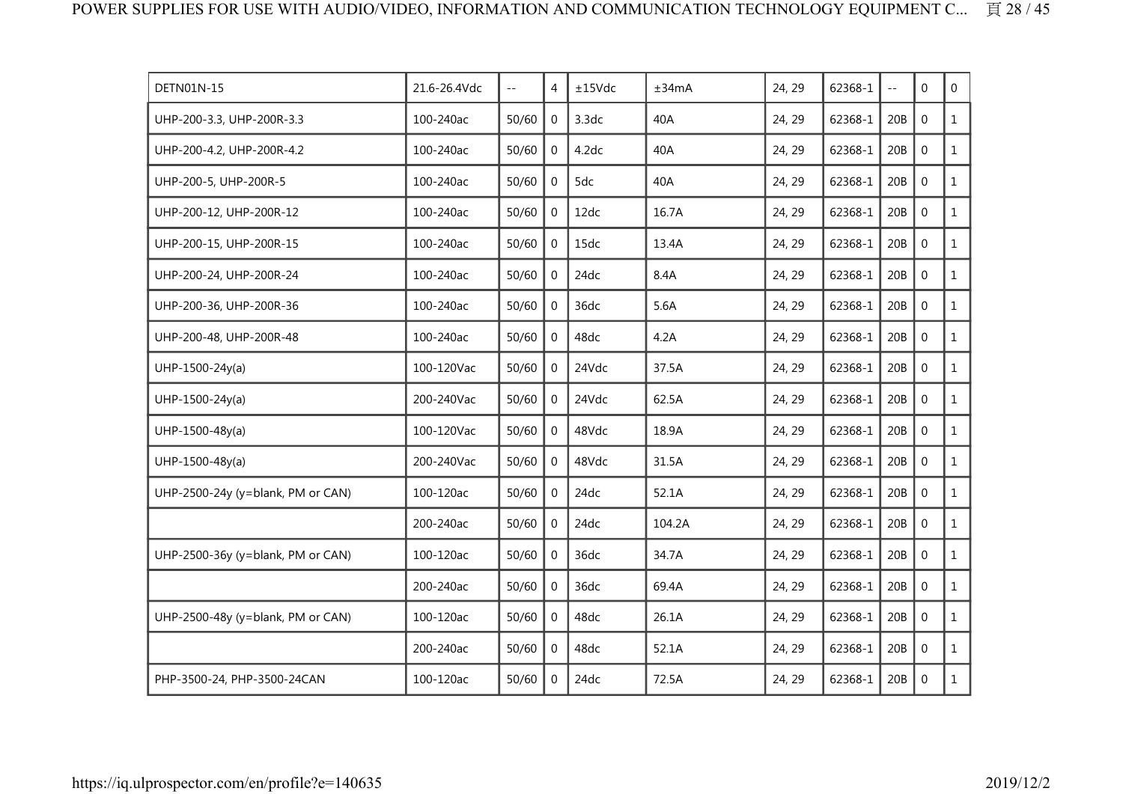| DETN01N-15                        | 21.6-26.4Vdc | $\mathcal{L} =$ | 4              | ±15Vdc | ±34mA  | 24, 29 | 62368-1 | $\ddotsc$ | $\Omega$         | $\overline{0}$ |
|-----------------------------------|--------------|-----------------|----------------|--------|--------|--------|---------|-----------|------------------|----------------|
| UHP-200-3.3, UHP-200R-3.3         | 100-240ac    | 50/60           | $\mathbf 0$    | 3.3dc  | 40A    | 24, 29 | 62368-1 | 20B       | $\mathbf{0}$     | $\mathbf{1}$   |
| UHP-200-4.2, UHP-200R-4.2         | 100-240ac    | 50/60           | $\mathbf 0$    | 4.2dc  | 40A    | 24, 29 | 62368-1 | 20B       | $\mathbf{0}$     | $\mathbf{1}$   |
| UHP-200-5, UHP-200R-5             | 100-240ac    | 50/60           | $\Omega$       | 5dc    | 40A    | 24, 29 | 62368-1 | 20B       | $\Omega$         | $\mathbf{1}$   |
| UHP-200-12, UHP-200R-12           | 100-240ac    | 50/60           | $\overline{0}$ | 12dc   | 16.7A  | 24, 29 | 62368-1 | 20B       | $\mathbf 0$      | $\mathbf{1}$   |
| UHP-200-15, UHP-200R-15           | 100-240ac    | 50/60           | $\mathbf{0}$   | 15dc   | 13.4A  | 24, 29 | 62368-1 | 20B       | $\mathbf 0$      | $\mathbf{1}$   |
| UHP-200-24, UHP-200R-24           | 100-240ac    | 50/60           | $\Omega$       | 24dc   | 8.4A   | 24, 29 | 62368-1 | 20B       | $\mathbf{0}$     | $\mathbf{1}$   |
| UHP-200-36, UHP-200R-36           | 100-240ac    | 50/60           | $\Omega$       | 36dc   | 5.6A   | 24, 29 | 62368-1 | 20B       | $\mathbf{0}$     | $\mathbf{1}$   |
| UHP-200-48, UHP-200R-48           | 100-240ac    | 50/60           | $\Omega$       | 48dc   | 4.2A   | 24, 29 | 62368-1 | 20B       | $\mathbf 0$      | $\mathbf{1}$   |
| UHP-1500-24y(a)                   | 100-120Vac   | 50/60           | $\mathbf{0}$   | 24Vdc  | 37.5A  | 24, 29 | 62368-1 | 20B       | $\mathbf 0$      | $\mathbf{1}$   |
| $UHP-1500-24y(a)$                 | 200-240Vac   | 50/60           | $\Omega$       | 24Vdc  | 62.5A  | 24, 29 | 62368-1 | 20B       | $\Omega$         | $\mathbf{1}$   |
| UHP-1500-48y(a)                   | 100-120Vac   | 50/60           | $\Omega$       | 48Vdc  | 18.9A  | 24, 29 | 62368-1 | 20B       | $\mathbf{0}$     | $\mathbf{1}$   |
| UHP-1500-48y(a)                   | 200-240Vac   | 50/60           | $\mathbf{0}$   | 48Vdc  | 31.5A  | 24, 29 | 62368-1 | 20B       | $\mathbf 0$      | $\mathbf{1}$   |
| UHP-2500-24y (y=blank, PM or CAN) | 100-120ac    | 50/60           | $\Omega$       | 24dc   | 52.1A  | 24, 29 | 62368-1 | 20B       | $\mathbf{0}$     | $\mathbf{1}$   |
|                                   | 200-240ac    | 50/60           | $\Omega$       | 24dc   | 104.2A | 24, 29 | 62368-1 | 20B       | $\mathbf{0}$     | $\mathbf{1}$   |
| UHP-2500-36y (y=blank, PM or CAN) | 100-120ac    | 50/60           | $\Omega$       | 36dc   | 34.7A  | 24, 29 | 62368-1 | 20B       | $\mathbf 0$      | $\mathbf{1}$   |
|                                   | 200-240ac    | 50/60           | $\overline{0}$ | 36dc   | 69.4A  | 24, 29 | 62368-1 | 20B       | $\mathbf 0$      | $\mathbf{1}$   |
| UHP-2500-48y (y=blank, PM or CAN) | 100-120ac    | 50/60           | $\overline{0}$ | 48dc   | 26.1A  | 24, 29 | 62368-1 | 20B       | $\mathbf{0}$     | $\mathbf{1}$   |
|                                   | 200-240ac    | 50/60           | $\Omega$       | 48dc   | 52.1A  | 24, 29 | 62368-1 | 20B       | $\boldsymbol{0}$ | $\mathbf{1}$   |
| PHP-3500-24, PHP-3500-24CAN       | 100-120ac    | 50/60           | $\Omega$       | 24dc   | 72.5A  | 24, 29 | 62368-1 | 20B       | $\mathbf 0$      | $\mathbf{1}$   |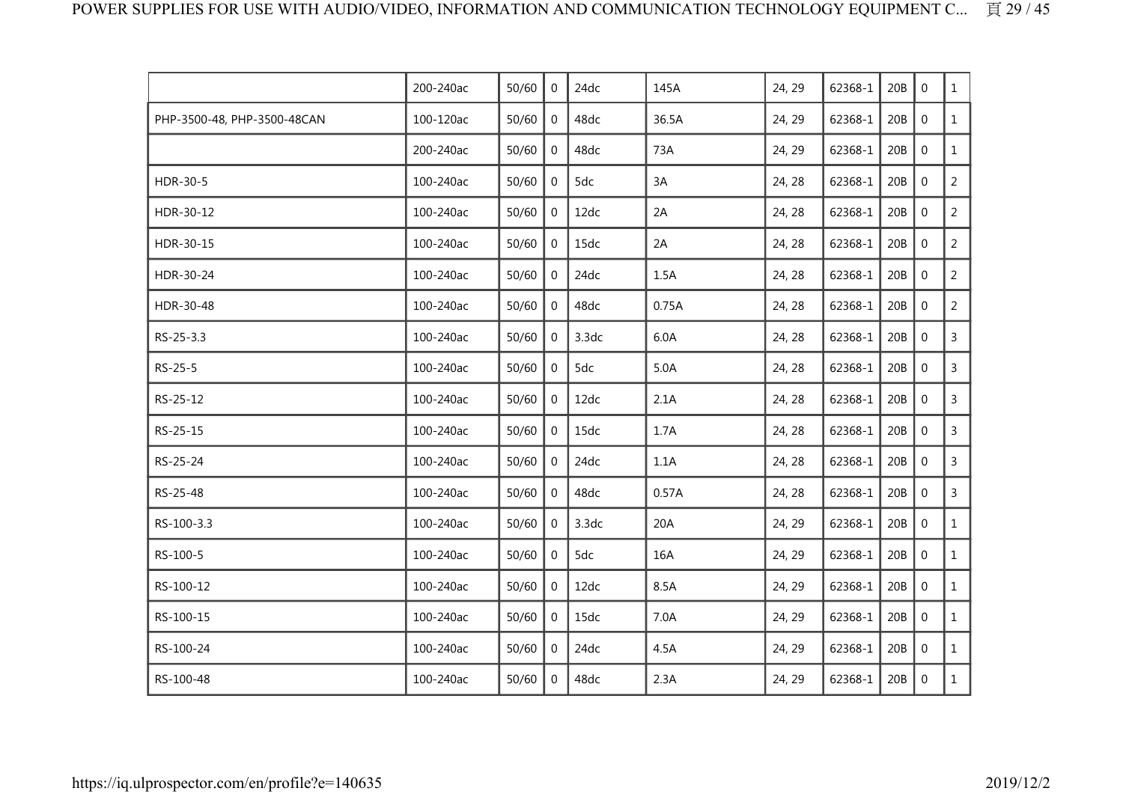|                             | 200-240ac | 50/60 | $\mathbf 0$  | 24dc  | 145A  | 24, 29 | 62368-1 | 20B | $\mathbf 0$    | $\mathbf{1}$   |
|-----------------------------|-----------|-------|--------------|-------|-------|--------|---------|-----|----------------|----------------|
| PHP-3500-48, PHP-3500-48CAN | 100-120ac | 50/60 | $\mathbf 0$  | 48dc  | 36.5A | 24, 29 | 62368-1 | 20B | $\mathbf 0$    | $\mathbf{1}$   |
|                             | 200-240ac | 50/60 | $\mathbf 0$  | 48dc  | 73A   | 24, 29 | 62368-1 | 20B | $\mathbf 0$    | $\mathbf{1}$   |
| HDR-30-5                    | 100-240ac | 50/60 | 0            | 5dc   | 3A    | 24, 28 | 62368-1 | 20B | $\mathbf 0$    | $\overline{2}$ |
| HDR-30-12                   | 100-240ac | 50/60 | 0            | 12dc  | 2A    | 24, 28 | 62368-1 | 20B | $\mathbf 0$    | $\overline{2}$ |
| HDR-30-15                   | 100-240ac | 50/60 | $\mathbf 0$  | 15dc  | 2A    | 24, 28 | 62368-1 | 20B | $\mathbf 0$    | $\overline{2}$ |
| HDR-30-24                   | 100-240ac | 50/60 | $\mathbf 0$  | 24dc  | 1.5A  | 24, 28 | 62368-1 | 20B | $\mathbf 0$    | $\overline{2}$ |
| HDR-30-48                   | 100-240ac | 50/60 | 0            | 48dc  | 0.75A | 24, 28 | 62368-1 | 20B | $\mathbf 0$    | $\overline{2}$ |
| RS-25-3.3                   | 100-240ac | 50/60 | 0            | 3.3dc | 6.0A  | 24, 28 | 62368-1 | 20B | $\mathbf 0$    | $\mathsf{3}$   |
| RS-25-5                     | 100-240ac | 50/60 | $\mathbf 0$  | 5dc   | 5.0A  | 24, 28 | 62368-1 | 20B | $\mathbf 0$    | $\mathsf{3}$   |
| RS-25-12                    | 100-240ac | 50/60 | 0            | 12dc  | 2.1A  | 24, 28 | 62368-1 | 20B | $\mathbf 0$    | 3              |
| RS-25-15                    | 100-240ac | 50/60 | 0            | 15dc  | 1.7A  | 24, 28 | 62368-1 | 20B | $\mathbf 0$    | $\mathsf{3}$   |
| RS-25-24                    | 100-240ac | 50/60 | $\mathbf 0$  | 24dc  | 1.1A  | 24, 28 | 62368-1 | 20B | $\mathbf 0$    | $\overline{3}$ |
| RS-25-48                    | 100-240ac | 50/60 | $\mathbf 0$  | 48dc  | 0.57A | 24, 28 | 62368-1 | 20B | $\mathbf 0$    | $\mathsf{3}$   |
| RS-100-3.3                  | 100-240ac | 50/60 | 0            | 3.3dc | 20A   | 24, 29 | 62368-1 | 20B | $\mathbf 0$    | $\mathbf{1}$   |
| RS-100-5                    | 100-240ac | 50/60 | $\mathbf 0$  | 5dc   | 16A   | 24, 29 | 62368-1 | 20B | $\mathbf 0$    | $\mathbf{1}$   |
| RS-100-12                   | 100-240ac | 50/60 | $\mathbf 0$  | 12dc  | 8.5A  | 24, 29 | 62368-1 | 20B | $\overline{0}$ | $\mathbf{1}$   |
| RS-100-15                   | 100-240ac | 50/60 | $\Omega$     | 15dc  | 7.0A  | 24, 29 | 62368-1 | 20B | $\mathbf 0$    | $\mathbf{1}$   |
| RS-100-24                   | 100-240ac | 50/60 | $\mathbf{0}$ | 24dc  | 4.5A  | 24, 29 | 62368-1 | 20B | $\mathbf 0$    | $\mathbf{1}$   |
| RS-100-48                   | 100-240ac | 50/60 | $\mathbf 0$  | 48dc  | 2.3A  | 24, 29 | 62368-1 | 20B | $\mathbf 0$    | $\mathbf{1}$   |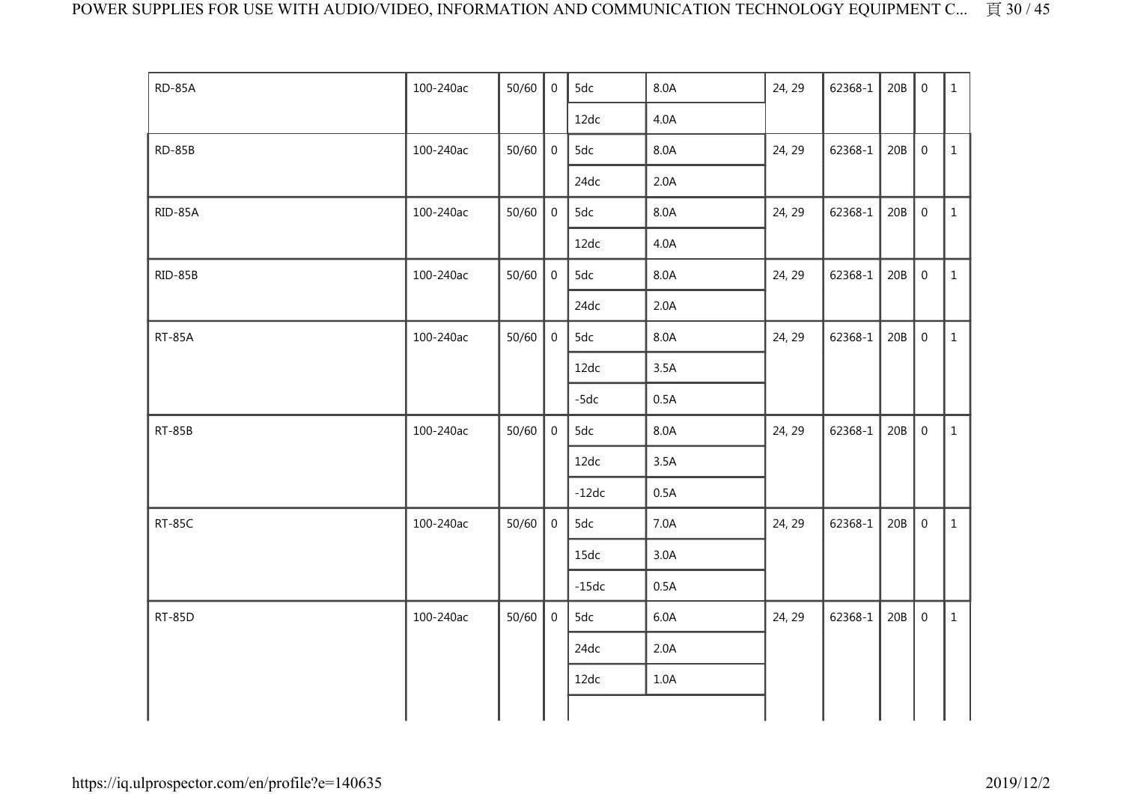| <b>RD-85A</b> | 100-240ac | 50/60 | $\mathbf 0$    | 5dc     | 8.0A | 24, 29 | 62368-1 | 20B | $\overline{0}$   | $\mathbf{1}$ |
|---------------|-----------|-------|----------------|---------|------|--------|---------|-----|------------------|--------------|
|               |           |       |                | 12dc    | 4.0A |        |         |     |                  |              |
| <b>RD-85B</b> | 100-240ac | 50/60 | $\overline{0}$ | 5dc     | 8.0A | 24, 29 | 62368-1 | 20B | $\boldsymbol{0}$ | $\mathbf{1}$ |
|               |           |       |                | 24dc    | 2.0A |        |         |     |                  |              |
| RID-85A       | 100-240ac | 50/60 | $\overline{0}$ | 5dc     | 8.0A | 24, 29 | 62368-1 | 20B | $\boldsymbol{0}$ | $\mathbf{1}$ |
|               |           |       |                | 12dc    | 4.0A |        |         |     |                  |              |
| RID-85B       | 100-240ac | 50/60 | $\mathbf 0$    | 5dc     | 8.0A | 24, 29 | 62368-1 | 20B | $\boldsymbol{0}$ | $\mathbf{1}$ |
|               |           |       |                | 24dc    | 2.0A |        |         |     |                  |              |
| <b>RT-85A</b> | 100-240ac | 50/60 | $\mathbf 0$    | 5dc     | 8.0A | 24, 29 | 62368-1 | 20B | $\mathbf 0$      | $\mathbf{1}$ |
|               |           |       |                | 12dc    | 3.5A |        |         |     |                  |              |
|               |           |       |                | $-5dc$  | 0.5A |        |         |     |                  |              |
| <b>RT-85B</b> | 100-240ac | 50/60 | $\mathbf 0$    | 5dc     | 8.0A | 24, 29 | 62368-1 | 20B | $\mathbf 0$      | $\mathbf{1}$ |
|               |           |       |                | 12dc    | 3.5A |        |         |     |                  |              |
|               |           |       |                | $-12dc$ | 0.5A |        |         |     |                  |              |
| <b>RT-85C</b> | 100-240ac | 50/60 | $\mathbf 0$    | 5dc     | 7.0A | 24, 29 | 62368-1 | 20B | $\mathbf 0$      | $\mathbf{1}$ |
|               |           |       |                | 15dc    | 3.0A |        |         |     |                  |              |
|               |           |       |                | $-15dc$ | 0.5A |        |         |     |                  |              |
| <b>RT-85D</b> | 100-240ac | 50/60 | 0              | 5dc     | 6.0A | 24, 29 | 62368-1 | 20B | $\mathbf 0$      | $\mathbf{1}$ |
|               |           |       |                | 24dc    | 2.0A |        |         |     |                  |              |
|               |           |       |                | 12dc    | 1.0A |        |         |     |                  |              |
|               |           |       |                |         |      |        |         |     |                  |              |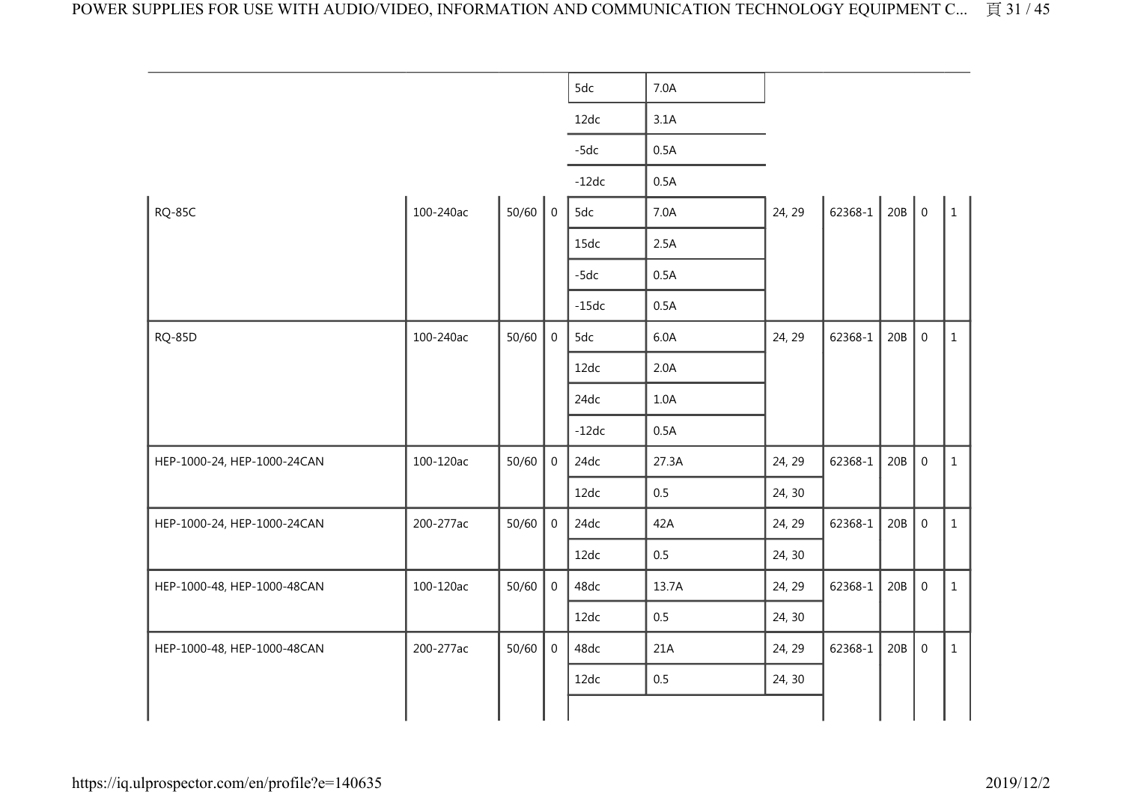|                             |           |           |                | 5dc     | 7.0A    |        |               |     |              |                |
|-----------------------------|-----------|-----------|----------------|---------|---------|--------|---------------|-----|--------------|----------------|
|                             |           |           |                | 12dc    | 3.1A    |        |               |     |              |                |
|                             |           |           |                | $-5dc$  | 0.5A    |        |               |     |              |                |
|                             |           |           |                | $-12dc$ | 0.5A    |        |               |     |              |                |
| <b>RQ-85C</b>               | 100-240ac | $50/60$ 0 |                | 5dc     | 7.0A    | 24, 29 | 62368-1 20B 0 |     |              | $\overline{1}$ |
|                             |           |           |                | 15dc    | 2.5A    |        |               |     |              |                |
|                             |           |           |                | $-5dc$  | 0.5A    |        |               |     |              |                |
|                             |           |           |                | $-15dc$ | 0.5A    |        |               |     |              |                |
| <b>RQ-85D</b>               | 100-240ac | 50/60     | $\overline{0}$ | 5dc     | 6.0A    | 24, 29 | 62368-1       | 20B | $\mathbf 0$  | $\mathbf{1}$   |
|                             |           |           |                | 12dc    | 2.0A    |        |               |     |              |                |
|                             |           |           |                | 24dc    | 1.0A    |        |               |     |              |                |
|                             |           |           |                | $-12dc$ | 0.5A    |        |               |     |              |                |
| HEP-1000-24, HEP-1000-24CAN | 100-120ac | 50/60     | $\mathbf 0$    | 24dc    | 27.3A   | 24, 29 | 62368-1       | 20B | $\mathbf 0$  | $\mathbf{1}$   |
|                             |           |           |                | 12dc    | 0.5     | 24, 30 |               |     |              |                |
| HEP-1000-24, HEP-1000-24CAN | 200-277ac | 50/60     | $\mathbf 0$    | 24dc    | 42A     | 24, 29 | 62368-1       | 20B | $\mathbf 0$  | $\mathbf{1}$   |
|                             |           |           |                | 12dc    | $0.5\,$ | 24, 30 |               |     |              |                |
| HEP-1000-48, HEP-1000-48CAN | 100-120ac | 50/60     | $\mathbf 0$    | 48dc    | 13.7A   | 24, 29 | 62368-1       | 20B | $\mathbf 0$  | $\mathbf{1}$   |
|                             |           |           |                | 12dc    | 0.5     | 24, 30 |               |     |              |                |
| HEP-1000-48, HEP-1000-48CAN | 200-277ac | 50/60     | $\Omega$       | 48dc    | 21A     | 24, 29 | 62368-1       | 20B | $\mathbf{0}$ | $\mathbf{1}$   |
|                             |           |           |                | 12dc    | $0.5\,$ | 24, 30 |               |     |              |                |
|                             |           |           |                |         |         |        |               |     |              |                |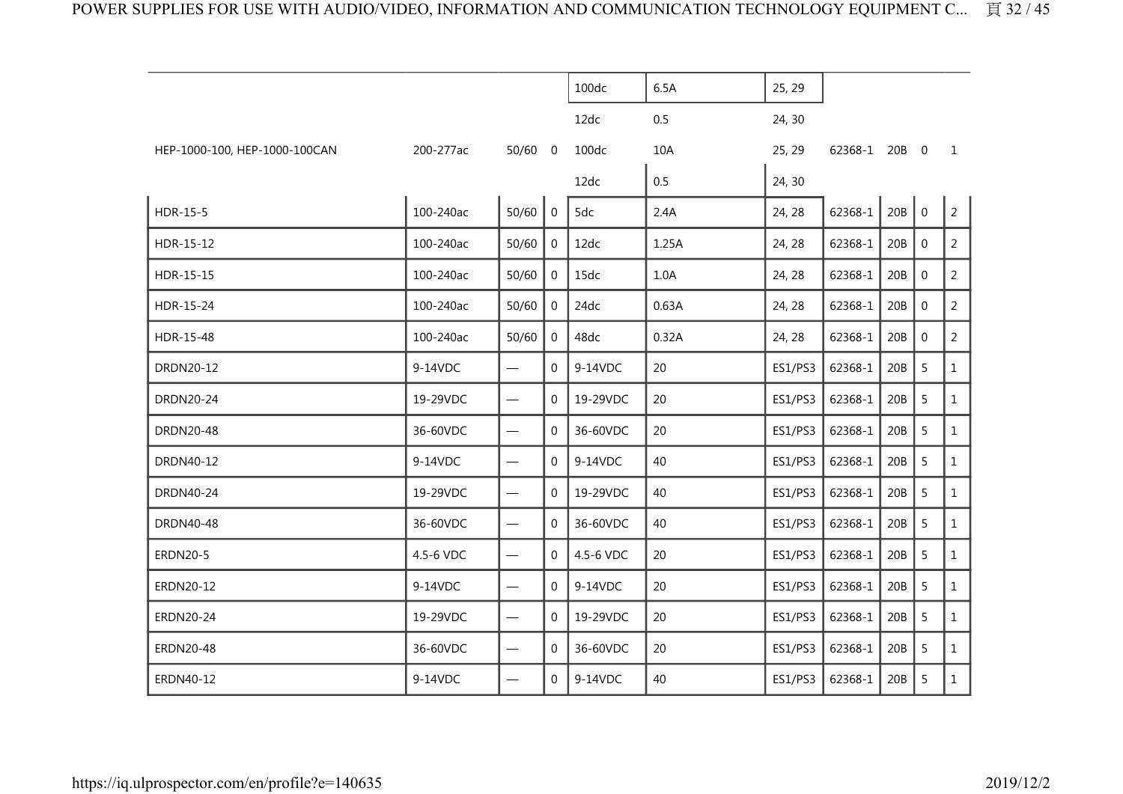|                               |           |                                   |                | 100dc     | 6.5A  | 25, 29  |               |     |                |                |
|-------------------------------|-----------|-----------------------------------|----------------|-----------|-------|---------|---------------|-----|----------------|----------------|
|                               |           |                                   |                | 12dc      | 0.5   | 24, 30  |               |     |                |                |
| HEP-1000-100, HEP-1000-100CAN | 200-277ac | $50/60$ 0                         |                | 100dc     | 10A   | 25, 29  | 62368-1 20B 0 |     |                | $\mathbf{1}$   |
|                               |           |                                   |                | 12dc      | 0.5   | 24, 30  |               |     |                |                |
| HDR-15-5                      | 100-240ac | 50/60                             | $\overline{0}$ | 5dc       | 2.4A  | 24, 28  | 62368-1       | 20B | $\overline{0}$ | $\overline{2}$ |
| HDR-15-12                     | 100-240ac | 50/60                             | $\overline{0}$ | 12dc      | 1.25A | 24, 28  | 62368-1       | 20B | $\mathbf 0$    | 2              |
| HDR-15-15                     | 100-240ac | 50/60                             | $\mathbf 0$    | 15dc      | 1.0A  | 24, 28  | 62368-1       | 20B | $\mathbf{0}$   | $\overline{2}$ |
| HDR-15-24                     | 100-240ac | 50/60                             | 0              | 24dc      | 0.63A | 24, 28  | 62368-1       | 20B | $\pmb{0}$      | $\overline{2}$ |
| HDR-15-48                     | 100-240ac | 50/60                             | $\overline{0}$ | 48dc      | 0.32A | 24, 28  | 62368-1       | 20B | 0              | 2              |
| DRDN20-12                     | 9-14VDC   | $\qquad \qquad -$                 | 0              | 9-14VDC   | 20    | ES1/PS3 | 62368-1       | 20B | 5              | $\mathbf{1}$   |
| <b>DRDN20-24</b>              | 19-29VDC  | $\overline{\phantom{0}}$          | $\Omega$       | 19-29VDC  | 20    | ES1/PS3 | 62368-1       | 20B | 5              | $\mathbf{1}$   |
| <b>DRDN20-48</b>              | 36-60VDC  |                                   | 0              | 36-60VDC  | 20    | ES1/PS3 | 62368-1       | 20B | 5              | $\mathbf{1}$   |
| DRDN40-12                     | 9-14VDC   | $\qquad \qquad \longleftarrow$    | $\overline{0}$ | 9-14VDC   | 40    | ES1/PS3 | 62368-1       | 20B | 5              | $\mathbf{1}$   |
| <b>DRDN40-24</b>              | 19-29VDC  | $\overbrace{\phantom{12322111}}$  | $\Omega$       | 19-29VDC  | 40    | ES1/PS3 | 62368-1       | 20B | 5              | $\mathbf{1}$   |
| <b>DRDN40-48</b>              | 36-60VDC  | $\qquad \qquad -$                 | $\Omega$       | 36-60VDC  | 40    | ES1/PS3 | 62368-1       | 20B | 5              | $\mathbf{1}$   |
| <b>ERDN20-5</b>               | 4.5-6 VDC | $\qquad \qquad \longleftarrow$    | $\overline{0}$ | 4.5-6 VDC | 20    | ES1/PS3 | 62368-1       | 20B | 5              | $\mathbf{1}$   |
| ERDN20-12                     | 9-14VDC   |                                   | $\Omega$       | 9-14VDC   | 20    | ES1/PS3 | 62368-1       | 20B | 5              | $\mathbf{1}$   |
| <b>ERDN20-24</b>              | 19-29VDC  | $\overbrace{\phantom{123221111}}$ | $\Omega$       | 19-29VDC  | 20    | ES1/PS3 | 62368-1       | 20B | 5              | $\mathbf{1}$   |
| <b>ERDN20-48</b>              | 36-60VDC  | $\overline{\phantom{m}}$          | $\Omega$       | 36-60VDC  | 20    | ES1/PS3 | 62368-1       | 20B | 5              | 1              |
| ERDN40-12                     | 9-14VDC   |                                   | $\Omega$       | 9-14VDC   | 40    | ES1/PS3 | 62368-1       | 20B | 5              | $\mathbf{1}$   |
|                               |           |                                   |                |           |       |         |               |     |                |                |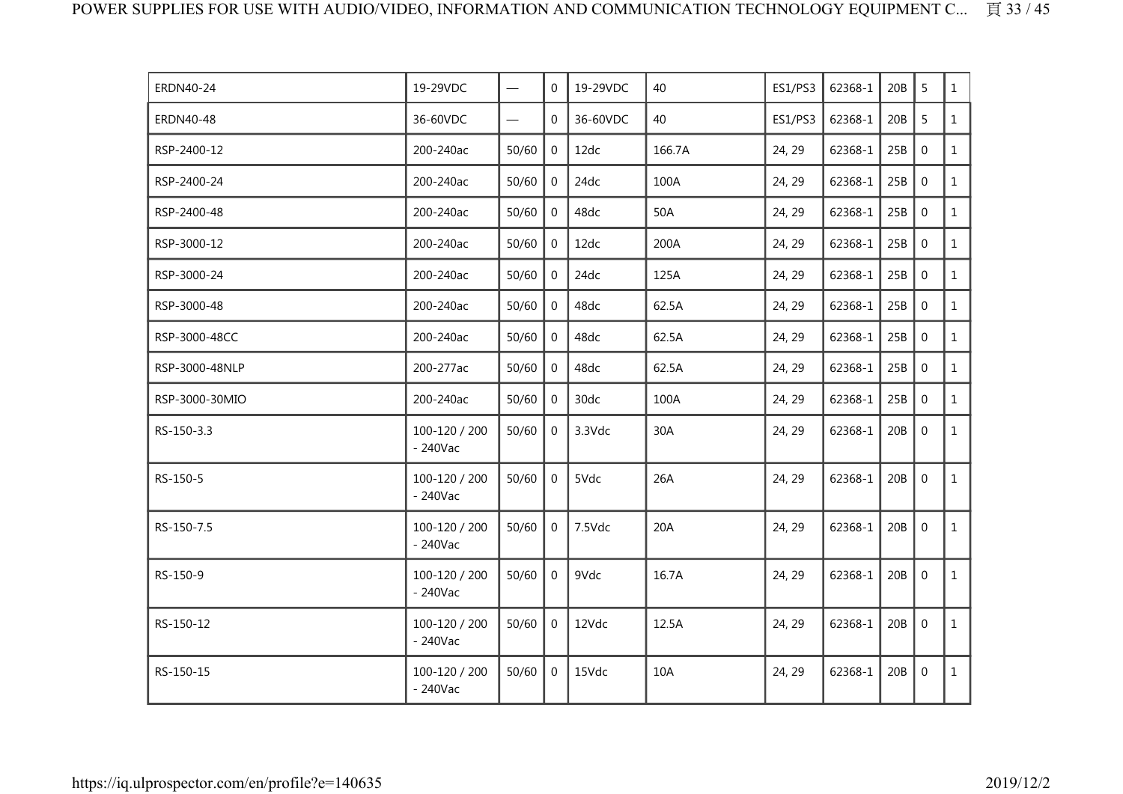| ERDN40-24      | 19-29VDC                    | $\overline{\phantom{m}}$ | $\Omega$       | 19-29VDC | 40     | ES1/PS3 | 62368-1 | 20B | 5              | $\mathbf{1}$ |
|----------------|-----------------------------|--------------------------|----------------|----------|--------|---------|---------|-----|----------------|--------------|
| ERDN40-48      | 36-60VDC                    |                          | $\Omega$       | 36-60VDC | 40     | ES1/PS3 | 62368-1 | 20B | 5              | $\mathbf{1}$ |
| RSP-2400-12    | 200-240ac                   | 50/60                    | $\Omega$       | 12dc     | 166.7A | 24, 29  | 62368-1 | 25B | $\mathbf 0$    | $\mathbf{1}$ |
| RSP-2400-24    | 200-240ac                   | 50/60                    | $\mathbf{0}$   | 24dc     | 100A   | 24, 29  | 62368-1 | 25B | $\mathbf{0}$   | $\mathbf{1}$ |
| RSP-2400-48    | 200-240ac                   | 50/60                    | $\overline{0}$ | 48dc     | 50A    | 24, 29  | 62368-1 | 25B | $\mathbf 0$    | $\mathbf{1}$ |
| RSP-3000-12    | 200-240ac                   | 50/60                    | $\mathbf{0}$   | 12dc     | 200A   | 24, 29  | 62368-1 | 25B | $\overline{0}$ | $\mathbf{1}$ |
| RSP-3000-24    | 200-240ac                   | 50/60                    | $\mathbf{0}$   | 24dc     | 125A   | 24, 29  | 62368-1 | 25B | $\mathbf 0$    | $\mathbf{1}$ |
| RSP-3000-48    | 200-240ac                   | 50/60                    | $\mathbf{0}$   | 48dc     | 62.5A  | 24, 29  | 62368-1 | 25B | $\mathbf 0$    | $\mathbf{1}$ |
| RSP-3000-48CC  | 200-240ac                   | 50/60                    | $\mathbf{0}$   | 48dc     | 62.5A  | 24, 29  | 62368-1 | 25B | $\mathbf{0}$   | $\mathbf{1}$ |
| RSP-3000-48NLP | 200-277ac                   | 50/60                    | $\overline{0}$ | 48dc     | 62.5A  | 24, 29  | 62368-1 | 25B | $\overline{0}$ | $\mathbf{1}$ |
| RSP-3000-30MIO | 200-240ac                   | 50/60                    | $\mathbf 0$    | 30dc     | 100A   | 24, 29  | 62368-1 | 25B | $\mathbf 0$    | $\mathbf{1}$ |
| RS-150-3.3     | 100-120 / 200<br>$-240$ Vac | 50/60                    | $\overline{0}$ | 3.3Vdc   | 30A    | 24, 29  | 62368-1 | 20B | $\mathbf 0$    | $\mathbf{1}$ |
| RS-150-5       | 100-120 / 200<br>$-240$ Vac | 50/60                    | $\Omega$       | 5Vdc     | 26A    | 24, 29  | 62368-1 | 20B | $\mathbf{0}$   | $\mathbf{1}$ |
| RS-150-7.5     | 100-120 / 200<br>$-240$ Vac | 50/60                    | $\overline{0}$ | 7.5Vdc   | 20A    | 24, 29  | 62368-1 | 20B | $\mathbf 0$    | $\mathbf{1}$ |
| RS-150-9       | 100-120 / 200<br>$-240$ Vac | 50/60                    | $\mathbf 0$    | 9Vdc     | 16.7A  | 24, 29  | 62368-1 | 20B | $\mathbf 0$    | $\mathbf{1}$ |
| RS-150-12      | 100-120 / 200<br>$-240$ Vac | 50/60                    | $\overline{0}$ | 12Vdc    | 12.5A  | 24, 29  | 62368-1 | 20B | $\mathbf 0$    | $\mathbf{1}$ |
| RS-150-15      | 100-120 / 200<br>$-240$ Vac | 50/60                    | $\mathbf 0$    | 15Vdc    | 10A    | 24, 29  | 62368-1 | 20B | $\mathbf 0$    | $\mathbf{1}$ |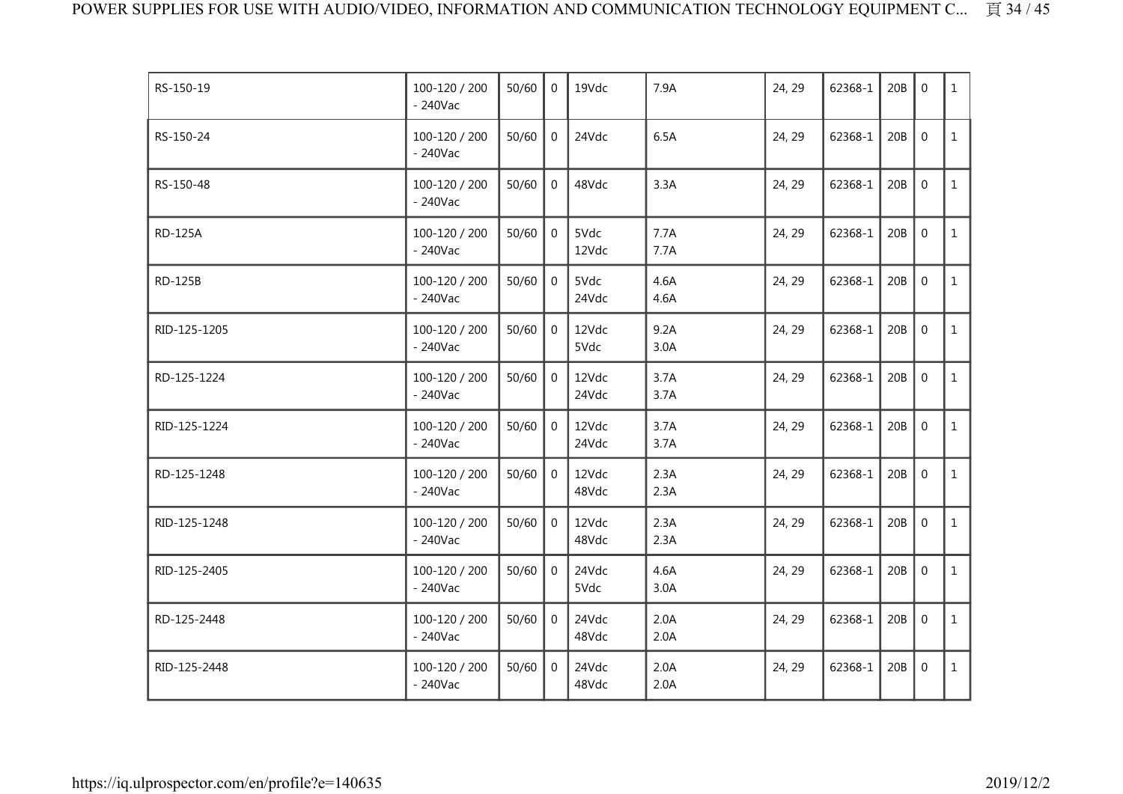| RS-150-19      | 100-120 / 200<br>$-240$ Vac | 50/60 | $\Omega$       | 19Vdc          | 7.9A         | 24, 29 | 62368-1 | 20B | $\mathbf{0}$     | $\mathbf{1}$ |
|----------------|-----------------------------|-------|----------------|----------------|--------------|--------|---------|-----|------------------|--------------|
| RS-150-24      | 100-120 / 200<br>$-240$ Vac | 50/60 | $\mathbf 0$    | 24Vdc          | 6.5A         | 24, 29 | 62368-1 | 20B | $\mathbf 0$      | $\mathbf{1}$ |
| RS-150-48      | 100-120 / 200<br>$-240$ Vac | 50/60 | $\overline{0}$ | 48Vdc          | 3.3A         | 24, 29 | 62368-1 | 20B | $\mathbf 0$      | $\mathbf{1}$ |
| <b>RD-125A</b> | 100-120 / 200<br>$-240$ Vac | 50/60 | $\mathbf{0}$   | 5Vdc<br>12Vdc  | 7.7A<br>7.7A | 24, 29 | 62368-1 | 20B | $\mathbf{0}$     | $\mathbf{1}$ |
| <b>RD-125B</b> | 100-120 / 200<br>$-240$ Vac | 50/60 | $\overline{0}$ | 5Vdc<br>24Vdc  | 4.6A<br>4.6A | 24, 29 | 62368-1 | 20B | $\mathbf 0$      | $\mathbf{1}$ |
| RID-125-1205   | 100-120 / 200<br>$-240$ Vac | 50/60 | $\overline{0}$ | 12Vdc<br>5Vdc  | 9.2A<br>3.0A | 24, 29 | 62368-1 | 20B | $\mathbf 0$      | $\mathbf{1}$ |
| RD-125-1224    | 100-120 / 200<br>$-240$ Vac | 50/60 | $\mathbf 0$    | 12Vdc<br>24Vdc | 3.7A<br>3.7A | 24, 29 | 62368-1 | 20B | $\mathbf 0$      | $\mathbf{1}$ |
| RID-125-1224   | 100-120 / 200<br>$-240$ Vac | 50/60 | $\overline{0}$ | 12Vdc<br>24Vdc | 3.7A<br>3.7A | 24, 29 | 62368-1 | 20B | $\mathbf 0$      | $\mathbf{1}$ |
| RD-125-1248    | 100-120 / 200<br>$-240$ Vac | 50/60 | $\mathbf 0$    | 12Vdc<br>48Vdc | 2.3A<br>2.3A | 24, 29 | 62368-1 | 20B | $\mathbf 0$      | $\mathbf{1}$ |
| RID-125-1248   | 100-120 / 200<br>$-240$ Vac | 50/60 | $\mathbf 0$    | 12Vdc<br>48Vdc | 2.3A<br>2.3A | 24, 29 | 62368-1 | 20B | $\mathbf 0$      | $\mathbf{1}$ |
| RID-125-2405   | 100-120 / 200<br>$-240$ Vac | 50/60 | $\Omega$       | 24Vdc<br>5Vdc  | 4.6A<br>3.0A | 24, 29 | 62368-1 | 20B | $\mathbf 0$      | $\mathbf{1}$ |
| RD-125-2448    | 100-120 / 200<br>$-240$ Vac | 50/60 | $\mathbf 0$    | 24Vdc<br>48Vdc | 2.0A<br>2.0A | 24, 29 | 62368-1 | 20B | $\boldsymbol{0}$ | $\mathbf{1}$ |
| RID-125-2448   | 100-120 / 200<br>$-240$ Vac | 50/60 | $\overline{0}$ | 24Vdc<br>48Vdc | 2.0A<br>2.0A | 24, 29 | 62368-1 | 20B | $\mathbf 0$      | $\mathbf{1}$ |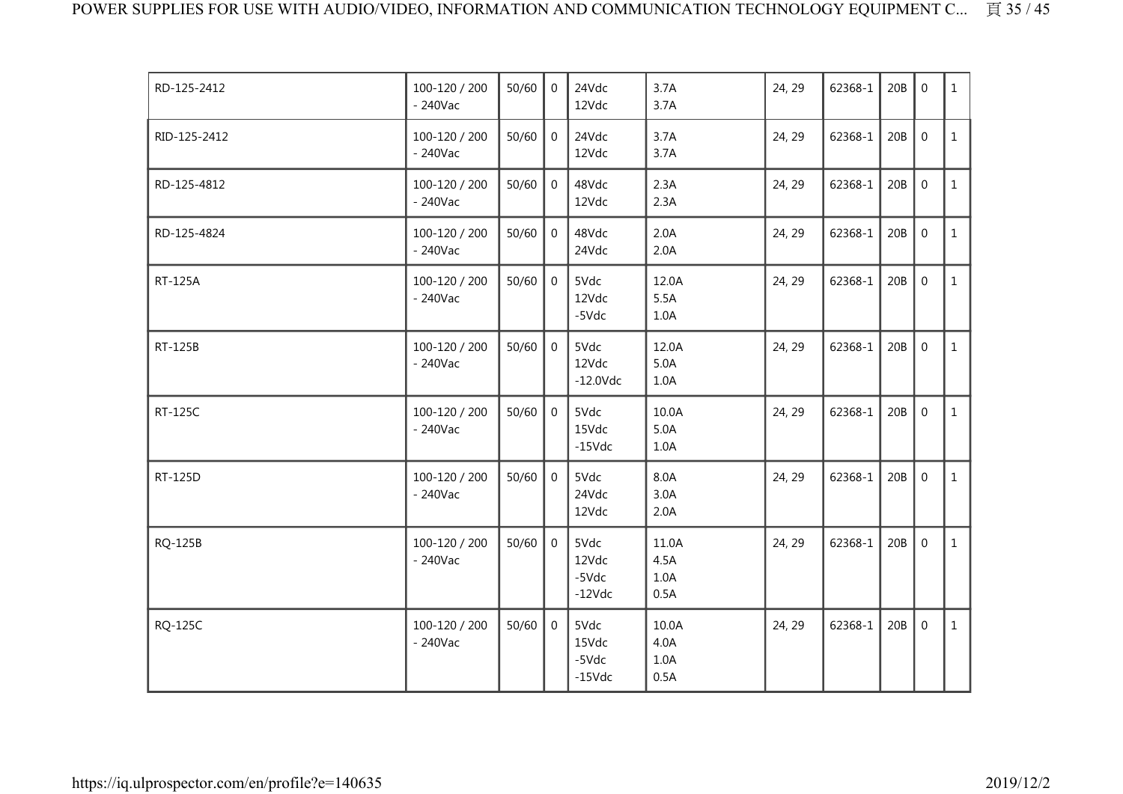| RD-125-2412  | 100-120 / 200<br>$-240$ Vac | 50/60 | $\overline{0}$ | 24Vdc<br>12Vdc                        | 3.7A<br>3.7A                  | 24, 29 | 62368-1 | 20B | $\mathbf 0$    | $\mathbf{1}$ |
|--------------|-----------------------------|-------|----------------|---------------------------------------|-------------------------------|--------|---------|-----|----------------|--------------|
| RID-125-2412 | 100-120 / 200<br>$-240$ Vac | 50/60 | $\overline{0}$ | 24Vdc<br>12Vdc                        | 3.7A<br>3.7A                  | 24, 29 | 62368-1 | 20B | $\overline{0}$ | $\mathbf{1}$ |
| RD-125-4812  | 100-120 / 200<br>$-240$ Vac | 50/60 | $\overline{0}$ | 48Vdc<br>12Vdc                        | 2.3A<br>2.3A                  | 24, 29 | 62368-1 | 20B | $\mathbf 0$    | $\mathbf{1}$ |
| RD-125-4824  | 100-120 / 200<br>$-240$ Vac | 50/60 | $\overline{0}$ | 48Vdc<br>24Vdc                        | 2.0A<br>2.0A                  | 24, 29 | 62368-1 | 20B | $\mathbf 0$    | $\mathbf{1}$ |
| RT-125A      | 100-120 / 200<br>$-240$ Vac | 50/60 | $\overline{0}$ | 5Vdc<br>12Vdc<br>-5Vdc                | 12.0A<br>5.5A<br>1.0A         | 24, 29 | 62368-1 | 20B | $\mathbf 0$    | $\mathbf{1}$ |
| RT-125B      | 100-120 / 200<br>$-240$ Vac | 50/60 | $\overline{0}$ | 5Vdc<br>12Vdc<br>$-12.0$ Vdc          | 12.0A<br>5.0A<br>1.0A         | 24, 29 | 62368-1 | 20B | $\mathbf 0$    | $\mathbf{1}$ |
| RT-125C      | 100-120 / 200<br>$-240$ Vac | 50/60 | $\Omega$       | 5Vdc<br>15Vdc<br>$-15$ Vdc            | 10.0A<br>5.0A<br>1.0A         | 24, 29 | 62368-1 | 20B | $\mathbf 0$    | $\mathbf{1}$ |
| RT-125D      | 100-120 / 200<br>$-240$ Vac | 50/60 | $\mathbf 0$    | 5Vdc<br>24Vdc<br>12Vdc                | 8.0A<br>3.0A<br>2.0A          | 24, 29 | 62368-1 | 20B | $\mathbf 0$    | $\mathbf{1}$ |
| RQ-125B      | 100-120 / 200<br>$-240$ Vac | 50/60 | $\mathbf 0$    | 5Vdc<br>12Vdc<br>$-5Vdc$<br>$-12Vdc$  | 11.0A<br>4.5A<br>1.0A<br>0.5A | 24, 29 | 62368-1 | 20B | $\mathbf 0$    | $\mathbf{1}$ |
| RQ-125C      | 100-120 / 200<br>- 240Vac   | 50/60 | $\overline{0}$ | 5Vdc<br>15Vdc<br>$-5Vdc$<br>$-15$ Vdc | 10.0A<br>4.0A<br>1.0A<br>0.5A | 24, 29 | 62368-1 | 20B | $\mathbf 0$    | $\mathbf{1}$ |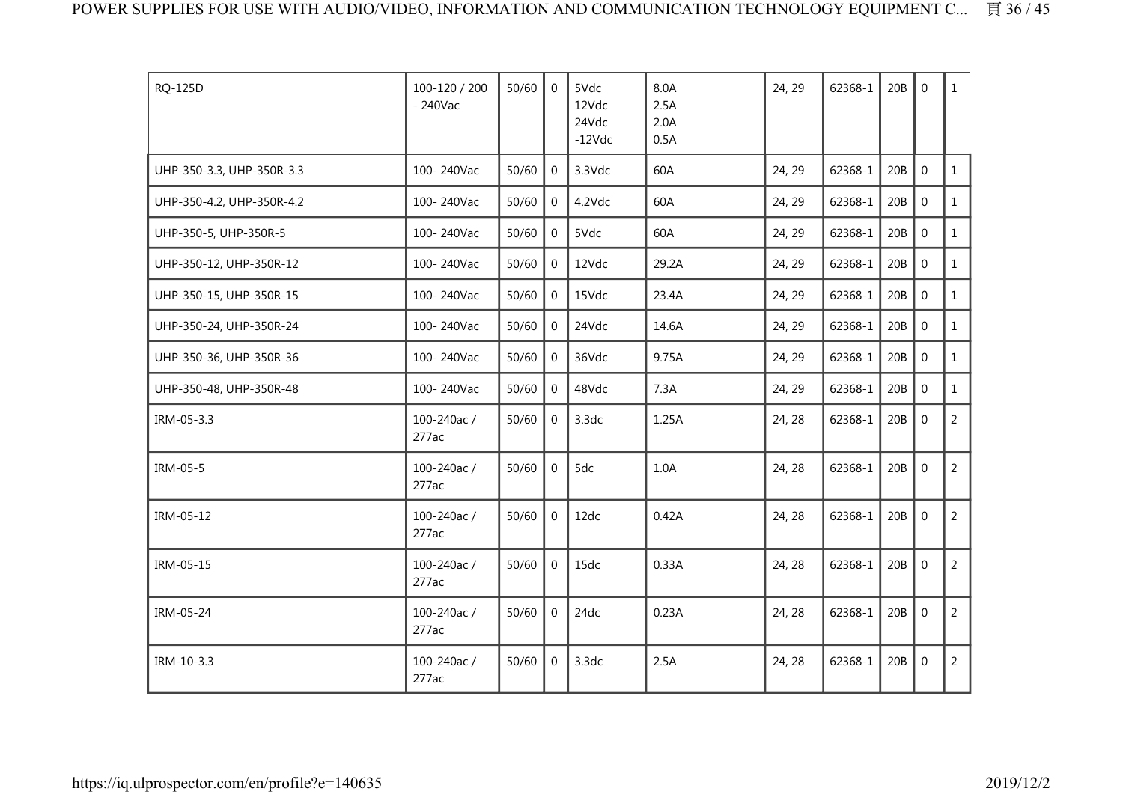| RQ-125D                   | 100-120 / 200<br>$-240$ Vac | 50/60 | $\Omega$       | 5Vdc<br>12Vdc<br>24Vdc<br>$-12Vdc$ | 8.0A<br>2.5A<br>2.0A<br>0.5A | 24, 29 | 62368-1 | 20B | $\Omega$     | $\mathbf{1}$   |
|---------------------------|-----------------------------|-------|----------------|------------------------------------|------------------------------|--------|---------|-----|--------------|----------------|
| UHP-350-3.3, UHP-350R-3.3 | 100-240Vac                  | 50/60 | $\Omega$       | 3.3Vdc                             | 60A                          | 24, 29 | 62368-1 | 20B | $\mathbf{0}$ | $\mathbf{1}$   |
| UHP-350-4.2, UHP-350R-4.2 | 100-240Vac                  | 50/60 | $\overline{0}$ | 4.2Vdc                             | 60A                          | 24, 29 | 62368-1 | 20B | $\mathbf 0$  | $\mathbf{1}$   |
| UHP-350-5, UHP-350R-5     | 100-240Vac                  | 50/60 | $\overline{0}$ | 5Vdc                               | 60A                          | 24, 29 | 62368-1 | 20B | $\mathbf 0$  | $\mathbf{1}$   |
| UHP-350-12, UHP-350R-12   | 100-240Vac                  | 50/60 | $\overline{0}$ | 12Vdc                              | 29.2A                        | 24, 29 | 62368-1 | 20B | $\mathbf 0$  | $\mathbf{1}$   |
| UHP-350-15, UHP-350R-15   | 100-240Vac                  | 50/60 | $\mathbf{0}$   | 15Vdc                              | 23.4A                        | 24, 29 | 62368-1 | 20B | $\mathbf 0$  | $\mathbf{1}$   |
| UHP-350-24, UHP-350R-24   | 100-240Vac                  | 50/60 | $\overline{0}$ | 24Vdc                              | 14.6A                        | 24, 29 | 62368-1 | 20B | $\mathbf 0$  | $\mathbf{1}$   |
| UHP-350-36, UHP-350R-36   | 100-240Vac                  | 50/60 | $\Omega$       | 36Vdc                              | 9.75A                        | 24, 29 | 62368-1 | 20B | $\Omega$     | $\mathbf{1}$   |
| UHP-350-48, UHP-350R-48   | 100-240Vac                  | 50/60 | $\mathbf{0}$   | 48Vdc                              | 7.3A                         | 24, 29 | 62368-1 | 20B | $\mathbf 0$  | $\mathbf{1}$   |
| IRM-05-3.3                | 100-240ac/<br>277ac         | 50/60 | $\overline{0}$ | 3.3dc                              | 1.25A                        | 24, 28 | 62368-1 | 20B | $\mathbf 0$  | 2              |
| IRM-05-5                  | 100-240ac/<br>277ac         | 50/60 | $\mathbf{0}$   | 5dc                                | 1.0A                         | 24, 28 | 62368-1 | 20B | $\mathbf 0$  | $\overline{2}$ |
| IRM-05-12                 | 100-240ac/<br>277ac         | 50/60 | $\overline{0}$ | 12dc                               | 0.42A                        | 24, 28 | 62368-1 | 20B | $\mathbf 0$  | $\overline{2}$ |
| IRM-05-15                 | 100-240ac/<br>277ac         | 50/60 | $\Omega$       | 15dc                               | 0.33A                        | 24, 28 | 62368-1 | 20B | $\mathbf 0$  | $\overline{2}$ |
| IRM-05-24                 | 100-240ac/<br>277ac         | 50/60 | $\Omega$       | 24dc                               | 0.23A                        | 24, 28 | 62368-1 | 20B | $\mathbf{0}$ | $\overline{2}$ |
| IRM-10-3.3                | 100-240ac/<br>277ac         | 50/60 | $\overline{0}$ | 3.3dc                              | 2.5A                         | 24, 28 | 62368-1 | 20B | $\mathbf 0$  | $\overline{2}$ |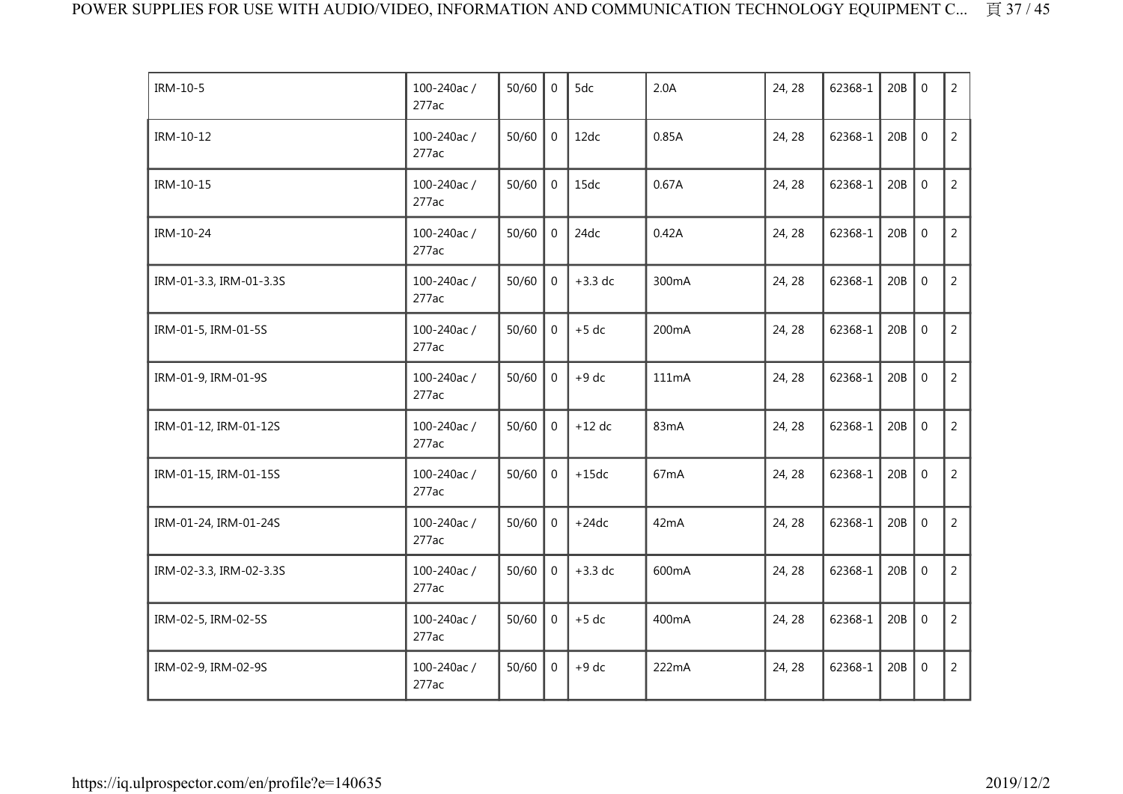| IRM-10-5                | 100-240ac /<br>277ac | 50/60 | $\overline{0}$ | 5dc       | 2.0A  | 24, 28 | 62368-1 | 20B | $\mathbf{0}$     | $\overline{2}$ |
|-------------------------|----------------------|-------|----------------|-----------|-------|--------|---------|-----|------------------|----------------|
| IRM-10-12               | 100-240ac/<br>277ac  | 50/60 | $\overline{0}$ | 12dc      | 0.85A | 24, 28 | 62368-1 | 20B | $\boldsymbol{0}$ | $\overline{2}$ |
| IRM-10-15               | 100-240ac/<br>277ac  | 50/60 | $\overline{0}$ | 15dc      | 0.67A | 24, 28 | 62368-1 | 20B | $\mathbf 0$      | $\overline{2}$ |
| IRM-10-24               | 100-240ac/<br>277ac  | 50/60 | $\Omega$       | 24dc      | 0.42A | 24, 28 | 62368-1 | 20B | $\overline{0}$   | $\overline{2}$ |
| IRM-01-3.3, IRM-01-3.3S | 100-240ac/<br>277ac  | 50/60 | $\overline{0}$ | $+3.3$ dc | 300mA | 24, 28 | 62368-1 | 20B | $\mathbf{0}$     | $\overline{2}$ |
| IRM-01-5, IRM-01-5S     | 100-240ac/<br>277ac  | 50/60 | $\overline{0}$ | $+5$ dc   | 200mA | 24, 28 | 62368-1 | 20B | $\mathbf 0$      | $\overline{2}$ |
| IRM-01-9, IRM-01-9S     | 100-240ac/<br>277ac  | 50/60 | $\mathbf{0}$   | $+9$ dc   | 111mA | 24, 28 | 62368-1 | 20B | $\mathbf 0$      | $\overline{2}$ |
| IRM-01-12, IRM-01-12S   | 100-240ac/<br>277ac  | 50/60 | $\Omega$       | $+12$ dc  | 83mA  | 24, 28 | 62368-1 | 20B | $\mathbf 0$      | $\overline{2}$ |
| IRM-01-15, IRM-01-15S   | 100-240ac/<br>277ac  | 50/60 | $\overline{0}$ | $+15dc$   | 67mA  | 24, 28 | 62368-1 | 20B | $\mathbf 0$      | $\overline{2}$ |
| IRM-01-24, IRM-01-24S   | 100-240ac/<br>277ac  | 50/60 | $\mathbf 0$    | $+24dc$   | 42mA  | 24, 28 | 62368-1 | 20B | $\mathbf 0$      | $\overline{2}$ |
| IRM-02-3.3, IRM-02-3.3S | 100-240ac/<br>277ac  | 50/60 | $\Omega$       | $+3.3$ dc | 600mA | 24, 28 | 62368-1 | 20B | $\mathbf 0$      | $\overline{2}$ |
| IRM-02-5, IRM-02-5S     | 100-240ac/<br>277ac  | 50/60 | $\overline{0}$ | $+5$ dc   | 400mA | 24, 28 | 62368-1 | 20B | $\mathbf 0$      | $\overline{2}$ |
| IRM-02-9, IRM-02-9S     | 100-240ac/<br>277ac  | 50/60 | $\mathbf 0$    | $+9$ dc   | 222mA | 24, 28 | 62368-1 | 20B | $\mathbf 0$      | $\overline{2}$ |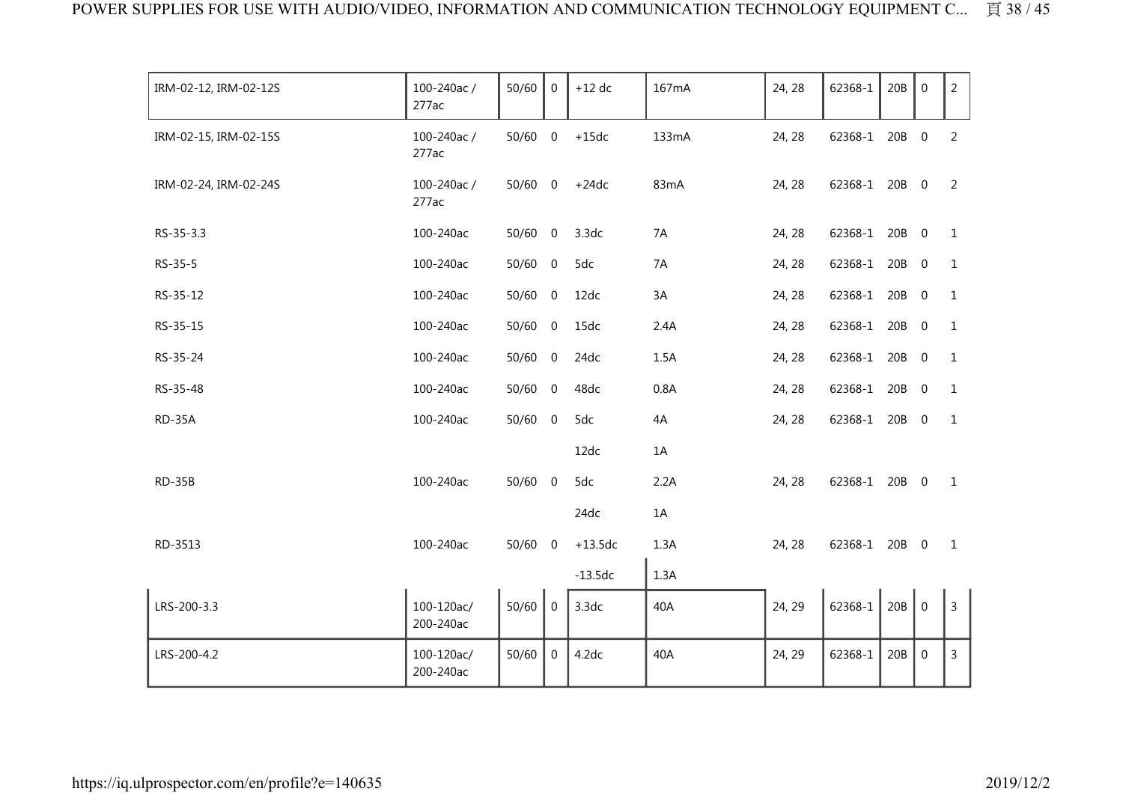| IRM-02-12, IRM-02-12S | 100-240ac/<br>277ac     | 50/60     | $\overline{0}$ | $+12$ dc  | 167mA | 24, 28 | 62368-1       | 20B   | $\mathbf 0$    | 2 <sup>7</sup> |
|-----------------------|-------------------------|-----------|----------------|-----------|-------|--------|---------------|-------|----------------|----------------|
| IRM-02-15, IRM-02-15S | 100-240ac/<br>277ac     | $50/60$ 0 |                | $+15dc$   | 133mA | 24, 28 | 62368-1       | 20B 0 |                | 2              |
| IRM-02-24, IRM-02-24S | 100-240ac/<br>277ac     | 50/60 0   |                | $+24dc$   | 83mA  | 24, 28 | 62368-1 20B 0 |       |                | 2              |
| RS-35-3.3             | 100-240ac               | 50/60 0   |                | 3.3dc     | 7A    | 24, 28 | 62368-1       | 20B 0 |                | 1              |
| RS-35-5               | 100-240ac               | 50/60 0   |                | 5dc       | 7A    | 24, 28 | 62368-1       | 20B   | $\overline{0}$ | $\mathbf{1}$   |
| RS-35-12              | 100-240ac               | $50/60$ 0 |                | 12dc      | 3A    | 24, 28 | 62368-1       | 20B   | $\mathbf 0$    | $\mathbf{1}$   |
| RS-35-15              | 100-240ac               | $50/60$ 0 |                | 15dc      | 2.4A  | 24, 28 | 62368-1       | 20B   | $\overline{0}$ | $\mathbf{1}$   |
| RS-35-24              | 100-240ac               | 50/60 0   |                | 24dc      | 1.5A  | 24, 28 | 62368-1       | 20B   | $\overline{0}$ | 1              |
| RS-35-48              | 100-240ac               | $50/60$ 0 |                | 48dc      | 0.8A  | 24, 28 | 62368-1       | 20B 0 |                | $\mathbf{1}$   |
| RD-35A                | 100-240ac               | $50/60$ 0 |                | 5dc       | 4A    | 24, 28 | 62368-1 20B 0 |       |                | $\mathbf{1}$   |
|                       |                         |           |                | 12dc      | 1A    |        |               |       |                |                |
| RD-35B                | 100-240ac               | $50/60$ 0 |                | 5dc       | 2.2A  | 24, 28 | 62368-1 20B 0 |       |                | $\overline{1}$ |
|                       |                         |           |                | 24dc      | 1A    |        |               |       |                |                |
| RD-3513               | 100-240ac               | 50/60 0   |                | $+13.5dc$ | 1.3A  | 24, 28 | 62368-1 20B 0 |       |                | $\mathbf{1}$   |
|                       |                         |           |                | $-13.5dc$ | 1.3A  |        |               |       |                |                |
| LRS-200-3.3           | 100-120ac/<br>200-240ac | 50/60     | $\mathbf 0$    | 3.3dc     | 40A   | 24, 29 | 62368-1       | 20B   | $\overline{0}$ | $\overline{3}$ |
| LRS-200-4.2           | 100-120ac/<br>200-240ac | 50/60     | $\overline{0}$ | 4.2dc     | 40A   | 24, 29 | 62368-1       | 20B   | $\mathbf 0$    | $\mathsf{3}$   |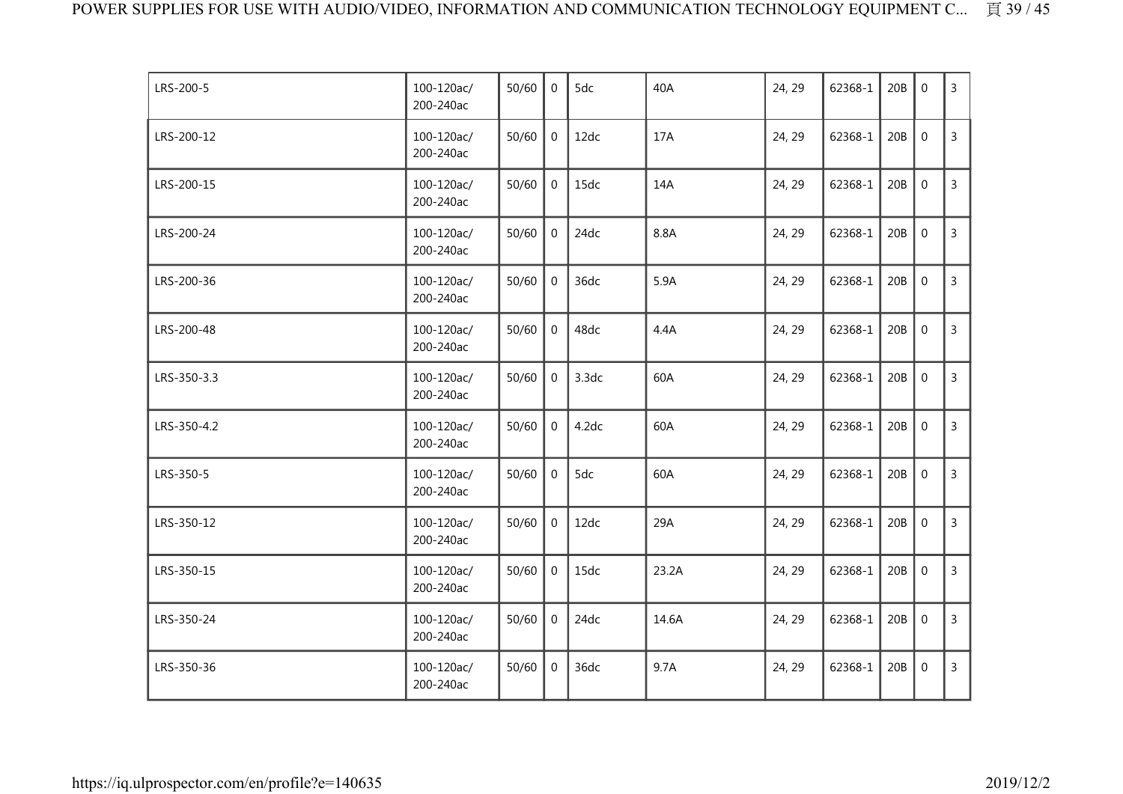| LRS-200-5   | 100-120ac/<br>200-240ac | 50/60 | $\Omega$       | 5dc   | 40A   | 24, 29 | 62368-1 | 20B | $\mathbf 0$      | 3              |
|-------------|-------------------------|-------|----------------|-------|-------|--------|---------|-----|------------------|----------------|
| LRS-200-12  | 100-120ac/<br>200-240ac | 50/60 | $\overline{0}$ | 12dc  | 17A   | 24, 29 | 62368-1 | 20B | $\mathbf 0$      | 3              |
| LRS-200-15  | 100-120ac/<br>200-240ac | 50/60 | $\overline{0}$ | 15dc  | 14A   | 24, 29 | 62368-1 | 20B | $\mathbf 0$      | $\overline{3}$ |
| LRS-200-24  | 100-120ac/<br>200-240ac | 50/60 | $\mathbf{0}$   | 24dc  | 8.8A  | 24, 29 | 62368-1 | 20B | $\mathbf 0$      | 3              |
| LRS-200-36  | 100-120ac/<br>200-240ac | 50/60 | $\overline{0}$ | 36dc  | 5.9A  | 24, 29 | 62368-1 | 20B | $\mathbf 0$      | $\overline{3}$ |
| LRS-200-48  | 100-120ac/<br>200-240ac | 50/60 | $\mathbf{0}$   | 48dc  | 4.4A  | 24, 29 | 62368-1 | 20B | $\mathbf{0}$     | $\overline{3}$ |
| LRS-350-3.3 | 100-120ac/<br>200-240ac | 50/60 | 0              | 3.3dc | 60A   | 24, 29 | 62368-1 | 20B | $\mathbf 0$      | $\overline{3}$ |
| LRS-350-4.2 | 100-120ac/<br>200-240ac | 50/60 | $\overline{0}$ | 4.2dc | 60A   | 24, 29 | 62368-1 | 20B | $\mathbf 0$      | $\overline{3}$ |
| LRS-350-5   | 100-120ac/<br>200-240ac | 50/60 | $\overline{0}$ | 5dc   | 60A   | 24, 29 | 62368-1 | 20B | $\mathbf 0$      | $\overline{3}$ |
| LRS-350-12  | 100-120ac/<br>200-240ac | 50/60 | $\mathbf 0$    | 12dc  | 29A   | 24, 29 | 62368-1 | 20B | $\mathbf{0}$     | $\overline{3}$ |
| LRS-350-15  | 100-120ac/<br>200-240ac | 50/60 | $\overline{0}$ | 15dc  | 23.2A | 24, 29 | 62368-1 | 20B | $\boldsymbol{0}$ | $\overline{3}$ |
| LRS-350-24  | 100-120ac/<br>200-240ac | 50/60 | $\overline{0}$ | 24dc  | 14.6A | 24, 29 | 62368-1 | 20B | $\mathbf 0$      | 3              |
| LRS-350-36  | 100-120ac/<br>200-240ac | 50/60 | $\overline{0}$ | 36dc  | 9.7A  | 24, 29 | 62368-1 | 20B | $\mathbf 0$      | $\overline{3}$ |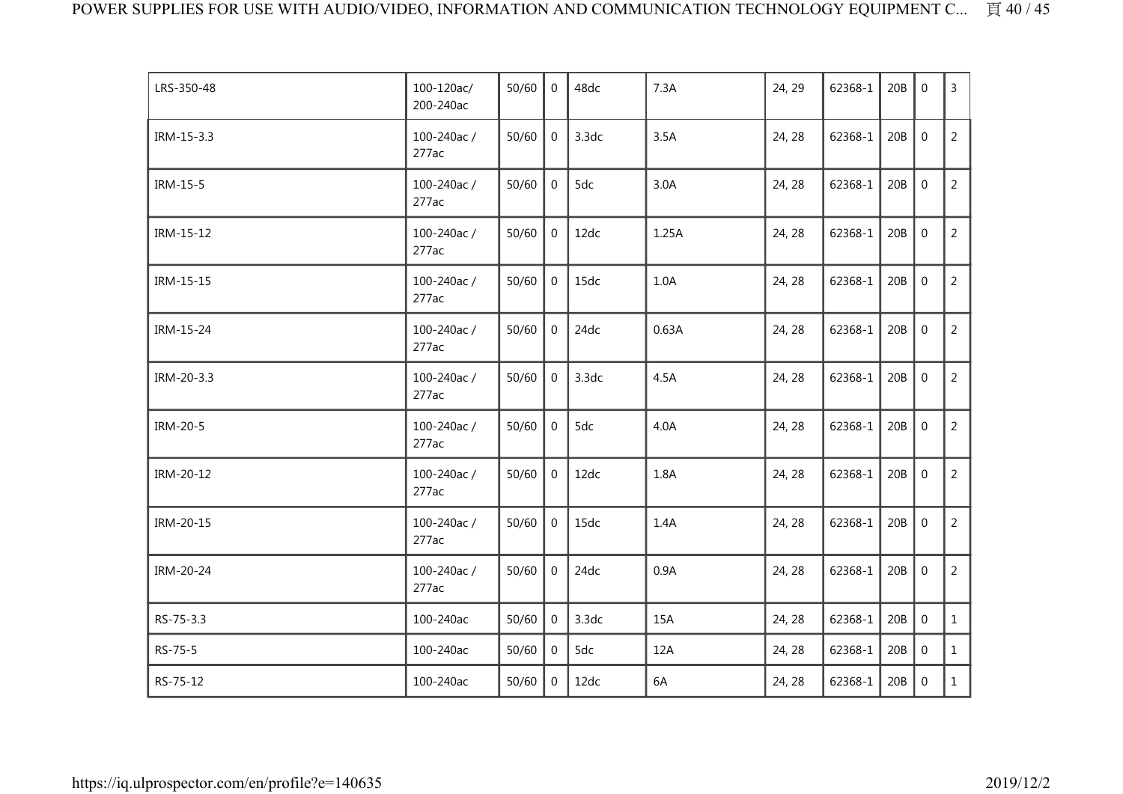| LRS-350-48 | 100-120ac/<br>200-240ac | 50/60 | $\overline{0}$ | 48dc  | 7.3A  | 24, 29 | 62368-1 | 20B | $\mathbf 0$      | $\overline{3}$ |
|------------|-------------------------|-------|----------------|-------|-------|--------|---------|-----|------------------|----------------|
| IRM-15-3.3 | 100-240ac/<br>277ac     | 50/60 | $\mathbf 0$    | 3.3dc | 3.5A  | 24, 28 | 62368-1 | 20B | $\mathbf 0$      | 2              |
| IRM-15-5   | 100-240ac/<br>277ac     | 50/60 | $\mathbf 0$    | 5dc   | 3.0A  | 24, 28 | 62368-1 | 20B | $\mathbf 0$      | $\overline{2}$ |
| IRM-15-12  | 100-240ac/<br>277ac     | 50/60 | 0              | 12dc  | 1.25A | 24, 28 | 62368-1 | 20B | $\boldsymbol{0}$ | $\overline{2}$ |
| IRM-15-15  | 100-240ac/<br>277ac     | 50/60 | $\overline{0}$ | 15dc  | 1.0A  | 24, 28 | 62368-1 | 20B | $\mathbf 0$      | $\overline{2}$ |
| IRM-15-24  | 100-240ac/<br>277ac     | 50/60 | $\mathbf 0$    | 24dc  | 0.63A | 24, 28 | 62368-1 | 20B | $\mathbf 0$      | $\overline{2}$ |
| IRM-20-3.3 | 100-240ac/<br>277ac     | 50/60 | $\mathbf 0$    | 3.3dc | 4.5A  | 24, 28 | 62368-1 | 20B | $\overline{0}$   | $\overline{2}$ |
| IRM-20-5   | 100-240ac/<br>277ac     | 50/60 | $\mathbf 0$    | 5dc   | 4.0A  | 24, 28 | 62368-1 | 20B | $\mathbf 0$      | $\overline{2}$ |
| IRM-20-12  | 100-240ac/<br>277ac     | 50/60 | $\overline{0}$ | 12dc  | 1.8A  | 24, 28 | 62368-1 | 20B | $\mathbf 0$      | $\overline{2}$ |
| IRM-20-15  | 100-240ac/<br>277ac     | 50/60 | $\mathbf 0$    | 15dc  | 1.4A  | 24, 28 | 62368-1 | 20B | $\mathbf 0$      | $\overline{2}$ |
| IRM-20-24  | 100-240ac/<br>277ac     | 50/60 | $\mathbf 0$    | 24dc  | 0.9A  | 24, 28 | 62368-1 | 20B | $\mathbf 0$      | $\overline{2}$ |
| RS-75-3.3  | 100-240ac               | 50/60 | 0              | 3.3dc | 15A   | 24, 28 | 62368-1 | 20B | $\mathbf 0$      | $\mathbf{1}$   |
| RS-75-5    | 100-240ac               | 50/60 | 0              | 5dc   | 12A   | 24, 28 | 62368-1 | 20B | $\mathbf 0$      | $\mathbf{1}$   |
| RS-75-12   | 100-240ac               | 50/60 | $\overline{0}$ | 12dc  | 6A    | 24, 28 | 62368-1 | 20B | $\mathbf 0$      | $\mathbf{1}$   |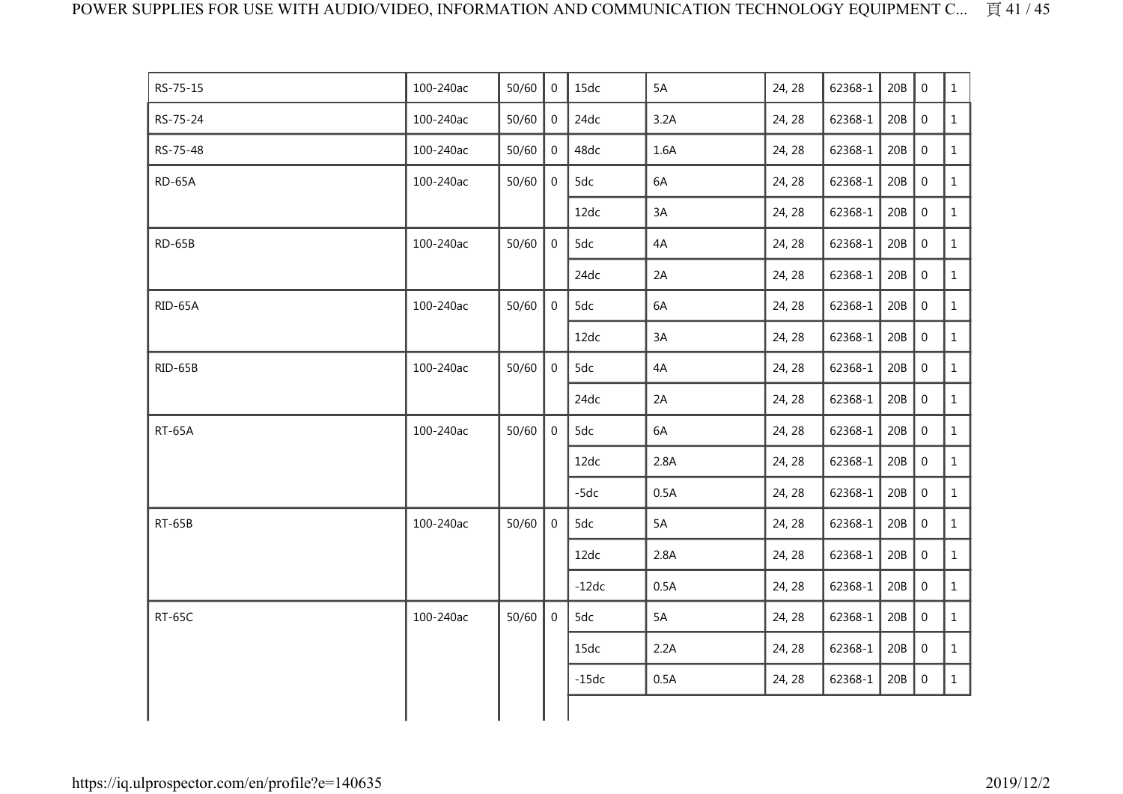| RS-75-15      | 100-240ac | 50/60 | $\Omega$       | 15dc    | 5A   | 24, 28 | 62368-1 | 20B | $\Omega$         | $\mathbf{1}$ |
|---------------|-----------|-------|----------------|---------|------|--------|---------|-----|------------------|--------------|
| RS-75-24      | 100-240ac | 50/60 | $\mathbf 0$    | 24dc    | 3.2A | 24, 28 | 62368-1 | 20B | $\boldsymbol{0}$ | $\mathbf{1}$ |
| RS-75-48      | 100-240ac | 50/60 | 0              | 48dc    | 1.6A | 24, 28 | 62368-1 | 20B | $\boldsymbol{0}$ | $\mathbf{1}$ |
| RD-65A        | 100-240ac | 50/60 | $\mathbf 0$    | 5dc     | 6A   | 24, 28 | 62368-1 | 20B | $\mathbf 0$      | $\mathbf{1}$ |
|               |           |       |                | 12dc    | 3A   | 24, 28 | 62368-1 | 20B | $\boldsymbol{0}$ | $\mathbf{1}$ |
| $RD-65B$      | 100-240ac | 50/60 | $\overline{0}$ | 5dc     | 4A   | 24, 28 | 62368-1 | 20B | $\mathbf 0$      | $\mathbf{1}$ |
|               |           |       |                | 24dc    | 2A   | 24, 28 | 62368-1 | 20B | $\boldsymbol{0}$ | $\mathbf{1}$ |
| RID-65A       | 100-240ac | 50/60 | $\overline{0}$ | 5dc     | 6A   | 24, 28 | 62368-1 | 20B | $\mathbf 0$      | $\mathbf{1}$ |
|               |           |       |                | 12dc    | 3A   | 24, 28 | 62368-1 | 20B | $\boldsymbol{0}$ | $\mathbf{1}$ |
| RID-65B       | 100-240ac | 50/60 | 0              | 5dc     | 4A   | 24, 28 | 62368-1 | 20B | $\boldsymbol{0}$ | $\mathbf{1}$ |
|               |           |       |                | 24dc    | 2A   | 24, 28 | 62368-1 | 20B | $\boldsymbol{0}$ | $\mathbf{1}$ |
| <b>RT-65A</b> | 100-240ac | 50/60 | $\overline{0}$ | 5dc     | 6A   | 24, 28 | 62368-1 | 20B | $\boldsymbol{0}$ | $\mathbf{1}$ |
|               |           |       |                | 12dc    | 2.8A | 24, 28 | 62368-1 | 20B | $\mathbf 0$      | $\mathbf{1}$ |
|               |           |       |                | $-5dc$  | 0.5A | 24, 28 | 62368-1 | 20B | $\boldsymbol{0}$ | $\mathbf{1}$ |
| <b>RT-65B</b> | 100-240ac | 50/60 | $\overline{0}$ | 5dc     | 5A   | 24, 28 | 62368-1 | 20B | $\overline{0}$   | $\mathbf{1}$ |
|               |           |       |                | 12dc    | 2.8A | 24, 28 | 62368-1 | 20B | $\mathbf 0$      | $\mathbf{1}$ |
|               |           |       |                | $-12dc$ | 0.5A | 24, 28 | 62368-1 | 20B | $\mathbf 0$      | $\mathbf{1}$ |
| <b>RT-65C</b> | 100-240ac | 50/60 | $\overline{0}$ | 5dc     | 5A   | 24, 28 | 62368-1 | 20B | $\,0\,$          | $\mathbf{1}$ |
|               |           |       |                | 15dc    | 2.2A | 24, 28 | 62368-1 | 20B | $\boldsymbol{0}$ | $\mathbf{1}$ |
|               |           |       |                | $-15dc$ | 0.5A | 24, 28 | 62368-1 | 20B | $\,0\,$          | $\mathbf{1}$ |
|               |           |       |                |         |      |        |         |     |                  |              |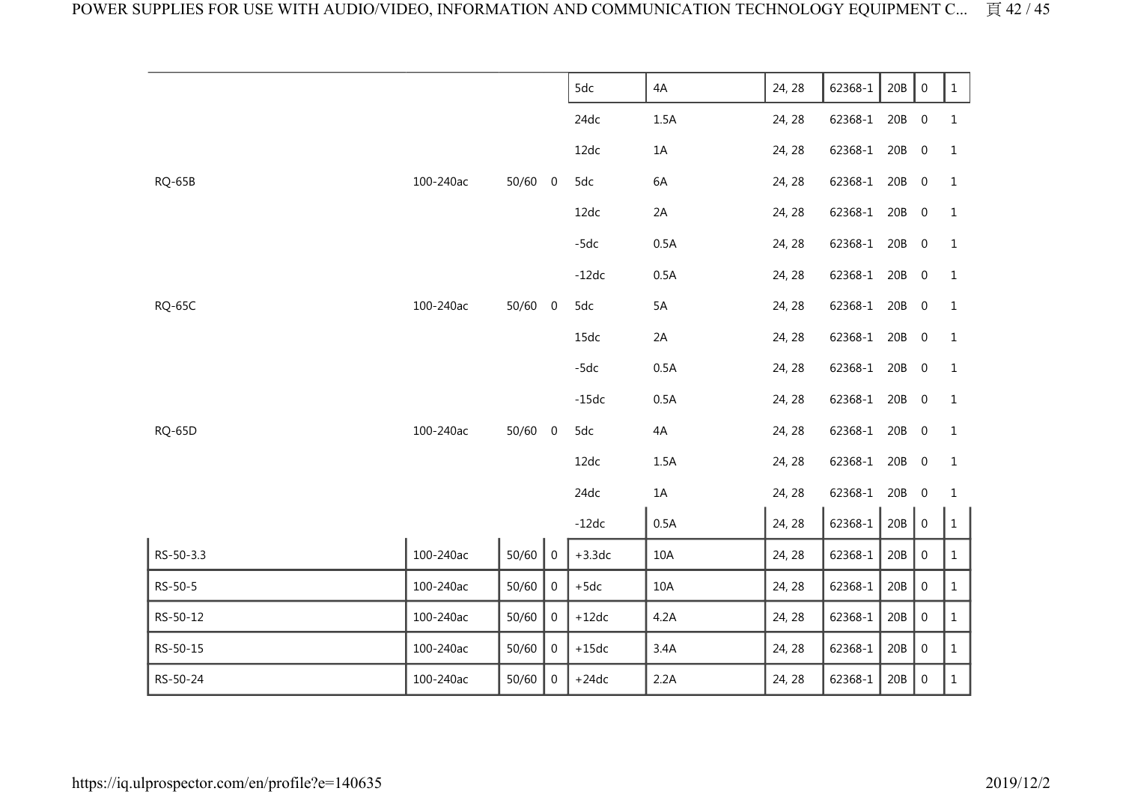|               |           |         |                  | 5dc      | 4A   | 24, 28 | 62368-1 | 20B   | $\boldsymbol{0}$ | $\mathbf{1}$ |
|---------------|-----------|---------|------------------|----------|------|--------|---------|-------|------------------|--------------|
|               |           |         |                  | 24dc     | 1.5A | 24, 28 | 62368-1 | 20B   | $\overline{0}$   | 1            |
|               |           |         |                  | 12dc     | 1A   | 24, 28 | 62368-1 | 20B   | $\overline{0}$   | 1            |
| <b>RQ-65B</b> | 100-240ac | 50/60   | $\overline{0}$   | 5dc      | 6A   | 24, 28 | 62368-1 | 20B   | $\overline{0}$   | 1            |
|               |           |         |                  | 12dc     | 2A   | 24, 28 | 62368-1 | 20B   | $\overline{0}$   | 1            |
|               |           |         |                  | $-5dc$   | 0.5A | 24, 28 | 62368-1 | 20B   | $\overline{0}$   | 1            |
|               |           |         |                  | $-12dc$  | 0.5A | 24, 28 | 62368-1 | 20B   | $\overline{0}$   | 1            |
| <b>RQ-65C</b> | 100-240ac | 50/60 0 |                  | 5dc      | 5A   | 24, 28 | 62368-1 | 20B   | $\overline{0}$   | 1            |
|               |           |         |                  | 15dc     | 2A   | 24, 28 | 62368-1 | 20B   | $\overline{0}$   | 1            |
|               |           |         |                  | $-5dc$   | 0.5A | 24, 28 | 62368-1 | 20B   | $\overline{0}$   | 1            |
|               |           |         |                  | $-15dc$  | 0.5A | 24, 28 | 62368-1 | 20B   | $\overline{0}$   | 1            |
| <b>RQ-65D</b> | 100-240ac | 50/60   | $\boldsymbol{0}$ | 5dc      | 4A   | 24, 28 | 62368-1 | 20B   | $\overline{0}$   | 1            |
|               |           |         |                  | 12dc     | 1.5A | 24, 28 | 62368-1 | 20B   | $\overline{0}$   | 1            |
|               |           |         |                  | 24dc     | $1A$ | 24, 28 | 62368-1 | 20B   | $\overline{0}$   | $\mathbf 1$  |
|               |           |         |                  | $-12dc$  | 0.5A | 24, 28 | 62368-1 | 20B   | $\,0\,$          | $\mathbf{1}$ |
| RS-50-3.3     | 100-240ac | 50/60   | $\overline{0}$   | $+3.3dc$ | 10A  | 24, 28 | 62368-1 | $20B$ | $\boldsymbol{0}$ | $\mathbf{1}$ |
| RS-50-5       | 100-240ac | 50/60   | $\boldsymbol{0}$ | $+5dc$   | 10A  | 24, 28 | 62368-1 | 20B   | $\boldsymbol{0}$ | $\mathbf{1}$ |
| RS-50-12      | 100-240ac | 50/60   | $\mathbf 0$      | $+12dc$  | 4.2A | 24, 28 | 62368-1 | $20B$ | $\boldsymbol{0}$ | $\mathbf{1}$ |
| RS-50-15      | 100-240ac | 50/60   | $\mathbf 0$      | $+15dc$  | 3.4A | 24, 28 | 62368-1 | $20B$ | $\boldsymbol{0}$ | $\mathbf{1}$ |
| RS-50-24      | 100-240ac | 50/60   | $\mathbf 0$      | $+24dc$  | 2.2A | 24, 28 | 62368-1 | 20B   | $\boldsymbol{0}$ | $\mathbf{1}$ |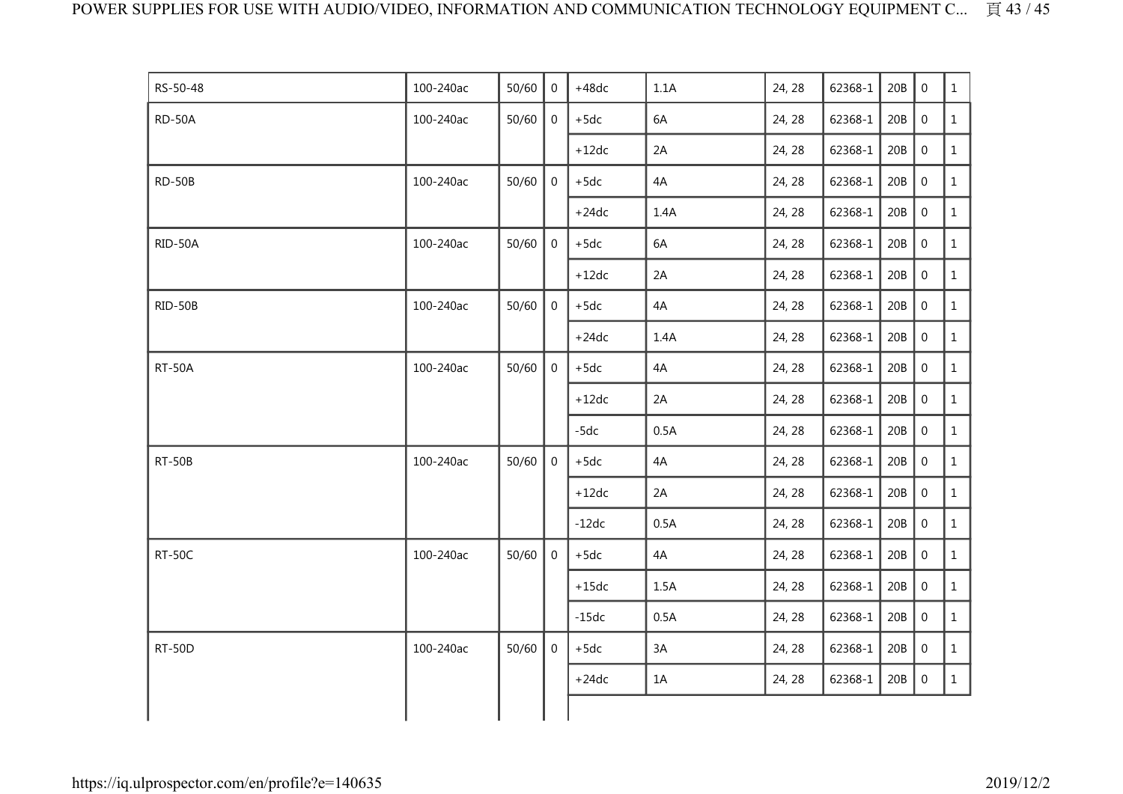| RS-50-48      | 100-240ac | 50/60 | $\Omega$       | $+48dc$ | 1.1A | 24, 28 | 62368-1 | 20B | $\Omega$         | $\mathbf{1}$ |
|---------------|-----------|-------|----------------|---------|------|--------|---------|-----|------------------|--------------|
| RD-50A        | 100-240ac | 50/60 | $\mathbf 0$    | $+5dc$  | 6A   | 24, 28 | 62368-1 | 20B | $\boldsymbol{0}$ | $\mathbf{1}$ |
|               |           |       |                | $+12dc$ | 2A   | 24, 28 | 62368-1 | 20B | $\boldsymbol{0}$ | $\mathbf{1}$ |
| RD-50B        | 100-240ac | 50/60 | $\mathbf 0$    | $+5dc$  | 4A   | 24, 28 | 62368-1 | 20B | $\mathbf 0$      | $\mathbf{1}$ |
|               |           |       |                | $+24dc$ | 1.4A | 24, 28 | 62368-1 | 20B | $\boldsymbol{0}$ | $\mathbf{1}$ |
| RID-50A       | 100-240ac | 50/60 | $\mathbf 0$    | $+5dc$  | 6A   | 24, 28 | 62368-1 | 20B | $\mathbf 0$      | $\mathbf{1}$ |
|               |           |       |                | $+12dc$ | 2A   | 24, 28 | 62368-1 | 20B | $\boldsymbol{0}$ | $\mathbf{1}$ |
| RID-50B       | 100-240ac | 50/60 | $\mathbf 0$    | $+5dc$  | 4A   | 24, 28 | 62368-1 | 20B | $\mathbf 0$      | $\mathbf{1}$ |
|               |           |       |                | $+24dc$ | 1.4A | 24, 28 | 62368-1 | 20B | $\boldsymbol{0}$ | $\mathbf{1}$ |
| <b>RT-50A</b> | 100-240ac | 50/60 | $\overline{0}$ | $+5dc$  | 4A   | 24, 28 | 62368-1 | 20B | $\boldsymbol{0}$ | $\mathbf{1}$ |
|               |           |       |                | $+12dc$ | 2A   | 24, 28 | 62368-1 | 20B | $\,0\,$          | $\mathbf{1}$ |
|               |           |       |                | $-5dc$  | 0.5A | 24, 28 | 62368-1 | 20B | $\boldsymbol{0}$ | $\mathbf{1}$ |
| <b>RT-50B</b> | 100-240ac | 50/60 | $\mathbf 0$    | $+5dc$  | 4A   | 24, 28 | 62368-1 | 20B | $\mathbf 0$      | $\mathbf{1}$ |
|               |           |       |                | $+12dc$ | 2A   | 24, 28 | 62368-1 | 20B | $\boldsymbol{0}$ | $\mathbf{1}$ |
|               |           |       |                | $-12dc$ | 0.5A | 24, 28 | 62368-1 | 20B | $\mathbf 0$      | $\mathbf{1}$ |
| <b>RT-50C</b> | 100-240ac | 50/60 | $\overline{0}$ | $+5dc$  | 4A   | 24, 28 | 62368-1 | 20B | $\mathbf 0$      | $\mathbf{1}$ |
|               |           |       |                | $+15dc$ | 1.5A | 24, 28 | 62368-1 | 20B | $\mathbf 0$      | $\mathbf{1}$ |
|               |           |       |                | $-15dc$ | 0.5A | 24, 28 | 62368-1 | 20B | $\,0\,$          | $\mathbf{1}$ |
| RT-50D        | 100-240ac | 50/60 | 0              | $+5dc$  | 3A   | 24, 28 | 62368-1 | 20B | $\boldsymbol{0}$ | $\mathbf{1}$ |
|               |           |       |                | $+24dc$ | 1A   | 24, 28 | 62368-1 | 20B | $\,0\,$          | $\mathbf{1}$ |
|               |           |       |                |         |      |        |         |     |                  |              |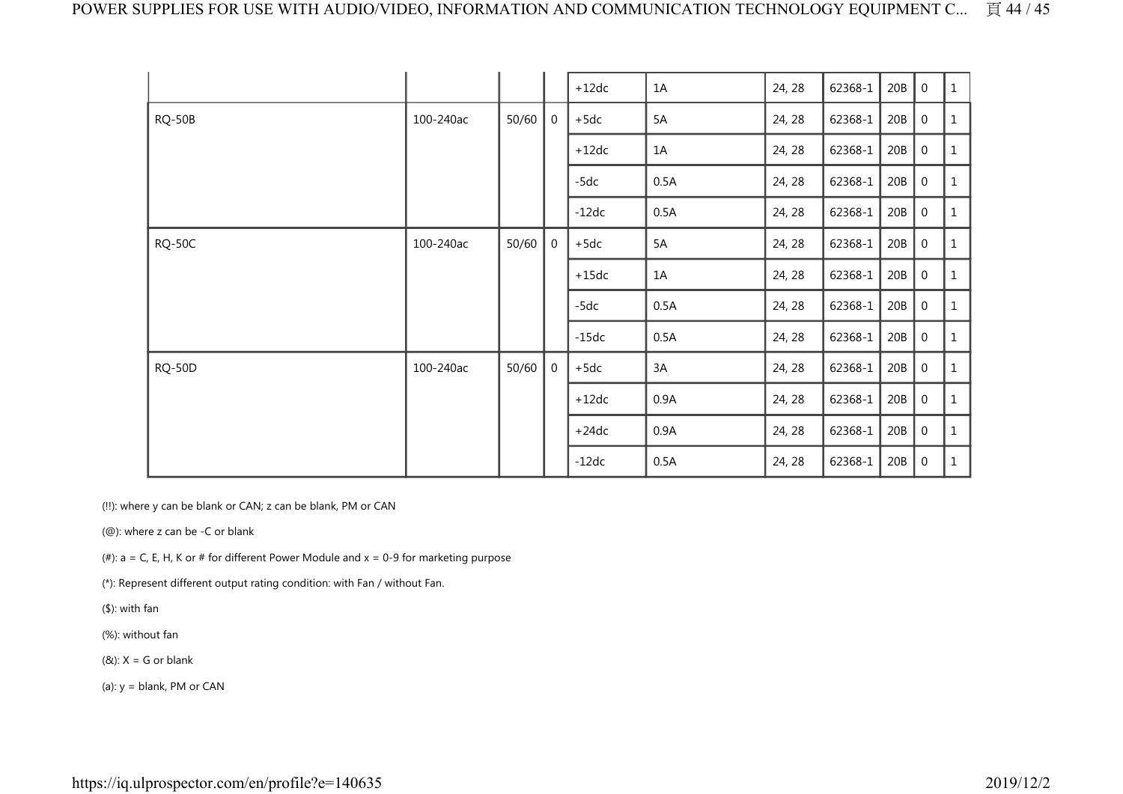|               |           |       |                | $+12dc$ | 1A      | 24, 28 | 62368-1           | 20B | $\boldsymbol{0}$ | $\,1\,$      |
|---------------|-----------|-------|----------------|---------|---------|--------|-------------------|-----|------------------|--------------|
| <b>RQ-50B</b> | 100-240ac | 50/60 | 0              | $+5dc$  | 5A      | 24, 28 | 62368-1           | 20B | $\boldsymbol{0}$ | 1            |
|               |           |       |                | $+12dc$ | 1A      | 24, 28 | 62368-1           | 20B | $\boldsymbol{0}$ | 1            |
|               |           |       |                | $-5dc$  | 0.5A    | 24, 28 | 62368-1           | 20B | $\boldsymbol{0}$ | $\mathbf{1}$ |
|               |           |       |                | $-12dc$ | 0.5A    | 24, 28 | 62368-1           | 20B | $\,0\,$          | $\mathbf{1}$ |
| <b>RQ-50C</b> | 100-240ac | 50/60 | $\overline{0}$ | $+5dc$  | 5A      | 24, 28 | 62368-1           | 20B | $\overline{0}$   | $\mathbf{1}$ |
|               |           |       |                |         | $+15dc$ | 1A     | 62368-1<br>24, 28 | 20B | $\boldsymbol{0}$ | $\mathbf{1}$ |
|               |           |       |                | -5dc    | 0.5A    | 24, 28 | 62368-1           | 20B | $\boldsymbol{0}$ | $\mathbf{1}$ |
|               |           |       |                | $-15dc$ | 0.5A    | 24, 28 | 62368-1           | 20B | $\,0\,$          | 1            |
| <b>RQ-50D</b> | 100-240ac | 50/60 | $\mathbf 0$    | $+5dc$  | 3A      | 24, 28 | 62368-1           | 20B | $\overline{0}$   | $\mathbf{1}$ |
|               |           |       |                | $+12dc$ | 0.9A    | 24, 28 | 62368-1           | 20B | $\boldsymbol{0}$ | $1\,$        |
|               |           |       |                | $+24dc$ | 0.9A    | 24, 28 | 62368-1           | 20B | $\overline{0}$   | $\mathbf{1}$ |
|               |           |       |                | $-12dc$ | 0.5A    | 24, 28 | 62368-1           | 20B | $\mathbf 0$      | $\mathbf{1}$ |

(!!): where y can be blank or CAN; z can be blank, PM or CAN

(@): where z can be -C or blank

(#):  $a = C$ , E, H, K or # for different Power Module and  $x = 0-9$  for marketing purpose

(\*): Represent different output rating condition: with Fan / without Fan.

(\$): with fan

(%): without fan

 $(8)$ : X = G or blank

(a):  $y =$  blank, PM or CAN